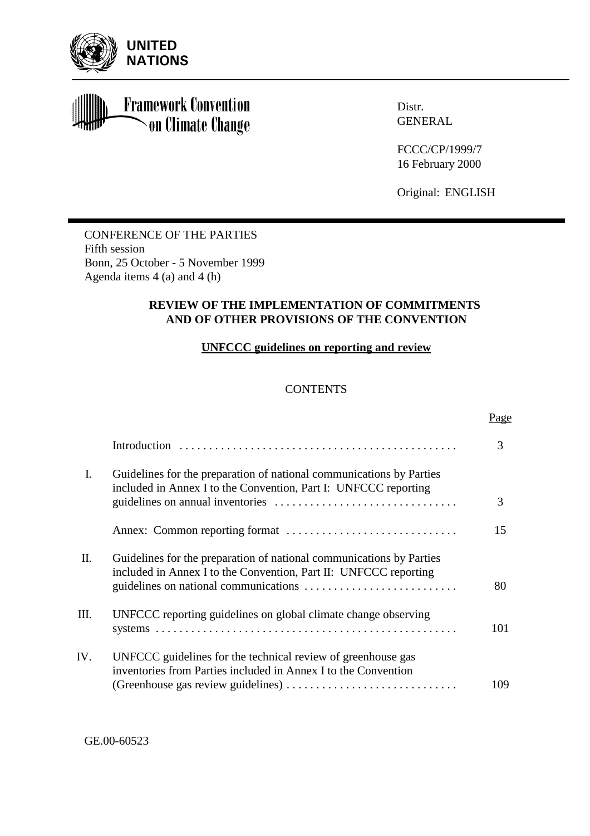

**Framework Convention** on Climate Change

Distr. **GENERAL** 

FCCC/CP/1999/7 16 February 2000

Original: ENGLISH

CONFERENCE OF THE PARTIES Fifth session Bonn, 25 October - 5 November 1999 Agenda items 4 (a) and 4 (h)

# **REVIEW OF THE IMPLEMENTATION OF COMMITMENTS AND OF OTHER PROVISIONS OF THE CONVENTION**

# **UNFCCC guidelines on reporting and review**

# **CONTENTS**

|                |                                                                                                                                          | Page |
|----------------|------------------------------------------------------------------------------------------------------------------------------------------|------|
|                |                                                                                                                                          | 3    |
| $\mathbf{I}$ . | Guidelines for the preparation of national communications by Parties<br>included in Annex I to the Convention, Part I: UNFCCC reporting  | 3    |
|                |                                                                                                                                          | 15   |
| П.             | Guidelines for the preparation of national communications by Parties<br>included in Annex I to the Convention, Part II: UNFCCC reporting | 80   |
| Ш.             | UNFCCC reporting guidelines on global climate change observing                                                                           | 101  |
| IV.            | UNFCCC guidelines for the technical review of greenhouse gas<br>inventories from Parties included in Annex I to the Convention           | 109  |

GE.00-60523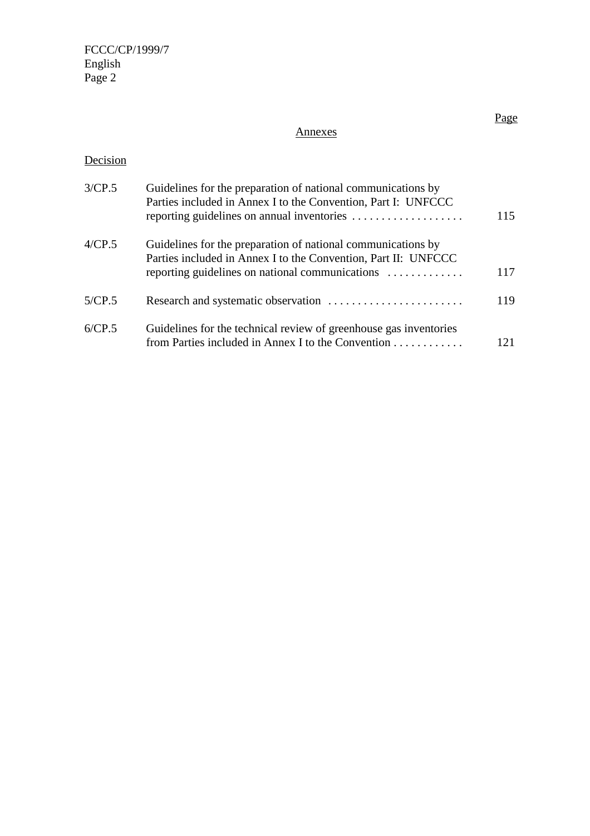FCCC/CP/1999/7 English Page 2

# Annexes

# Decision

| 3/CP.5 | Guidelines for the preparation of national communications by<br>Parties included in Annex I to the Convention, Part I: UNFCCC<br>reporting guidelines on annual inventories       | 115 |
|--------|-----------------------------------------------------------------------------------------------------------------------------------------------------------------------------------|-----|
| 4/CP.5 | Guidelines for the preparation of national communications by<br>Parties included in Annex I to the Convention, Part II: UNFCCC<br>reporting guidelines on national communications | 117 |
| 5/CP.5 |                                                                                                                                                                                   | 119 |
| 6/CP.5 | Guidelines for the technical review of greenhouse gas inventories<br>from Parties included in Annex I to the Convention                                                           | 121 |

# Page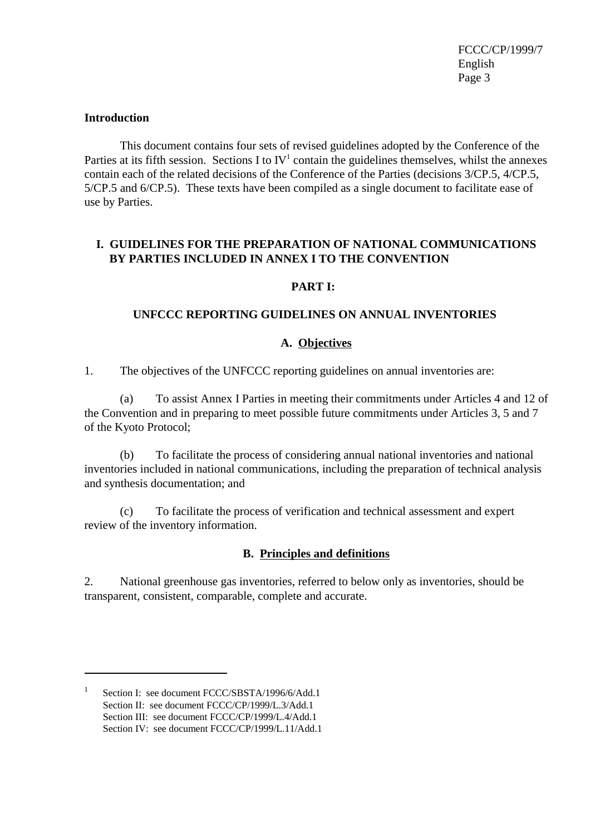#### **Introduction**

This document contains four sets of revised guidelines adopted by the Conference of the Parties at its fifth session. Sections I to  $IV<sup>1</sup>$  contain the guidelines themselves, whilst the annexes contain each of the related decisions of the Conference of the Parties (decisions 3/CP.5, 4/CP.5, 5/CP.5 and 6/CP.5). These texts have been compiled as a single document to facilitate ease of use by Parties.

### **I. GUIDELINES FOR THE PREPARATION OF NATIONAL COMMUNICATIONS BY PARTIES INCLUDED IN ANNEX I TO THE CONVENTION**

#### **PART I:**

#### **UNFCCC REPORTING GUIDELINES ON ANNUAL INVENTORIES**

#### **A. Objectives**

1. The objectives of the UNFCCC reporting guidelines on annual inventories are:

(a) To assist Annex I Parties in meeting their commitments under Articles 4 and 12 of the Convention and in preparing to meet possible future commitments under Articles 3, 5 and 7 of the Kyoto Protocol;

(b) To facilitate the process of considering annual national inventories and national inventories included in national communications, including the preparation of technical analysis and synthesis documentation; and

(c) To facilitate the process of verification and technical assessment and expert review of the inventory information.

#### **B. Principles and definitions**

2. National greenhouse gas inventories, referred to below only as inventories, should be transparent, consistent, comparable, complete and accurate.

<sup>1</sup> Section I: see document FCCC/SBSTA/1996/6/Add.1 Section II: see document FCCC/CP/1999/L.3/Add.1 Section III: see document FCCC/CP/1999/L.4/Add.1 Section IV: see document FCCC/CP/1999/L.11/Add.1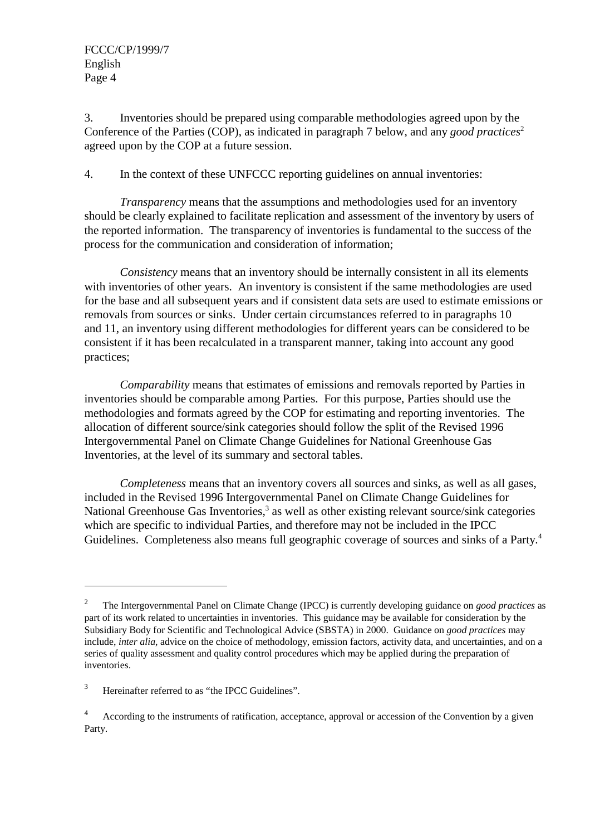FCCC/CP/1999/7 English Page 4

3. Inventories should be prepared using comparable methodologies agreed upon by the Conference of the Parties (COP), as indicated in paragraph 7 below, and any *good practices*<sup>2</sup> agreed upon by the COP at a future session.

4. In the context of these UNFCCC reporting guidelines on annual inventories:

*Transparency* means that the assumptions and methodologies used for an inventory should be clearly explained to facilitate replication and assessment of the inventory by users of the reported information. The transparency of inventories is fundamental to the success of the process for the communication and consideration of information;

*Consistency* means that an inventory should be internally consistent in all its elements with inventories of other years. An inventory is consistent if the same methodologies are used for the base and all subsequent years and if consistent data sets are used to estimate emissions or removals from sources or sinks. Under certain circumstances referred to in paragraphs 10 and 11, an inventory using different methodologies for different years can be considered to be consistent if it has been recalculated in a transparent manner, taking into account any good practices;

*Comparability* means that estimates of emissions and removals reported by Parties in inventories should be comparable among Parties. For this purpose, Parties should use the methodologies and formats agreed by the COP for estimating and reporting inventories. The allocation of different source/sink categories should follow the split of the Revised 1996 Intergovernmental Panel on Climate Change Guidelines for National Greenhouse Gas Inventories, at the level of its summary and sectoral tables.

*Completeness* means that an inventory covers all sources and sinks, as well as all gases, included in the Revised 1996 Intergovernmental Panel on Climate Change Guidelines for National Greenhouse Gas Inventories,<sup>3</sup> as well as other existing relevant source/sink categories which are specific to individual Parties, and therefore may not be included in the IPCC Guidelines. Completeness also means full geographic coverage of sources and sinks of a Party.<sup>4</sup>

<sup>2</sup> The Intergovernmental Panel on Climate Change (IPCC) is currently developing guidance on *good practices* as part of its work related to uncertainties in inventories. This guidance may be available for consideration by the Subsidiary Body for Scientific and Technological Advice (SBSTA) in 2000. Guidance on *good practices* may include, *inter alia*, advice on the choice of methodology, emission factors, activity data, and uncertainties, and on a series of quality assessment and quality control procedures which may be applied during the preparation of inventories.

<sup>3</sup> Hereinafter referred to as "the IPCC Guidelines".

<sup>4</sup> According to the instruments of ratification, acceptance, approval or accession of the Convention by a given Party.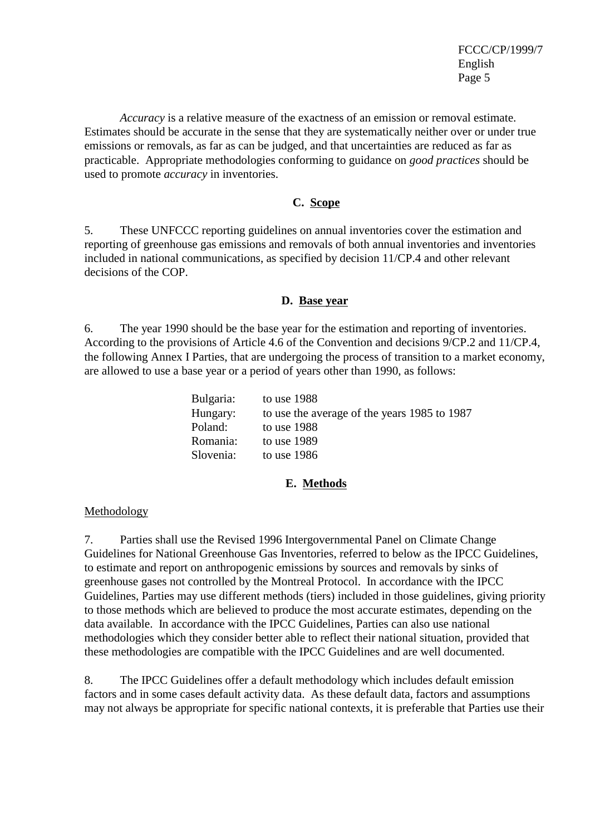*Accuracy* is a relative measure of the exactness of an emission or removal estimate. Estimates should be accurate in the sense that they are systematically neither over or under true emissions or removals, as far as can be judged, and that uncertainties are reduced as far as practicable. Appropriate methodologies conforming to guidance on *good practices* should be used to promote *accuracy* in inventories.

# **C. Scope**

5. These UNFCCC reporting guidelines on annual inventories cover the estimation and reporting of greenhouse gas emissions and removals of both annual inventories and inventories included in national communications, as specified by decision 11/CP.4 and other relevant decisions of the COP.

# **D. Base year**

6. The year 1990 should be the base year for the estimation and reporting of inventories. According to the provisions of Article 4.6 of the Convention and decisions 9/CP.2 and 11/CP.4, the following Annex I Parties, that are undergoing the process of transition to a market economy, are allowed to use a base year or a period of years other than 1990, as follows:

| to use $1988$                                |
|----------------------------------------------|
| to use the average of the years 1985 to 1987 |
| to use $1988$                                |
| to use $1989$                                |
| to use $1986$                                |
|                                              |

# **E. Methods**

# Methodology

7. Parties shall use the Revised 1996 Intergovernmental Panel on Climate Change Guidelines for National Greenhouse Gas Inventories, referred to below as the IPCC Guidelines, to estimate and report on anthropogenic emissions by sources and removals by sinks of greenhouse gases not controlled by the Montreal Protocol. In accordance with the IPCC Guidelines, Parties may use different methods (tiers) included in those guidelines, giving priority to those methods which are believed to produce the most accurate estimates, depending on the data available. In accordance with the IPCC Guidelines, Parties can also use national methodologies which they consider better able to reflect their national situation, provided that these methodologies are compatible with the IPCC Guidelines and are well documented.

8. The IPCC Guidelines offer a default methodology which includes default emission factors and in some cases default activity data. As these default data, factors and assumptions may not always be appropriate for specific national contexts, it is preferable that Parties use their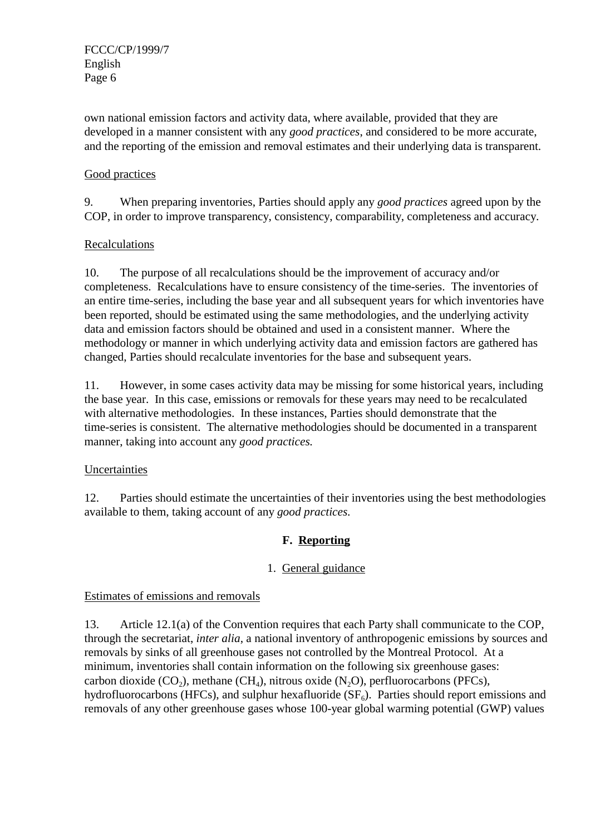FCCC/CP/1999/7 English Page 6

own national emission factors and activity data, where available, provided that they are developed in a manner consistent with any *good practices*, and considered to be more accurate, and the reporting of the emission and removal estimates and their underlying data is transparent.

# Good practices

9. When preparing inventories, Parties should apply any *good practices* agreed upon by the COP, in order to improve transparency, consistency, comparability, completeness and accuracy.

# Recalculations

10. The purpose of all recalculations should be the improvement of accuracy and/or completeness. Recalculations have to ensure consistency of the time-series. The inventories of an entire time-series, including the base year and all subsequent years for which inventories have been reported, should be estimated using the same methodologies, and the underlying activity data and emission factors should be obtained and used in a consistent manner. Where the methodology or manner in which underlying activity data and emission factors are gathered has changed, Parties should recalculate inventories for the base and subsequent years.

11. However, in some cases activity data may be missing for some historical years, including the base year. In this case, emissions or removals for these years may need to be recalculated with alternative methodologies. In these instances, Parties should demonstrate that the time-series is consistent. The alternative methodologies should be documented in a transparent manner, taking into account any *good practices.*

# Uncertainties

12. Parties should estimate the uncertainties of their inventories using the best methodologies available to them, taking account of any *good practices.*

# **F. Reporting**

# 1. General guidance

# Estimates of emissions and removals

13. Article 12.1(a) of the Convention requires that each Party shall communicate to the COP, through the secretariat, *inter alia*, a national inventory of anthropogenic emissions by sources and removals by sinks of all greenhouse gases not controlled by the Montreal Protocol. At a minimum, inventories shall contain information on the following six greenhouse gases: carbon dioxide  $(CO_2)$ , methane  $(CH_4)$ , nitrous oxide  $(N_2O)$ , perfluorocarbons (PFCs), hydrofluorocarbons (HFCs), and sulphur hexafluoride  $(SF_6)$ . Parties should report emissions and removals of any other greenhouse gases whose 100-year global warming potential (GWP) values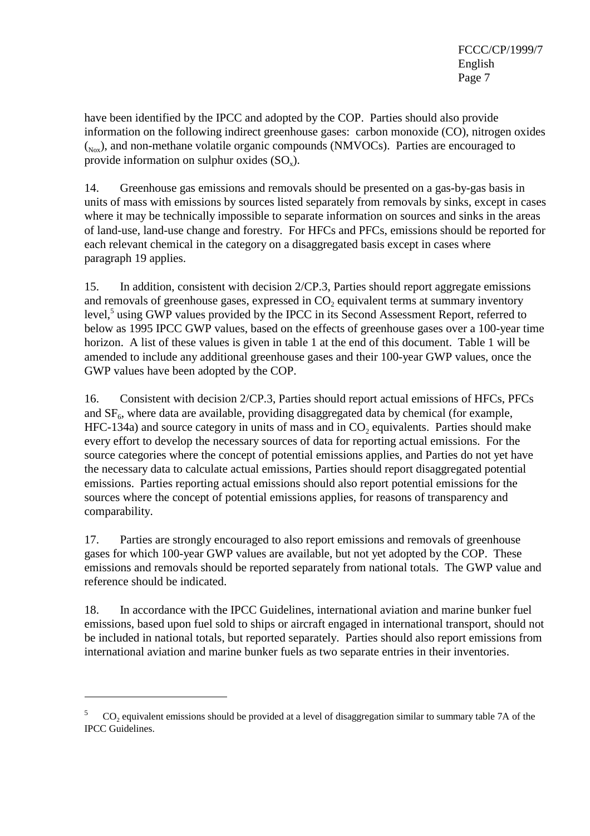have been identified by the IPCC and adopted by the COP. Parties should also provide information on the following indirect greenhouse gases: carbon monoxide (CO), nitrogen oxides  $(N_{\text{av}})$ , and non-methane volatile organic compounds (NMVOCs). Parties are encouraged to provide information on sulphur oxides  $(SO<sub>x</sub>)$ .

14. Greenhouse gas emissions and removals should be presented on a gas-by-gas basis in units of mass with emissions by sources listed separately from removals by sinks, except in cases where it may be technically impossible to separate information on sources and sinks in the areas of land-use, land-use change and forestry. For HFCs and PFCs, emissions should be reported for each relevant chemical in the category on a disaggregated basis except in cases where paragraph 19 applies.

15. In addition, consistent with decision 2/CP.3, Parties should report aggregate emissions and removals of greenhouse gases, expressed in  $CO<sub>2</sub>$  equivalent terms at summary inventory level,<sup>5</sup> using GWP values provided by the IPCC in its Second Assessment Report, referred to below as 1995 IPCC GWP values, based on the effects of greenhouse gases over a 100-year time horizon. A list of these values is given in table 1 at the end of this document. Table 1 will be amended to include any additional greenhouse gases and their 100-year GWP values, once the GWP values have been adopted by the COP.

16. Consistent with decision 2/CP.3, Parties should report actual emissions of HFCs, PFCs and  $SF<sub>6</sub>$ , where data are available, providing disaggregated data by chemical (for example,  $HFC-134a$ ) and source category in units of mass and in  $CO<sub>2</sub>$  equivalents. Parties should make every effort to develop the necessary sources of data for reporting actual emissions. For the source categories where the concept of potential emissions applies, and Parties do not yet have the necessary data to calculate actual emissions, Parties should report disaggregated potential emissions. Parties reporting actual emissions should also report potential emissions for the sources where the concept of potential emissions applies, for reasons of transparency and comparability.

17. Parties are strongly encouraged to also report emissions and removals of greenhouse gases for which 100-year GWP values are available, but not yet adopted by the COP. These emissions and removals should be reported separately from national totals. The GWP value and reference should be indicated.

18. In accordance with the IPCC Guidelines, international aviation and marine bunker fuel emissions, based upon fuel sold to ships or aircraft engaged in international transport, should not be included in national totals, but reported separately. Parties should also report emissions from international aviation and marine bunker fuels as two separate entries in their inventories.

<sup>5</sup> CO<sub>2</sub> equivalent emissions should be provided at a level of disaggregation similar to summary table 7A of the IPCC Guidelines.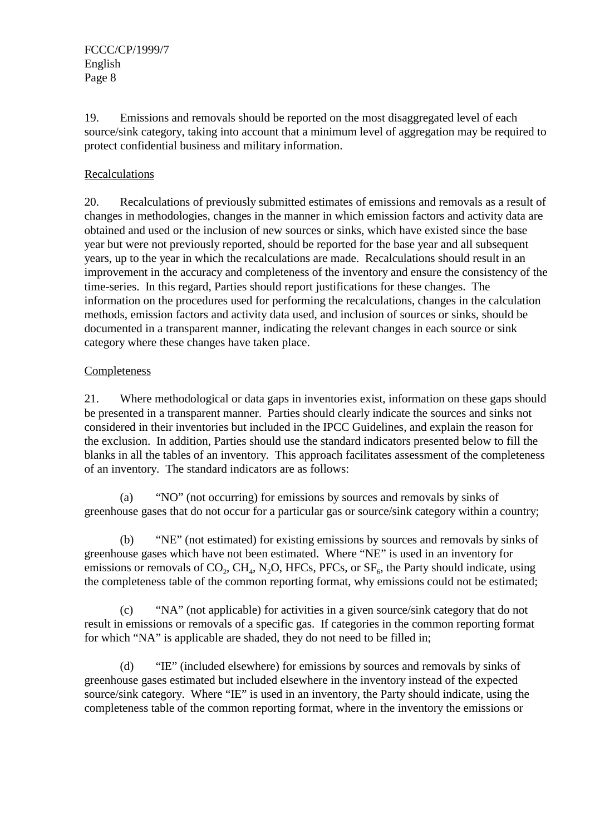19. Emissions and removals should be reported on the most disaggregated level of each source/sink category, taking into account that a minimum level of aggregation may be required to protect confidential business and military information.

# Recalculations

20. Recalculations of previously submitted estimates of emissions and removals as a result of changes in methodologies, changes in the manner in which emission factors and activity data are obtained and used or the inclusion of new sources or sinks, which have existed since the base year but were not previously reported, should be reported for the base year and all subsequent years, up to the year in which the recalculations are made. Recalculations should result in an improvement in the accuracy and completeness of the inventory and ensure the consistency of the time-series. In this regard, Parties should report justifications for these changes. The information on the procedures used for performing the recalculations, changes in the calculation methods, emission factors and activity data used, and inclusion of sources or sinks, should be documented in a transparent manner, indicating the relevant changes in each source or sink category where these changes have taken place.

# Completeness

21. Where methodological or data gaps in inventories exist, information on these gaps should be presented in a transparent manner. Parties should clearly indicate the sources and sinks not considered in their inventories but included in the IPCC Guidelines, and explain the reason for the exclusion. In addition, Parties should use the standard indicators presented below to fill the blanks in all the tables of an inventory. This approach facilitates assessment of the completeness of an inventory. The standard indicators are as follows:

(a) "NO" (not occurring) for emissions by sources and removals by sinks of greenhouse gases that do not occur for a particular gas or source/sink category within a country;

(b) "NE" (not estimated) for existing emissions by sources and removals by sinks of greenhouse gases which have not been estimated. Where "NE" is used in an inventory for emissions or removals of  $CO_2$ ,  $CH_4$ , N<sub>2</sub>O, HFCs, PFCs, or  $SF_6$ , the Party should indicate, using the completeness table of the common reporting format, why emissions could not be estimated;

(c) "NA" (not applicable) for activities in a given source/sink category that do not result in emissions or removals of a specific gas. If categories in the common reporting format for which "NA" is applicable are shaded, they do not need to be filled in;

(d) "IE" (included elsewhere) for emissions by sources and removals by sinks of greenhouse gases estimated but included elsewhere in the inventory instead of the expected source/sink category. Where "IE" is used in an inventory, the Party should indicate, using the completeness table of the common reporting format, where in the inventory the emissions or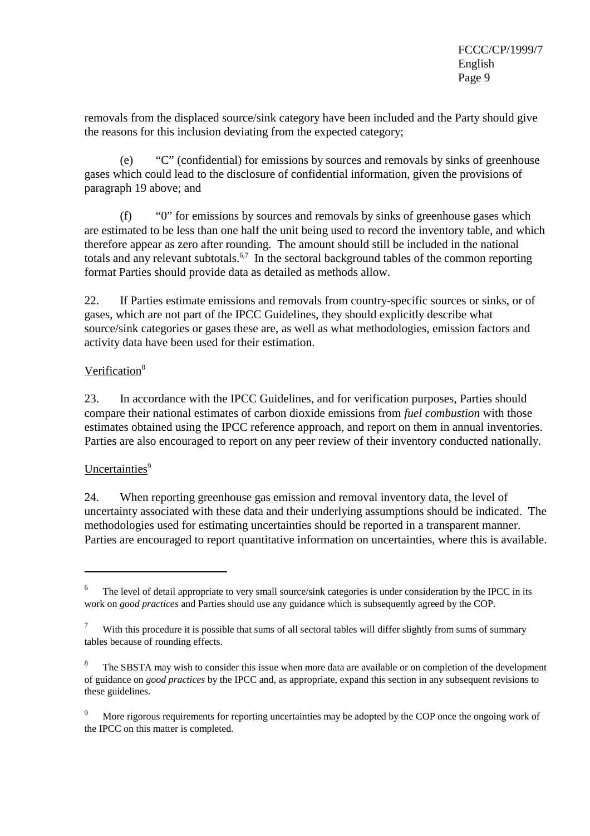removals from the displaced source/sink category have been included and the Party should give the reasons for this inclusion deviating from the expected category;

(e) "C" (confidential) for emissions by sources and removals by sinks of greenhouse gases which could lead to the disclosure of confidential information, given the provisions of paragraph 19 above; and

(f) "0" for emissions by sources and removals by sinks of greenhouse gases which are estimated to be less than one half the unit being used to record the inventory table, and which therefore appear as zero after rounding. The amount should still be included in the national totals and any relevant subtotals.<sup>6,7</sup> In the sectoral background tables of the common reporting format Parties should provide data as detailed as methods allow.

22. If Parties estimate emissions and removals from country-specific sources or sinks, or of gases, which are not part of the IPCC Guidelines, they should explicitly describe what source/sink categories or gases these are, as well as what methodologies, emission factors and activity data have been used for their estimation.

# Verification<sup>8</sup>

23. In accordance with the IPCC Guidelines, and for verification purposes, Parties should compare their national estimates of carbon dioxide emissions from *fuel combustion* with those estimates obtained using the IPCC reference approach, and report on them in annual inventories. Parties are also encouraged to report on any peer review of their inventory conducted nationally.

# Uncertainties<sup>9</sup>

24. When reporting greenhouse gas emission and removal inventory data, the level of uncertainty associated with these data and their underlying assumptions should be indicated. The methodologies used for estimating uncertainties should be reported in a transparent manner. Parties are encouraged to report quantitative information on uncertainties, where this is available.

<sup>6</sup> The level of detail appropriate to very small source/sink categories is under consideration by the IPCC in its work on *good practices* and Parties should use any guidance which is subsequently agreed by the COP.

<sup>7</sup> With this procedure it is possible that sums of all sectoral tables will differ slightly from sums of summary tables because of rounding effects.

<sup>8</sup> The SBSTA may wish to consider this issue when more data are available or on completion of the development of guidance on *good practices* by the IPCC and, as appropriate, expand this section in any subsequent revisions to these guidelines.

<sup>9</sup> More rigorous requirements for reporting uncertainties may be adopted by the COP once the ongoing work of the IPCC on this matter is completed.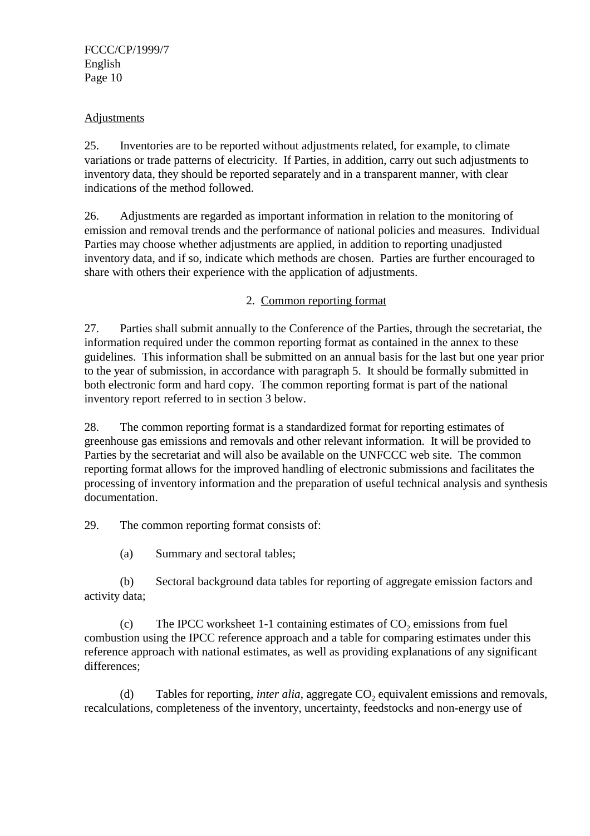FCCC/CP/1999/7 English Page 10

### Adjustments

25. Inventories are to be reported without adjustments related, for example, to climate variations or trade patterns of electricity. If Parties, in addition, carry out such adjustments to inventory data, they should be reported separately and in a transparent manner, with clear indications of the method followed.

26. Adjustments are regarded as important information in relation to the monitoring of emission and removal trends and the performance of national policies and measures. Individual Parties may choose whether adjustments are applied, in addition to reporting unadjusted inventory data, and if so, indicate which methods are chosen. Parties are further encouraged to share with others their experience with the application of adjustments.

2. Common reporting format

27. Parties shall submit annually to the Conference of the Parties, through the secretariat, the information required under the common reporting format as contained in the annex to these guidelines. This information shall be submitted on an annual basis for the last but one year prior to the year of submission, in accordance with paragraph 5. It should be formally submitted in both electronic form and hard copy. The common reporting format is part of the national inventory report referred to in section 3 below.

28. The common reporting format is a standardized format for reporting estimates of greenhouse gas emissions and removals and other relevant information. It will be provided to Parties by the secretariat and will also be available on the UNFCCC web site. The common reporting format allows for the improved handling of electronic submissions and facilitates the processing of inventory information and the preparation of useful technical analysis and synthesis documentation.

29. The common reporting format consists of:

(a) Summary and sectoral tables;

(b) Sectoral background data tables for reporting of aggregate emission factors and activity data;

(c) The IPCC worksheet 1-1 containing estimates of  $CO<sub>2</sub>$  emissions from fuel combustion using the IPCC reference approach and a table for comparing estimates under this reference approach with national estimates, as well as providing explanations of any significant differences;

(d) Tables for reporting, *inter alia*, aggregate CO<sub>2</sub> equivalent emissions and removals, recalculations, completeness of the inventory, uncertainty, feedstocks and non-energy use of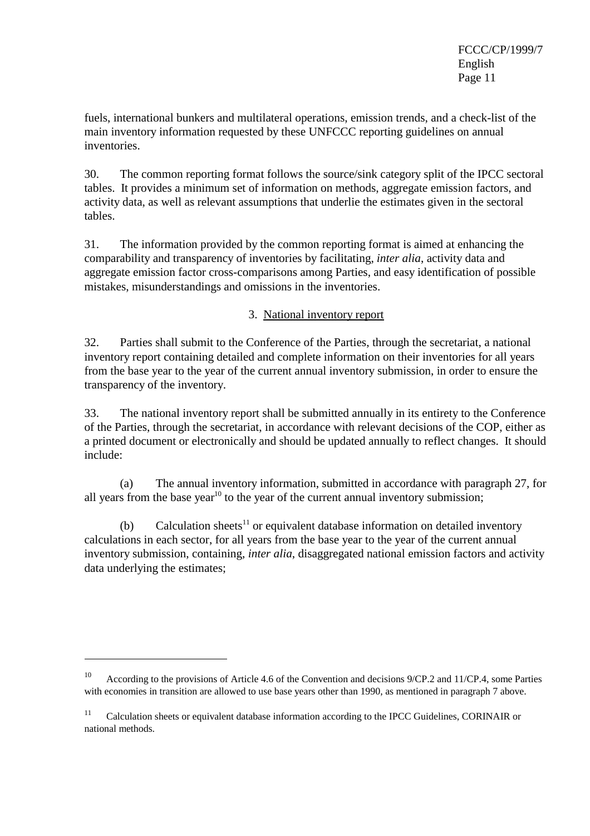FCCC/CP/1999/7 English Page 11

fuels, international bunkers and multilateral operations, emission trends, and a check-list of the main inventory information requested by these UNFCCC reporting guidelines on annual inventories.

30. The common reporting format follows the source/sink category split of the IPCC sectoral tables. It provides a minimum set of information on methods, aggregate emission factors, and activity data, as well as relevant assumptions that underlie the estimates given in the sectoral tables.

31. The information provided by the common reporting format is aimed at enhancing the comparability and transparency of inventories by facilitating, *inter alia*, activity data and aggregate emission factor cross-comparisons among Parties, and easy identification of possible mistakes, misunderstandings and omissions in the inventories.

# 3. National inventory report

32. Parties shall submit to the Conference of the Parties, through the secretariat, a national inventory report containing detailed and complete information on their inventories for all years from the base year to the year of the current annual inventory submission, in order to ensure the transparency of the inventory.

33. The national inventory report shall be submitted annually in its entirety to the Conference of the Parties, through the secretariat, in accordance with relevant decisions of the COP, either as a printed document or electronically and should be updated annually to reflect changes. It should include:

(a) The annual inventory information, submitted in accordance with paragraph 27, for all years from the base year<sup>10</sup> to the year of the current annual inventory submission;

(b) Calculation sheets<sup>11</sup> or equivalent database information on detailed inventory calculations in each sector, for all years from the base year to the year of the current annual inventory submission, containing, *inter alia*, disaggregated national emission factors and activity data underlying the estimates;

<sup>&</sup>lt;sup>10</sup> According to the provisions of Article 4.6 of the Convention and decisions 9/CP.2 and 11/CP.4, some Parties with economies in transition are allowed to use base years other than 1990, as mentioned in paragraph 7 above.

<sup>&</sup>lt;sup>11</sup> Calculation sheets or equivalent database information according to the IPCC Guidelines, CORINAIR or national methods.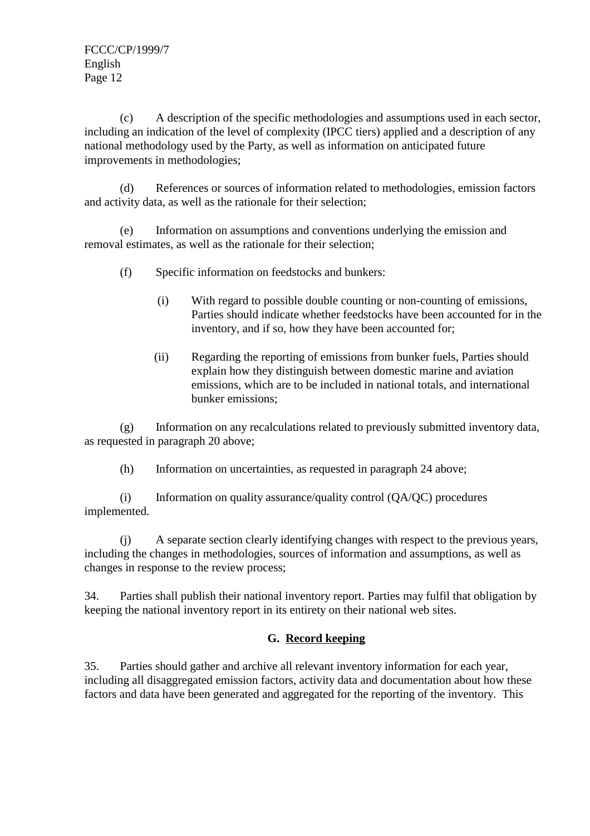(c) A description of the specific methodologies and assumptions used in each sector, including an indication of the level of complexity (IPCC tiers) applied and a description of any national methodology used by the Party, as well as information on anticipated future improvements in methodologies;

(d) References or sources of information related to methodologies, emission factors and activity data, as well as the rationale for their selection;

(e) Information on assumptions and conventions underlying the emission and removal estimates, as well as the rationale for their selection;

- (f) Specific information on feedstocks and bunkers:
	- (i) With regard to possible double counting or non-counting of emissions, Parties should indicate whether feedstocks have been accounted for in the inventory, and if so, how they have been accounted for;
	- (ii) Regarding the reporting of emissions from bunker fuels, Parties should explain how they distinguish between domestic marine and aviation emissions, which are to be included in national totals, and international bunker emissions;

(g) Information on any recalculations related to previously submitted inventory data, as requested in paragraph 20 above;

(h) Information on uncertainties, as requested in paragraph 24 above;

(i) Information on quality assurance/quality control (QA/QC) procedures implemented.

(j) A separate section clearly identifying changes with respect to the previous years, including the changes in methodologies, sources of information and assumptions, as well as changes in response to the review process;

34. Parties shall publish their national inventory report. Parties may fulfil that obligation by keeping the national inventory report in its entirety on their national web sites.

# **G. Record keeping**

35. Parties should gather and archive all relevant inventory information for each year, including all disaggregated emission factors, activity data and documentation about how these factors and data have been generated and aggregated for the reporting of the inventory. This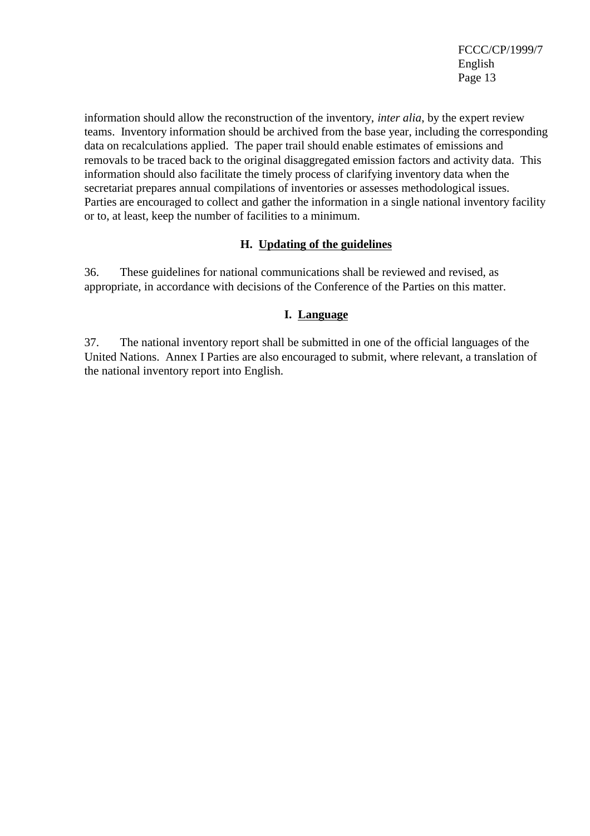information should allow the reconstruction of the inventory, *inter alia*, by the expert review teams. Inventory information should be archived from the base year, including the corresponding data on recalculations applied. The paper trail should enable estimates of emissions and removals to be traced back to the original disaggregated emission factors and activity data. This information should also facilitate the timely process of clarifying inventory data when the secretariat prepares annual compilations of inventories or assesses methodological issues. Parties are encouraged to collect and gather the information in a single national inventory facility or to, at least, keep the number of facilities to a minimum.

### **H. Updating of the guidelines**

36. These guidelines for national communications shall be reviewed and revised, as appropriate, in accordance with decisions of the Conference of the Parties on this matter.

# **I. Language**

37. The national inventory report shall be submitted in one of the official languages of the United Nations. Annex I Parties are also encouraged to submit, where relevant, a translation of the national inventory report into English.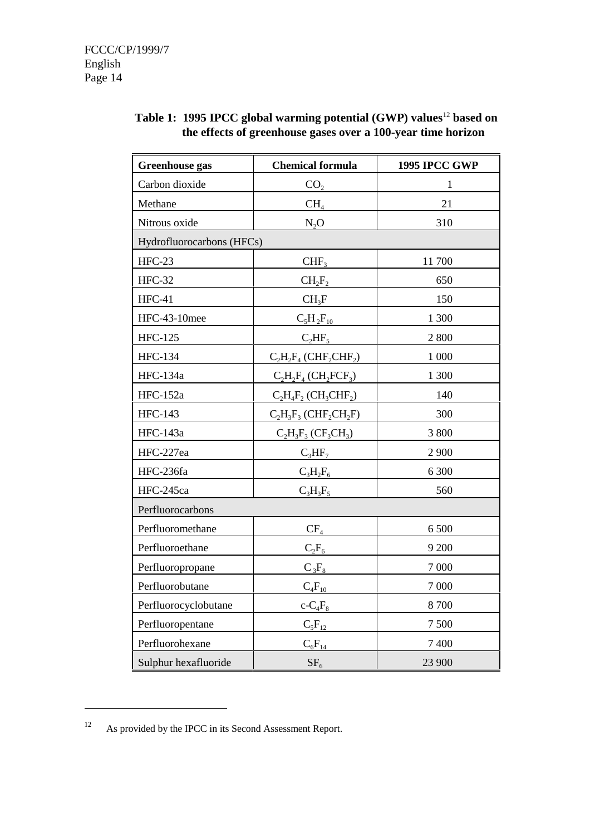| <b>Greenhouse</b> gas     | <b>Chemical formula</b>                          | <b>1995 IPCC GWP</b> |
|---------------------------|--------------------------------------------------|----------------------|
| Carbon dioxide            | CO <sub>2</sub>                                  | $\mathbf{1}$         |
| Methane                   | CH <sub>4</sub>                                  | 21                   |
| Nitrous oxide             | $N_2O$                                           | 310                  |
| Hydrofluorocarbons (HFCs) |                                                  |                      |
| $HFC-23$                  | CHF <sub>3</sub>                                 | 11700                |
| <b>HFC-32</b>             | $CH_2F_2$                                        | 650                  |
| $HFC-41$                  | $CH_3F$                                          | 150                  |
| HFC-43-10mee              | $C_5H_2F_{10}$                                   | 1 300                |
| <b>HFC-125</b>            | $C_2HF_5$                                        | 2800                 |
| <b>HFC-134</b>            | $C_2H_2F_4$ (CHF <sub>2</sub> CHF <sub>2</sub> ) | 1 000                |
| <b>HFC-134a</b>           | $C_2H_2F_4$ (CH <sub>2</sub> FCF <sub>3</sub> )  | 1 300                |
| <b>HFC-152a</b>           | $C_2H_4F_2$ (CH <sub>3</sub> CHF <sub>2</sub> )  | 140                  |
| <b>HFC-143</b>            | $C_2H_3F_3$ (CHF <sub>2</sub> CH <sub>2</sub> F) | 300                  |
| HFC-143a                  | $C_2H_3F_3(CF_3CH_3)$                            | 3 800                |
| HFC-227ea                 | $C_3HF_7$                                        | 2 900                |
| HFC-236fa                 | $C_3H_2F_6$                                      | 6 300                |
| HFC-245ca                 | $C_3H_3F_5$                                      | 560                  |
| Perfluorocarbons          |                                                  |                      |
| Perfluoromethane          | $CF_4$                                           | 6 500                |
| Perfluoroethane           | $C_2F_6$                                         | 9 200                |
| Perfluoropropane          | $C_3F_8$                                         | 7 000                |
| Perfluorobutane           | $C_4F_{10}$                                      | 7 000                |
| Perfluorocyclobutane      | $c$ - $C_4F_8$                                   | 8700                 |
| Perfluoropentane          | $C_5F_{12}$                                      | 7500                 |
| Perfluorohexane           | $C_6F_{14}$                                      | 7 400                |
| Sulphur hexafluoride      | SF <sub>6</sub>                                  | 23 900               |

# **Table 1: 1995 IPCC global warming potential (GWP) values**<sup>12</sup> **based on the effects of greenhouse gases over a 100-year time horizon**

<sup>12</sup> As provided by the IPCC in its Second Assessment Report.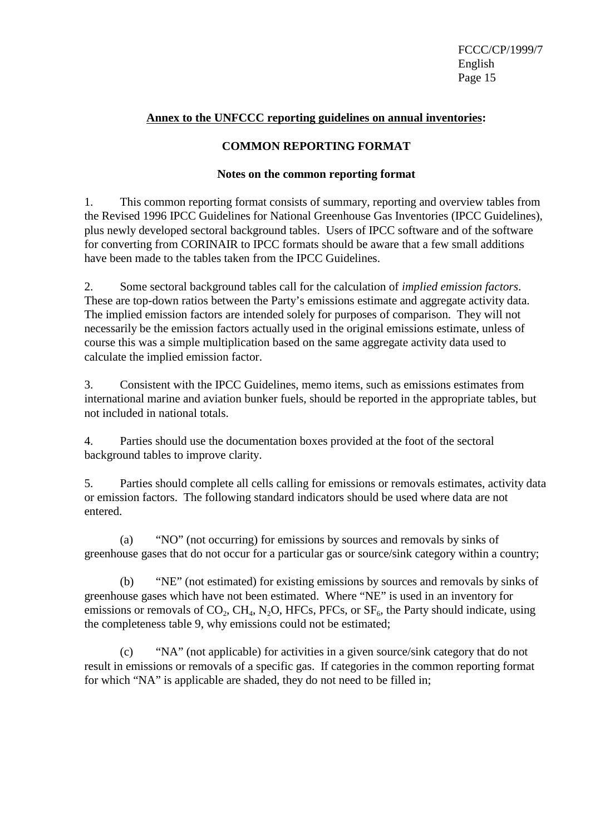FCCC/CP/1999/7 English Page 15

### **Annex to the UNFCCC reporting guidelines on annual inventories:**

### **COMMON REPORTING FORMAT**

### **Notes on the common reporting format**

1. This common reporting format consists of summary, reporting and overview tables from the Revised 1996 IPCC Guidelines for National Greenhouse Gas Inventories (IPCC Guidelines), plus newly developed sectoral background tables. Users of IPCC software and of the software for converting from CORINAIR to IPCC formats should be aware that a few small additions have been made to the tables taken from the IPCC Guidelines.

2. Some sectoral background tables call for the calculation of *implied emission factors*. These are top-down ratios between the Party's emissions estimate and aggregate activity data. The implied emission factors are intended solely for purposes of comparison. They will not necessarily be the emission factors actually used in the original emissions estimate, unless of course this was a simple multiplication based on the same aggregate activity data used to calculate the implied emission factor.

3. Consistent with the IPCC Guidelines, memo items, such as emissions estimates from international marine and aviation bunker fuels, should be reported in the appropriate tables, but not included in national totals.

4. Parties should use the documentation boxes provided at the foot of the sectoral background tables to improve clarity.

5. Parties should complete all cells calling for emissions or removals estimates, activity data or emission factors. The following standard indicators should be used where data are not entered.

(a) "NO" (not occurring) for emissions by sources and removals by sinks of greenhouse gases that do not occur for a particular gas or source/sink category within a country;

(b) "NE" (not estimated) for existing emissions by sources and removals by sinks of greenhouse gases which have not been estimated. Where "NE" is used in an inventory for emissions or removals of  $CO_2$ ,  $CH_4$ , N<sub>2</sub>O, HFCs, PFCs, or  $SF_6$ , the Party should indicate, using the completeness table 9, why emissions could not be estimated;

(c) "NA" (not applicable) for activities in a given source/sink category that do not result in emissions or removals of a specific gas. If categories in the common reporting format for which "NA" is applicable are shaded, they do not need to be filled in;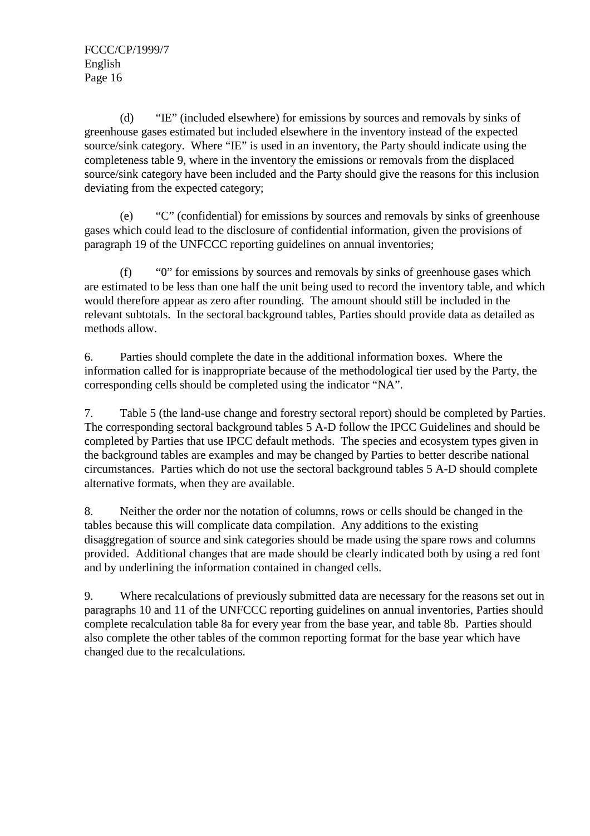(d) "IE" (included elsewhere) for emissions by sources and removals by sinks of greenhouse gases estimated but included elsewhere in the inventory instead of the expected source/sink category. Where "IE" is used in an inventory, the Party should indicate using the completeness table 9, where in the inventory the emissions or removals from the displaced source/sink category have been included and the Party should give the reasons for this inclusion deviating from the expected category;

(e) "C" (confidential) for emissions by sources and removals by sinks of greenhouse gases which could lead to the disclosure of confidential information, given the provisions of paragraph 19 of the UNFCCC reporting guidelines on annual inventories;

(f) "0" for emissions by sources and removals by sinks of greenhouse gases which are estimated to be less than one half the unit being used to record the inventory table, and which would therefore appear as zero after rounding. The amount should still be included in the relevant subtotals. In the sectoral background tables, Parties should provide data as detailed as methods allow.

6. Parties should complete the date in the additional information boxes. Where the information called for is inappropriate because of the methodological tier used by the Party, the corresponding cells should be completed using the indicator "NA".

7. Table 5 (the land-use change and forestry sectoral report) should be completed by Parties. The corresponding sectoral background tables 5 A-D follow the IPCC Guidelines and should be completed by Parties that use IPCC default methods. The species and ecosystem types given in the background tables are examples and may be changed by Parties to better describe national circumstances. Parties which do not use the sectoral background tables 5 A-D should complete alternative formats, when they are available.

8. Neither the order nor the notation of columns, rows or cells should be changed in the tables because this will complicate data compilation. Any additions to the existing disaggregation of source and sink categories should be made using the spare rows and columns provided. Additional changes that are made should be clearly indicated both by using a red font and by underlining the information contained in changed cells.

9. Where recalculations of previously submitted data are necessary for the reasons set out in paragraphs 10 and 11 of the UNFCCC reporting guidelines on annual inventories, Parties should complete recalculation table 8a for every year from the base year, and table 8b. Parties should also complete the other tables of the common reporting format for the base year which have changed due to the recalculations.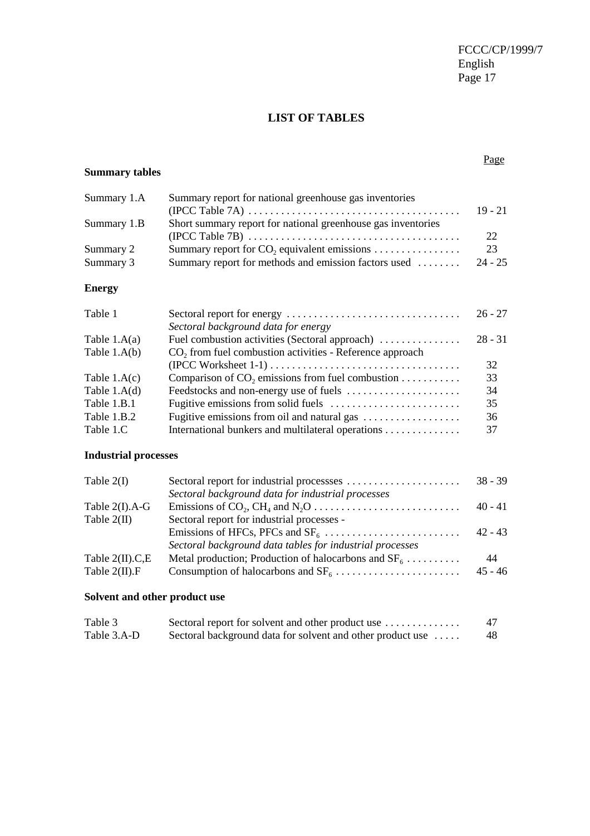# **LIST OF TABLES**

# **Summary tables**

#### Page

| Summary 1.A | Summary report for national greenhouse gas inventories       |           |
|-------------|--------------------------------------------------------------|-----------|
|             |                                                              | $19 - 21$ |
| Summary 1.B | Short summary report for national greenhouse gas inventories |           |
|             |                                                              | 22        |
| Summary 2   |                                                              | 23        |
| Summary 3   | Summary report for methods and emission factors used         | $24 - 25$ |

### **Energy**

| Table 1        |                                                                      | $26 - 27$ |
|----------------|----------------------------------------------------------------------|-----------|
|                | Sectoral background data for energy                                  |           |
| Table $1.A(a)$ | Fuel combustion activities (Sectoral approach)                       | $28 - 31$ |
| Table $1.A(b)$ | CO <sub>2</sub> from fuel combustion activities - Reference approach |           |
|                |                                                                      | 32        |
| Table $1.A(c)$ | Comparison of $CO_2$ emissions from fuel combustion                  | 33        |
| Table $1.A(d)$ |                                                                      | 34        |
| Table 1.B.1    |                                                                      | 35        |
| Table 1.B.2    |                                                                      | 36        |
| Table 1.C      | International bunkers and multilateral operations                    | 37        |

# **Industrial processes**

| Table $2(I)$      |                                                          | $38 - 39$ |
|-------------------|----------------------------------------------------------|-----------|
|                   | Sectoral background data for industrial processes        |           |
| Table $2(I).A-G$  |                                                          | $40 - 41$ |
| Table $2(II)$     | Sectoral report for industrial processes -               |           |
|                   |                                                          | $42 - 43$ |
|                   | Sectoral background data tables for industrial processes |           |
| Table $2(II).C,E$ | Metal production; Production of halocarbons and $SF_6$   | 44        |
| Table $2(II)$ . F |                                                          | $45 - 46$ |

# **Solvent and other product use**

| Table 3     | Sectoral report for solvent and other product use          | 47 |
|-------------|------------------------------------------------------------|----|
| Table 3.A-D | Sectoral background data for solvent and other product use | 48 |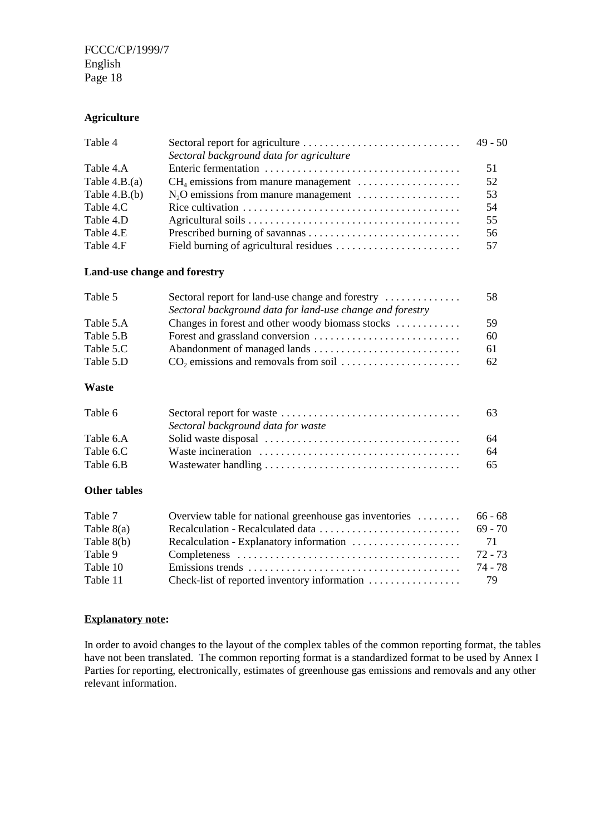FCCC/CP/1999/7 English Page 18

#### **Agriculture**

| Table 4         |                                                                                                 | 49 - 50 |
|-----------------|-------------------------------------------------------------------------------------------------|---------|
|                 | Sectoral background data for agriculture                                                        |         |
| Table 4.A       |                                                                                                 | 51      |
| Table $4.B.(a)$ | $CH4$ emissions from manure management $\dots\dots\dots\dots\dots\dots$                         | 52      |
| Table $4.B.(b)$ |                                                                                                 | 53      |
| Table 4.C       | Rice cultivation $\ldots \ldots \ldots \ldots \ldots \ldots \ldots \ldots \ldots \ldots \ldots$ | 54      |
| Table 4.D       |                                                                                                 | 55      |
| Table 4.E       |                                                                                                 | 56      |
| Table 4.F       |                                                                                                 | 57      |

#### **Land-use change and forestry**

| Table 5   | Sectoral report for land-use change and forestry          | 58 |
|-----------|-----------------------------------------------------------|----|
|           | Sectoral background data for land-use change and forestry |    |
| Table 5.A | Changes in forest and other woody biomass stocks          | 59 |
| Table 5.B |                                                           | 60 |
| Table 5.C |                                                           | 61 |
| Table 5.D |                                                           | 62 |
|           |                                                           |    |

### **Waste**

| Table 6   |                                    | 63 |
|-----------|------------------------------------|----|
|           | Sectoral background data for waste |    |
| Table 6.A |                                    | 64 |
| Table 6.C |                                    | 64 |
| Table 6.B |                                    | 65 |

#### **Other tables**

| Table 7      | Overview table for national greenhouse gas inventories | 66 - 68   |
|--------------|--------------------------------------------------------|-----------|
| Table $8(a)$ |                                                        | $69 - 70$ |
| Table $8(b)$ |                                                        |           |
| Table 9      |                                                        | 72 - 73   |
| Table 10     |                                                        | 74 - 78   |
| Table 11     |                                                        | 79        |

#### **Explanatory note:**

In order to avoid changes to the layout of the complex tables of the common reporting format, the tables have not been translated. The common reporting format is a standardized format to be used by Annex I Parties for reporting, electronically, estimates of greenhouse gas emissions and removals and any other relevant information.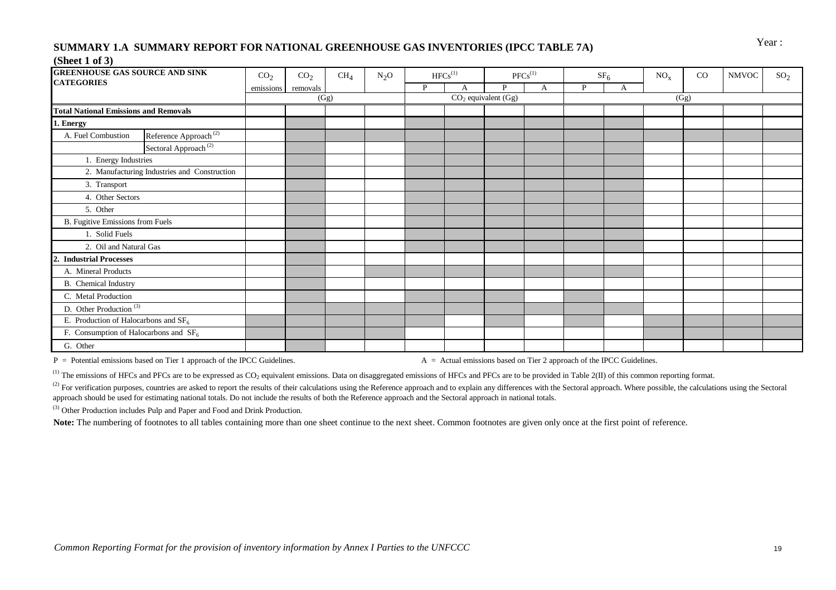# Year : **SUMMARY 1.A SUMMARY REPORT FOR NATIONAL GREENHOUSE GAS INVENTORIES (IPCC TABLE 7A)**

#### **(Sheet 1 of 3)**

| <b>GREENHOUSE GAS SOURCE AND SINK</b>        |                                              | CO <sub>2</sub> | CO <sub>2</sub> | CH <sub>4</sub> | $N_2O$ |   | $HFCs^{(1)}$ |                         | $PFCs^{(1)}$ |   | SF <sub>6</sub> | NO <sub>x</sub> | CO   | <b>NMVOC</b> | SO <sub>2</sub> |
|----------------------------------------------|----------------------------------------------|-----------------|-----------------|-----------------|--------|---|--------------|-------------------------|--------------|---|-----------------|-----------------|------|--------------|-----------------|
| <b>CATEGORIES</b>                            |                                              | emissions       | removals        |                 |        | P | А            | P                       | А            | P | А               |                 |      |              |                 |
|                                              |                                              |                 |                 | (Gg)            |        |   |              | $CO2$ equivalent $(Gg)$ |              |   |                 |                 | (Gg) |              |                 |
| <b>Total National Emissions and Removals</b> |                                              |                 |                 |                 |        |   |              |                         |              |   |                 |                 |      |              |                 |
| 1. Energy                                    |                                              |                 |                 |                 |        |   |              |                         |              |   |                 |                 |      |              |                 |
| A. Fuel Combustion                           | Reference Approach <sup>(2)</sup>            |                 |                 |                 |        |   |              |                         |              |   |                 |                 |      |              |                 |
|                                              | Sectoral Approach <sup>(2)</sup>             |                 |                 |                 |        |   |              |                         |              |   |                 |                 |      |              |                 |
| 1. Energy Industries                         |                                              |                 |                 |                 |        |   |              |                         |              |   |                 |                 |      |              |                 |
|                                              | 2. Manufacturing Industries and Construction |                 |                 |                 |        |   |              |                         |              |   |                 |                 |      |              |                 |
| 3. Transport                                 |                                              |                 |                 |                 |        |   |              |                         |              |   |                 |                 |      |              |                 |
| 4. Other Sectors                             |                                              |                 |                 |                 |        |   |              |                         |              |   |                 |                 |      |              |                 |
| 5. Other                                     |                                              |                 |                 |                 |        |   |              |                         |              |   |                 |                 |      |              |                 |
| B. Fugitive Emissions from Fuels             |                                              |                 |                 |                 |        |   |              |                         |              |   |                 |                 |      |              |                 |
| 1. Solid Fuels                               |                                              |                 |                 |                 |        |   |              |                         |              |   |                 |                 |      |              |                 |
| 2. Oil and Natural Gas                       |                                              |                 |                 |                 |        |   |              |                         |              |   |                 |                 |      |              |                 |
| <b>Industrial Processes</b><br>2.            |                                              |                 |                 |                 |        |   |              |                         |              |   |                 |                 |      |              |                 |
| A. Mineral Products                          |                                              |                 |                 |                 |        |   |              |                         |              |   |                 |                 |      |              |                 |
| <b>B.</b> Chemical Industry                  |                                              |                 |                 |                 |        |   |              |                         |              |   |                 |                 |      |              |                 |
| C. Metal Production                          |                                              |                 |                 |                 |        |   |              |                         |              |   |                 |                 |      |              |                 |
| D. Other Production $\overline{^{(3)}}$      |                                              |                 |                 |                 |        |   |              |                         |              |   |                 |                 |      |              |                 |
| E. Production of Halocarbons and $SF6$       |                                              |                 |                 |                 |        |   |              |                         |              |   |                 |                 |      |              |                 |
| F. Consumption of Halocarbons and $SF6$      |                                              |                 |                 |                 |        |   |              |                         |              |   |                 |                 |      |              |                 |
| G. Other                                     |                                              |                 |                 |                 |        |   |              |                         |              |   |                 |                 |      |              |                 |

P = Potential emissions based on Tier 1 approach of the IPCC Guidelines. A = Actual emissions based on Tier 2 approach of the IPCC Guidelines.

<sup>(1)</sup> The emissions of HFCs and PFCs are to be expressed as  $CO_2$  equivalent emissions. Data on disaggregated emissions of HFCs and PFCs are to be provided in Table 2(II) of this common reporting format.

<sup>(2)</sup> For verification purposes, countries are asked to report the results of their calculations using the Reference approach and to explain any differences with the Sectoral approach. Where possible, the calculations usin approach should be used for estimating national totals. Do not include the results of both the Reference approach and the Sectoral approach in national totals.

(3) Other Production includes Pulp and Paper and Food and Drink Production.

Note: The numbering of footnotes to all tables containing more than one sheet continue to the next sheet. Common footnotes are given only once at the first point of reference.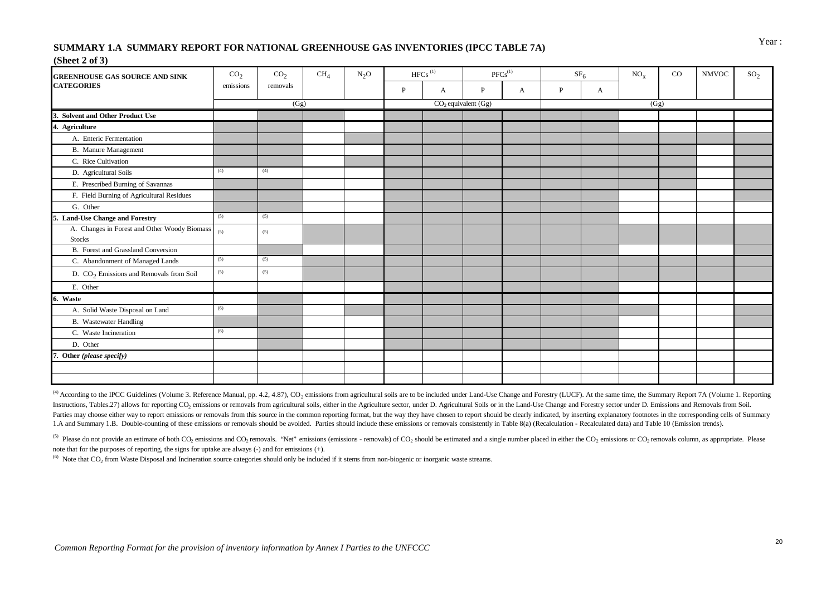# Year : **SUMMARY 1.A SUMMARY REPORT FOR NATIONAL GREENHOUSE GAS INVENTORIES (IPCC TABLE 7A)**

#### **(Sheet 2 of 3)**

| <b>GREENHOUSE GAS SOURCE AND SINK</b>                         | CO <sub>2</sub> | CO <sub>2</sub> | CH <sub>4</sub> | $N_2O$ |   | ${\rm HFCs}$ $^{\rm (1)}$ |                       | ${\rm PFCs}^{(1)}$ |   | SF <sub>6</sub> | $NO_x$ | $_{\rm CO}$ | <b>NMVOC</b> | SO <sub>2</sub> |
|---------------------------------------------------------------|-----------------|-----------------|-----------------|--------|---|---------------------------|-----------------------|--------------------|---|-----------------|--------|-------------|--------------|-----------------|
| <b>CATEGORIES</b>                                             | emissions       | removals        |                 |        | P | A                         | $\mathbf{P}$          | A                  | P | A               |        |             |              |                 |
|                                                               |                 | (Gg)            |                 |        |   |                           | $CO2$ equivalent (Gg) |                    |   |                 | (Gg)   |             |              |                 |
| <b>Solvent and Other Product Use</b>                          |                 |                 |                 |        |   |                           |                       |                    |   |                 |        |             |              |                 |
| 4. Agriculture                                                |                 |                 |                 |        |   |                           |                       |                    |   |                 |        |             |              |                 |
| A. Enteric Fermentation                                       |                 |                 |                 |        |   |                           |                       |                    |   |                 |        |             |              |                 |
| <b>B.</b> Manure Management                                   |                 |                 |                 |        |   |                           |                       |                    |   |                 |        |             |              |                 |
| C. Rice Cultivation                                           |                 |                 |                 |        |   |                           |                       |                    |   |                 |        |             |              |                 |
| D. Agricultural Soils                                         | (4)             | (4)             |                 |        |   |                           |                       |                    |   |                 |        |             |              |                 |
| E. Prescribed Burning of Savannas                             |                 |                 |                 |        |   |                           |                       |                    |   |                 |        |             |              |                 |
| F. Field Burning of Agricultural Residues                     |                 |                 |                 |        |   |                           |                       |                    |   |                 |        |             |              |                 |
| G. Other                                                      |                 |                 |                 |        |   |                           |                       |                    |   |                 |        |             |              |                 |
| 5. Land-Use Change and Forestry                               | (5)             | (5)             |                 |        |   |                           |                       |                    |   |                 |        |             |              |                 |
| A. Changes in Forest and Other Woody Biomass<br><b>Stocks</b> | (5)             | (5)             |                 |        |   |                           |                       |                    |   |                 |        |             |              |                 |
| B. Forest and Grassland Conversion                            |                 |                 |                 |        |   |                           |                       |                    |   |                 |        |             |              |                 |
| C. Abandonment of Managed Lands                               | (5)             | (5)             |                 |        |   |                           |                       |                    |   |                 |        |             |              |                 |
| D. CO <sub>2</sub> Emissions and Removals from Soil           | (5)             | (5)             |                 |        |   |                           |                       |                    |   |                 |        |             |              |                 |
| E. Other                                                      |                 |                 |                 |        |   |                           |                       |                    |   |                 |        |             |              |                 |
| 6. Waste                                                      |                 |                 |                 |        |   |                           |                       |                    |   |                 |        |             |              |                 |
| A. Solid Waste Disposal on Land                               | (6)             |                 |                 |        |   |                           |                       |                    |   |                 |        |             |              |                 |
| <b>B.</b> Wastewater Handling                                 |                 |                 |                 |        |   |                           |                       |                    |   |                 |        |             |              |                 |
| C. Waste Incineration                                         | (6)             |                 |                 |        |   |                           |                       |                    |   |                 |        |             |              |                 |
| D. Other                                                      |                 |                 |                 |        |   |                           |                       |                    |   |                 |        |             |              |                 |
| Other (please specify)                                        |                 |                 |                 |        |   |                           |                       |                    |   |                 |        |             |              |                 |
|                                                               |                 |                 |                 |        |   |                           |                       |                    |   |                 |        |             |              |                 |
|                                                               |                 |                 |                 |        |   |                           |                       |                    |   |                 |        |             |              |                 |

(4) According to the IPCC Guidelines (Volume 3. Reference Manual, pp. 4.2, 4.87), CO<sub>2</sub> emissions from agricultural soils are to be included under Land-Use Change and Forestry (LUCF). At the same time, the Summary Report Instructions, Tables.27) allows for reporting CO<sub>2</sub> emissions or removals from agricultural soils, either in the Agriculture sector, under D. Agricultural Soils or in the Land-Use Change and Forestry sector under D. Emissi Parties may choose either way to report emissions or removals from this source in the common reporting format, but the way they have chosen to report should be clearly indicated, by inserting explanatory footnotes in the c 1.A and Summary 1.B. Double-counting of these emissions or removals should be avoided. Parties should include these emissions or removals consistently in Table 8(a) (Recalculation - Recalculated data) and Table 10 (Emissio

<sup>(5)</sup> Please do not provide an estimate of both CO<sub>2</sub> emissions and CO<sub>2</sub> removals. "Net" emissions (emissions - removals) of CO<sub>2</sub> should be estimated and a single number placed in either the CO<sub>2</sub> emissions or CO<sub>2</sub> rem note that for the purposes of reporting, the signs for uptake are always (-) and for emissions (+).

 $^{(6)}$  Note that CO<sub>2</sub> from Waste Disposal and Incineration source categories should only be included if it stems from non-biogenic or inorganic waste streams.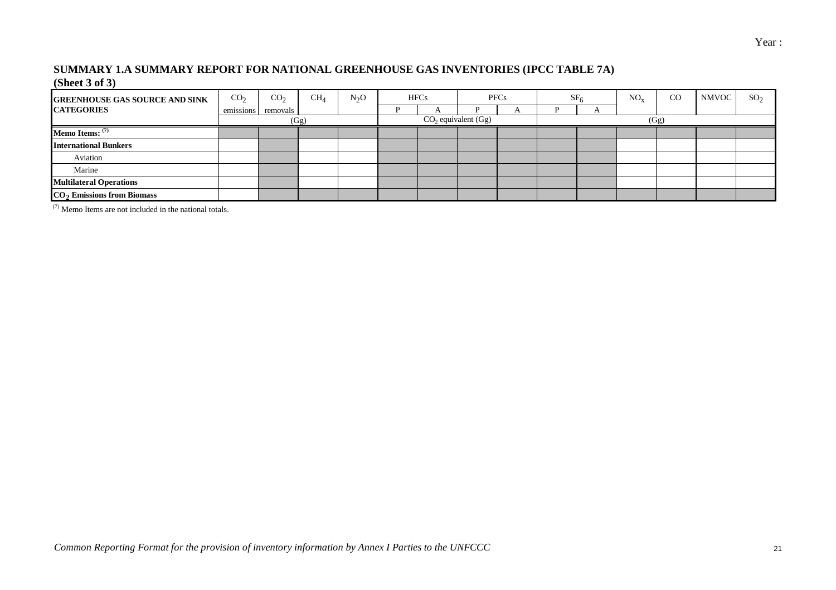#### **SUMMARY 1.A SUMMARY REPORT FOR NATIONAL GREENHOUSE GAS INVENTORIES (IPCC TABLE 7A) (Sheet 3 of 3)**

| <b>GREENHOUSE GAS SOURCE AND SINK</b>  | CO <sub>2</sub> | CO <sub>2</sub>    | CH <sub>A</sub> | $N_2O$ | <b>HFCs</b> |                       | <b>PFCs</b> | $SF_{6}$ | $NO_{v}$ | CO   | <b>NMVOC</b> | SO <sub>2</sub> |
|----------------------------------------|-----------------|--------------------|-----------------|--------|-------------|-----------------------|-------------|----------|----------|------|--------------|-----------------|
| <b>CATEGORIES</b>                      |                 | emissions removals |                 |        |             |                       |             |          |          |      |              |                 |
|                                        |                 |                    | (Gg)            |        |             | $CO2$ equivalent (Gg) |             |          |          | (Gg) |              |                 |
| Memo Items: $(7)$                      |                 |                    |                 |        |             |                       |             |          |          |      |              |                 |
| <b>International Bunkers</b>           |                 |                    |                 |        |             |                       |             |          |          |      |              |                 |
| Aviation                               |                 |                    |                 |        |             |                       |             |          |          |      |              |                 |
| Marine                                 |                 |                    |                 |        |             |                       |             |          |          |      |              |                 |
| <b>Multilateral Operations</b>         |                 |                    |                 |        |             |                       |             |          |          |      |              |                 |
| CO <sub>2</sub> Emissions from Biomass |                 |                    |                 |        |             |                       |             |          |          |      |              |                 |

(7) Memo Items are not included in the national totals.

Year :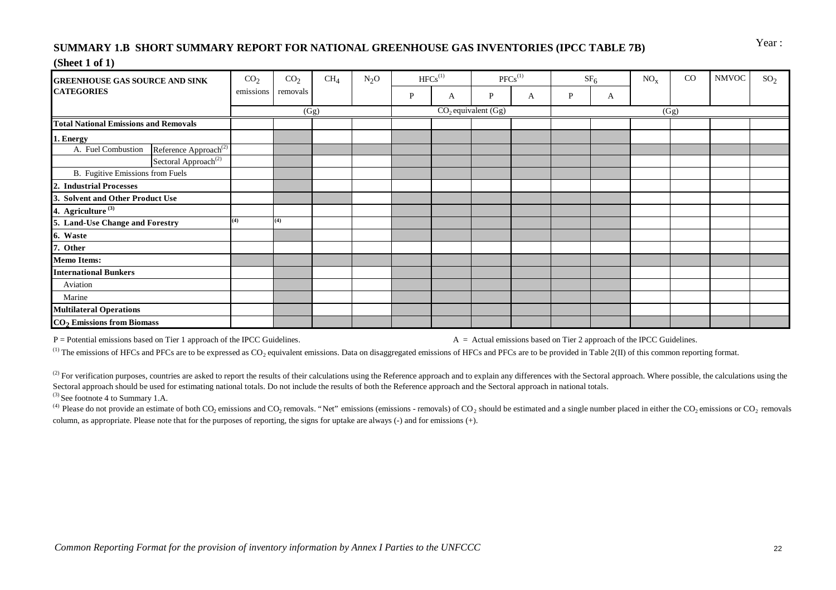# Year : **SUMMARY 1.B SHORT SUMMARY REPORT FOR NATIONAL GREENHOUSE GAS INVENTORIES (IPCC TABLE 7B) (Sheet 1 of 1)**

#### **GREENHOUSE GAS SOURCE AND SINK** CO2 CH4 N2O HFCs(1) PFCs(1) SF6 NOx CO NMVOC SO2 **CATEGORIES** emissions **P** and **P**  $\begin{array}{c|c|c|c|c|c|c|c|c} \hline \end{array}$  emissions **P**  $\begin{array}{c|c|c|c|c} \hline \end{array}$  **P**  $\begin{array}{c|c|c|c} \hline \end{array}$  **A**  $\begin{array}{c|c|c|c} \hline \end{array}$  **P**  $\begin{array}{c|c|c} \hline \end{array}$  **A**  $\begin{array}{c|c|c} \hline \end{array}$  **P Total National Emissions and Removals 0.00 0.00 0.00 319.70 0.00 0.00 0.00 0.00 0.00 0.00 0.00 0.00 0.00 0.00 1. Energy 0.00 0.00 0.00 0.00 0.00 0.00 0.00** A. Fuel Combustion Reference Approach<sup>(2)</sup> Sectoral Approach<sup>(2)</sup> 0.000 0.000 0.000 0.000 0.000 0.000 0.000 0.000 0.000 0.000 0.000 0.000 0.000 0.000 0.000 0.000 0.000 0.000 0.000 0.000 0.000 0.000 0.000 0.000 0.000 0.000 0.000 0.000 0.000 0.000 0.000 0.000 0.000 B. Fugitive Emissions from Fuels **2. Industrial Processes 0.00 0.00 0.00 0.00 0.00 0.00 0.00 0.00 0.00 0.00 0.00 0.00 0.00 3. Solvent and Other Product Use 0.00 0.00 0.00 0.00 0.00 0.00 4. Agriculture (3) 0.00 0.00 0.00 319.70 0.00 0.00 0.00 0.00 5. Land-Use Change and Forestry (4) (4) 0.00 0.00 0.00 0.00 0.00 0.00 6. Waste 0.00 0.00 0.00 0.00 0.00 0.00 0.00 7. Other 0.00 0.00 0.00 0.00 0.00 0.00 0.00 0.00 0.00 0.00 0.00 0.00 Memo Items: International Bunkers 0.00 0.00 0.00 0.00 0.00 0.00 0.00** Aviation 0.00 0.00 0.00 0.00 0.00 0.00 0.00 Marine 1.000 0.000 0.000 0.000 0.000 0.000 0.000 0.000 0.000 0.000 0.000 0.000 0.000 0.000 0.000 0.000 0.000 0 **Multilateral Operations 0.00 0.00 0.00 0.00 0.00 0.00 0.00 CO2 Emissions from Biomass 0.00**  $CO<sub>2</sub>$ removals  $(Gg)$  CO<sub>2</sub> equivalent  $(Gg)$  (Gg)

 $P =$  Potential emissions based on Tier 1 approach of the IPCC Guidelines.  $A =$ Actual emissions based on Tier 2 approach of the IPCC Guidelines.

<sup>(1)</sup> The emissions of HFCs and PFCs are to be expressed as CO<sub>2</sub> equivalent emissions. Data on disaggregated emissions of HFCs and PFCs are to be provided in Table 2(II) of this common reporting format.

<sup>(2)</sup> For verification purposes, countries are asked to report the results of their calculations using the Reference approach and to explain any differences with the Sectoral approach. Where possible, the calculations usin Sectoral approach should be used for estimating national totals. Do not include the results of both the Reference approach and the Sectoral approach in national totals.

 $(3)$  See footnote 4 to Summary 1.A.

<sup>(4)</sup> Please do not provide an estimate of both CO<sub>2</sub> emissions and CO<sub>2</sub> removals. "Net" emissions (emissions - removals) of CO<sub>2</sub> should be estimated and a single number placed in either the CO<sub>2</sub> emissions or CO<sub>2</sub> rem column, as appropriate. Please note that for the purposes of reporting, the signs for uptake are always (-) and for emissions (+).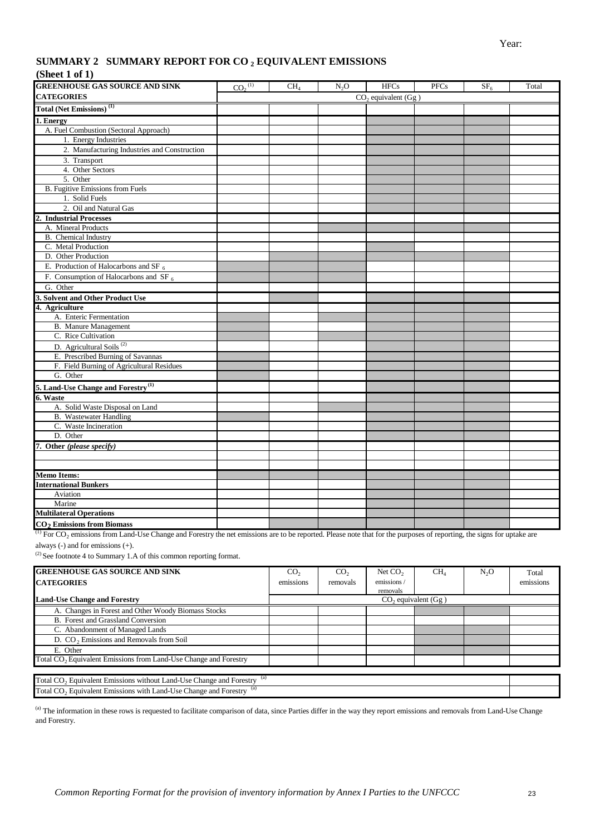### **SUMMARY 2 SUMMARY REPORT FOR CO <sup>2</sup> EQUIVALENT EMISSIONS**

#### **(Sheet 1 of 1)**

| <b>GREENHOUSE GAS SOURCE AND SINK</b>          | CO <sub>2</sub> <sup>(1)</sup> | CH <sub>4</sub> | $N_2O$ | <b>HFCs</b>                         | <b>PFCs</b> | SF <sub>6</sub> | Total |
|------------------------------------------------|--------------------------------|-----------------|--------|-------------------------------------|-------------|-----------------|-------|
| <b>CATEGORIES</b>                              |                                |                 |        | $CO$ <sub>2</sub> equivalent $(Gg)$ |             |                 |       |
| Total (Net Emissions) <sup>(1)</sup>           |                                |                 |        |                                     |             |                 |       |
| 1. Energy                                      |                                |                 |        |                                     |             |                 |       |
| A. Fuel Combustion (Sectoral Approach)         |                                |                 |        |                                     |             |                 |       |
| 1. Energy Industries                           |                                |                 |        |                                     |             |                 |       |
| 2. Manufacturing Industries and Construction   |                                |                 |        |                                     |             |                 |       |
| 3. Transport                                   |                                |                 |        |                                     |             |                 |       |
| 4. Other Sectors                               |                                |                 |        |                                     |             |                 |       |
| 5. Other                                       |                                |                 |        |                                     |             |                 |       |
| <b>B.</b> Fugitive Emissions from Fuels        |                                |                 |        |                                     |             |                 |       |
| 1. Solid Fuels                                 |                                |                 |        |                                     |             |                 |       |
| 2. Oil and Natural Gas                         |                                |                 |        |                                     |             |                 |       |
| <b>Industrial Processes</b>                    |                                |                 |        |                                     |             |                 |       |
| A. Mineral Products                            |                                |                 |        |                                     |             |                 |       |
| B. Chemical Industry                           |                                |                 |        |                                     |             |                 |       |
| C. Metal Production                            |                                |                 |        |                                     |             |                 |       |
| D. Other Production                            |                                |                 |        |                                     |             |                 |       |
| E. Production of Halocarbons and SF $_6$       |                                |                 |        |                                     |             |                 |       |
| F. Consumption of Halocarbons and SF $_6$      |                                |                 |        |                                     |             |                 |       |
| G. Other                                       |                                |                 |        |                                     |             |                 |       |
| 3. Solvent and Other Product Use               |                                |                 |        |                                     |             |                 |       |
| 4. Agriculture                                 |                                |                 |        |                                     |             |                 |       |
| A. Enteric Fermentation                        |                                |                 |        |                                     |             |                 |       |
| <b>B.</b> Manure Management                    |                                |                 |        |                                     |             |                 |       |
| C. Rice Cultivation                            |                                |                 |        |                                     |             |                 |       |
| D. Agricultural Soils <sup>(2)</sup>           |                                |                 |        |                                     |             |                 |       |
| E. Prescribed Burning of Savannas              |                                |                 |        |                                     |             |                 |       |
| F. Field Burning of Agricultural Residues      |                                |                 |        |                                     |             |                 |       |
| G. Other                                       |                                |                 |        |                                     |             |                 |       |
| 5. Land-Use Change and Forestry <sup>(1)</sup> |                                |                 |        |                                     |             |                 |       |
| 6. Waste                                       |                                |                 |        |                                     |             |                 |       |
| A. Solid Waste Disposal on Land                |                                |                 |        |                                     |             |                 |       |
| <b>B.</b> Wastewater Handling                  |                                |                 |        |                                     |             |                 |       |
| C. Waste Incineration                          |                                |                 |        |                                     |             |                 |       |
| D. Other                                       |                                |                 |        |                                     |             |                 |       |
| 7. Other (please specify)                      |                                |                 |        |                                     |             |                 |       |
|                                                |                                |                 |        |                                     |             |                 |       |
|                                                |                                |                 |        |                                     |             |                 |       |
| <b>Memo Items:</b>                             |                                |                 |        |                                     |             |                 |       |
| <b>International Bunkers</b>                   |                                |                 |        |                                     |             |                 |       |
| Aviation                                       |                                |                 |        |                                     |             |                 |       |
| Marine                                         |                                |                 |        |                                     |             |                 |       |
| <b>Multilateral Operations</b>                 |                                |                 |        |                                     |             |                 |       |
| CO <sub>2</sub> Emissions from Biomass         |                                |                 |        |                                     |             |                 |       |

 $^{(1)}$  For CO<sub>2</sub> emissions from Land-Use Change and Forestry the net emissions are to be reported. Please note that for the purposes of reporting, the signs for uptake are always (-) and for emissions (+).

 $^{(2)}$  See footnote 4 to Summary 1.A of this common reporting format.

| <b>GREENHOUSE GAS SOURCE AND SINK</b>                                                          | CO <sub>2</sub> | CO <sub>2</sub> | Net $CO2$                 | CH <sub>4</sub> | N <sub>2</sub> O | Total     |
|------------------------------------------------------------------------------------------------|-----------------|-----------------|---------------------------|-----------------|------------------|-----------|
| <b>CATEGORIES</b>                                                                              | emissions       | removals        | emissions/                |                 |                  | emissions |
|                                                                                                |                 |                 | removals                  |                 |                  |           |
| <b>Land-Use Change and Forestry</b>                                                            |                 |                 | $CO2$ equivalent ( $Gg$ ) |                 |                  |           |
| A. Changes in Forest and Other Woody Biomass Stocks                                            |                 |                 |                           |                 |                  |           |
| B. Forest and Grassland Conversion                                                             |                 |                 |                           |                 |                  |           |
| C. Abandonment of Managed Lands                                                                |                 |                 |                           |                 |                  |           |
| D. CO <sub>2</sub> Emissions and Removals from Soil                                            |                 |                 |                           |                 |                  |           |
| E. Other                                                                                       |                 |                 |                           |                 |                  |           |
| Total CO <sub>2</sub> Equivalent Emissions from Land-Use Change and Forestry                   |                 |                 |                           |                 |                  |           |
|                                                                                                |                 |                 |                           |                 |                  |           |
| Total CO <sub>2</sub> Equivalent Emissions without Land-Use Change and Forestry <sup>(a)</sup> |                 |                 |                           |                 |                  |           |
| Total CO <sub>2</sub> Equivalent Emissions with Land-Use Change and Forestry <sup>(a)</sup>    |                 |                 |                           |                 |                  |           |

(a) The information in these rows is requested to facilitate comparison of data, since Parties differ in the way they report emissions and removals from Land-Use Change and Forestry.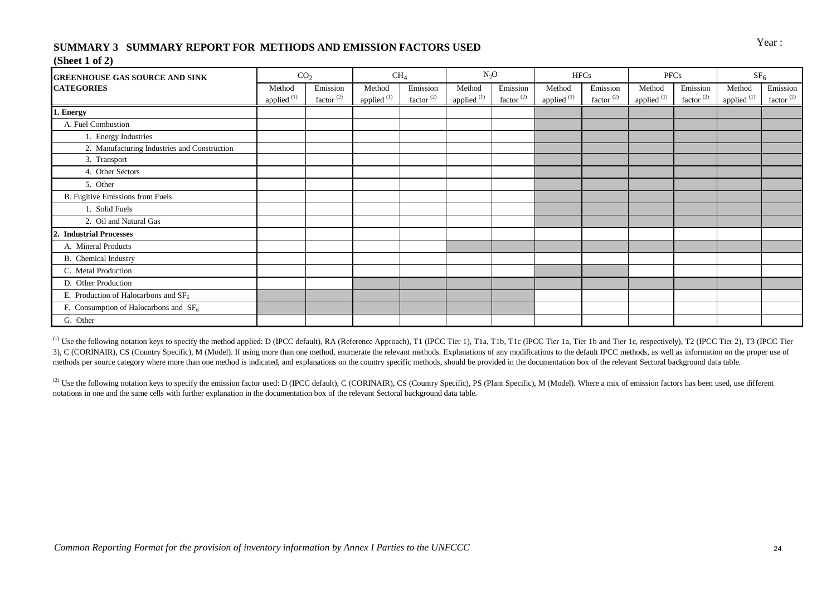# Year : **SUMMARY 3 SUMMARY REPORT FOR METHODS AND EMISSION FACTORS USED**

#### **(Sheet 1 of 2)**

| <b>GREENHOUSE GAS SOURCE AND SINK</b>            | CO <sub>2</sub>                  |                                   | CH <sub>4</sub>                  |                                   | $N_2O$                           |                                   |                         | <b>HFCs</b>                       | PFCs                             |                                   | SF <sub>6</sub>         |                                   |
|--------------------------------------------------|----------------------------------|-----------------------------------|----------------------------------|-----------------------------------|----------------------------------|-----------------------------------|-------------------------|-----------------------------------|----------------------------------|-----------------------------------|-------------------------|-----------------------------------|
| <b>CATEGORIES</b>                                | Method<br>applied <sup>(1)</sup> | Emission<br>factor <sup>(2)</sup> | Method<br>applied <sup>(1)</sup> | Emission<br>factor <sup>(2)</sup> | Method<br>applied <sup>(1)</sup> | Emission<br>factor <sup>(2)</sup> | Method<br>applied $(1)$ | Emission<br>factor <sup>(2)</sup> | Method<br>applied <sup>(1)</sup> | Emission<br>factor <sup>(2)</sup> | Method<br>applied $(1)$ | Emission<br>factor <sup>(2)</sup> |
| 1. Energy                                        |                                  |                                   |                                  |                                   |                                  |                                   |                         |                                   |                                  |                                   |                         |                                   |
| A. Fuel Combustion                               |                                  |                                   |                                  |                                   |                                  |                                   |                         |                                   |                                  |                                   |                         |                                   |
| 1. Energy Industries                             |                                  |                                   |                                  |                                   |                                  |                                   |                         |                                   |                                  |                                   |                         |                                   |
| 2. Manufacturing Industries and Construction     |                                  |                                   |                                  |                                   |                                  |                                   |                         |                                   |                                  |                                   |                         |                                   |
| 3. Transport                                     |                                  |                                   |                                  |                                   |                                  |                                   |                         |                                   |                                  |                                   |                         |                                   |
| 4. Other Sectors                                 |                                  |                                   |                                  |                                   |                                  |                                   |                         |                                   |                                  |                                   |                         |                                   |
| 5. Other                                         |                                  |                                   |                                  |                                   |                                  |                                   |                         |                                   |                                  |                                   |                         |                                   |
| B. Fugitive Emissions from Fuels                 |                                  |                                   |                                  |                                   |                                  |                                   |                         |                                   |                                  |                                   |                         |                                   |
| 1. Solid Fuels                                   |                                  |                                   |                                  |                                   |                                  |                                   |                         |                                   |                                  |                                   |                         |                                   |
| 2. Oil and Natural Gas                           |                                  |                                   |                                  |                                   |                                  |                                   |                         |                                   |                                  |                                   |                         |                                   |
| <b>Industrial Processes</b><br>2.                |                                  |                                   |                                  |                                   |                                  |                                   |                         |                                   |                                  |                                   |                         |                                   |
| A. Mineral Products                              |                                  |                                   |                                  |                                   |                                  |                                   |                         |                                   |                                  |                                   |                         |                                   |
| <b>B.</b> Chemical Industry                      |                                  |                                   |                                  |                                   |                                  |                                   |                         |                                   |                                  |                                   |                         |                                   |
| C. Metal Production                              |                                  |                                   |                                  |                                   |                                  |                                   |                         |                                   |                                  |                                   |                         |                                   |
| D. Other Production                              |                                  |                                   |                                  |                                   |                                  |                                   |                         |                                   |                                  |                                   |                         |                                   |
| E. Production of Halocarbons and SF <sub>6</sub> |                                  |                                   |                                  |                                   |                                  |                                   |                         |                                   |                                  |                                   |                         |                                   |
| F. Consumption of Halocarbons and $SF6$          |                                  |                                   |                                  |                                   |                                  |                                   |                         |                                   |                                  |                                   |                         |                                   |
| G. Other                                         |                                  |                                   |                                  |                                   |                                  |                                   |                         |                                   |                                  |                                   |                         |                                   |

<sup>(1)</sup> Use the following notation keys to specify the method applied: D (IPCC default), RA (Reference Approach), T1 (IPCC Tier 1), T1a, T1b, T1c (IPCC Tier 1a, Tier 1b and Tier 1c, respectively), T2 (IPCC Tier 2), T3 (IPCC 3), C (CORINAIR), CS (Country Specific), M (Model). If using more than one method, enumerate the relevant methods. Explanations of any modifications to the default IPCC methods, as well as information on the proper use of methods per source category where more than one method is indicated, and explanations on the country specific methods, should be provided in the documentation box of the relevant Sectoral background data table.

<sup>(2)</sup> Use the following notation keys to specify the emission factor used: D (IPCC default), C (CORINAIR), CS (Country Specific), PS (Plant Specific), M (Model). Where a mix of emission factors has been used, use different notations in one and the same cells with further explanation in the documentation box of the relevant Sectoral background data table.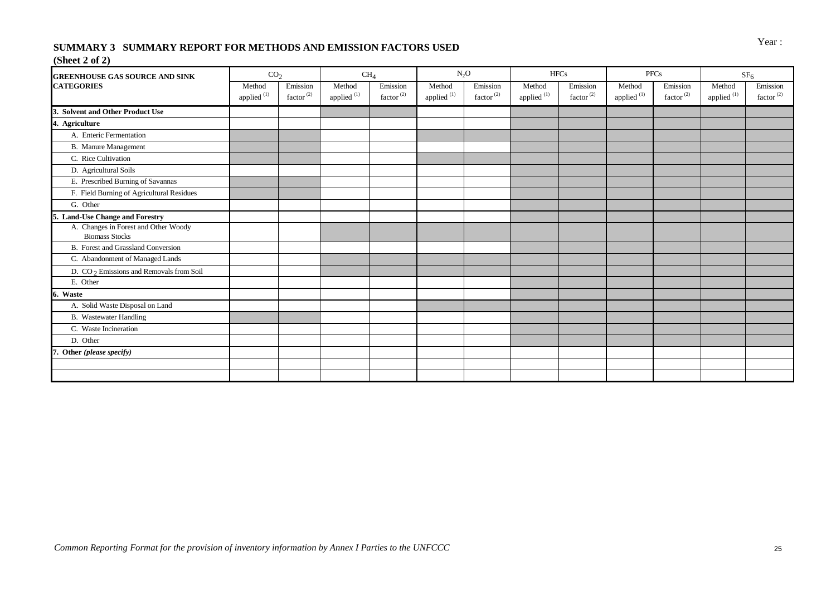# Year : **SUMMARY 3 SUMMARY REPORT FOR METHODS AND EMISSION FACTORS USED**

### **(Sheet 2 of 2)**

| <b>GREENHOUSE GAS SOURCE AND SINK</b>                         | CO <sub>2</sub>                  |                                   |                                  | CH <sub>4</sub>                   |                                  | $N_2O$                            |                       | <b>HFCs</b>                       |                                  | <b>PFCs</b>                       |                                  | SF <sub>6</sub>                   |
|---------------------------------------------------------------|----------------------------------|-----------------------------------|----------------------------------|-----------------------------------|----------------------------------|-----------------------------------|-----------------------|-----------------------------------|----------------------------------|-----------------------------------|----------------------------------|-----------------------------------|
| <b>CATEGORIES</b>                                             | Method<br>applied <sup>(1)</sup> | Emission<br>factor <sup>(2)</sup> | Method<br>applied <sup>(1)</sup> | Emission<br>factor <sup>(2)</sup> | Method<br>applied <sup>(1)</sup> | Emission<br>factor <sup>(2)</sup> | Method<br>applied (1) | Emission<br>factor <sup>(2)</sup> | Method<br>applied <sup>(1)</sup> | Emission<br>factor <sup>(2)</sup> | Method<br>applied <sup>(1)</sup> | Emission<br>factor <sup>(2)</sup> |
| 3. Solvent and Other Product Use                              |                                  |                                   |                                  |                                   |                                  |                                   |                       |                                   |                                  |                                   |                                  |                                   |
| 4. Agriculture                                                |                                  |                                   |                                  |                                   |                                  |                                   |                       |                                   |                                  |                                   |                                  |                                   |
| A. Enteric Fermentation                                       |                                  |                                   |                                  |                                   |                                  |                                   |                       |                                   |                                  |                                   |                                  |                                   |
| <b>B.</b> Manure Management                                   |                                  |                                   |                                  |                                   |                                  |                                   |                       |                                   |                                  |                                   |                                  |                                   |
| C. Rice Cultivation                                           |                                  |                                   |                                  |                                   |                                  |                                   |                       |                                   |                                  |                                   |                                  |                                   |
| D. Agricultural Soils                                         |                                  |                                   |                                  |                                   |                                  |                                   |                       |                                   |                                  |                                   |                                  |                                   |
| E. Prescribed Burning of Savannas                             |                                  |                                   |                                  |                                   |                                  |                                   |                       |                                   |                                  |                                   |                                  |                                   |
| F. Field Burning of Agricultural Residues                     |                                  |                                   |                                  |                                   |                                  |                                   |                       |                                   |                                  |                                   |                                  |                                   |
| G. Other                                                      |                                  |                                   |                                  |                                   |                                  |                                   |                       |                                   |                                  |                                   |                                  |                                   |
| 5. Land-Use Change and Forestry                               |                                  |                                   |                                  |                                   |                                  |                                   |                       |                                   |                                  |                                   |                                  |                                   |
| A. Changes in Forest and Other Woody<br><b>Biomass Stocks</b> |                                  |                                   |                                  |                                   |                                  |                                   |                       |                                   |                                  |                                   |                                  |                                   |
| B. Forest and Grassland Conversion                            |                                  |                                   |                                  |                                   |                                  |                                   |                       |                                   |                                  |                                   |                                  |                                   |
| C. Abandonment of Managed Lands                               |                                  |                                   |                                  |                                   |                                  |                                   |                       |                                   |                                  |                                   |                                  |                                   |
| D. $CO2$ Emissions and Removals from Soil                     |                                  |                                   |                                  |                                   |                                  |                                   |                       |                                   |                                  |                                   |                                  |                                   |
| E. Other                                                      |                                  |                                   |                                  |                                   |                                  |                                   |                       |                                   |                                  |                                   |                                  |                                   |
| 6. Waste                                                      |                                  |                                   |                                  |                                   |                                  |                                   |                       |                                   |                                  |                                   |                                  |                                   |
| A. Solid Waste Disposal on Land                               |                                  |                                   |                                  |                                   |                                  |                                   |                       |                                   |                                  |                                   |                                  |                                   |
| <b>B.</b> Wastewater Handling                                 |                                  |                                   |                                  |                                   |                                  |                                   |                       |                                   |                                  |                                   |                                  |                                   |
| C. Waste Incineration                                         |                                  |                                   |                                  |                                   |                                  |                                   |                       |                                   |                                  |                                   |                                  |                                   |
| D. Other                                                      |                                  |                                   |                                  |                                   |                                  |                                   |                       |                                   |                                  |                                   |                                  |                                   |
| Other (please specify)                                        |                                  |                                   |                                  |                                   |                                  |                                   |                       |                                   |                                  |                                   |                                  |                                   |
|                                                               |                                  |                                   |                                  |                                   |                                  |                                   |                       |                                   |                                  |                                   |                                  |                                   |
|                                                               |                                  |                                   |                                  |                                   |                                  |                                   |                       |                                   |                                  |                                   |                                  |                                   |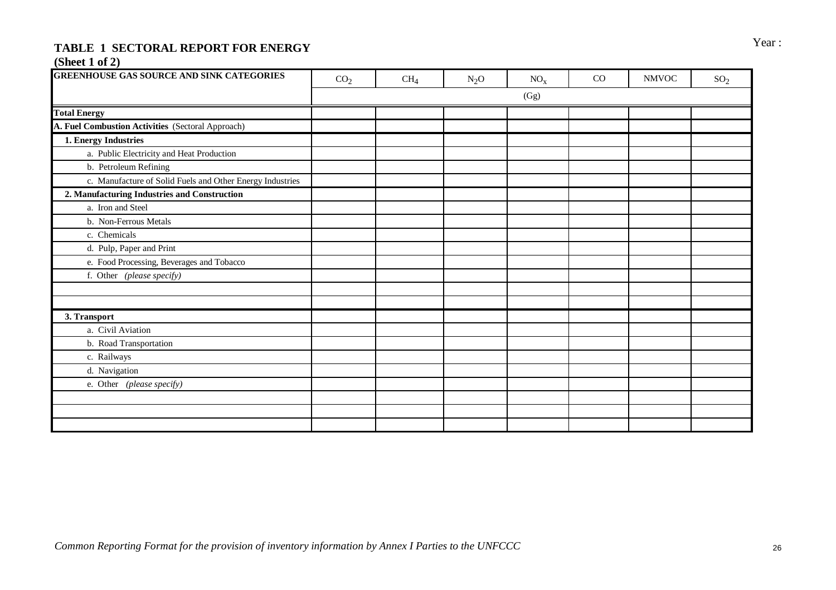# TABLE 1 SECTORAL REPORT FOR ENERGY **FOR A SECTORAL REPORT FOR ENERGY**

# **(Sheet 1 of 2)**

| <b>GREENHOUSE GAS SOURCE AND SINK CATEGORIES</b>          | CO <sub>2</sub> | CH <sub>4</sub> | $N_2O$ | $NO_{x}$ | CO | <b>NMVOC</b> | SO <sub>2</sub> |
|-----------------------------------------------------------|-----------------|-----------------|--------|----------|----|--------------|-----------------|
|                                                           |                 |                 |        | (Gg)     |    |              |                 |
| <b>Total Energy</b>                                       |                 |                 |        |          |    |              |                 |
| A. Fuel Combustion Activities (Sectoral Approach)         |                 |                 |        |          |    |              |                 |
| 1. Energy Industries                                      |                 |                 |        |          |    |              |                 |
| a. Public Electricity and Heat Production                 |                 |                 |        |          |    |              |                 |
| b. Petroleum Refining                                     |                 |                 |        |          |    |              |                 |
| c. Manufacture of Solid Fuels and Other Energy Industries |                 |                 |        |          |    |              |                 |
| 2. Manufacturing Industries and Construction              |                 |                 |        |          |    |              |                 |
| a. Iron and Steel                                         |                 |                 |        |          |    |              |                 |
| b. Non-Ferrous Metals                                     |                 |                 |        |          |    |              |                 |
| c. Chemicals                                              |                 |                 |        |          |    |              |                 |
| d. Pulp, Paper and Print                                  |                 |                 |        |          |    |              |                 |
| e. Food Processing, Beverages and Tobacco                 |                 |                 |        |          |    |              |                 |
| f. Other (please specify)                                 |                 |                 |        |          |    |              |                 |
|                                                           |                 |                 |        |          |    |              |                 |
|                                                           |                 |                 |        |          |    |              |                 |
| 3. Transport                                              |                 |                 |        |          |    |              |                 |
| a. Civil Aviation                                         |                 |                 |        |          |    |              |                 |
| b. Road Transportation                                    |                 |                 |        |          |    |              |                 |
| c. Railways                                               |                 |                 |        |          |    |              |                 |
| d. Navigation                                             |                 |                 |        |          |    |              |                 |
| e. Other (please specify)                                 |                 |                 |        |          |    |              |                 |
|                                                           |                 |                 |        |          |    |              |                 |
|                                                           |                 |                 |        |          |    |              |                 |
|                                                           |                 |                 |        |          |    |              |                 |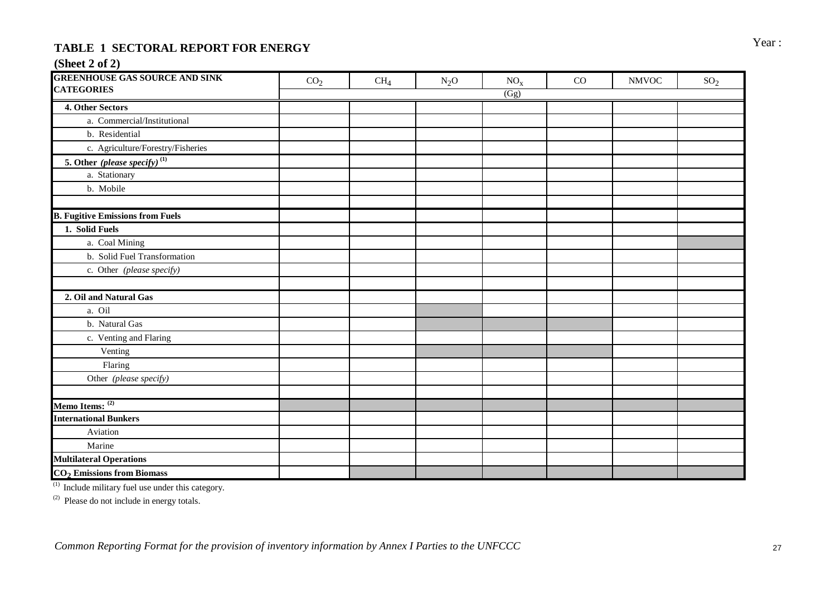# TABLE 1 SECTORAL REPORT FOR ENERGY **FOR A SECTORAL REPORT FOR ENERGY**

# **(Sheet 2 of 2)**

| <b>GREENHOUSE GAS SOURCE AND SINK</b>    | CO <sub>2</sub> | CH <sub>4</sub> | $N_2O$ | $NO_{X}$ | CO | <b>NMVOC</b> | SO <sub>2</sub> |
|------------------------------------------|-----------------|-----------------|--------|----------|----|--------------|-----------------|
| <b>CATEGORIES</b>                        |                 |                 |        | (Gg)     |    |              |                 |
| 4. Other Sectors                         |                 |                 |        |          |    |              |                 |
| a. Commercial/Institutional              |                 |                 |        |          |    |              |                 |
| b. Residential                           |                 |                 |        |          |    |              |                 |
| c. Agriculture/Forestry/Fisheries        |                 |                 |        |          |    |              |                 |
| 5. Other (please specify) <sup>(1)</sup> |                 |                 |        |          |    |              |                 |
| a. Stationary                            |                 |                 |        |          |    |              |                 |
| b. Mobile                                |                 |                 |        |          |    |              |                 |
| <b>B. Fugitive Emissions from Fuels</b>  |                 |                 |        |          |    |              |                 |
| 1. Solid Fuels                           |                 |                 |        |          |    |              |                 |
| a. Coal Mining                           |                 |                 |        |          |    |              |                 |
| b. Solid Fuel Transformation             |                 |                 |        |          |    |              |                 |
| c. Other (please specify)                |                 |                 |        |          |    |              |                 |
| 2. Oil and Natural Gas                   |                 |                 |        |          |    |              |                 |
| a. Oil                                   |                 |                 |        |          |    |              |                 |
| b. Natural Gas                           |                 |                 |        |          |    |              |                 |
| c. Venting and Flaring                   |                 |                 |        |          |    |              |                 |
| Venting                                  |                 |                 |        |          |    |              |                 |
| Flaring                                  |                 |                 |        |          |    |              |                 |
| Other (please specify)                   |                 |                 |        |          |    |              |                 |
|                                          |                 |                 |        |          |    |              |                 |
| Memo Items: (2)                          |                 |                 |        |          |    |              |                 |
| <b>International Bunkers</b>             |                 |                 |        |          |    |              |                 |
| Aviation                                 |                 |                 |        |          |    |              |                 |
| Marine                                   |                 |                 |        |          |    |              |                 |
| <b>Multilateral Operations</b>           |                 |                 |        |          |    |              |                 |
| $CO2$ Emissions from Biomass             |                 |                 |        |          |    |              |                 |

 $<sup>(1)</sup>$  Include military fuel use under this category.</sup>

 $(2)$  Please do not include in energy totals.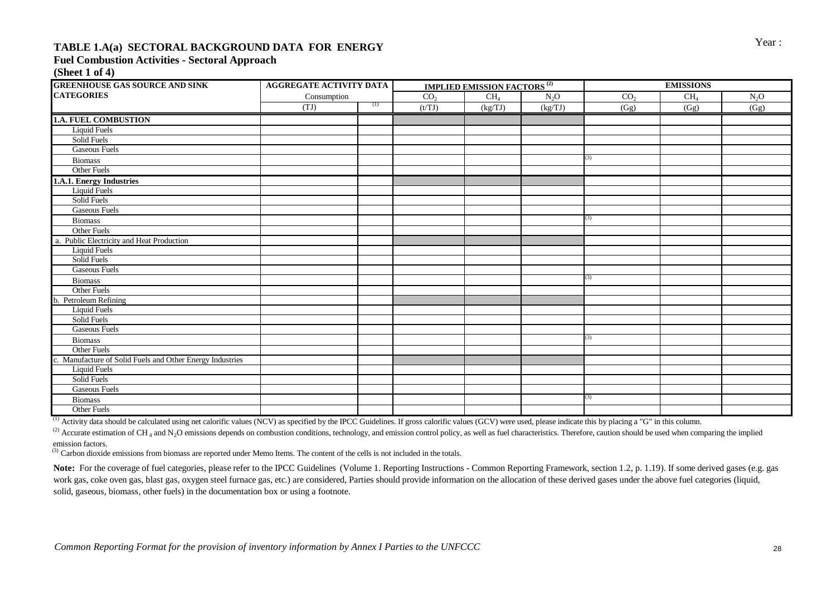# Year : **TABLE 1.A(a) SECTORAL BACKGROUND DATA FOR ENERGY**

### **Fuel Combustion Activities - Sectoral Approach**

**(Sheet 1 of 4)**

| <b>GREENHOUSE GAS SOURCE AND SINK</b>                     | <b>AGGREGATE ACTIVITY DATA</b> |     |                 | <b>IMPLIED EMISSION FACTORS<sup>(2)</sup></b> |         |                 |                 |        |
|-----------------------------------------------------------|--------------------------------|-----|-----------------|-----------------------------------------------|---------|-----------------|-----------------|--------|
| <b>CATEGORIES</b>                                         | Consumption                    |     | CO <sub>2</sub> | CH <sub>4</sub>                               | $N_2O$  | CO <sub>2</sub> | CH <sub>4</sub> | $N_2O$ |
|                                                           | (TJ)                           | (1) | (t/TJ)          | (kg/TJ)                                       | (kg/TJ) | (Gg)            | (Gg)            | (Gg)   |
| <b>1.A. FUEL COMBUSTION</b>                               |                                |     |                 |                                               |         |                 |                 |        |
| <b>Liquid Fuels</b>                                       |                                |     |                 |                                               |         |                 |                 |        |
| Solid Fuels                                               |                                |     |                 |                                               |         |                 |                 |        |
| <b>Gaseous Fuels</b>                                      |                                |     |                 |                                               |         |                 |                 |        |
| <b>Biomass</b>                                            |                                |     |                 |                                               |         | (3)             |                 |        |
| Other Fuels                                               |                                |     |                 |                                               |         |                 |                 |        |
| 1.A.1. Energy Industries                                  |                                |     |                 |                                               |         |                 |                 |        |
| Liquid Fuels                                              |                                |     |                 |                                               |         |                 |                 |        |
| Solid Fuels                                               |                                |     |                 |                                               |         |                 |                 |        |
| <b>Gaseous Fuels</b>                                      |                                |     |                 |                                               |         |                 |                 |        |
| Biomass                                                   |                                |     |                 |                                               |         | (3)             |                 |        |
| Other Fuels                                               |                                |     |                 |                                               |         |                 |                 |        |
| a. Public Electricity and Heat Production                 |                                |     |                 |                                               |         |                 |                 |        |
| <b>Liquid Fuels</b>                                       |                                |     |                 |                                               |         |                 |                 |        |
| Solid Fuels                                               |                                |     |                 |                                               |         |                 |                 |        |
| <b>Gaseous Fuels</b>                                      |                                |     |                 |                                               |         |                 |                 |        |
| <b>Biomass</b>                                            |                                |     |                 |                                               |         | (3)             |                 |        |
| Other Fuels                                               |                                |     |                 |                                               |         |                 |                 |        |
| Petroleum Refining                                        |                                |     |                 |                                               |         |                 |                 |        |
| <b>Liquid Fuels</b>                                       |                                |     |                 |                                               |         |                 |                 |        |
| Solid Fuels                                               |                                |     |                 |                                               |         |                 |                 |        |
| <b>Gaseous Fuels</b>                                      |                                |     |                 |                                               |         |                 |                 |        |
| <b>Biomass</b>                                            |                                |     |                 |                                               |         | (3)             |                 |        |
| Other Fuels                                               |                                |     |                 |                                               |         |                 |                 |        |
| c. Manufacture of Solid Fuels and Other Energy Industries |                                |     |                 |                                               |         |                 |                 |        |
| <b>Liquid Fuels</b>                                       |                                |     |                 |                                               |         |                 |                 |        |
| Solid Fuels                                               |                                |     |                 |                                               |         |                 |                 |        |
| <b>Gaseous Fuels</b>                                      |                                |     |                 |                                               |         |                 |                 |        |
| <b>Biomass</b>                                            |                                |     |                 |                                               |         | (3)             |                 |        |
| <b>Other Fuels</b>                                        |                                |     |                 |                                               |         |                 |                 |        |

 $^{(1)}$  Activity data should be calculated using net calorific values (NCV) as specified by the IPCC Guidelines. If gross calorific values (GCV) were used, please indicate this by placing a "G" in this column.

<sup>(2)</sup> Accurate estimation of CH<sub>4</sub> and N<sub>2</sub>O emissions depends on combustion conditions, technology, and emission control policy, as well as fuel characteristics. Therefore, caution should be used when comparing the impli emission factors.

<sup>(3)</sup> Carbon dioxide emissions from biomass are reported under Memo Items. The content of the cells is not included in the totals.

Note: For the coverage of fuel categories, please refer to the IPCC Guidelines (Volume 1. Reporting Instructions - Common Reporting Framework, section 1.2, p. 1.19). If some derived gases (e.g. gas work gas, coke oven gas, blast gas, oxygen steel furnace gas, etc.) are considered, Parties should provide information on the allocation of these derived gases under the above fuel categories (liquid, solid, gaseous, biomass, other fuels) in the documentation box or using a footnote.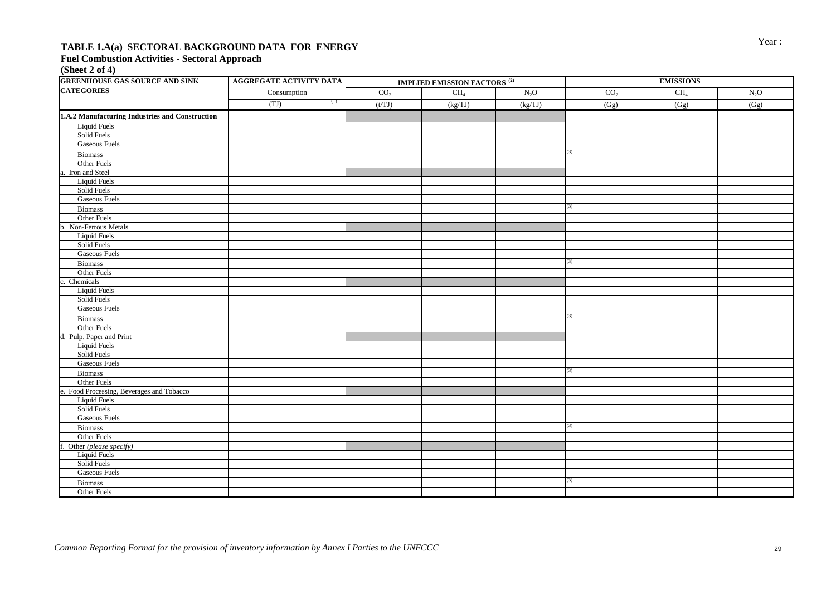# Year : **TABLE 1.A(a) SECTORAL BACKGROUND DATA FOR ENERGY**

### **Fuel Combustion Activities - Sectoral Approach**

**(Sheet 2 of 4)**

| <b>GREENHOUSE GAS SOURCE AND SINK</b>           | AGGREGATE ACTIVITY DATA |     | <b>IMPLIED EMISSION FACTORS<sup>(2)</sup></b> |                 |         | <b>EMISSIONS</b> |                 |        |
|-------------------------------------------------|-------------------------|-----|-----------------------------------------------|-----------------|---------|------------------|-----------------|--------|
| <b>CATEGORIES</b>                               | Consumption             |     | CO <sub>2</sub>                               | CH <sub>4</sub> | $N_2O$  | CO <sub>2</sub>  | CH <sub>4</sub> | $N_2O$ |
|                                                 | (TJ)                    | (1) | (t/TJ)                                        | (kg/TJ)         | (kg/TJ) | (Gg)             | (Gg)            | (Gg)   |
| 1.A.2 Manufacturing Industries and Construction |                         |     |                                               |                 |         |                  |                 |        |
| <b>Liquid Fuels</b>                             |                         |     |                                               |                 |         |                  |                 |        |
| Solid Fuels                                     |                         |     |                                               |                 |         |                  |                 |        |
| <b>Gaseous Fuels</b>                            |                         |     |                                               |                 |         |                  |                 |        |
| Biomass                                         |                         |     |                                               |                 |         | (3)              |                 |        |
| Other Fuels                                     |                         |     |                                               |                 |         |                  |                 |        |
| a. Iron and Steel                               |                         |     |                                               |                 |         |                  |                 |        |
| Liquid Fuels                                    |                         |     |                                               |                 |         |                  |                 |        |
| Solid Fuels                                     |                         |     |                                               |                 |         |                  |                 |        |
| <b>Gaseous Fuels</b>                            |                         |     |                                               |                 |         |                  |                 |        |
| <b>Biomass</b>                                  |                         |     |                                               |                 |         | (3)              |                 |        |
| Other Fuels                                     |                         |     |                                               |                 |         |                  |                 |        |
| b. Non-Ferrous Metals                           |                         |     |                                               |                 |         |                  |                 |        |
| <b>Liquid Fuels</b>                             |                         |     |                                               |                 |         |                  |                 |        |
| Solid Fuels                                     |                         |     |                                               |                 |         |                  |                 |        |
| <b>Gaseous Fuels</b>                            |                         |     |                                               |                 |         |                  |                 |        |
| Biomass                                         |                         |     |                                               |                 |         | (3)              |                 |        |
| Other Fuels                                     |                         |     |                                               |                 |         |                  |                 |        |
| Chemicals                                       |                         |     |                                               |                 |         |                  |                 |        |
| <b>Liquid Fuels</b>                             |                         |     |                                               |                 |         |                  |                 |        |
| Solid Fuels                                     |                         |     |                                               |                 |         |                  |                 |        |
| <b>Gaseous Fuels</b>                            |                         |     |                                               |                 |         |                  |                 |        |
| Biomass                                         |                         |     |                                               |                 |         | (3)              |                 |        |
| Other Fuels                                     |                         |     |                                               |                 |         |                  |                 |        |
| d. Pulp, Paper and Print                        |                         |     |                                               |                 |         |                  |                 |        |
| Liquid Fuels                                    |                         |     |                                               |                 |         |                  |                 |        |
| Solid Fuels                                     |                         |     |                                               |                 |         |                  |                 |        |
| <b>Gaseous Fuels</b>                            |                         |     |                                               |                 |         |                  |                 |        |
| <b>Biomass</b>                                  |                         |     |                                               |                 |         | (3)              |                 |        |
| Other Fuels                                     |                         |     |                                               |                 |         |                  |                 |        |
| e. Food Processing, Beverages and Tobacco       |                         |     |                                               |                 |         |                  |                 |        |
| <b>Liquid Fuels</b>                             |                         |     |                                               |                 |         |                  |                 |        |
| Solid Fuels                                     |                         |     |                                               |                 |         |                  |                 |        |
| <b>Gaseous Fuels</b>                            |                         |     |                                               |                 |         |                  |                 |        |
| <b>Biomass</b>                                  |                         |     |                                               |                 |         | (3)              |                 |        |
| Other Fuels                                     |                         |     |                                               |                 |         |                  |                 |        |
| f. Other (please specify)                       |                         |     |                                               |                 |         |                  |                 |        |
| <b>Liquid Fuels</b>                             |                         |     |                                               |                 |         |                  |                 |        |
| Solid Fuels                                     |                         |     |                                               |                 |         |                  |                 |        |
| <b>Gaseous Fuels</b>                            |                         |     |                                               |                 |         |                  |                 |        |
| <b>Biomass</b>                                  |                         |     |                                               |                 |         | (3)              |                 |        |
| Other Fuels                                     |                         |     |                                               |                 |         |                  |                 |        |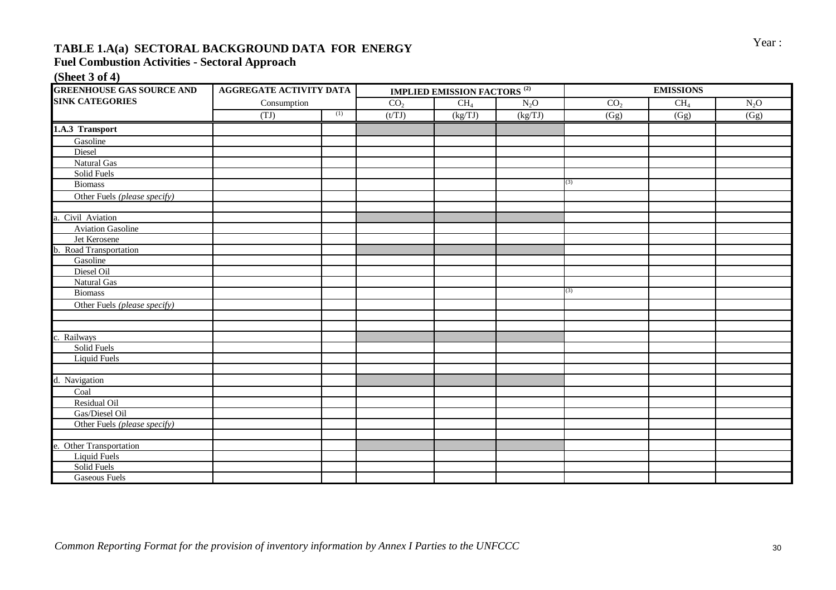# **TABLE 1.A(a) SECTORAL BACKGROUND DATA FOR ENERGY** Year:

# **Fuel Combustion Activities - Sectoral Approach**

### **(Sheet 3 of 4)**

| <b>GREENHOUSE GAS SOURCE AND</b> | <b>AGGREGATE ACTIVITY DATA</b> |     |                 | <b>IMPLIED EMISSION FACTORS</b> <sup>(2)</sup> |         | <b>EMISSIONS</b> |                 |                   |
|----------------------------------|--------------------------------|-----|-----------------|------------------------------------------------|---------|------------------|-----------------|-------------------|
| <b>SINK CATEGORIES</b>           | Consumption                    |     | CO <sub>2</sub> | $CH_4$                                         | $N_2O$  | CO <sub>2</sub>  | CH <sub>4</sub> | $N_2O$            |
|                                  | (TJ)                           | (1) | (t/TJ)          | (kg/TJ)                                        | (kg/TJ) | (Gg)             | (Gg)            | $\overline{(Gg)}$ |
| 1.A.3 Transport                  |                                |     |                 |                                                |         |                  |                 |                   |
| Gasoline                         |                                |     |                 |                                                |         |                  |                 |                   |
| Diesel                           |                                |     |                 |                                                |         |                  |                 |                   |
| Natural Gas                      |                                |     |                 |                                                |         |                  |                 |                   |
| Solid Fuels                      |                                |     |                 |                                                |         |                  |                 |                   |
| <b>Biomass</b>                   |                                |     |                 |                                                |         | (3)              |                 |                   |
| Other Fuels (please specify)     |                                |     |                 |                                                |         |                  |                 |                   |
|                                  |                                |     |                 |                                                |         |                  |                 |                   |
| a. Civil Aviation                |                                |     |                 |                                                |         |                  |                 |                   |
| <b>Aviation Gasoline</b>         |                                |     |                 |                                                |         |                  |                 |                   |
| Jet Kerosene                     |                                |     |                 |                                                |         |                  |                 |                   |
| Road Transportation<br>b.        |                                |     |                 |                                                |         |                  |                 |                   |
| Gasoline                         |                                |     |                 |                                                |         |                  |                 |                   |
| Diesel Oil                       |                                |     |                 |                                                |         |                  |                 |                   |
| Natural Gas                      |                                |     |                 |                                                |         |                  |                 |                   |
| <b>Biomass</b>                   |                                |     |                 |                                                |         | (3)              |                 |                   |
| Other Fuels (please specify)     |                                |     |                 |                                                |         |                  |                 |                   |
|                                  |                                |     |                 |                                                |         |                  |                 |                   |
|                                  |                                |     |                 |                                                |         |                  |                 |                   |
| Railways<br>c.                   |                                |     |                 |                                                |         |                  |                 |                   |
| Solid Fuels                      |                                |     |                 |                                                |         |                  |                 |                   |
| <b>Liquid Fuels</b>              |                                |     |                 |                                                |         |                  |                 |                   |
|                                  |                                |     |                 |                                                |         |                  |                 |                   |
| d. Navigation                    |                                |     |                 |                                                |         |                  |                 |                   |
| Coal                             |                                |     |                 |                                                |         |                  |                 |                   |
| Residual Oil                     |                                |     |                 |                                                |         |                  |                 |                   |
| Gas/Diesel Oil                   |                                |     |                 |                                                |         |                  |                 |                   |
| Other Fuels (please specify)     |                                |     |                 |                                                |         |                  |                 |                   |
|                                  |                                |     |                 |                                                |         |                  |                 |                   |
| e. Other Transportation          |                                |     |                 |                                                |         |                  |                 |                   |
| <b>Liquid Fuels</b>              |                                |     |                 |                                                |         |                  |                 |                   |
| Solid Fuels                      |                                |     |                 |                                                |         |                  |                 |                   |
| <b>Gaseous Fuels</b>             |                                |     |                 |                                                |         |                  |                 |                   |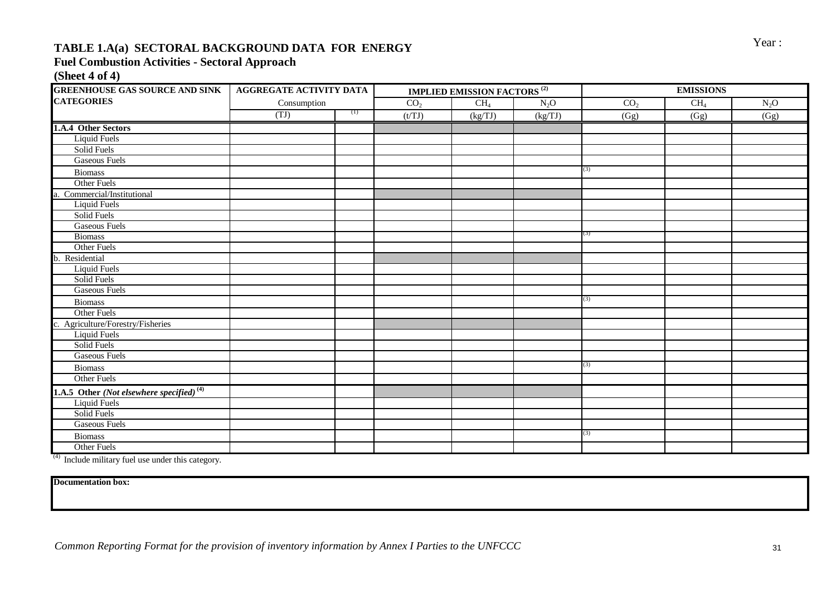# **TABLE 1.A(a) SECTORAL BACKGROUND DATA FOR ENERGY** Year:

#### **Fuel Combustion Activities - Sectoral Approach**

**(Sheet 4 of 4)**

| <b>GREENHOUSE GAS SOURCE AND SINK   AGGREGATE ACTIVITY DATA</b> |             |     | <b>IMPLIED EMISSION FACTORS<sup>(2)</sup></b> |                 | <b>EMISSIONS</b> |                 |        |        |  |
|-----------------------------------------------------------------|-------------|-----|-----------------------------------------------|-----------------|------------------|-----------------|--------|--------|--|
| <b>CATEGORIES</b>                                               | Consumption |     | CO <sub>2</sub>                               | CH <sub>4</sub> | $N_2O$           | CO <sub>2</sub> | $CH_4$ | $N_2O$ |  |
|                                                                 | (TJ)        | (1) | (t/TJ)                                        | (kg/TJ)         | (kg/TJ)          | (Gg)            | (Gg)   | (Gg)   |  |
| 1.A.4 Other Sectors                                             |             |     |                                               |                 |                  |                 |        |        |  |
| <b>Liquid Fuels</b>                                             |             |     |                                               |                 |                  |                 |        |        |  |
| Solid Fuels                                                     |             |     |                                               |                 |                  |                 |        |        |  |
| <b>Gaseous Fuels</b>                                            |             |     |                                               |                 |                  |                 |        |        |  |
| <b>Biomass</b>                                                  |             |     |                                               |                 |                  | (3)             |        |        |  |
| Other Fuels                                                     |             |     |                                               |                 |                  |                 |        |        |  |
| Commercial/Institutional                                        |             |     |                                               |                 |                  |                 |        |        |  |
| <b>Liquid Fuels</b>                                             |             |     |                                               |                 |                  |                 |        |        |  |
| Solid Fuels                                                     |             |     |                                               |                 |                  |                 |        |        |  |
| <b>Gaseous Fuels</b>                                            |             |     |                                               |                 |                  |                 |        |        |  |
| <b>Biomass</b>                                                  |             |     |                                               |                 |                  | (3)             |        |        |  |
| Other Fuels                                                     |             |     |                                               |                 |                  |                 |        |        |  |
| b. Residential                                                  |             |     |                                               |                 |                  |                 |        |        |  |
| <b>Liquid Fuels</b>                                             |             |     |                                               |                 |                  |                 |        |        |  |
| Solid Fuels                                                     |             |     |                                               |                 |                  |                 |        |        |  |
| <b>Gaseous Fuels</b>                                            |             |     |                                               |                 |                  |                 |        |        |  |
| <b>Biomass</b>                                                  |             |     |                                               |                 |                  | (3)             |        |        |  |
| <b>Other Fuels</b>                                              |             |     |                                               |                 |                  |                 |        |        |  |
| Agriculture/Forestry/Fisheries                                  |             |     |                                               |                 |                  |                 |        |        |  |
| <b>Liquid Fuels</b>                                             |             |     |                                               |                 |                  |                 |        |        |  |
| Solid Fuels                                                     |             |     |                                               |                 |                  |                 |        |        |  |
| <b>Gaseous Fuels</b>                                            |             |     |                                               |                 |                  |                 |        |        |  |
| <b>Biomass</b>                                                  |             |     |                                               |                 |                  | (3)             |        |        |  |
| Other Fuels                                                     |             |     |                                               |                 |                  |                 |        |        |  |
| 1.A.5 Other (Not elsewhere specified) <sup>(4)</sup>            |             |     |                                               |                 |                  |                 |        |        |  |
| <b>Liquid Fuels</b>                                             |             |     |                                               |                 |                  |                 |        |        |  |
| Solid Fuels                                                     |             |     |                                               |                 |                  |                 |        |        |  |
| <b>Gaseous Fuels</b>                                            |             |     |                                               |                 |                  |                 |        |        |  |
| <b>Biomass</b>                                                  |             |     |                                               |                 |                  | (3)             |        |        |  |
| <b>Other Fuels</b>                                              |             |     |                                               |                 |                  |                 |        |        |  |

 $(4)$  Include military fuel use under this category.

**Documentation box:**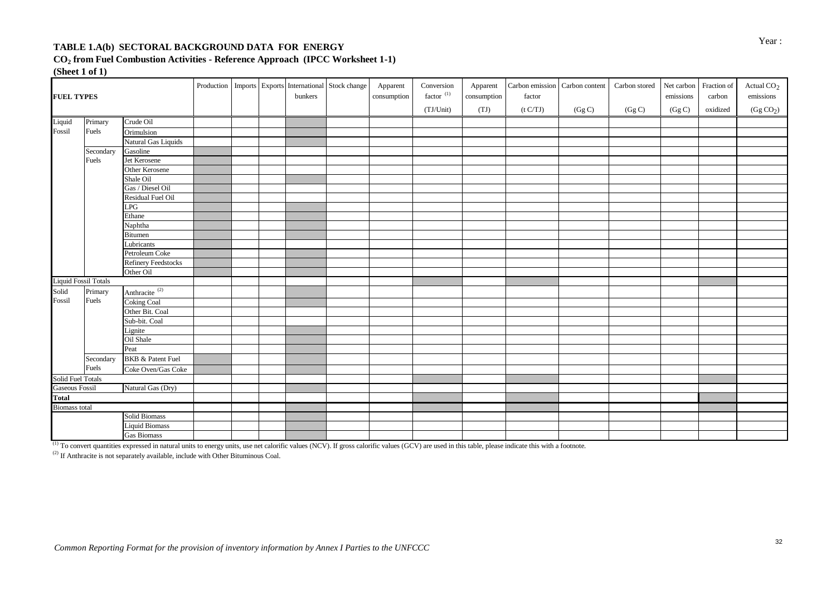# Year : **TABLE 1.A(b) SECTORAL BACKGROUND DATA FOR ENERGY**

**CO<sup>2</sup> from Fuel Combustion Activities - Reference Approach (IPCC Worksheet 1-1)**

**(Sheet 1 of 1)**

| <b>FUEL TYPES</b>           |           |                              |  | bunkers | Production   Imports   Exports   International   Stock change | Apparent<br>consumption | Conversion<br>factor $(1)$<br>(TJ/Unit) | Apparent<br>consumption<br>(TJ) | Carbon emission Carbon content<br>factor<br>(t C/TJ) | (Gg C) | Carbon stored<br>$(\mathrm{Gg\,} \mathrm{C})$ | Net carbon Fraction of<br>emissions<br>(Gg C) | carbon<br>oxidized | Actual CO <sub>2</sub><br>emissions<br>(Gg CO <sub>2</sub> ) |
|-----------------------------|-----------|------------------------------|--|---------|---------------------------------------------------------------|-------------------------|-----------------------------------------|---------------------------------|------------------------------------------------------|--------|-----------------------------------------------|-----------------------------------------------|--------------------|--------------------------------------------------------------|
| Liquid                      | Primary   | Crude Oil                    |  |         |                                                               |                         |                                         |                                 |                                                      |        |                                               |                                               |                    |                                                              |
| Fossil                      | Fuels     | Orimulsion                   |  |         |                                                               |                         |                                         |                                 |                                                      |        |                                               |                                               |                    |                                                              |
|                             |           | Natural Gas Liquids          |  |         |                                                               |                         |                                         |                                 |                                                      |        |                                               |                                               |                    |                                                              |
|                             | Secondary | Gasoline                     |  |         |                                                               |                         |                                         |                                 |                                                      |        |                                               |                                               |                    |                                                              |
|                             | Fuels     | Jet Kerosene                 |  |         |                                                               |                         |                                         |                                 |                                                      |        |                                               |                                               |                    |                                                              |
|                             |           | Other Kerosene               |  |         |                                                               |                         |                                         |                                 |                                                      |        |                                               |                                               |                    |                                                              |
|                             |           | Shale Oil                    |  |         |                                                               |                         |                                         |                                 |                                                      |        |                                               |                                               |                    |                                                              |
|                             |           | Gas / Diesel Oil             |  |         |                                                               |                         |                                         |                                 |                                                      |        |                                               |                                               |                    |                                                              |
|                             |           | Residual Fuel Oil            |  |         |                                                               |                         |                                         |                                 |                                                      |        |                                               |                                               |                    |                                                              |
|                             |           | LPG                          |  |         |                                                               |                         |                                         |                                 |                                                      |        |                                               |                                               |                    |                                                              |
|                             |           | Ethane                       |  |         |                                                               |                         |                                         |                                 |                                                      |        |                                               |                                               |                    |                                                              |
|                             |           | Naphtha                      |  |         |                                                               |                         |                                         |                                 |                                                      |        |                                               |                                               |                    |                                                              |
|                             |           | <b>Bitumen</b>               |  |         |                                                               |                         |                                         |                                 |                                                      |        |                                               |                                               |                    |                                                              |
|                             |           | Lubricants                   |  |         |                                                               |                         |                                         |                                 |                                                      |        |                                               |                                               |                    |                                                              |
|                             |           | Petroleum Coke               |  |         |                                                               |                         |                                         |                                 |                                                      |        |                                               |                                               |                    |                                                              |
|                             |           | <b>Refinery Feedstocks</b>   |  |         |                                                               |                         |                                         |                                 |                                                      |        |                                               |                                               |                    |                                                              |
|                             |           | Other Oil                    |  |         |                                                               |                         |                                         |                                 |                                                      |        |                                               |                                               |                    |                                                              |
| <b>Liquid Fossil Totals</b> |           |                              |  |         |                                                               |                         |                                         |                                 |                                                      |        |                                               |                                               |                    |                                                              |
| Solid                       | Primary   | Anthracite <sup>(2)</sup>    |  |         |                                                               |                         |                                         |                                 |                                                      |        |                                               |                                               |                    |                                                              |
| Fossil                      | Fuels     | <b>Coking Coal</b>           |  |         |                                                               |                         |                                         |                                 |                                                      |        |                                               |                                               |                    |                                                              |
|                             |           | Other Bit. Coal              |  |         |                                                               |                         |                                         |                                 |                                                      |        |                                               |                                               |                    |                                                              |
|                             |           | Sub-bit. Coal                |  |         |                                                               |                         |                                         |                                 |                                                      |        |                                               |                                               |                    |                                                              |
|                             |           | Lignite                      |  |         |                                                               |                         |                                         |                                 |                                                      |        |                                               |                                               |                    |                                                              |
|                             |           | Oil Shale                    |  |         |                                                               |                         |                                         |                                 |                                                      |        |                                               |                                               |                    |                                                              |
|                             |           | Peat                         |  |         |                                                               |                         |                                         |                                 |                                                      |        |                                               |                                               |                    |                                                              |
|                             | Secondary | <b>BKB &amp; Patent Fuel</b> |  |         |                                                               |                         |                                         |                                 |                                                      |        |                                               |                                               |                    |                                                              |
|                             | Fuels     | Coke Oven/Gas Coke           |  |         |                                                               |                         |                                         |                                 |                                                      |        |                                               |                                               |                    |                                                              |
| <b>Solid Fuel Totals</b>    |           |                              |  |         |                                                               |                         |                                         |                                 |                                                      |        |                                               |                                               |                    |                                                              |
| <b>Gaseous Fossil</b>       |           | Natural Gas (Dry)            |  |         |                                                               |                         |                                         |                                 |                                                      |        |                                               |                                               |                    |                                                              |
| <b>Total</b>                |           |                              |  |         |                                                               |                         |                                         |                                 |                                                      |        |                                               |                                               |                    |                                                              |
| <b>Biomass total</b>        |           |                              |  |         |                                                               |                         |                                         |                                 |                                                      |        |                                               |                                               |                    |                                                              |
|                             |           | Solid Biomass                |  |         |                                                               |                         |                                         |                                 |                                                      |        |                                               |                                               |                    |                                                              |
|                             |           | <b>Liquid Biomass</b>        |  |         |                                                               |                         |                                         |                                 |                                                      |        |                                               |                                               |                    |                                                              |
|                             |           | <b>Gas Biomass</b>           |  |         |                                                               |                         |                                         |                                 |                                                      |        |                                               |                                               |                    |                                                              |

 $^{(1)}$  To convert quantities expressed in natural units to energy units, use net calorific values (NCV). If gross calorific values (GCV) are used in this table, please indicate this with a footnote.

 $^{(2)}$  If Anthracite is not separately available, include with Other Bituminous Coal.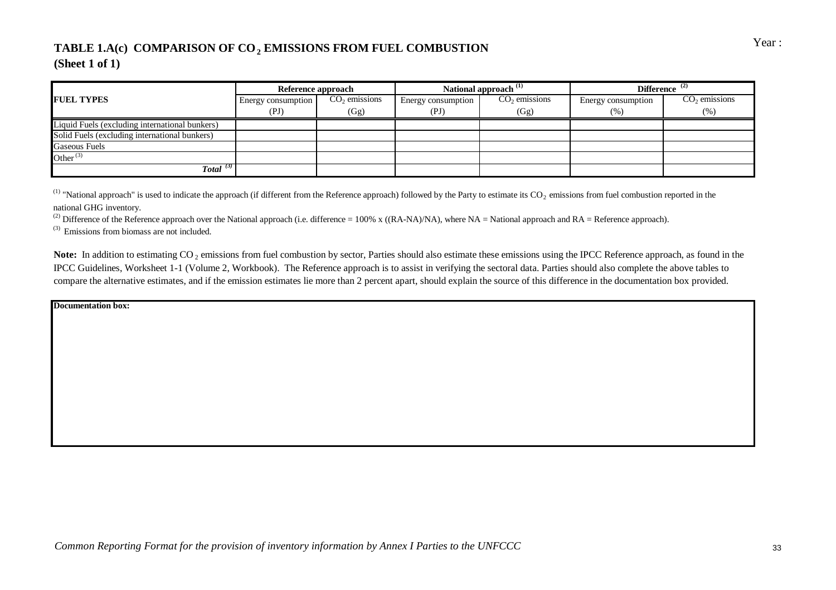# TABLE 1.A(c) COMPARISON OF CO<sub>2</sub> EMISSIONS FROM FUEL COMBUSTION Year: **(Sheet 1 of 1)**

|                                                | Reference approach |                 |                    | National approach <sup>(1)</sup> | Difference $(2)$   |                         |  |
|------------------------------------------------|--------------------|-----------------|--------------------|----------------------------------|--------------------|-------------------------|--|
| <b>FUEL TYPES</b>                              | Energy consumption | $CO2$ emissions | Energy consumption | $CO2$ emissions                  | Energy consumption | $CO2$ emissions<br>(% ) |  |
|                                                | (PI)               | (Gg)            | (PJ                | (Gg)                             | (% )               |                         |  |
| Liquid Fuels (excluding international bunkers) |                    |                 |                    |                                  |                    |                         |  |
| Solid Fuels (excluding international bunkers)  |                    |                 |                    |                                  |                    |                         |  |
| <b>Gaseous Fuels</b>                           |                    |                 |                    |                                  |                    |                         |  |
| Other $^{(3)}$                                 |                    |                 |                    |                                  |                    |                         |  |
| Total $(3)$                                    |                    |                 |                    |                                  |                    |                         |  |

<sup>(1)</sup> "National approach" is used to indicate the approach (if different from the Reference approach) followed by the Party to estimate its  $CO_2$  emissions from fuel combustion reported in the national GHG inventory.

<sup>(2)</sup> Difference of the Reference approach over the National approach (i.e. difference = 100% x ((RA-NA)/NA), where NA = National approach and RA = Reference approach).

 $(3)$  Emissions from biomass are not included.

Note: In addition to estimating CO<sub>2</sub> emissions from fuel combustion by sector, Parties should also estimate these emissions using the IPCC Reference approach, as found in the IPCC Guidelines, Worksheet 1-1 (Volume 2, Workbook). The Reference approach is to assist in verifying the sectoral data. Parties should also complete the above tables to compare the alternative estimates, and if the emission estimates lie more than 2 percent apart, should explain the source of this difference in the documentation box provided.

**Documentation box:**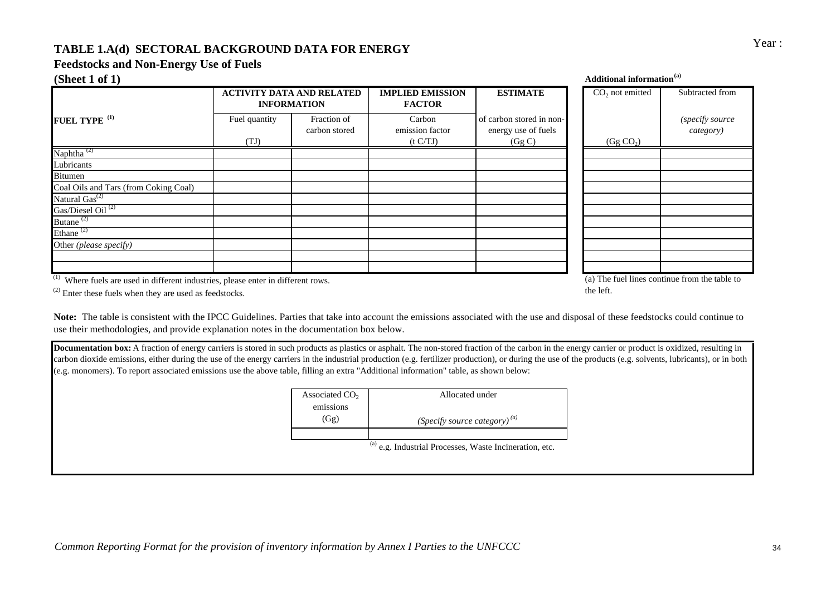### **TABLE 1.A(d) SECTORAL BACKGROUND DATA FOR ENERGY**

# **Feedstocks and Non-Energy Use of Fuels**

| (Sheet 1 of 1)                        |                                                        |                              |                                          |                                                           | <b>Additional information</b> <sup>(a)</sup> |                              |
|---------------------------------------|--------------------------------------------------------|------------------------------|------------------------------------------|-----------------------------------------------------------|----------------------------------------------|------------------------------|
|                                       | <b>ACTIVITY DATA AND RELATED</b><br><b>INFORMATION</b> |                              | <b>IMPLIED EMISSION</b><br><b>FACTOR</b> | <b>ESTIMATE</b>                                           | $CO2$ not emitted                            | Subtracted from              |
| FUEL TYPE <sup>(1)</sup>              | Fuel quantity<br>(TJ)                                  | Fraction of<br>carbon stored | Carbon<br>emission factor<br>(t C/TJ)    | of carbon stored in non-<br>energy use of fuels<br>(Gg C) | (Gg CO <sub>2</sub> )                        | (specify source<br>category) |
| Naphtha $^{(2)}$                      |                                                        |                              |                                          |                                                           |                                              |                              |
| Lubricants                            |                                                        |                              |                                          |                                                           |                                              |                              |
| <b>Bitumen</b>                        |                                                        |                              |                                          |                                                           |                                              |                              |
| Coal Oils and Tars (from Coking Coal) |                                                        |                              |                                          |                                                           |                                              |                              |
| Natural $\overline{Gas}^{(2)}$        |                                                        |                              |                                          |                                                           |                                              |                              |
| Gas/Diesel Oil <sup>(2)</sup>         |                                                        |                              |                                          |                                                           |                                              |                              |
| Butane <sup>(2)</sup>                 |                                                        |                              |                                          |                                                           |                                              |                              |
| Ethane <sup>(2)</sup>                 |                                                        |                              |                                          |                                                           |                                              |                              |
| Other (please specify)                |                                                        |                              |                                          |                                                           |                                              |                              |
|                                       |                                                        |                              |                                          |                                                           |                                              |                              |
|                                       |                                                        |                              |                                          |                                                           |                                              |                              |

 $(1)$  Where fuels are used in different industries, please enter in different rows.

(a) The fuel lines continue from the table to the left.

 $(2)$  Enter these fuels when they are used as feedstocks.

**Note:** The table is consistent with the IPCC Guidelines. Parties that take into account the emissions associated with the use and disposal of these feedstocks could continue to use their methodologies, and provide explanation notes in the documentation box below.

**Documentation box:** A fraction of energy carriers is stored in such products as plastics or asphalt. The non-stored fraction of the carbon in the energy carrier or product is oxidized, resulting in carbon dioxide emissions, either during the use of the energy carriers in the industrial production (e.g. fertilizer production), or during the use of the products (e.g. solvents, lubricants), or in both (e.g. monomers). To report associated emissions use the above table, filling an extra "Additional information" table, as shown below:

| Associated $CO2$ | Allocated under                    |
|------------------|------------------------------------|
| emissions        |                                    |
| (Gg)             | (Specify source category) $^{(a)}$ |
|                  |                                    |
|                  | $\sim$                             |

 $^{(a)}$  e.g. Industrial Processes, Waste Incineration, etc.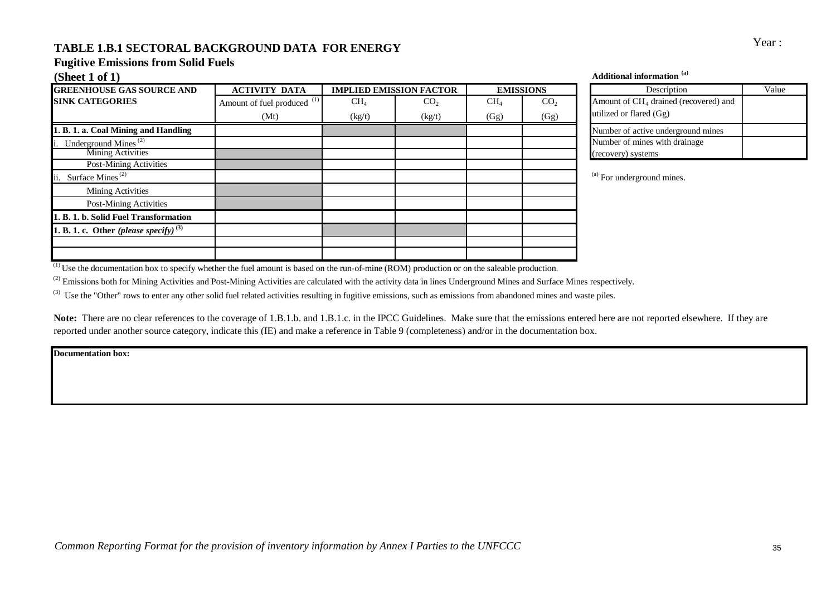# Year : **TABLE 1.B.1 SECTORAL BACKGROUND DATA FOR ENERGY**

# **Fugitive Emissions from Solid Fuels**

| <b>GREENHOUSE GAS SOURCE AND</b>            | <b>ACTIVITY DATA</b>                   |        | <b>IMPLIED EMISSION FACTOR</b> | <b>EMISSIONS</b> |                 | Description                                       | Value |
|---------------------------------------------|----------------------------------------|--------|--------------------------------|------------------|-----------------|---------------------------------------------------|-------|
| <b>SINK CATEGORIES</b>                      | Amount of fuel produced <sup>(1)</sup> | $CH_4$ | CO <sub>2</sub>                | CH <sub>4</sub>  | CO <sub>2</sub> | Amount of CH <sub>4</sub> drained (recovered) and |       |
|                                             | (Mt)                                   | (kg/t) | (kg/t)                         | (Gg)             | (Gg)            | utilized or flared (Gg)                           |       |
| 1. B. 1. a. Coal Mining and Handling        |                                        |        |                                |                  |                 | Number of active underground mines                |       |
| i. Underground Mines $^{(2)}$               |                                        |        |                                |                  |                 | Number of mines with drainage                     |       |
| <b>Mining Activities</b>                    |                                        |        |                                |                  |                 | (recovery) systems                                |       |
| <b>Post-Mining Activities</b>               |                                        |        |                                |                  |                 |                                                   |       |
| ii. Surface Mines <sup>(2)</sup>            |                                        |        |                                |                  |                 | <sup>(a)</sup> For underground mines.             |       |
| Mining Activities                           |                                        |        |                                |                  |                 |                                                   |       |
| Post-Mining Activities                      |                                        |        |                                |                  |                 |                                                   |       |
| 1. B. 1. b. Solid Fuel Transformation       |                                        |        |                                |                  |                 |                                                   |       |
| 1. B. 1. c. Other (please specify) $^{(3)}$ |                                        |        |                                |                  |                 |                                                   |       |
|                                             |                                        |        |                                |                  |                 |                                                   |       |
|                                             |                                        |        |                                |                  |                 |                                                   |       |

#### **(Sheet 1 of 1) Additional information (a)**

| Description                             | Value |
|-----------------------------------------|-------|
| Amount of $CH4$ drained (recovered) and |       |
| utilized or flared (Gg)                 |       |
| Number of active underground mines      |       |
| Number of mines with drainage           |       |
| (recovery) systems                      |       |

 $^{(1)}$  Use the documentation box to specify whether the fuel amount is based on the run-of-mine (ROM) production or on the saleable production.

<sup>(2)</sup> Emissions both for Mining Activities and Post-Mining Activities are calculated with the activity data in lines Underground Mines and Surface Mines respectively.

<sup>(3)</sup> Use the "Other" rows to enter any other solid fuel related activities resulting in fugitive emissions, such as emissions from abandoned mines and waste piles.

Note: There are no clear references to the coverage of 1.B.1.b. and 1.B.1.c. in the IPCC Guidelines. Make sure that the emissions entered here are not reported elsewhere. If they are reported under another source category, indicate this (IE) and make a reference in Table 9 (completeness) and/or in the documentation box.

**Documentation box:**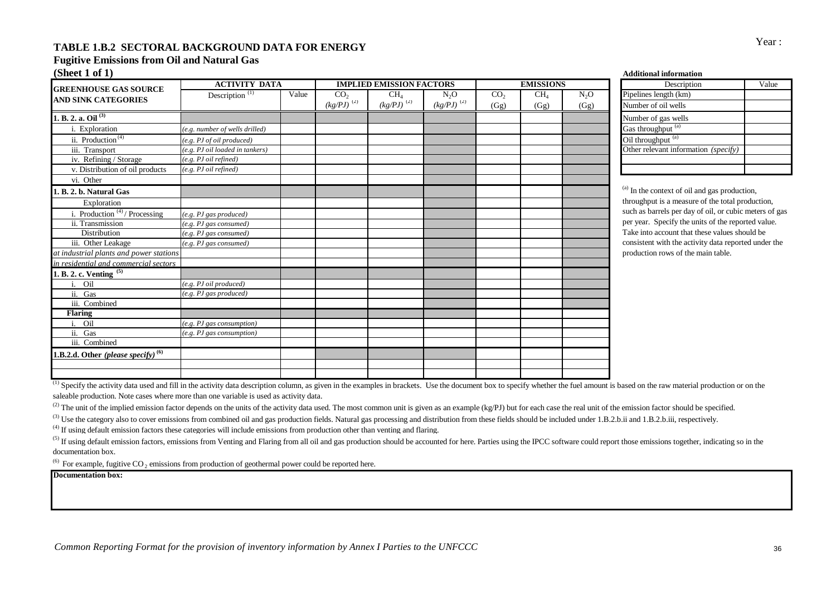# Year : **TABLE 1.B.2 SECTORAL BACKGROUND DATA FOR ENERGY**

#### **Fugitive Emissions from Oil and Natural Gas**

**(Sheet 1 of 1) Additional information**

|                                                | <b>ACTIVITY DATA</b>            |       | <b>IMPLIED EMISSION FACTORS</b> |                            | <b>EMISSIONS</b> |                 | Description     |        |                                                    |
|------------------------------------------------|---------------------------------|-------|---------------------------------|----------------------------|------------------|-----------------|-----------------|--------|----------------------------------------------------|
| <b>GREENHOUSE GAS SOURCE</b>                   | Description $\overline{^{(1)}}$ | Value | CO <sub>2</sub>                 | CH <sub>4</sub>            | $N_2O$           | CO <sub>2</sub> | CH <sub>4</sub> | $N_2O$ | Pipelines length (km)                              |
| <b>AND SINK CATEGORIES</b>                     |                                 |       | $(kg/PJ)^{(2)}$                 | $\left(kg/PJ\right)^{(2)}$ | $(kg/PJ)^{(2)}$  | (Gg)            | (Gg)            | (Gg)   | Number of oil wells                                |
| 1. B. 2. a. Oil $^{(3)}$                       |                                 |       |                                 |                            |                  |                 |                 |        | Number of gas wells                                |
| i. Exploration                                 | (e.g. number of wells drilled)  |       |                                 |                            |                  |                 |                 |        | Gas throughput (a)                                 |
| ii. Production <sup>(4)</sup>                  | $(e.g.$ PJ of oil produced)     |       |                                 |                            |                  |                 |                 |        | Oil throughput <sup>(a)</sup>                      |
| iii. Transport                                 | (e.g. PJ oil loaded in tankers) |       |                                 |                            |                  |                 |                 |        | Other relevant information (specify)               |
| iv. Refining / Storage                         | (e.g. PJ oil refined)           |       |                                 |                            |                  |                 |                 |        |                                                    |
| v. Distribution of oil products                | (e.g. PJ oil refined)           |       |                                 |                            |                  |                 |                 |        |                                                    |
| vi. Other                                      |                                 |       |                                 |                            |                  |                 |                 |        |                                                    |
| 1. B. 2. b. Natural Gas                        |                                 |       |                                 |                            |                  |                 |                 |        | <sup>(a)</sup> In the context of oil and gas produ |
| Exploration                                    |                                 |       |                                 |                            |                  |                 |                 |        | throughput is a measure of the total p             |
| i. Production $(4)$ / Processing               | $(e.g.$ PJ gas produced)        |       |                                 |                            |                  |                 |                 |        | such as barrels per day of oil, or cub             |
| ii. Transmission                               | $(e.g.$ PJ gas consumed)        |       |                                 |                            |                  |                 |                 |        | per year. Specify the units of the rep             |
| Distribution                                   | (e.g. PJ gas consumed)          |       |                                 |                            |                  |                 |                 |        | Take into account that these values s              |
| iii. Other Leakage                             | $(e.g.$ PJ gas consumed)        |       |                                 |                            |                  |                 |                 |        | consistent with the activity data repo             |
| at industrial plants and power stations        |                                 |       |                                 |                            |                  |                 |                 |        | production rows of the main table.                 |
| in residential and commercial sectors          |                                 |       |                                 |                            |                  |                 |                 |        |                                                    |
| $\cdot$ B. 2. c. Venting $\overline{5}$        |                                 |       |                                 |                            |                  |                 |                 |        |                                                    |
| Oil                                            | (e.g. PJ oil produced)          |       |                                 |                            |                  |                 |                 |        |                                                    |
| ii. Gas                                        | $(e.g.$ PJ gas produced)        |       |                                 |                            |                  |                 |                 |        |                                                    |
| iii. Combined                                  |                                 |       |                                 |                            |                  |                 |                 |        |                                                    |
| <b>Flaring</b>                                 |                                 |       |                                 |                            |                  |                 |                 |        |                                                    |
| Oil<br>i.                                      | (e.g. PJ gas consumption)       |       |                                 |                            |                  |                 |                 |        |                                                    |
| ii. Gas                                        | (e.g. PJ gas consumption)       |       |                                 |                            |                  |                 |                 |        |                                                    |
| iii. Combined                                  |                                 |       |                                 |                            |                  |                 |                 |        |                                                    |
| 1.B.2.d. Other (please specify) <sup>(6)</sup> |                                 |       |                                 |                            |                  |                 |                 |        |                                                    |
|                                                |                                 |       |                                 |                            |                  |                 |                 |        |                                                    |
|                                                |                                 |       |                                 |                            |                  |                 |                 |        |                                                    |

| Description                          | Value |
|--------------------------------------|-------|
| Pipelines length (km)                |       |
| Number of oil wells                  |       |
| Number of gas wells                  |       |
| Gas throughput <sup>(a)</sup>        |       |
| Oil throughput (a)                   |       |
| Other relevant information (specify) |       |
|                                      |       |
|                                      |       |

In the context of oil and gas production. roughput is a measure of the total production, such as barrels per day of oil, or cubic meters of gas r year. Specify the units of the reported value. ake into account that these values should be msistent with the activity data reported under the oduction rows of the main table.

<sup>(1)</sup> Specify the activity data used and fill in the activity data description column, as given in the examples in brackets. Use the document box to specify whether the fuel amount is based on the raw material production o saleable production. Note cases where more than one variable is used as activity data.

(2) The unit of the implied emission factor depends on the units of the activity data used. The most common unit is given as an example (kg/PJ) but for each case the real unit of the emission factor should be specified.

<sup>(3)</sup> Use the category also to cover emissions from combined oil and gas production fields. Natural gas processing and distribution from these fields should be included under 1.B.2.b.ii and 1.B.2.b.iii, respectively.

<sup>(4)</sup> If using default emission factors these categories will include emissions from production other than venting and flaring.

<sup>(5)</sup> If using default emission factors, emissions from Venting and Flaring from all oil and gas production should be accounted for here. Parties using the IPCC software could report those emissions together, indicating so documentation box.

<sup>(6)</sup> For example, fugitive CO<sub>2</sub> emissions from production of geothermal power could be reported here.

**Documentation box:**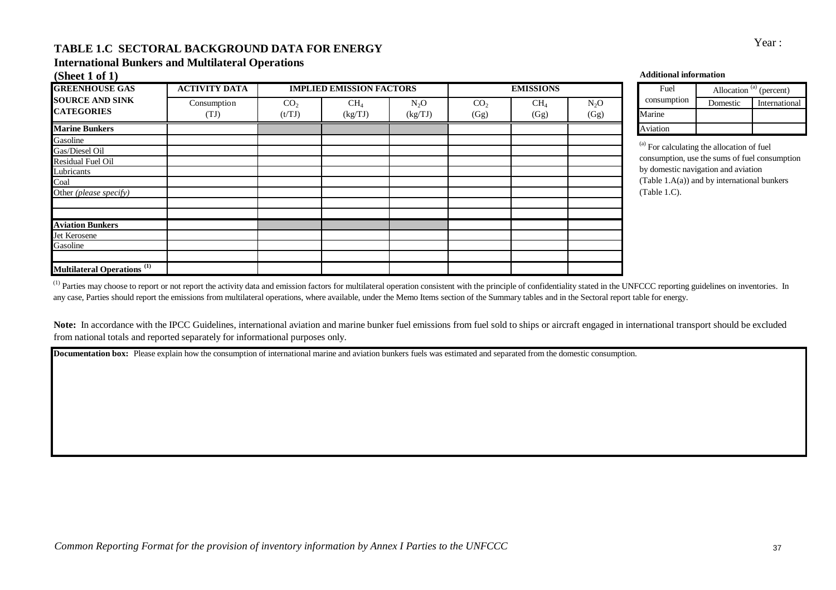# Year : **TABLE 1.C SECTORAL BACKGROUND DATA FOR ENERGY**

### **International Bunkers and Multilateral Operations**

| (Sheet 1 of 1)                                |                      |                 |                                 |         |                 |                  |        | <b>Additional information</b>                         |          |                                     |
|-----------------------------------------------|----------------------|-----------------|---------------------------------|---------|-----------------|------------------|--------|-------------------------------------------------------|----------|-------------------------------------|
| <b>GREENHOUSE GAS</b>                         | <b>ACTIVITY DATA</b> |                 | <b>IMPLIED EMISSION FACTORS</b> |         |                 | <b>EMISSIONS</b> |        | Fuel                                                  |          | Allocation <sup>(a)</sup> (percent) |
| <b>SOURCE AND SINK</b>                        | Consumption          | CO <sub>2</sub> | $CH_4$                          | $N_2O$  | CO <sub>2</sub> | CH <sub>4</sub>  | $N_2O$ | consumption                                           | Domestic | International                       |
| <b>CATEGORIES</b>                             | (TJ)                 | (t/TJ)          | (kg/TJ)                         | (kg/TJ) | (Gg)            | (Gg)             | (Gg)   | Marine                                                |          |                                     |
| <b>Marine Bunkers</b>                         |                      |                 |                                 |         |                 |                  |        | Aviation                                              |          |                                     |
| Gasoline                                      |                      |                 |                                 |         |                 |                  |        |                                                       |          |                                     |
| Gas/Diesel Oil                                |                      |                 |                                 |         |                 |                  |        | <sup>(a)</sup> For calculating the allocation of fuel |          |                                     |
| Residual Fuel Oil                             |                      |                 |                                 |         |                 |                  |        | consumption, use the sums of fuel consumption         |          |                                     |
| Lubricants                                    |                      |                 |                                 |         |                 |                  |        | by domestic navigation and aviation                   |          |                                     |
| Coal                                          |                      |                 |                                 |         |                 |                  |        | (Table $1.A(a)$ ) and by international bunkers        |          |                                     |
| Other (please specify)                        |                      |                 |                                 |         |                 |                  |        | (Table 1.C).                                          |          |                                     |
|                                               |                      |                 |                                 |         |                 |                  |        |                                                       |          |                                     |
| <b>Aviation Bunkers</b>                       |                      |                 |                                 |         |                 |                  |        |                                                       |          |                                     |
| Jet Kerosene                                  |                      |                 |                                 |         |                 |                  |        |                                                       |          |                                     |
| Gasoline                                      |                      |                 |                                 |         |                 |                  |        |                                                       |          |                                     |
| <b>Multilateral Operations</b> <sup>(1)</sup> |                      |                 |                                 |         |                 |                  |        |                                                       |          |                                     |

| Fuel        | Allocation $(a)$ (percent) |               |
|-------------|----------------------------|---------------|
| consumption | Domestic                   | International |
| Marine      |                            |               |
| Aviation    |                            |               |

<sup>(1)</sup> Parties may choose to report or not report the activity data and emission factors for multilateral operation consistent with the principle of confidentiality stated in the UNFCCC reporting guidelines on inventories. any case, Parties should report the emissions from multilateral operations, where available, under the Memo Items section of the Summary tables and in the Sectoral report table for energy.

Note: In accordance with the IPCC Guidelines, international aviation and marine bunker fuel emissions from fuel sold to ships or aircraft engaged in international transport should be excluded from national totals and reported separately for informational purposes only.

**Documentation box:** Please explain how the consumption of international marine and aviation bunkers fuels was estimated and separated from the domestic consumption.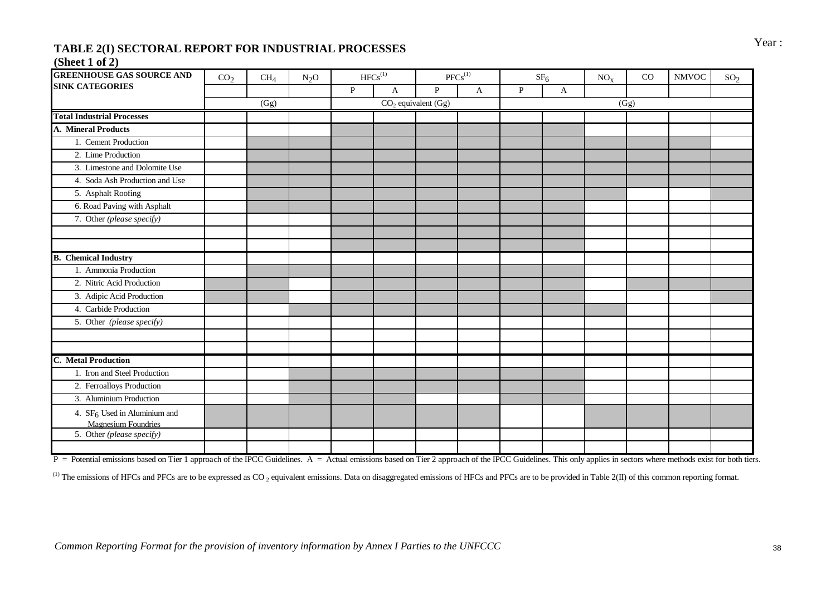# Year : **TABLE 2(I) SECTORAL REPORT FOR INDUSTRIAL PROCESSES**

### **(Sheet 1 of 2)**

| <b>GREENHOUSE GAS SOURCE AND</b>         | CO <sub>2</sub> | CH <sub>4</sub> | $N_2O$ |              | $HFCs^{(1)}$ |                         | $PFCs^{(1)}$ |   | SF <sub>6</sub> | NO <sub>x</sub> | CO   | <b>NMVOC</b> | SO <sub>2</sub> |
|------------------------------------------|-----------------|-----------------|--------|--------------|--------------|-------------------------|--------------|---|-----------------|-----------------|------|--------------|-----------------|
| <b>SINK CATEGORIES</b>                   |                 |                 |        | $\mathbf{P}$ | $\mathbf{A}$ | $\mathbf{P}$            | $\mathbf{A}$ | P | $\mathbf{A}$    |                 |      |              |                 |
|                                          |                 | (Gg)            |        |              |              | $CO2$ equivalent $(Gg)$ |              |   |                 |                 | (Gg) |              |                 |
| <b>Total Industrial Processes</b>        |                 |                 |        |              |              |                         |              |   |                 |                 |      |              |                 |
| <b>A. Mineral Products</b>               |                 |                 |        |              |              |                         |              |   |                 |                 |      |              |                 |
| 1. Cement Production                     |                 |                 |        |              |              |                         |              |   |                 |                 |      |              |                 |
| 2. Lime Production                       |                 |                 |        |              |              |                         |              |   |                 |                 |      |              |                 |
| 3. Limestone and Dolomite Use            |                 |                 |        |              |              |                         |              |   |                 |                 |      |              |                 |
| 4. Soda Ash Production and Use           |                 |                 |        |              |              |                         |              |   |                 |                 |      |              |                 |
| 5. Asphalt Roofing                       |                 |                 |        |              |              |                         |              |   |                 |                 |      |              |                 |
| 6. Road Paving with Asphalt              |                 |                 |        |              |              |                         |              |   |                 |                 |      |              |                 |
| 7. Other (please specify)                |                 |                 |        |              |              |                         |              |   |                 |                 |      |              |                 |
|                                          |                 |                 |        |              |              |                         |              |   |                 |                 |      |              |                 |
|                                          |                 |                 |        |              |              |                         |              |   |                 |                 |      |              |                 |
| <b>B.</b> Chemical Industry              |                 |                 |        |              |              |                         |              |   |                 |                 |      |              |                 |
| 1. Ammonia Production                    |                 |                 |        |              |              |                         |              |   |                 |                 |      |              |                 |
| 2. Nitric Acid Production                |                 |                 |        |              |              |                         |              |   |                 |                 |      |              |                 |
| 3. Adipic Acid Production                |                 |                 |        |              |              |                         |              |   |                 |                 |      |              |                 |
| 4. Carbide Production                    |                 |                 |        |              |              |                         |              |   |                 |                 |      |              |                 |
| 5. Other (please specify)                |                 |                 |        |              |              |                         |              |   |                 |                 |      |              |                 |
|                                          |                 |                 |        |              |              |                         |              |   |                 |                 |      |              |                 |
|                                          |                 |                 |        |              |              |                         |              |   |                 |                 |      |              |                 |
| <b>C.</b> Metal Production               |                 |                 |        |              |              |                         |              |   |                 |                 |      |              |                 |
| 1. Iron and Steel Production             |                 |                 |        |              |              |                         |              |   |                 |                 |      |              |                 |
| 2. Ferroalloys Production                |                 |                 |        |              |              |                         |              |   |                 |                 |      |              |                 |
| 3. Aluminium Production                  |                 |                 |        |              |              |                         |              |   |                 |                 |      |              |                 |
| 4. SF <sub>6</sub> Used in Aluminium and |                 |                 |        |              |              |                         |              |   |                 |                 |      |              |                 |
| <b>Magnesium Foundries</b>               |                 |                 |        |              |              |                         |              |   |                 |                 |      |              |                 |
| 5. Other (please specify)                |                 |                 |        |              |              |                         |              |   |                 |                 |      |              |                 |
|                                          |                 |                 |        |              |              |                         |              |   |                 |                 |      |              |                 |

P = Potential emissions based on Tier 1 approach of the IPCC Guidelines. A = Actual emissions based on Tier 2 approach of the IPCC Guidelines. This only applies in sectors where methods exist for both tiers.

<sup>(1)</sup> The emissions of HFCs and PFCs are to be expressed as CO<sub>2</sub> equivalent emissions. Data on disaggregated emissions of HFCs and PFCs are to be provided in Table 2(II) of this common reporting format.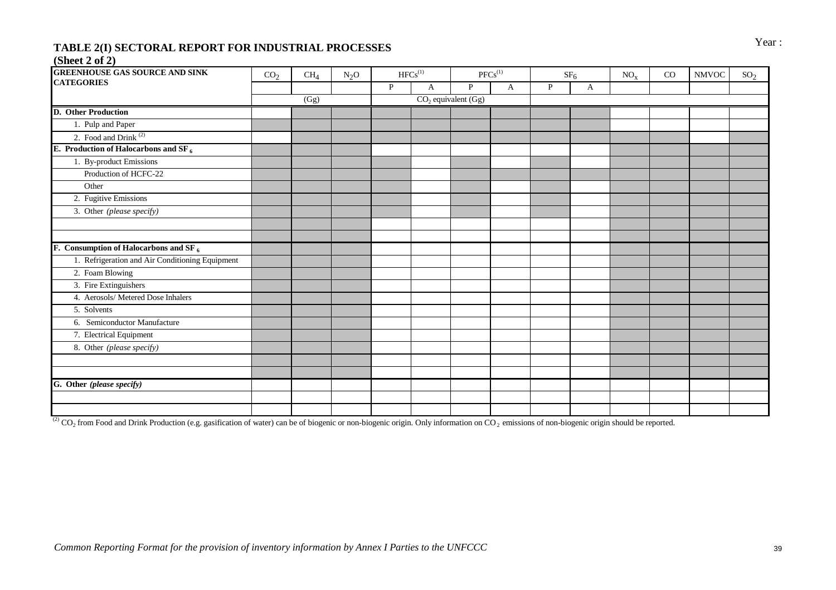# Year : **TABLE 2(I) SECTORAL REPORT FOR INDUSTRIAL PROCESSES**

#### **(Sheet 2 of 2)**

| <b>GREENHOUSE GAS SOURCE AND SINK</b>             | CO <sub>2</sub> | CH <sub>4</sub> | $N_2O$ |              | ${\rm HFCs}^{\left( 1 \right)}$ |                         | ${\rm PFCs}^{(1)}$ |              | SF <sub>6</sub> | $\mathrm{NO}_\mathrm{X}$ | $_{\rm CO}$ | $\ensuremath{\text{NMVOC}}$ | SO <sub>2</sub> |
|---------------------------------------------------|-----------------|-----------------|--------|--------------|---------------------------------|-------------------------|--------------------|--------------|-----------------|--------------------------|-------------|-----------------------------|-----------------|
| <b>CATEGORIES</b>                                 |                 |                 |        | $\mathbf{P}$ | A                               | P                       | A                  | $\mathbf{P}$ | A               |                          |             |                             |                 |
|                                                   |                 | (Gg)            |        |              |                                 | $CO2$ equivalent $(Gg)$ |                    |              |                 |                          |             |                             |                 |
| <b>D.</b> Other Production                        |                 |                 |        |              |                                 |                         |                    |              |                 |                          |             |                             |                 |
| 1. Pulp and Paper                                 |                 |                 |        |              |                                 |                         |                    |              |                 |                          |             |                             |                 |
| 2. Food and Drink <sup>(2)</sup>                  |                 |                 |        |              |                                 |                         |                    |              |                 |                          |             |                             |                 |
| E. Production of Halocarbons and SF $_6$          |                 |                 |        |              |                                 |                         |                    |              |                 |                          |             |                             |                 |
| 1. By-product Emissions                           |                 |                 |        |              |                                 |                         |                    |              |                 |                          |             |                             |                 |
| Production of HCFC-22                             |                 |                 |        |              |                                 |                         |                    |              |                 |                          |             |                             |                 |
| Other                                             |                 |                 |        |              |                                 |                         |                    |              |                 |                          |             |                             |                 |
| 2. Fugitive Emissions                             |                 |                 |        |              |                                 |                         |                    |              |                 |                          |             |                             |                 |
| 3. Other (please specify)                         |                 |                 |        |              |                                 |                         |                    |              |                 |                          |             |                             |                 |
|                                                   |                 |                 |        |              |                                 |                         |                    |              |                 |                          |             |                             |                 |
|                                                   |                 |                 |        |              |                                 |                         |                    |              |                 |                          |             |                             |                 |
| F. Consumption of Halocarbons and SF <sub>6</sub> |                 |                 |        |              |                                 |                         |                    |              |                 |                          |             |                             |                 |
| 1. Refrigeration and Air Conditioning Equipment   |                 |                 |        |              |                                 |                         |                    |              |                 |                          |             |                             |                 |
| 2. Foam Blowing                                   |                 |                 |        |              |                                 |                         |                    |              |                 |                          |             |                             |                 |
| 3. Fire Extinguishers                             |                 |                 |        |              |                                 |                         |                    |              |                 |                          |             |                             |                 |
| 4. Aerosols/ Metered Dose Inhalers                |                 |                 |        |              |                                 |                         |                    |              |                 |                          |             |                             |                 |
| 5. Solvents                                       |                 |                 |        |              |                                 |                         |                    |              |                 |                          |             |                             |                 |
| 6. Semiconductor Manufacture                      |                 |                 |        |              |                                 |                         |                    |              |                 |                          |             |                             |                 |
| 7. Electrical Equipment                           |                 |                 |        |              |                                 |                         |                    |              |                 |                          |             |                             |                 |
| 8. Other (please specify)                         |                 |                 |        |              |                                 |                         |                    |              |                 |                          |             |                             |                 |
|                                                   |                 |                 |        |              |                                 |                         |                    |              |                 |                          |             |                             |                 |
|                                                   |                 |                 |        |              |                                 |                         |                    |              |                 |                          |             |                             |                 |
| G. Other (please specify)                         |                 |                 |        |              |                                 |                         |                    |              |                 |                          |             |                             |                 |
|                                                   |                 |                 |        |              |                                 |                         |                    |              |                 |                          |             |                             |                 |
|                                                   |                 |                 |        |              |                                 |                         |                    |              |                 |                          |             |                             |                 |

(2) CO<sub>2</sub> from Food and Drink Production (e.g. gasification of water) can be of biogenic or non-biogenic origin. Only information on CO<sub>2</sub> emissions of non-biogenic origin should be reported.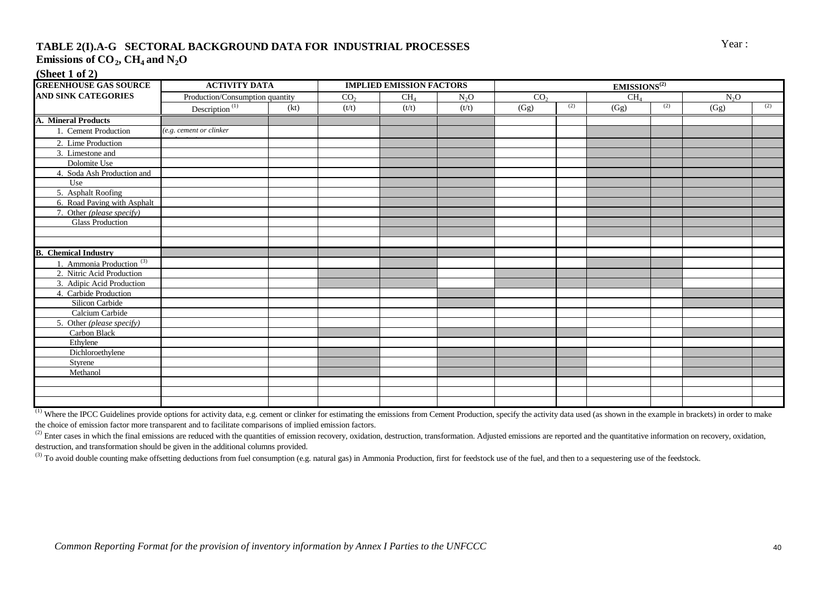## **TABLE 2(I).A-G SECTORAL BACKGROUND DATA FOR INDUSTRIAL PROCESSES** Year : **Emissions of CO**<sub>2</sub>,  $CH_4$  and  $N_2O$

**(Sheet 1 of 2)**

| <b>GREENHOUSE GAS SOURCE</b>      | <b>ACTIVITY DATA</b>            |      |                 | <b>IMPLIED EMISSION FACTORS</b> |                  | <b>EMISSIONS</b> <sup>(2)</sup> |     |                 |     |                  |     |  |
|-----------------------------------|---------------------------------|------|-----------------|---------------------------------|------------------|---------------------------------|-----|-----------------|-----|------------------|-----|--|
| <b>AND SINK CATEGORIES</b>        | Production/Consumption quantity |      | CO <sub>2</sub> | CH <sub>4</sub>                 | N <sub>2</sub> O | CO <sub>2</sub>                 |     | CH <sub>4</sub> |     | N <sub>2</sub> O |     |  |
|                                   | Description <sup>(1)</sup>      | (kt) | (t/t)           | (t/t)                           | (t/t)            | (Gg)                            | (2) | (Gg)            | (2) | (Gg)             | (2) |  |
| A. Mineral Products               |                                 |      |                 |                                 |                  |                                 |     |                 |     |                  |     |  |
| 1. Cement Production              | $(e.g.$ cement or clinker       |      |                 |                                 |                  |                                 |     |                 |     |                  |     |  |
| 2. Lime Production                |                                 |      |                 |                                 |                  |                                 |     |                 |     |                  |     |  |
| 3. Limestone and                  |                                 |      |                 |                                 |                  |                                 |     |                 |     |                  |     |  |
| Dolomite Use                      |                                 |      |                 |                                 |                  |                                 |     |                 |     |                  |     |  |
| 4. Soda Ash Production and        |                                 |      |                 |                                 |                  |                                 |     |                 |     |                  |     |  |
| Use                               |                                 |      |                 |                                 |                  |                                 |     |                 |     |                  |     |  |
| 5. Asphalt Roofing                |                                 |      |                 |                                 |                  |                                 |     |                 |     |                  |     |  |
| 6. Road Paving with Asphalt       |                                 |      |                 |                                 |                  |                                 |     |                 |     |                  |     |  |
| 7. Other (please specify)         |                                 |      |                 |                                 |                  |                                 |     |                 |     |                  |     |  |
| <b>Glass Production</b>           |                                 |      |                 |                                 |                  |                                 |     |                 |     |                  |     |  |
|                                   |                                 |      |                 |                                 |                  |                                 |     |                 |     |                  |     |  |
|                                   |                                 |      |                 |                                 |                  |                                 |     |                 |     |                  |     |  |
| <b>B.</b> Chemical Industry       |                                 |      |                 |                                 |                  |                                 |     |                 |     |                  |     |  |
| Ammonia Production <sup>(3)</sup> |                                 |      |                 |                                 |                  |                                 |     |                 |     |                  |     |  |
| 2. Nitric Acid Production         |                                 |      |                 |                                 |                  |                                 |     |                 |     |                  |     |  |
| 3. Adipic Acid Production         |                                 |      |                 |                                 |                  |                                 |     |                 |     |                  |     |  |
| 4. Carbide Production             |                                 |      |                 |                                 |                  |                                 |     |                 |     |                  |     |  |
| Silicon Carbide                   |                                 |      |                 |                                 |                  |                                 |     |                 |     |                  |     |  |
| Calcium Carbide                   |                                 |      |                 |                                 |                  |                                 |     |                 |     |                  |     |  |
| 5. Other (please specify)         |                                 |      |                 |                                 |                  |                                 |     |                 |     |                  |     |  |
| Carbon Black                      |                                 |      |                 |                                 |                  |                                 |     |                 |     |                  |     |  |
| Ethylene                          |                                 |      |                 |                                 |                  |                                 |     |                 |     |                  |     |  |
| Dichloroethylene                  |                                 |      |                 |                                 |                  |                                 |     |                 |     |                  |     |  |
| <b>Styrene</b>                    |                                 |      |                 |                                 |                  |                                 |     |                 |     |                  |     |  |
| Methanol                          |                                 |      |                 |                                 |                  |                                 |     |                 |     |                  |     |  |
|                                   |                                 |      |                 |                                 |                  |                                 |     |                 |     |                  |     |  |
|                                   |                                 |      |                 |                                 |                  |                                 |     |                 |     |                  |     |  |
|                                   |                                 |      |                 |                                 |                  |                                 |     |                 |     |                  |     |  |

<sup>(1)</sup> Where the IPCC Guidelines provide options for activity data, e.g. cement or clinker for estimating the emissions from Cement Production, specify the activity data used (as shown in the example in brackets) in order t the choice of emission factor more transparent and to facilitate comparisons of implied emission factors.

<sup>(2)</sup> Enter cases in which the final emissions are reduced with the quantities of emission recovery, oxidation, destruction, transformation. Adjusted emissions are reported and the quantitative information on recovery, oxi destruction, and transformation should be given in the additional columns provided.

<sup>(3)</sup> To avoid double counting make offsetting deductions from fuel consumption (e.g. natural gas) in Ammonia Production, first for feedstock use of the fuel, and then to a sequestering use of the feedstock.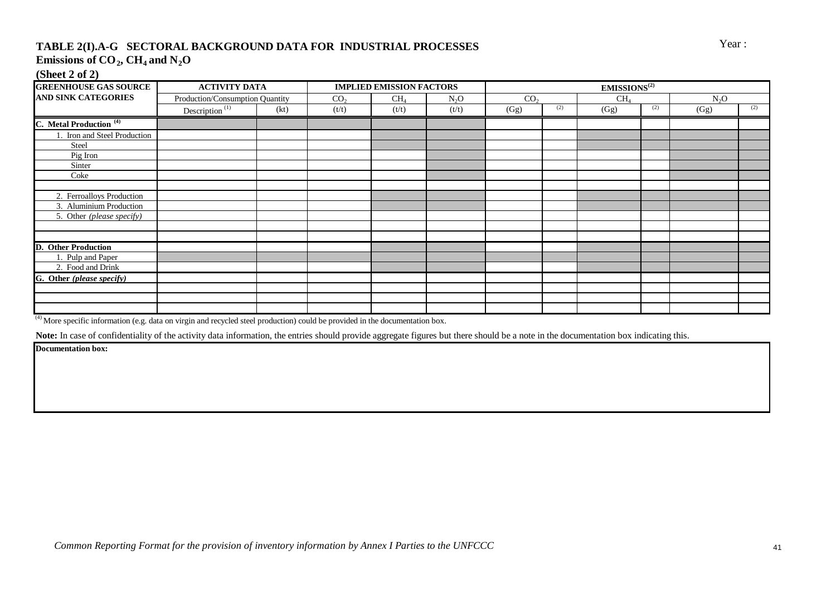## **TABLE 2(I).A-G SECTORAL BACKGROUND DATA FOR INDUSTRIAL PROCESSES** Year : **Emissions of CO<sup>2</sup> , CH4 and N2O**

#### **(Sheet 2 of 2)**

| <b>GREENHOUSE GAS SOURCE</b>       | <b>ACTIVITY DATA</b>                    |      | <b>IMPLIED EMISSION FACTORS</b> |        | EMISSIONS <sup>(2)</sup> |                 |     |                 |     |                  |     |
|------------------------------------|-----------------------------------------|------|---------------------------------|--------|--------------------------|-----------------|-----|-----------------|-----|------------------|-----|
| AND SINK CATEGORIES                | Production/Consumption Quantity         |      | CO <sub>2</sub>                 | $CH_4$ | N <sub>2</sub> O         | CO <sub>2</sub> |     | CH <sub>4</sub> |     | N <sub>2</sub> O |     |
|                                    | Description <sup><math>(1)</math></sup> | (kt) | (t/t)                           | (t/t)  | (t/t)                    | (Gg)            | (2) | (Gg)            | (2) | (Gg)             | (2) |
| C. Metal Production <sup>(4)</sup> |                                         |      |                                 |        |                          |                 |     |                 |     |                  |     |
| 1. Iron and Steel Production       |                                         |      |                                 |        |                          |                 |     |                 |     |                  |     |
| Steel                              |                                         |      |                                 |        |                          |                 |     |                 |     |                  |     |
| Pig Iron                           |                                         |      |                                 |        |                          |                 |     |                 |     |                  |     |
| Sinter                             |                                         |      |                                 |        |                          |                 |     |                 |     |                  |     |
| Coke                               |                                         |      |                                 |        |                          |                 |     |                 |     |                  |     |
|                                    |                                         |      |                                 |        |                          |                 |     |                 |     |                  |     |
| 2. Ferroalloys Production          |                                         |      |                                 |        |                          |                 |     |                 |     |                  |     |
| 3. Aluminium Production            |                                         |      |                                 |        |                          |                 |     |                 |     |                  |     |
| 5. Other (please specify)          |                                         |      |                                 |        |                          |                 |     |                 |     |                  |     |
|                                    |                                         |      |                                 |        |                          |                 |     |                 |     |                  |     |
|                                    |                                         |      |                                 |        |                          |                 |     |                 |     |                  |     |
| <b>D.</b> Other Production         |                                         |      |                                 |        |                          |                 |     |                 |     |                  |     |
| 1. Pulp and Paper                  |                                         |      |                                 |        |                          |                 |     |                 |     |                  |     |
| 2. Food and Drink                  |                                         |      |                                 |        |                          |                 |     |                 |     |                  |     |
| G. Other (please specify)          |                                         |      |                                 |        |                          |                 |     |                 |     |                  |     |
|                                    |                                         |      |                                 |        |                          |                 |     |                 |     |                  |     |
|                                    |                                         |      |                                 |        |                          |                 |     |                 |     |                  |     |
|                                    |                                         |      |                                 |        |                          |                 |     |                 |     |                  |     |

 $\overset{(4)}{ }$  More specific information (e.g. data on virgin and recycled steel production) could be provided in the documentation box.

Note: In case of confidentiality of the activity data information, the entries should provide aggregate figures but there should be a note in the documentation box indicating this.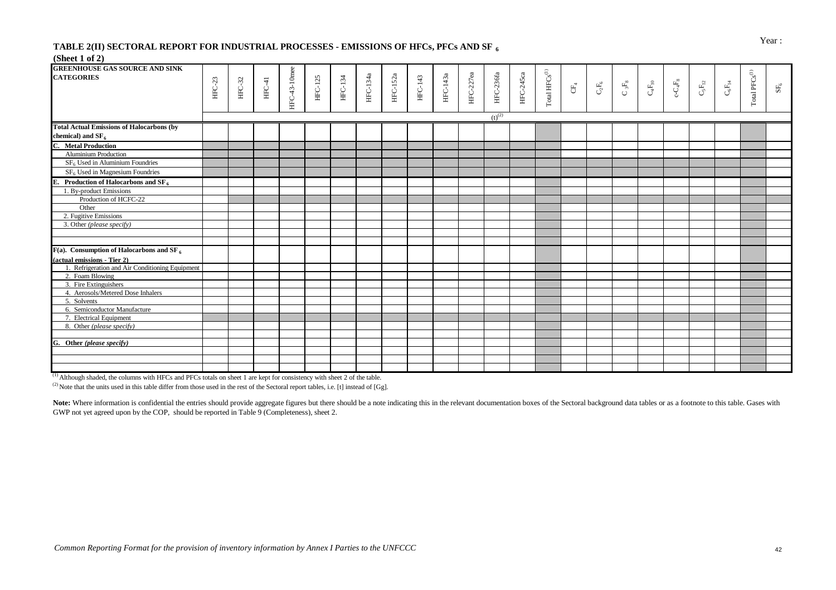## Year : **TABLE 2(II) SECTORAL REPORT FOR INDUSTRIAL PROCESSES - EMISSIONS OF HFCs, PFCs AND SF<sub>6</sub>**

#### **(Sheet 1 of 2)**

| <b>GREENHOUSE GAS SOURCE AND SINK</b>                   |        |        |          |              |                |                |          |          |         |          |           |                  |           |                             |                |                        |                              |                                 |                          |                               |                               |                                            |                 |
|---------------------------------------------------------|--------|--------|----------|--------------|----------------|----------------|----------|----------|---------|----------|-----------|------------------|-----------|-----------------------------|----------------|------------------------|------------------------------|---------------------------------|--------------------------|-------------------------------|-------------------------------|--------------------------------------------|-----------------|
| <b>CATEGORIES</b>                                       |        |        |          |              |                |                |          |          |         |          |           |                  |           |                             |                |                        |                              |                                 |                          |                               |                               |                                            |                 |
|                                                         | HFC-23 | HFC-32 | $HFC-41$ |              | <b>HFC-125</b> | <b>HFC-134</b> | HFC-134a | HFC-152a | HFC-143 | HFC-143a | HFC-227ea | <b>HFC-236fa</b> | HFC-245ca |                             | $\mathbb{E}^4$ | $C_{\!{}_2}F_{\!{}_6}$ | $\mathbf{C}$ $\mathbf{5F_8}$ | $\mathbf{C}_{4}\mathbf{F}_{10}$ | $\text{c-C}_4\text{F}_8$ | $\mathbf{C}_5\mathbf{F}_{12}$ | $\mathbf{C}_6\mathbf{F}_{14}$ |                                            | $\mathrm{SF}_6$ |
|                                                         |        |        |          |              |                |                |          |          |         |          |           |                  |           |                             |                |                        |                              |                                 |                          |                               |                               |                                            |                 |
|                                                         |        |        |          | HFC-43-10mee |                |                |          |          |         |          |           |                  |           | Total $\mathrm{HFCs}^{(1)}$ |                |                        |                              |                                 |                          |                               |                               | $\operatorname{\mathsf{Total} PFCs^{(1)}}$ |                 |
|                                                         |        |        |          |              |                |                |          |          |         |          |           |                  |           |                             |                |                        |                              |                                 |                          |                               |                               |                                            |                 |
|                                                         |        |        |          |              |                |                |          |          |         |          |           | $(t)^{(2)}$      |           |                             |                |                        |                              |                                 |                          |                               |                               |                                            |                 |
| <b>Total Actual Emissions of Halocarbons (by</b>        |        |        |          |              |                |                |          |          |         |          |           |                  |           |                             |                |                        |                              |                                 |                          |                               |                               |                                            |                 |
| chemical) and $SF_6$                                    |        |        |          |              |                |                |          |          |         |          |           |                  |           |                             |                |                        |                              |                                 |                          |                               |                               |                                            |                 |
| C. Metal Production                                     |        |        |          |              |                |                |          |          |         |          |           |                  |           |                             |                |                        |                              |                                 |                          |                               |                               |                                            |                 |
| Aluminium Production                                    |        |        |          |              |                |                |          |          |         |          |           |                  |           |                             |                |                        |                              |                                 |                          |                               |                               |                                            |                 |
| $SF6$ Used in Aluminium Foundries                       |        |        |          |              |                |                |          |          |         |          |           |                  |           |                             |                |                        |                              |                                 |                          |                               |                               |                                            |                 |
| $SF6$ Used in Magnesium Foundries                       |        |        |          |              |                |                |          |          |         |          |           |                  |           |                             |                |                        |                              |                                 |                          |                               |                               |                                            |                 |
| E. Production of Halocarbons and $SF6$                  |        |        |          |              |                |                |          |          |         |          |           |                  |           |                             |                |                        |                              |                                 |                          |                               |                               |                                            |                 |
| 1. By-product Emissions                                 |        |        |          |              |                |                |          |          |         |          |           |                  |           |                             |                |                        |                              |                                 |                          |                               |                               |                                            |                 |
| Production of HCFC-22                                   |        |        |          |              |                |                |          |          |         |          |           |                  |           |                             |                |                        |                              |                                 |                          |                               |                               |                                            |                 |
| Other                                                   |        |        |          |              |                |                |          |          |         |          |           |                  |           |                             |                |                        |                              |                                 |                          |                               |                               |                                            |                 |
| 2. Fugitive Emissions                                   |        |        |          |              |                |                |          |          |         |          |           |                  |           |                             |                |                        |                              |                                 |                          |                               |                               |                                            |                 |
| 3. Other (please specify)                               |        |        |          |              |                |                |          |          |         |          |           |                  |           |                             |                |                        |                              |                                 |                          |                               |                               |                                            |                 |
|                                                         |        |        |          |              |                |                |          |          |         |          |           |                  |           |                             |                |                        |                              |                                 |                          |                               |                               |                                            |                 |
|                                                         |        |        |          |              |                |                |          |          |         |          |           |                  |           |                             |                |                        |                              |                                 |                          |                               |                               |                                            |                 |
| $F(a)$ . Consumption of Halocarbons and SF <sub>6</sub> |        |        |          |              |                |                |          |          |         |          |           |                  |           |                             |                |                        |                              |                                 |                          |                               |                               |                                            |                 |
| (actual emissions - Tier 2)                             |        |        |          |              |                |                |          |          |         |          |           |                  |           |                             |                |                        |                              |                                 |                          |                               |                               |                                            |                 |
| 1. Refrigeration and Air Conditioning Equipment         |        |        |          |              |                |                |          |          |         |          |           |                  |           |                             |                |                        |                              |                                 |                          |                               |                               |                                            |                 |
| 2. Foam Blowing                                         |        |        |          |              |                |                |          |          |         |          |           |                  |           |                             |                |                        |                              |                                 |                          |                               |                               |                                            |                 |
| 3. Fire Extinguishers                                   |        |        |          |              |                |                |          |          |         |          |           |                  |           |                             |                |                        |                              |                                 |                          |                               |                               |                                            |                 |
| 4. Aerosols/Metered Dose Inhalers                       |        |        |          |              |                |                |          |          |         |          |           |                  |           |                             |                |                        |                              |                                 |                          |                               |                               |                                            |                 |
| 5. Solvents                                             |        |        |          |              |                |                |          |          |         |          |           |                  |           |                             |                |                        |                              |                                 |                          |                               |                               |                                            |                 |
| 6. Semiconductor Manufacture                            |        |        |          |              |                |                |          |          |         |          |           |                  |           |                             |                |                        |                              |                                 |                          |                               |                               |                                            |                 |
| 7. Electrical Equipment                                 |        |        |          |              |                |                |          |          |         |          |           |                  |           |                             |                |                        |                              |                                 |                          |                               |                               |                                            |                 |
| 8. Other (please specify)                               |        |        |          |              |                |                |          |          |         |          |           |                  |           |                             |                |                        |                              |                                 |                          |                               |                               |                                            |                 |
|                                                         |        |        |          |              |                |                |          |          |         |          |           |                  |           |                             |                |                        |                              |                                 |                          |                               |                               |                                            |                 |
| G. Other (please specify)                               |        |        |          |              |                |                |          |          |         |          |           |                  |           |                             |                |                        |                              |                                 |                          |                               |                               |                                            |                 |
|                                                         |        |        |          |              |                |                |          |          |         |          |           |                  |           |                             |                |                        |                              |                                 |                          |                               |                               |                                            |                 |
|                                                         |        |        |          |              |                |                |          |          |         |          |           |                  |           |                             |                |                        |                              |                                 |                          |                               |                               |                                            |                 |
|                                                         |        |        |          |              |                |                |          |          |         |          |           |                  |           |                             |                |                        |                              |                                 |                          |                               |                               |                                            |                 |

(1) Although shaded, the columns with HFCs and PFCs totals on sheet 1 are kept for consistency with sheet 2 of the table.

 $^{(2)}$  Note that the units used in this table differ from those used in the rest of the Sectoral report tables, i.e. [t] instead of [Gg].

Note: Where information is confidential the entries should provide aggregate figures but there should be a note indicating this in the relevant documentation boxes of the Sectoral background data tables or as a footnote to GWP not yet agreed upon by the COP, should be reported in Table 9 (Completeness), sheet 2.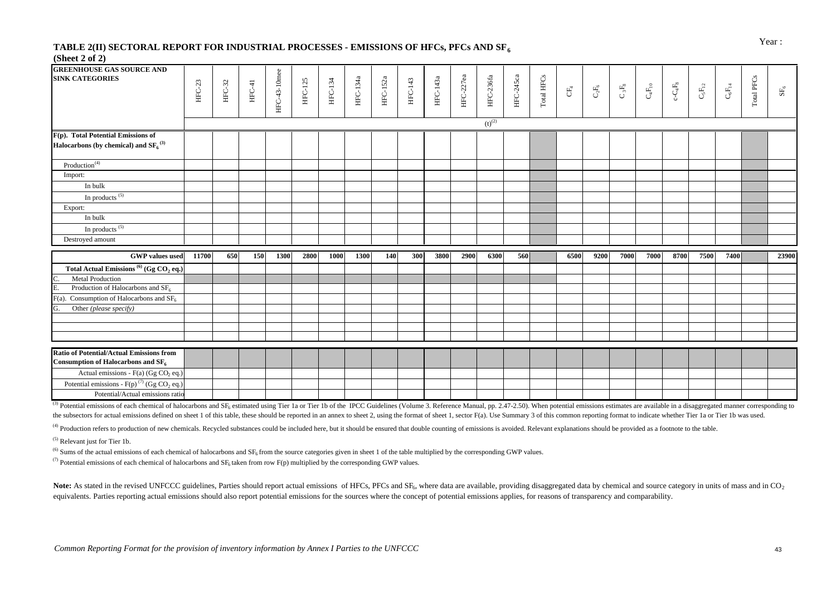# Year : **TABLE 2(II) SECTORAL REPORT FOR INDUSTRIAL PROCESSES - EMISSIONS OF HFCs, PFCs AND SF<sub>6</sub>**

#### **(Sheet 2 of 2)**

| <b>GREENHOUSE GAS SOURCE AND</b><br><b>SINK CATEGORIES</b>                                        | $HFC-23$ | $HFC-32$ | $HFC-41$ | HFC-43-10mee | <b>HFC-125</b> | <b>HFC-134</b> | <b>HFC-134a</b> | HFC-152a | HFC-143 | HFC-143a | HFC-227ea | <b>HFC-236fa</b> | HFC-245ca | Total HFCs | $\mathbb{C}^{\mathbb{F}}_4$ | $\mathbf{C}_2\mathbf{F}_6$ | $\mathbf{C}$ $_3\mathbf{F}_8$ | $\mathrm{C_{4}F_{10}}$ | $\text{c-C}_4\text{F}_8$ | $\mathbf{C}_5\mathbf{F}_{12}$ | $\mathbf{C}_6\mathbf{F}_{14}$ | Total PFCs | $\mathbf{SF}_6$ |
|---------------------------------------------------------------------------------------------------|----------|----------|----------|--------------|----------------|----------------|-----------------|----------|---------|----------|-----------|------------------|-----------|------------|-----------------------------|----------------------------|-------------------------------|------------------------|--------------------------|-------------------------------|-------------------------------|------------|-----------------|
|                                                                                                   |          |          |          |              |                |                |                 |          |         |          |           |                  |           |            |                             |                            |                               |                        |                          |                               |                               |            |                 |
|                                                                                                   |          |          |          |              |                |                |                 |          |         |          |           | $(t)^{(2)}$      |           |            |                             |                            |                               |                        |                          |                               |                               |            |                 |
| F(p). Total Potential Emissions of                                                                |          |          |          |              |                |                |                 |          |         |          |           |                  |           |            |                             |                            |                               |                        |                          |                               |                               |            |                 |
| Halocarbons (by chemical) and $SF6(3)$                                                            |          |          |          |              |                |                |                 |          |         |          |           |                  |           |            |                             |                            |                               |                        |                          |                               |                               |            |                 |
| Production <sup>(4)</sup>                                                                         |          |          |          |              |                |                |                 |          |         |          |           |                  |           |            |                             |                            |                               |                        |                          |                               |                               |            |                 |
| Import:                                                                                           |          |          |          |              |                |                |                 |          |         |          |           |                  |           |            |                             |                            |                               |                        |                          |                               |                               |            |                 |
| In bulk                                                                                           |          |          |          |              |                |                |                 |          |         |          |           |                  |           |            |                             |                            |                               |                        |                          |                               |                               |            |                 |
| In products $(5)$                                                                                 |          |          |          |              |                |                |                 |          |         |          |           |                  |           |            |                             |                            |                               |                        |                          |                               |                               |            |                 |
| Export:                                                                                           |          |          |          |              |                |                |                 |          |         |          |           |                  |           |            |                             |                            |                               |                        |                          |                               |                               |            |                 |
| In bulk                                                                                           |          |          |          |              |                |                |                 |          |         |          |           |                  |           |            |                             |                            |                               |                        |                          |                               |                               |            |                 |
| In products $(5)$                                                                                 |          |          |          |              |                |                |                 |          |         |          |           |                  |           |            |                             |                            |                               |                        |                          |                               |                               |            |                 |
| Destroyed amount                                                                                  |          |          |          |              |                |                |                 |          |         |          |           |                  |           |            |                             |                            |                               |                        |                          |                               |                               |            |                 |
| <b>GWP</b> values used                                                                            | 11700    | 650      | 150      | 1300         | 2800           | 1000           | 1300            | 140      | 300     | 3800     | 2900      | 6300             | 560       |            | 6500                        | 9200                       | 7000                          | 7000                   | 8700                     | 7500                          | 7400                          |            | 23900           |
| Total Actual Emissions <sup>(6)</sup> (Gg CO <sub>2</sub> eq.)                                    |          |          |          |              |                |                |                 |          |         |          |           |                  |           |            |                             |                            |                               |                        |                          |                               |                               |            |                 |
| <b>Metal Production</b>                                                                           |          |          |          |              |                |                |                 |          |         |          |           |                  |           |            |                             |                            |                               |                        |                          |                               |                               |            |                 |
| E.<br>Production of Halocarbons and SF <sub>6</sub>                                               |          |          |          |              |                |                |                 |          |         |          |           |                  |           |            |                             |                            |                               |                        |                          |                               |                               |            |                 |
| F(a). Consumption of Halocarbons and $\rm SF_6$                                                   |          |          |          |              |                |                |                 |          |         |          |           |                  |           |            |                             |                            |                               |                        |                          |                               |                               |            |                 |
| G.<br>Other (please specify)                                                                      |          |          |          |              |                |                |                 |          |         |          |           |                  |           |            |                             |                            |                               |                        |                          |                               |                               |            |                 |
|                                                                                                   |          |          |          |              |                |                |                 |          |         |          |           |                  |           |            |                             |                            |                               |                        |                          |                               |                               |            |                 |
|                                                                                                   |          |          |          |              |                |                |                 |          |         |          |           |                  |           |            |                             |                            |                               |                        |                          |                               |                               |            |                 |
|                                                                                                   |          |          |          |              |                |                |                 |          |         |          |           |                  |           |            |                             |                            |                               |                        |                          |                               |                               |            |                 |
| <b>Ratio of Potential/Actual Emissions from</b><br>Consumption of Halocarbons and SF <sub>6</sub> |          |          |          |              |                |                |                 |          |         |          |           |                  |           |            |                             |                            |                               |                        |                          |                               |                               |            |                 |
| Actual emissions - F(a) (Gg CO <sub>2</sub> eq.)                                                  |          |          |          |              |                |                |                 |          |         |          |           |                  |           |            |                             |                            |                               |                        |                          |                               |                               |            |                 |
| Potential emissions - F(p) <sup>(7)</sup> (Gg CO <sub>2</sub> eq.)                                |          |          |          |              |                |                |                 |          |         |          |           |                  |           |            |                             |                            |                               |                        |                          |                               |                               |            |                 |
| Potential/Actual emissions ratio                                                                  |          |          |          |              |                |                |                 |          |         |          |           |                  |           |            |                             |                            |                               |                        |                          |                               |                               |            |                 |

<sup>(3)</sup> Potential emissions of each chemical of halocarbons and SF<sub>6</sub> estimated using Tier 1a or Tier 1b of the IPCC Guidelines (Volume 3. Reference Manual, pp. 2.47-2.50). When potential emissions estimates are available i the subsectors for actual emissions defined on sheet 1 of this table, these should be reported in an annex to sheet 2, using the format of sheet 1, sector F(a). Use Summary 3 of this common reporting format to indicate whe

<sup>(4)</sup> Production refers to production of new chemicals. Recycled substances could be included here, but it should be ensured that double counting of emissions is avoided. Relevant explanations should be provided as a footn

(5) Relevant just for Tier 1b.

<sup>(6)</sup> Sums of the actual emissions of each chemical of halocarbons and SF<sub>6</sub> from the source categories given in sheet 1 of the table multiplied by the corresponding GWP values.

( $7$ ) Potential emissions of each chemical of halocarbons and  $SF_6$  taken from row F(p) multiplied by the corresponding GWP values.

Note: As stated in the revised UNFCCC guidelines, Parties should report actual emissions of HFCs, PFCs and SF<sub>6</sub>, where data are available, providing disaggregated data by chemical and source category in units of mass and equivalents. Parties reporting actual emissions should also report potential emissions for the sources where the concept of potential emissions applies, for reasons of transparency and comparability.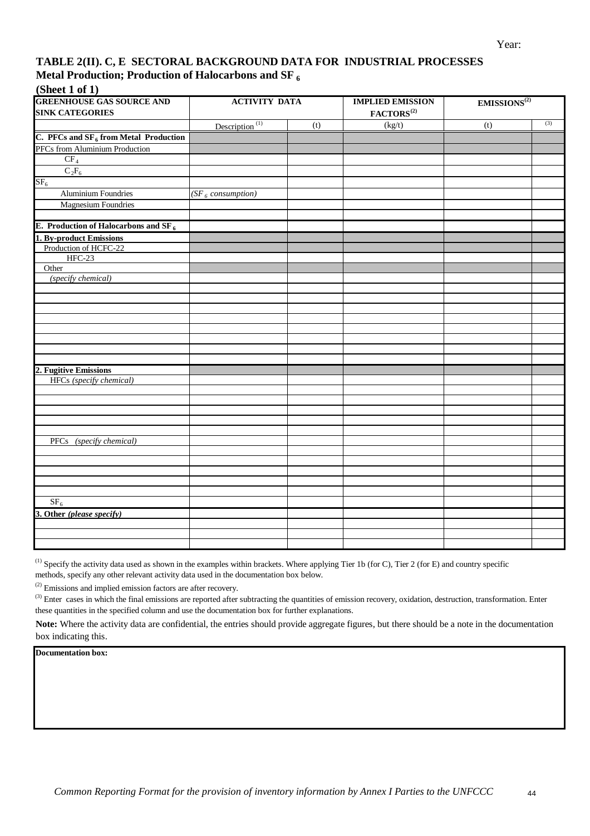#### **TABLE 2(II). C, E SECTORAL BACKGROUND DATA FOR INDUSTRIAL PROCESSES Metal Production; Production of Halocarbons and SF <sup>6</sup>**

#### **(Sheet 1 of 1)**

| $\omega$ iivee ah $\lambda$<br><b>GREENHOUSE GAS SOURCE AND</b><br><b>SINK CATEGORIES</b> | <b>ACTIVITY DATA</b>                    |     | <b>IMPLIED EMISSION</b><br>$\mathbf{FACTORS}^{(2)}$ | EMISSIONS <sup>(2)</sup> |     |
|-------------------------------------------------------------------------------------------|-----------------------------------------|-----|-----------------------------------------------------|--------------------------|-----|
|                                                                                           | Description <sup><math>(1)</math></sup> | (t) | (kg/t)                                              | (t)                      | (3) |
| C. PFCs and $SF_6$ from Metal Production                                                  |                                         |     |                                                     |                          |     |
| PFCs from Aluminium Production                                                            |                                         |     |                                                     |                          |     |
|                                                                                           |                                         |     |                                                     |                          |     |
| $\frac{\text{CF}_4}{\text{C}_2\text{F}_6}$                                                |                                         |     |                                                     |                          |     |
| SF <sub>6</sub>                                                                           |                                         |     |                                                     |                          |     |
| <b>Aluminium Foundries</b>                                                                | (SF <sub>6</sub> consumption)           |     |                                                     |                          |     |
| <b>Magnesium Foundries</b>                                                                |                                         |     |                                                     |                          |     |
|                                                                                           |                                         |     |                                                     |                          |     |
| E. Production of Halocarbons and SF $_6$                                                  |                                         |     |                                                     |                          |     |
| 1. By-product Emissions                                                                   |                                         |     |                                                     |                          |     |
| Production of HCFC-22                                                                     |                                         |     |                                                     |                          |     |
| <b>HFC-23</b>                                                                             |                                         |     |                                                     |                          |     |
| Other                                                                                     |                                         |     |                                                     |                          |     |
| (specify chemical)                                                                        |                                         |     |                                                     |                          |     |
|                                                                                           |                                         |     |                                                     |                          |     |
|                                                                                           |                                         |     |                                                     |                          |     |
|                                                                                           |                                         |     |                                                     |                          |     |
|                                                                                           |                                         |     |                                                     |                          |     |
|                                                                                           |                                         |     |                                                     |                          |     |
|                                                                                           |                                         |     |                                                     |                          |     |
|                                                                                           |                                         |     |                                                     |                          |     |
|                                                                                           |                                         |     |                                                     |                          |     |
| 2. Fugitive Emissions<br>HFCs (specify chemical)                                          |                                         |     |                                                     |                          |     |
|                                                                                           |                                         |     |                                                     |                          |     |
|                                                                                           |                                         |     |                                                     |                          |     |
|                                                                                           |                                         |     |                                                     |                          |     |
|                                                                                           |                                         |     |                                                     |                          |     |
|                                                                                           |                                         |     |                                                     |                          |     |
| PFCs (specify chemical)                                                                   |                                         |     |                                                     |                          |     |
|                                                                                           |                                         |     |                                                     |                          |     |
|                                                                                           |                                         |     |                                                     |                          |     |
|                                                                                           |                                         |     |                                                     |                          |     |
|                                                                                           |                                         |     |                                                     |                          |     |
|                                                                                           |                                         |     |                                                     |                          |     |
| SF <sub>6</sub>                                                                           |                                         |     |                                                     |                          |     |
| 3. Other (please specify)                                                                 |                                         |     |                                                     |                          |     |
|                                                                                           |                                         |     |                                                     |                          |     |
|                                                                                           |                                         |     |                                                     |                          |     |
|                                                                                           |                                         |     |                                                     |                          |     |

 $^{(1)}$  Specify the activity data used as shown in the examples within brackets. Where applying Tier 1b (for C), Tier 2 (for E) and country specific methods, specify any other relevant activity data used in the documentation box below.

(2) Emissions and implied emission factors are after recovery.

 $<sup>(3)</sup>$  Enter cases in which the final emissions are reported after subtracting the quantities of emission recovery, oxidation, destruction, transformation. Enter</sup> these quantities in the specified column and use the documentation box for further explanations.

**Note:** Where the activity data are confidential, the entries should provide aggregate figures, but there should be a note in the documentation box indicating this.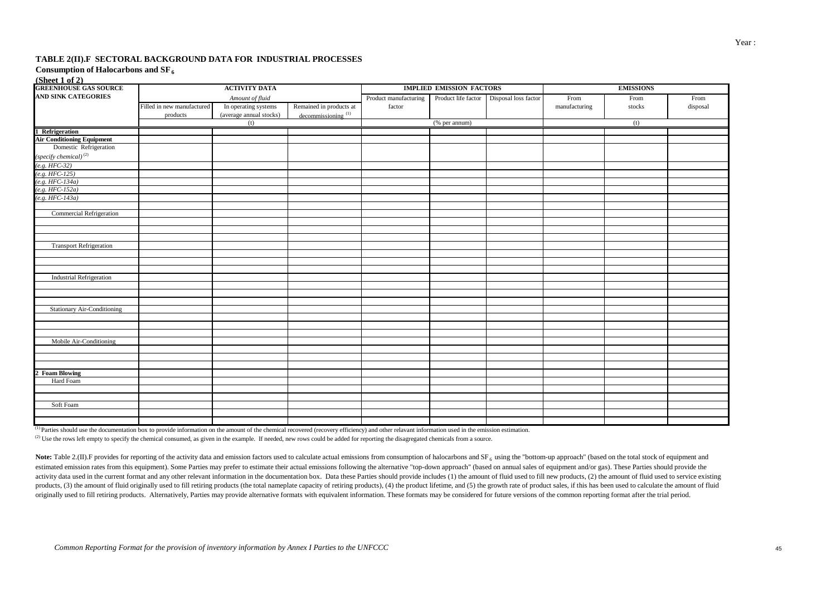#### **TABLE 2(II).F SECTORAL BACKGROUND DATA FOR INDUSTRIAL PROCESSES**

#### $(\mathbf{Choot 1 of 2})$ Consumption of Halocarbons and SF<sub>6</sub>

| <b>GREENHOUSE GAS SOURCE</b>       |                            | <b>ACTIVITY DATA</b>    |                                |                       | <b>IMPLIED EMISSION FACTORS</b> |                                          | <b>EMISSIONS</b> |        |          |  |  |
|------------------------------------|----------------------------|-------------------------|--------------------------------|-----------------------|---------------------------------|------------------------------------------|------------------|--------|----------|--|--|
| <b>AND SINK CATEGORIES</b>         |                            | Amount of fluid         |                                | Product manufacturing |                                 | Product life factor Disposal loss factor | From             | From   | From     |  |  |
|                                    | Filled in new manufactured | In operating systems    | Remained in products at        | factor                |                                 |                                          | manufacturing    | stocks | disposal |  |  |
|                                    | products                   | (average annual stocks) | decommissioning <sup>(1)</sup> |                       |                                 |                                          |                  |        |          |  |  |
|                                    |                            | (t)                     |                                |                       | (% per annum)                   |                                          |                  | (t)    |          |  |  |
| 1 Refrigeration                    |                            |                         |                                |                       |                                 |                                          |                  |        |          |  |  |
| <b>Air Conditioning Equipment</b>  |                            |                         |                                |                       |                                 |                                          |                  |        |          |  |  |
| Domestic Refrigeration             |                            |                         |                                |                       |                                 |                                          |                  |        |          |  |  |
| $(specify\ chemical)^{(2)}$        |                            |                         |                                |                       |                                 |                                          |                  |        |          |  |  |
| $(e.g. HFC-32)$                    |                            |                         |                                |                       |                                 |                                          |                  |        |          |  |  |
| $(e.g. HFC-125)$                   |                            |                         |                                |                       |                                 |                                          |                  |        |          |  |  |
| $(e.g. HFC-134a)$                  |                            |                         |                                |                       |                                 |                                          |                  |        |          |  |  |
| $(e.g. HFC-152a)$                  |                            |                         |                                |                       |                                 |                                          |                  |        |          |  |  |
| $(e.g. HFC-143a)$                  |                            |                         |                                |                       |                                 |                                          |                  |        |          |  |  |
|                                    |                            |                         |                                |                       |                                 |                                          |                  |        |          |  |  |
| <b>Commercial Refrigeration</b>    |                            |                         |                                |                       |                                 |                                          |                  |        |          |  |  |
|                                    |                            |                         |                                |                       |                                 |                                          |                  |        |          |  |  |
|                                    |                            |                         |                                |                       |                                 |                                          |                  |        |          |  |  |
|                                    |                            |                         |                                |                       |                                 |                                          |                  |        |          |  |  |
| <b>Transport Refrigeration</b>     |                            |                         |                                |                       |                                 |                                          |                  |        |          |  |  |
|                                    |                            |                         |                                |                       |                                 |                                          |                  |        |          |  |  |
|                                    |                            |                         |                                |                       |                                 |                                          |                  |        |          |  |  |
| <b>Industrial Refrigeration</b>    |                            |                         |                                |                       |                                 |                                          |                  |        |          |  |  |
|                                    |                            |                         |                                |                       |                                 |                                          |                  |        |          |  |  |
|                                    |                            |                         |                                |                       |                                 |                                          |                  |        |          |  |  |
|                                    |                            |                         |                                |                       |                                 |                                          |                  |        |          |  |  |
| <b>Stationary Air-Conditioning</b> |                            |                         |                                |                       |                                 |                                          |                  |        |          |  |  |
|                                    |                            |                         |                                |                       |                                 |                                          |                  |        |          |  |  |
|                                    |                            |                         |                                |                       |                                 |                                          |                  |        |          |  |  |
|                                    |                            |                         |                                |                       |                                 |                                          |                  |        |          |  |  |
| Mobile Air-Conditioning            |                            |                         |                                |                       |                                 |                                          |                  |        |          |  |  |
|                                    |                            |                         |                                |                       |                                 |                                          |                  |        |          |  |  |
|                                    |                            |                         |                                |                       |                                 |                                          |                  |        |          |  |  |
|                                    |                            |                         |                                |                       |                                 |                                          |                  |        |          |  |  |
| 2 Foam Blowing                     |                            |                         |                                |                       |                                 |                                          |                  |        |          |  |  |
| Hard Foam                          |                            |                         |                                |                       |                                 |                                          |                  |        |          |  |  |
|                                    |                            |                         |                                |                       |                                 |                                          |                  |        |          |  |  |
|                                    |                            |                         |                                |                       |                                 |                                          |                  |        |          |  |  |
| Soft Foam                          |                            |                         |                                |                       |                                 |                                          |                  |        |          |  |  |
|                                    |                            |                         |                                |                       |                                 |                                          |                  |        |          |  |  |
|                                    |                            |                         |                                |                       |                                 |                                          |                  |        |          |  |  |

 $\overline{^{(1)}}$  Parties should use the documentation box to provide information on the amount of the chemical recovered (recovery efficiency) and other relavant information used in the emission estimation.

<sup>(2)</sup> Use the rows left empty to specify the chemical consumed, as given in the example. If needed, new rows could be added for reporting the disagregated chemicals from a source.

Note: Table 2.(II). F provides for reporting of the activity data and emission factors used to calculate actual emissions from consumption of halocarbons and  $SF<sub>6</sub>$  using the "bottom-up approach" (based on the total s estimated emission rates from this equipment). Some Parties may prefer to estimate their actual emissions following the alternative "top-down approach" (based on annual sales of equipment and/or gas). These Parties should activity data used in the current format and any other relevant information in the documentation box. Data these Parties should provide includes (1) the amount of fluid used to fill new products, (2) the amount of fluid us products, (3) the amount of fluid originally used to fill retiring products (the total nameplate capacity of retiring products), (4) the product lifetime, and (5) the growth rate of product sales, if this has been used to originally used to fill retiring products. Alternatively, Parties may provide alternative formats with equivalent information. These formats may be considered for future versions of the common reporting format after the tr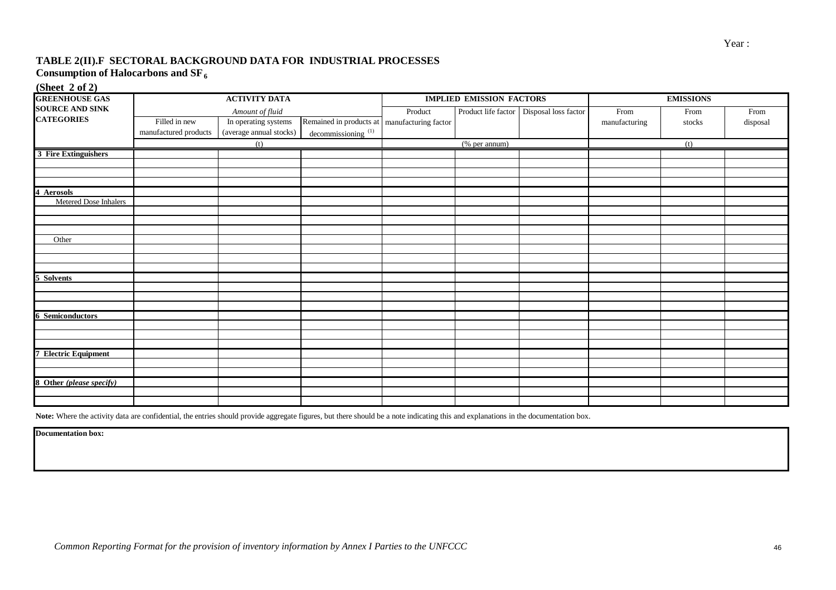#### **TABLE 2(II).F SECTORAL BACKGROUND DATA FOR INDUSTRIAL PROCESSES Consumption of Halocarbons and SF<sup>6</sup>**

**(Sheet 2 of 2)**

| <b>GREENHOUSE GAS</b>       |                       | <b>ACTIVITY DATA</b>    |                                                |         | <b>IMPLIED EMISSION FACTORS</b> |                                            | <b>EMISSIONS</b> |                              |          |  |
|-----------------------------|-----------------------|-------------------------|------------------------------------------------|---------|---------------------------------|--------------------------------------------|------------------|------------------------------|----------|--|
| <b>SOURCE AND SINK</b>      |                       | Amount of fluid         |                                                | Product |                                 | Product life factor   Disposal loss factor | From             | $\ensuremath{\mathsf{From}}$ | From     |  |
| <b>CATEGORIES</b>           | Filled in new         | In operating systems    | Remained in products at   manufacturing factor |         |                                 |                                            | manufacturing    | stocks                       | disposal |  |
|                             | manufactured products | (average annual stocks) | decommissioning <sup>(1)</sup>                 |         |                                 |                                            |                  |                              |          |  |
|                             |                       | (t)                     |                                                |         | (% per annum)                   |                                            |                  | (t)                          |          |  |
| 3 Fire Extinguishers        |                       |                         |                                                |         |                                 |                                            |                  |                              |          |  |
|                             |                       |                         |                                                |         |                                 |                                            |                  |                              |          |  |
|                             |                       |                         |                                                |         |                                 |                                            |                  |                              |          |  |
|                             |                       |                         |                                                |         |                                 |                                            |                  |                              |          |  |
| 4 Aerosols                  |                       |                         |                                                |         |                                 |                                            |                  |                              |          |  |
| Metered Dose Inhalers       |                       |                         |                                                |         |                                 |                                            |                  |                              |          |  |
|                             |                       |                         |                                                |         |                                 |                                            |                  |                              |          |  |
|                             |                       |                         |                                                |         |                                 |                                            |                  |                              |          |  |
| Other                       |                       |                         |                                                |         |                                 |                                            |                  |                              |          |  |
|                             |                       |                         |                                                |         |                                 |                                            |                  |                              |          |  |
|                             |                       |                         |                                                |         |                                 |                                            |                  |                              |          |  |
|                             |                       |                         |                                                |         |                                 |                                            |                  |                              |          |  |
| 5 Solvents                  |                       |                         |                                                |         |                                 |                                            |                  |                              |          |  |
|                             |                       |                         |                                                |         |                                 |                                            |                  |                              |          |  |
|                             |                       |                         |                                                |         |                                 |                                            |                  |                              |          |  |
|                             |                       |                         |                                                |         |                                 |                                            |                  |                              |          |  |
| <b>6 Semiconductors</b>     |                       |                         |                                                |         |                                 |                                            |                  |                              |          |  |
|                             |                       |                         |                                                |         |                                 |                                            |                  |                              |          |  |
|                             |                       |                         |                                                |         |                                 |                                            |                  |                              |          |  |
| <b>7 Electric Equipment</b> |                       |                         |                                                |         |                                 |                                            |                  |                              |          |  |
|                             |                       |                         |                                                |         |                                 |                                            |                  |                              |          |  |
|                             |                       |                         |                                                |         |                                 |                                            |                  |                              |          |  |
| 8 Other (please specify)    |                       |                         |                                                |         |                                 |                                            |                  |                              |          |  |
|                             |                       |                         |                                                |         |                                 |                                            |                  |                              |          |  |
|                             |                       |                         |                                                |         |                                 |                                            |                  |                              |          |  |

Note: Where the activity data are confidential, the entries should provide aggregate figures, but there should be a note indicating this and explanations in the documentation box.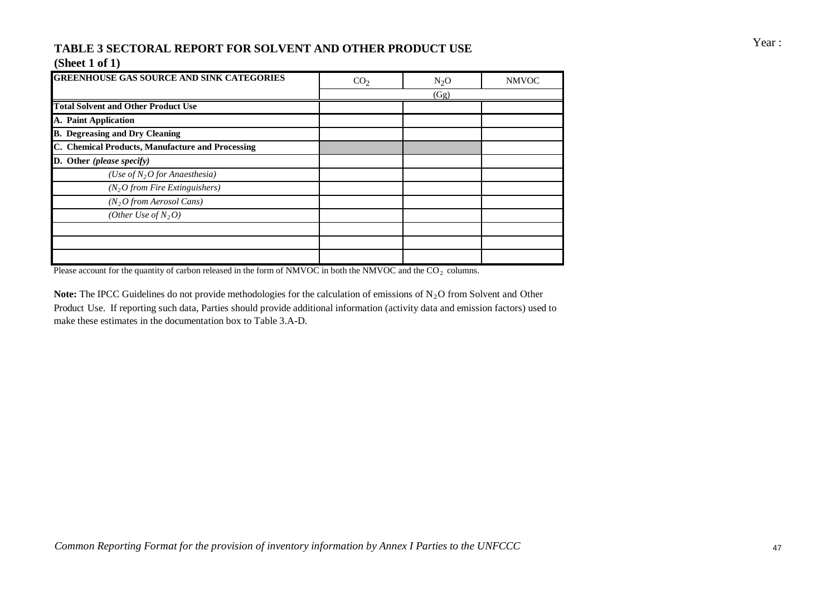# Year : **TABLE 3 SECTORAL REPORT FOR SOLVENT AND OTHER PRODUCT USE**

### **(Sheet 1 of 1)**

| <b>GREENHOUSE GAS SOURCE AND SINK CATEGORIES</b> | CO <sub>2</sub> | $N_2O$ | <b>NMVOC</b> |
|--------------------------------------------------|-----------------|--------|--------------|
|                                                  |                 | (Gg)   |              |
| <b>Total Solvent and Other Product Use</b>       |                 |        |              |
| A. Paint Application                             |                 |        |              |
| <b>B.</b> Degreasing and Dry Cleaning            |                 |        |              |
| C. Chemical Products, Manufacture and Processing |                 |        |              |
| D. Other (please specify)                        |                 |        |              |
| (Use of $N_2O$ for Anaesthesia)                  |                 |        |              |
| (N, O from Fire Extinguishers)                   |                 |        |              |
| $(N_2O$ from Aerosol Cans)                       |                 |        |              |
| (Other Use of $N_2O$ )                           |                 |        |              |
|                                                  |                 |        |              |
|                                                  |                 |        |              |
|                                                  |                 |        |              |

Please account for the quantity of carbon released in the form of NMVOC in both the NMVOC and the  $CO<sub>2</sub>$  columns.

**Note:** The IPCC Guidelines do not provide methodologies for the calculation of emissions of  $N<sub>2</sub>$ O from Solvent and Other Product Use. If reporting such data, Parties should provide additional information (activity data and emission factors) used to make these estimates in the documentation box to Table 3.A-D.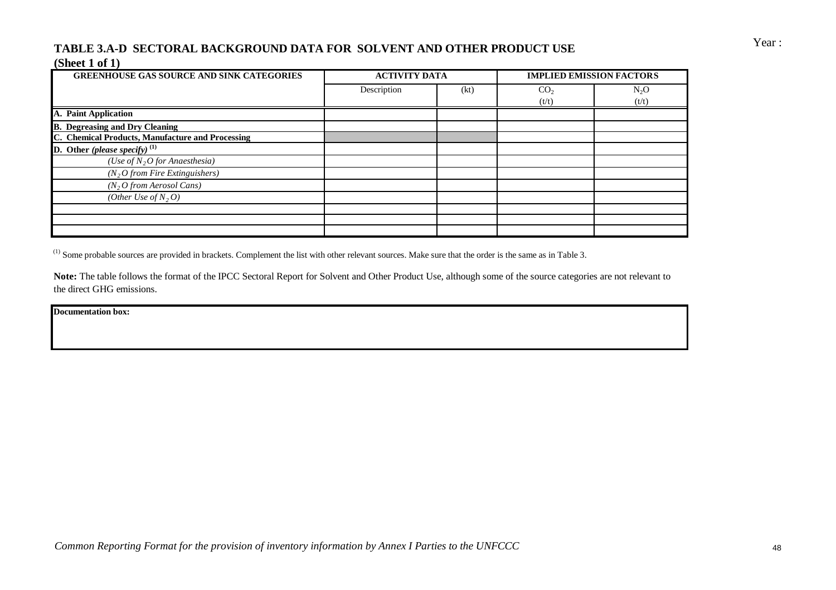## Year : **TABLE 3.A-D SECTORAL BACKGROUND DATA FOR SOLVENT AND OTHER PRODUCT USE (Sheet 1 of 1)**

| <b>GREENHOUSE GAS SOURCE AND SINK CATEGORIES</b> | <b>ACTIVITY DATA</b> |      | <b>IMPLIED EMISSION FACTORS</b> |        |
|--------------------------------------------------|----------------------|------|---------------------------------|--------|
|                                                  | Description          | (kt) | CO <sub>2</sub>                 | $N_2O$ |
|                                                  |                      |      | (t/t)                           | (t/t)  |
| A. Paint Application                             |                      |      |                                 |        |
| <b>B.</b> Degreasing and Dry Cleaning            |                      |      |                                 |        |
| C. Chemical Products, Manufacture and Processing |                      |      |                                 |        |
| <b>D.</b> Other (please specify) $^{(1)}$        |                      |      |                                 |        |
| (Use of $N_2O$ for Anaesthesia)                  |                      |      |                                 |        |
| $(N_2O$ from Fire Extinguishers)                 |                      |      |                                 |        |
| $(N_2O$ from Aerosol Cans)                       |                      |      |                                 |        |
| (Other Use of $N_2$ , O)                         |                      |      |                                 |        |
|                                                  |                      |      |                                 |        |
|                                                  |                      |      |                                 |        |
|                                                  |                      |      |                                 |        |

 $^{(1)}$  Some probable sources are provided in brackets. Complement the list with other relevant sources. Make sure that the order is the same as in Table 3.

Note: The table follows the format of the IPCC Sectoral Report for Solvent and Other Product Use, although some of the source categories are not relevant to the direct GHG emissions.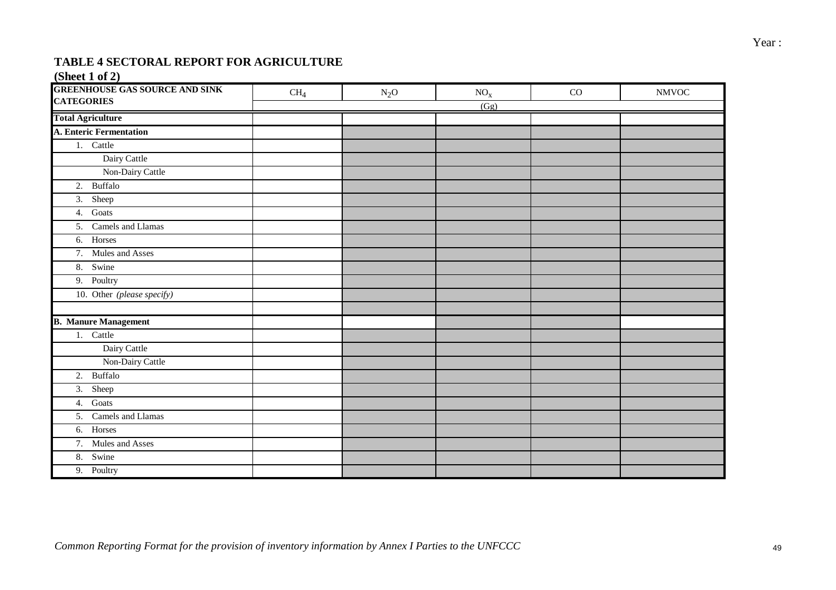## **TABLE 4 SECTORAL REPORT FOR AGRICULTURE**

### **(Sheet 1 of 2)**

| <b>GREENHOUSE GAS SOURCE AND SINK</b><br><b>CATEGORIES</b> | CH <sub>4</sub> | $N_2O$ | $NO_{X}$ | CO | <b>NMVOC</b> |
|------------------------------------------------------------|-----------------|--------|----------|----|--------------|
|                                                            |                 |        | (Gg)     |    |              |
| <b>Total Agriculture</b>                                   |                 |        |          |    |              |
| A. Enteric Fermentation                                    |                 |        |          |    |              |
| 1. Cattle                                                  |                 |        |          |    |              |
| Dairy Cattle                                               |                 |        |          |    |              |
| Non-Dairy Cattle                                           |                 |        |          |    |              |
| 2. Buffalo                                                 |                 |        |          |    |              |
| $\overline{3.}$ Sheep                                      |                 |        |          |    |              |
| 4. Goats                                                   |                 |        |          |    |              |
| 5. Camels and Llamas                                       |                 |        |          |    |              |
| 6. Horses                                                  |                 |        |          |    |              |
| 7. Mules and Asses                                         |                 |        |          |    |              |
| 8. Swine                                                   |                 |        |          |    |              |
| 9. Poultry                                                 |                 |        |          |    |              |
| 10. Other (please specify)                                 |                 |        |          |    |              |
|                                                            |                 |        |          |    |              |
| <b>B. Manure Management</b>                                |                 |        |          |    |              |
| 1. Cattle                                                  |                 |        |          |    |              |
| Dairy Cattle                                               |                 |        |          |    |              |
| Non-Dairy Cattle                                           |                 |        |          |    |              |
| 2. Buffalo                                                 |                 |        |          |    |              |
| 3. Sheep                                                   |                 |        |          |    |              |
| 4. Goats                                                   |                 |        |          |    |              |
| 5. Camels and Llamas                                       |                 |        |          |    |              |
| 6. Horses                                                  |                 |        |          |    |              |
| 7. Mules and Asses                                         |                 |        |          |    |              |
| 8. Swine                                                   |                 |        |          |    |              |
| $\overline{9}$ . Poultry                                   |                 |        |          |    |              |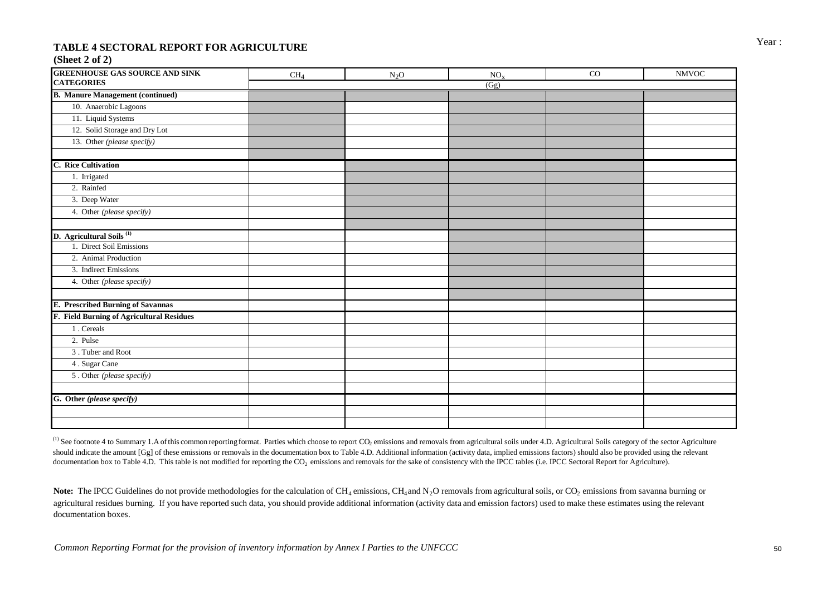# Year : **TABLE 4 SECTORAL REPORT FOR AGRICULTURE**

#### **(Sheet 2 of 2)**

| <b>GREENHOUSE GAS SOURCE AND SINK</b>     | CH <sub>4</sub> | $N_2O$ | NO <sub>x</sub> | $_{\rm CO}$ | <b>NMVOC</b> |
|-------------------------------------------|-----------------|--------|-----------------|-------------|--------------|
| <b>CATEGORIES</b>                         |                 |        | (Gg)            |             |              |
| <b>B. Manure Management (continued)</b>   |                 |        |                 |             |              |
| 10. Anaerobic Lagoons                     |                 |        |                 |             |              |
| 11. Liquid Systems                        |                 |        |                 |             |              |
| 12. Solid Storage and Dry Lot             |                 |        |                 |             |              |
| 13. Other (please specify)                |                 |        |                 |             |              |
|                                           |                 |        |                 |             |              |
| <b>C.</b> Rice Cultivation                |                 |        |                 |             |              |
| 1. Irrigated                              |                 |        |                 |             |              |
| 2. Rainfed                                |                 |        |                 |             |              |
| 3. Deep Water                             |                 |        |                 |             |              |
| 4. Other (please specify)                 |                 |        |                 |             |              |
|                                           |                 |        |                 |             |              |
| D. Agricultural Soils <sup>(1)</sup>      |                 |        |                 |             |              |
| 1. Direct Soil Emissions                  |                 |        |                 |             |              |
| 2. Animal Production                      |                 |        |                 |             |              |
| 3. Indirect Emissions                     |                 |        |                 |             |              |
| 4. Other (please specify)                 |                 |        |                 |             |              |
|                                           |                 |        |                 |             |              |
| E. Prescribed Burning of Savannas         |                 |        |                 |             |              |
| F. Field Burning of Agricultural Residues |                 |        |                 |             |              |
| 1. Cereals                                |                 |        |                 |             |              |
| 2. Pulse                                  |                 |        |                 |             |              |
| 3. Tuber and Root                         |                 |        |                 |             |              |
| 4. Sugar Cane                             |                 |        |                 |             |              |
| 5. Other (please specify)                 |                 |        |                 |             |              |
|                                           |                 |        |                 |             |              |
| G. Other (please specify)                 |                 |        |                 |             |              |
|                                           |                 |        |                 |             |              |
|                                           |                 |        |                 |             |              |

<sup>(1)</sup> See footnote 4 to Summary 1.A of this common reporting format. Parties which choose to report CO<sub>2</sub> emissions and removals from agricultural soils under 4.D. Agricultural Soils category of the sector Agriculture should indicate the amount [Gg] of these emissions or removals in the documentation box to Table 4.D. Additional information (activity data, implied emissions factors) should also be provided using the relevant documentation box to Table 4.D. This table is not modified for reporting the CO<sub>2</sub> emissions and removals for the sake of consistency with the IPCC tables (i.e. IPCC Sectoral Report for Agriculture).

**Note:** The IPCC Guidelines do not provide methodologies for the calculation of  $CH_4$  emissions,  $CH_4$  and  $N<sub>2</sub>O$  removals from agricultural soils, or CO<sub>2</sub> emissions from savanna burning or agricultural residues burning. If you have reported such data, you should provide additional information (activity data and emission factors) used to make these estimates using the relevant documentation boxes.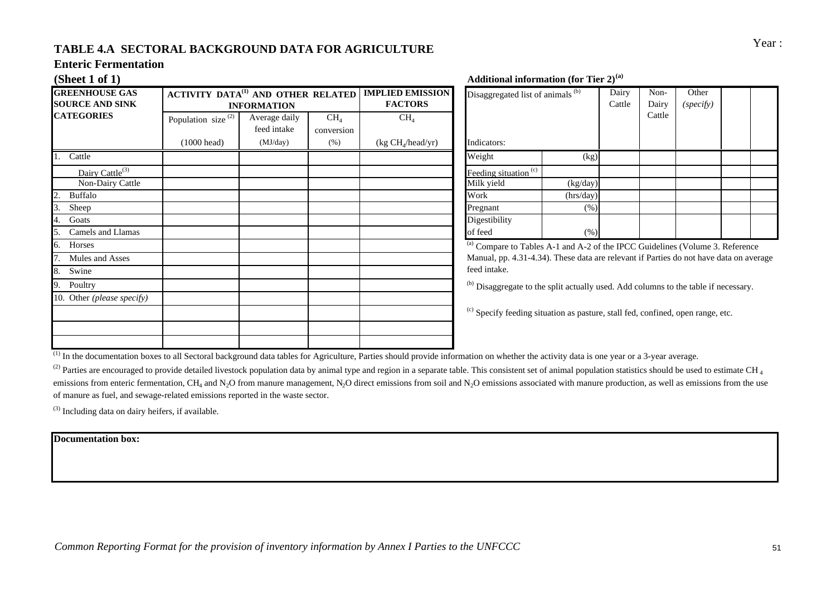# Year : **TABLE 4.A SECTORAL BACKGROUND DATA FOR AGRICULTURE**

#### **Enteric Fermentation**

| <b>GREENHOUSE GAS</b><br><b>SOURCE AND SINK</b> | <b>ACTIVITY DATA<sup>(1)</sup> AND OTHER RELATED</b> | <b>INFORMATION</b>           |                               | <b>IMPLIED EMISSION</b><br><b>FACTORS</b> | Disaggregated list of animals (b)                   |           |
|-------------------------------------------------|------------------------------------------------------|------------------------------|-------------------------------|-------------------------------------------|-----------------------------------------------------|-----------|
| <b>CATEGORIES</b>                               | Population size <sup>(2)</sup>                       | Average daily<br>feed intake | CH <sub>4</sub><br>conversion | CH <sub>4</sub>                           |                                                     |           |
|                                                 | $(1000 \text{ head})$                                | (MJ/day)                     | (% )                          | (kg CH <sub>4</sub> /head/yr)             | Indicators:                                         |           |
| Cattle                                          |                                                      |                              |                               |                                           | Weight                                              | (kg)      |
| Dairy Cattle <sup>(3)</sup>                     |                                                      |                              |                               |                                           | Feeding situation <sup>(c)</sup>                    |           |
| Non-Dairy Cattle                                |                                                      |                              |                               |                                           | Milk yield                                          | (kg/day)  |
| <b>Buffalo</b><br>2.                            |                                                      |                              |                               |                                           | Work                                                | (hrs/day) |
| 3.<br>Sheep                                     |                                                      |                              |                               |                                           | Pregnant                                            | (% )      |
| Goats<br>4.                                     |                                                      |                              |                               |                                           | Digestibility                                       |           |
| Camels and Llamas<br>5.                         |                                                      |                              |                               |                                           | of feed                                             | (% )      |
| Horses<br>6.                                    |                                                      |                              |                               |                                           | <sup>(a)</sup> Compare to Tables A-1 and A-2 o      |           |
| Mules and Asses                                 |                                                      |                              |                               |                                           | Manual, pp. 4.31-4.34). These data a                |           |
| 8.<br>Swine                                     |                                                      |                              |                               |                                           | feed intake.                                        |           |
| 9.<br>Poultry                                   |                                                      |                              |                               |                                           | <sup>(b)</sup> Disaggregate to the split actually u |           |
| 10. Other (please specify)                      |                                                      |                              |                               |                                           |                                                     |           |
|                                                 |                                                      |                              |                               |                                           | <sup>(c)</sup> Specify feeding situation as pasture |           |
|                                                 |                                                      |                              |                               |                                           |                                                     |           |
|                                                 |                                                      |                              |                               |                                           |                                                     |           |

**(Sheet 1 of 1) Additional information (for Tier 2)(a)**

| Disaggregated list of animals (b) | Dairy<br>Cattle | Non-<br>Dairy<br>Cattle | Other<br>(specify) |  |  |
|-----------------------------------|-----------------|-------------------------|--------------------|--|--|
| Indicators:                       |                 |                         |                    |  |  |
| Weight                            | (kg)            |                         |                    |  |  |
| Feeding situation <sup>(c)</sup>  |                 |                         |                    |  |  |
| Milk yield                        | (kg/day)        |                         |                    |  |  |
| Work                              | (hrs/day)       |                         |                    |  |  |
| Pregnant                          | $(\%)$          |                         |                    |  |  |
| Digestibility                     |                 |                         |                    |  |  |
| of feed                           | (% )            |                         |                    |  |  |

 $\overline{a}$ <sup>(a)</sup> Compare to Tables A-1 and A-2 of the IPCC Guidelines (Volume 3. Reference Manual, pp. 4.31-4.34). These data are relevant if Parties do not have data on average feed intake.

(b) Disaggregate to the split actually used. Add columns to the table if necessary.

 $\alpha$ ) Specify feeding situation as pasture, stall fed, confined, open range, etc.

 $\overline{^{(1)}}$  In the documentation boxes to all Sectoral background data tables for Agriculture, Parties should provide information on whether the activity data is one year or a 3-year average.

<sup>(2)</sup> Parties are encouraged to provide detailed livestock population data by animal type and region in a separate table. This consistent set of animal population statistics should be used to estimate CH  $_4$ emissions from enteric fermentation,  $CH_4$  and N<sub>2</sub>O from manure management, N<sub>2</sub>O direct emissions from soil and N<sub>2</sub>O emissions associated with manure production, as well as emissions from the use of manure as fuel, and sewage-related emissions reported in the waste sector.

(3) Including data on dairy heifers, if available.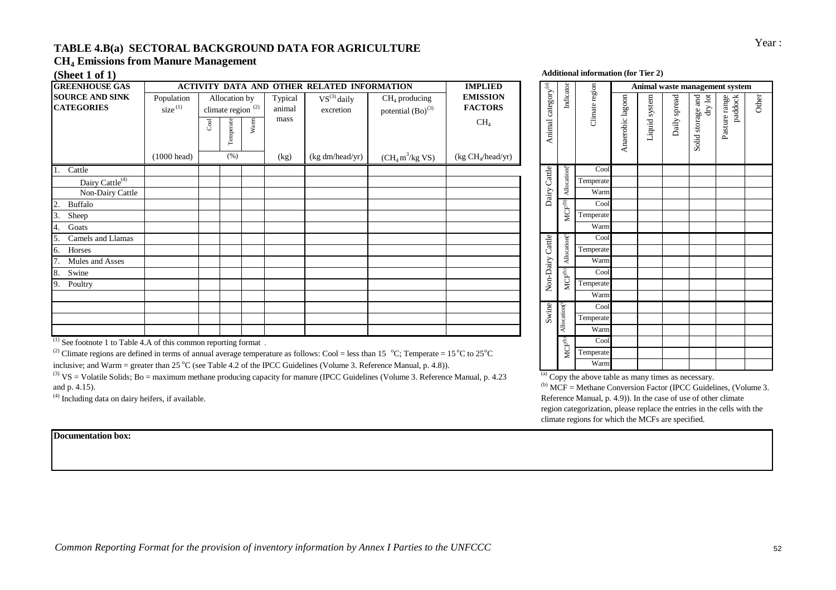## Year : **TABLE 4.B(a) SECTORAL BACKGROUND DATA FOR AGRICULTURE CH4 Emissions from Manure Management**

| <b>GREENHOUSE GAS</b>                       |                                   | <b>ACTIVITY DATA AND OTHER RELATED INFORMATION</b> |                                                       |      |                           |                               |                                           | <b>IMPLIED</b>                                       |                                          |                          |                |
|---------------------------------------------|-----------------------------------|----------------------------------------------------|-------------------------------------------------------|------|---------------------------|-------------------------------|-------------------------------------------|------------------------------------------------------|------------------------------------------|--------------------------|----------------|
| <b>SOURCE AND SINK</b><br><b>CATEGORIES</b> | Population<br>size <sup>(1)</sup> | $_{\rm{Cool}}$                                     | Allocation by<br>climate region $^{(2)}$<br>Temperate | Warm | Typical<br>animal<br>mass | $VS^{(3)}$ daily<br>excretion | $CH4$ producing<br>potential $(Bo)^{(3)}$ | <b>EMISSION</b><br><b>FACTORS</b><br>CH <sub>4</sub> | $\text{category}^{(\text{a})}$<br>Animal | Indicator                | Climate region |
|                                             | $(1000 \text{ head})$             |                                                    | (% )                                                  |      | (kg)                      | (kg dm/head/yr)               | $(CH_4 m^3/kg$ VS)                        | (kg CH <sub>4</sub> /head/yr)                        |                                          |                          |                |
| Cattle                                      |                                   |                                                    |                                                       |      |                           |                               |                                           |                                                      |                                          |                          | Cool           |
| Dairy Cattle <sup>(4)</sup>                 |                                   |                                                    |                                                       |      |                           |                               |                                           |                                                      | Cattle                                   | Allocation(              | Temperate      |
| Non-Dairy Cattle                            |                                   |                                                    |                                                       |      |                           |                               |                                           |                                                      | Dairy                                    |                          | Warm           |
| 2.<br>Buffalo                               |                                   |                                                    |                                                       |      |                           |                               |                                           |                                                      |                                          | $MCF^{(b)}$              | Cool           |
| 3.<br>Sheep                                 |                                   |                                                    |                                                       |      |                           |                               |                                           |                                                      |                                          |                          | Temperate      |
| Goats<br>4.                                 |                                   |                                                    |                                                       |      |                           |                               |                                           |                                                      |                                          |                          | Warm           |
| Camels and Llamas<br>5.                     |                                   |                                                    |                                                       |      |                           |                               |                                           |                                                      | Cattle                                   |                          | Cool           |
| Horses<br>6.                                |                                   |                                                    |                                                       |      |                           |                               |                                           |                                                      |                                          | Allocation <sup>(6</sup> | Temperate      |
| Mules and Asses<br>7.                       |                                   |                                                    |                                                       |      |                           |                               |                                           |                                                      |                                          |                          | Warm           |
| 8.<br>Swine                                 |                                   |                                                    |                                                       |      |                           |                               |                                           |                                                      | Non-Dairy                                | $MCF^{(b)}$              | Cool           |
| 9.<br>Poultry                               |                                   |                                                    |                                                       |      |                           |                               |                                           |                                                      |                                          |                          | Temperate      |
|                                             |                                   |                                                    |                                                       |      |                           |                               |                                           |                                                      |                                          |                          | Warm           |
|                                             |                                   |                                                    |                                                       |      |                           |                               |                                           |                                                      | Swine                                    |                          | Cool           |
|                                             |                                   |                                                    |                                                       |      |                           |                               |                                           |                                                      |                                          | Allocation(9             | Temperate      |
|                                             |                                   |                                                    |                                                       |      |                           |                               |                                           |                                                      |                                          |                          | Warm           |

 $(1)$  See footnote 1 to Table 4.A of this common reporting format.

<sup>(2)</sup> Climate regions are defined in terms of annual average temperature as follows: Cool = less than 15  $\degree$ C; Temperate = 15 $\degree$ C to 25 $\degree$ C

inclusive; and Warm = greater than 25 °C (see Table 4.2 of the IPCC Guidelines (Volume 3. Reference Manual, p. 4.8)). <sup>(3)</sup> VS = Volatile Solids; Bo = maximum methane producing capacity for manure (IPCC Guidelines (Volume 3. Reference Manual, p. 4.23)

and p. 4.15).

(4) Including data on dairy heifers, if available.

#### **(Sheet 1 of 1) Additional information (for Tier 2)**

| MPLIED                                                                          |                                |                    |                |                  | Animal waste management system |              |                                |                          |       |  |  |
|---------------------------------------------------------------------------------|--------------------------------|--------------------|----------------|------------------|--------------------------------|--------------|--------------------------------|--------------------------|-------|--|--|
| <b>MISSION</b><br><b>ACTORS</b><br>CH <sub>4</sub><br>CH <sub>4</sub> /head/yr) | Animal category <sup>(a)</sup> | Indicator          | Climate region | Anaerobic lagoon | Liquid system                  | Daily spread | Solid storage and<br>$dry$ lot | Pasture range<br>paddock | Other |  |  |
|                                                                                 |                                |                    | Cool           |                  |                                |              |                                |                          |       |  |  |
|                                                                                 | Dairy Cattle                   | Allocation(9       | Temperate      |                  |                                |              |                                |                          |       |  |  |
|                                                                                 |                                |                    | Warm           |                  |                                |              |                                |                          |       |  |  |
|                                                                                 |                                | MCF <sup>(b)</sup> | Cool           |                  |                                |              |                                |                          |       |  |  |
|                                                                                 |                                |                    | Temperate      |                  |                                |              |                                |                          |       |  |  |
|                                                                                 |                                |                    | Warm           |                  |                                |              |                                |                          |       |  |  |
|                                                                                 |                                | Allocation(9       | Cool           |                  |                                |              |                                |                          |       |  |  |
|                                                                                 |                                |                    | Temperate      |                  |                                |              |                                |                          |       |  |  |
|                                                                                 |                                |                    | Warm           |                  |                                |              |                                |                          |       |  |  |
|                                                                                 | Non-Dairy Cattle               | $MCF^{(b)}$        | Cool           |                  |                                |              |                                |                          |       |  |  |
|                                                                                 |                                |                    | Temperate      |                  |                                |              |                                |                          |       |  |  |
|                                                                                 |                                |                    | Warm           |                  |                                |              |                                |                          |       |  |  |
|                                                                                 | Swine                          | Allocation(9       | Cool           |                  |                                |              |                                |                          |       |  |  |
|                                                                                 |                                |                    | Temperate      |                  |                                |              |                                |                          |       |  |  |
|                                                                                 |                                |                    | Warm           |                  |                                |              |                                |                          |       |  |  |
|                                                                                 |                                | $MCF^{(b)}$        | Cool           |                  |                                |              |                                |                          |       |  |  |
| $\rm o$ 25 $\rm ^oC$                                                            |                                |                    | Temperate      |                  |                                |              |                                |                          |       |  |  |
|                                                                                 |                                |                    | Warm           |                  |                                |              |                                |                          |       |  |  |

<sup>(a)</sup> Copy the above table as many times as necessary.

 $(1)$ <sup>(b)</sup> MCF = Methane Conversion Factor (IPCC Guidelines, (Volume 3. Reference Manual, p. 4.9)). In the case of use of other climate region categorization, please replace the entries in the cells with the climate regions for which the MCFs are specified.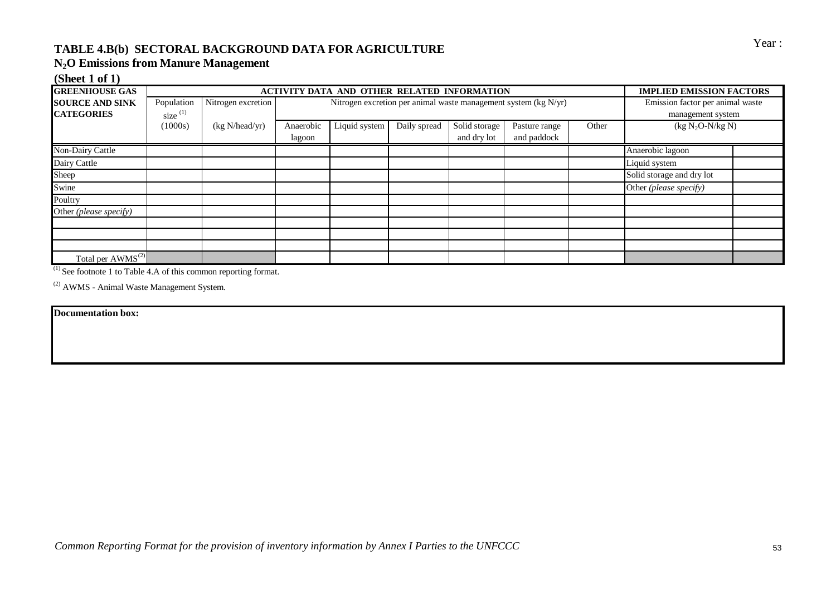# TABLE 4.B(b) SECTORAL BACKGROUND DATA FOR AGRICULTURE<br>
Year:

### **N2O Emissions from Manure Management**

### **(Sheet 1 of 1)**

| <b>GREENHOUSE GAS</b>  |            |                    |           | ACTIVITY DATA AND OTHER RELATED INFORMATION |              |               |                                                                     |       | <b>IMPLIED EMISSION FACTORS</b>  |  |
|------------------------|------------|--------------------|-----------|---------------------------------------------|--------------|---------------|---------------------------------------------------------------------|-------|----------------------------------|--|
| <b>SOURCE AND SINK</b> | Population | Nitrogen excretion |           |                                             |              |               | Nitrogen excretion per animal waste management system ( $kg N/yr$ ) |       | Emission factor per animal waste |  |
| <b>CATEGORIES</b>      | size $(1)$ |                    |           |                                             |              |               |                                                                     |       | management system                |  |
|                        | (1000s)    | (kg N/head/yr)     | Anaerobic | Liquid system                               | Daily spread | Solid storage | Pasture range                                                       | Other | $(kg N2O-N/kg N)$                |  |
|                        |            |                    | lagoon    |                                             |              | and dry lot   | and paddock                                                         |       |                                  |  |
| Non-Dairy Cattle       |            |                    |           |                                             |              |               |                                                                     |       | Anaerobic lagoon                 |  |
| Dairy Cattle           |            |                    |           |                                             |              |               |                                                                     |       | Liquid system                    |  |
| Sheep                  |            |                    |           |                                             |              |               |                                                                     |       | Solid storage and dry lot        |  |
| Swine                  |            |                    |           |                                             |              |               |                                                                     |       | Other (please specify)           |  |
| Poultry                |            |                    |           |                                             |              |               |                                                                     |       |                                  |  |
| Other (please specify) |            |                    |           |                                             |              |               |                                                                     |       |                                  |  |
|                        |            |                    |           |                                             |              |               |                                                                     |       |                                  |  |
|                        |            |                    |           |                                             |              |               |                                                                     |       |                                  |  |
|                        |            |                    |           |                                             |              |               |                                                                     |       |                                  |  |
| Total per $AWMS^{(2)}$ |            |                    |           |                                             |              |               |                                                                     |       |                                  |  |

 $(1)$  See footnote 1 to Table 4.A of this common reporting format.

(2) AWMS - Animal Waste Management System.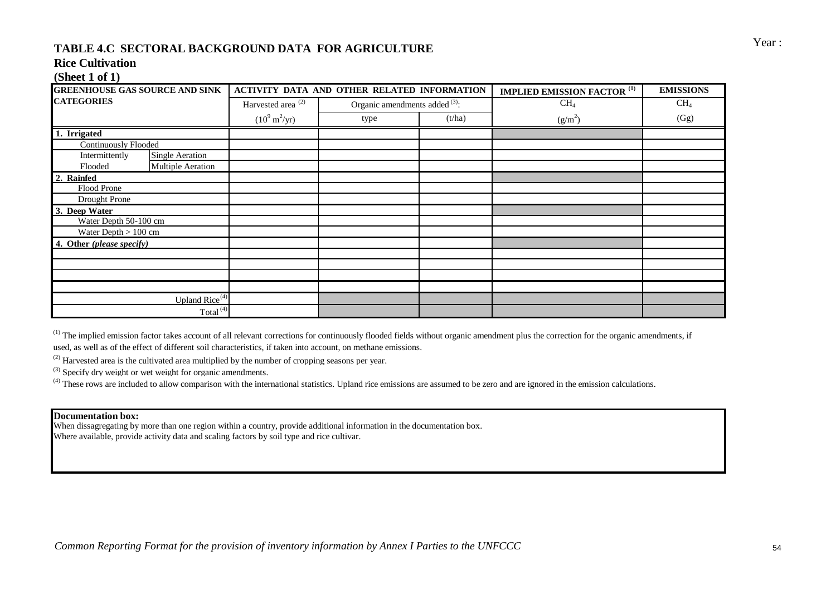# Year : **TABLE 4.C SECTORAL BACKGROUND DATA FOR AGRICULTURE**

#### **Rice Cultivation**

#### **(Sheet 1 of 1)**

| <b>GREENHOUSE GAS SOURCE AND SINK</b>    |                                | <b>ACTIVITY DATA AND OTHER RELATED INFORMATION</b> |        | <b>IMPLIED EMISSION FACTOR (1)</b> | <b>EMISSIONS</b> |
|------------------------------------------|--------------------------------|----------------------------------------------------|--------|------------------------------------|------------------|
| <b>CATEGORIES</b>                        | Harvested area <sup>(2)</sup>  | Organic amendments added $(3)$ :                   |        | CH <sub>4</sub>                    | CH <sub>4</sub>  |
|                                          | $(10^9 \text{ m}^2/\text{yr})$ | type                                               | (t/ha) | $(g/m^2)$                          | (Gg)             |
| 1. Irrigated                             |                                |                                                    |        |                                    |                  |
| <b>Continuously Flooded</b>              |                                |                                                    |        |                                    |                  |
| Intermittently<br><b>Single Aeration</b> |                                |                                                    |        |                                    |                  |
| <b>Multiple Aeration</b><br>Flooded      |                                |                                                    |        |                                    |                  |
| 2. Rainfed                               |                                |                                                    |        |                                    |                  |
| Flood Prone                              |                                |                                                    |        |                                    |                  |
| Drought Prone                            |                                |                                                    |        |                                    |                  |
| 3. Deep Water                            |                                |                                                    |        |                                    |                  |
| Water Depth 50-100 cm                    |                                |                                                    |        |                                    |                  |
| Water Depth $> 100$ cm                   |                                |                                                    |        |                                    |                  |
| 4. Other (please specify)                |                                |                                                    |        |                                    |                  |
|                                          |                                |                                                    |        |                                    |                  |
|                                          |                                |                                                    |        |                                    |                  |
|                                          |                                |                                                    |        |                                    |                  |
|                                          |                                |                                                    |        |                                    |                  |
| Upland $Rice^{(4)}$                      |                                |                                                    |        |                                    |                  |
| Total <sup>(4)</sup>                     |                                |                                                    |        |                                    |                  |

 $<sup>(1)</sup>$  The implied emission factor takes account of all relevant corrections for continuously flooded fields without organic amendment plus the correction for the organic amendments, if</sup> used, as well as of the effect of different soil characteristics, if taken into account, on methane emissions.

 $^{(2)}$  Harvested area is the cultivated area multiplied by the number of cropping seasons per year.

(3) Specify dry weight or wet weight for organic amendments.

<sup>(4)</sup> These rows are included to allow comparison with the international statistics. Upland rice emissions are assumed to be zero and are ignored in the emission calculations.

#### **Documentation box:**

When dissagregating by more than one region within a country, provide additional information in the documentation box. Where available, provide activity data and scaling factors by soil type and rice cultivar.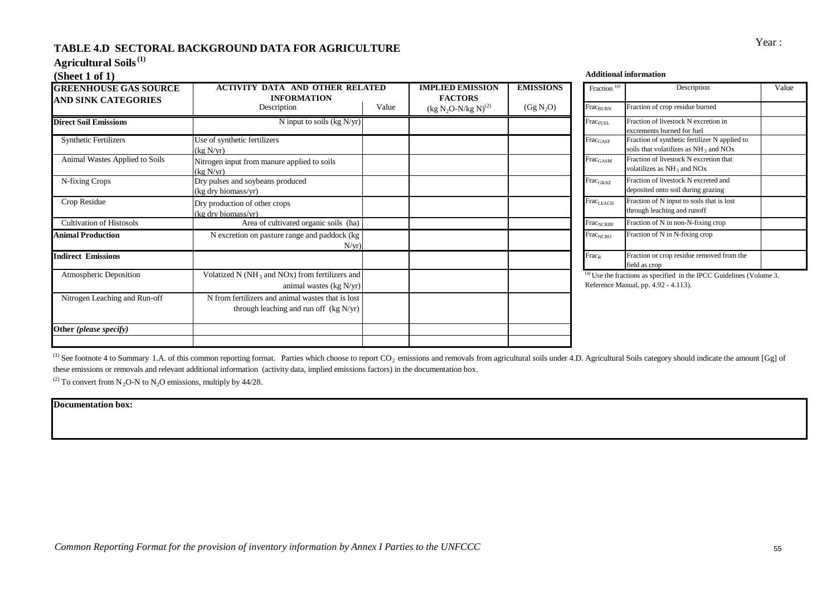# Year : **TABLE 4.D SECTORAL BACKGROUND DATA FOR AGRICULTURE**

**Agricultural Soils(1)**

| (Sheet 1 of 1)                                             |                                                                                               |       |                                           |                       |                                             | <b>Additional information</b>                                                                                  |
|------------------------------------------------------------|-----------------------------------------------------------------------------------------------|-------|-------------------------------------------|-----------------------|---------------------------------------------|----------------------------------------------------------------------------------------------------------------|
| <b>GREENHOUSE GAS SOURCE</b><br><b>AND SINK CATEGORIES</b> | <b>ACTIVITY DATA AND OTHER RELATED</b><br><b>INFORMATION</b>                                  |       | <b>IMPLIED EMISSION</b><br><b>FACTORS</b> | <b>EMISSIONS</b>      | Fraction <sup>(a)</sup>                     | Description                                                                                                    |
|                                                            | Description                                                                                   | Value | $(kg N2O-N/kg N)^{(2)}$                   | (Gg N <sub>2</sub> O) | Frac <sub>BURN</sub>                        | Fraction of crop residue burned                                                                                |
| <b>Direct Soil Emissions</b>                               | N input to soils ( $kg N/yr$ )                                                                |       |                                           |                       | $\rm Frac_{FUEL}$                           | Fraction of livestock N excretion in<br>excrements burned for fuel                                             |
| <b>Synthetic Fertilizers</b>                               | Use of synthetic fertilizers<br>(kg N/yr)                                                     |       |                                           |                       | $Frac_{GASF}$                               | Fraction of synthetic fertilizer N applied to<br>soils that volatilizes as NH <sub>3</sub> and NO <sub>x</sub> |
| Animal Wastes Applied to Soils                             | Nitrogen input from manure applied to soils<br>(kg N/vr)                                      |       |                                           |                       | $\rm Frac_{GASM}$                           | Fraction of livestock N excretion that<br>volatilizes as NH <sub>3</sub> and NO <sub>x</sub>                   |
| N-fixing Crops                                             | Dry pulses and soybeans produced<br>(kg dry biomass/yr)                                       |       |                                           |                       | $\operatorname{Frac}_{\operatorname{GRAZ}}$ | Fraction of livestock N excreted and<br>deposited onto soil during grazing                                     |
| Crop Residue                                               | Dry production of other crops<br>(kg dry biomass/yr)                                          |       |                                           |                       | $\mathrm{Frac}_{\mathrm{LEACH}}$            | Fraction of N input to soils that is lost<br>through leaching and runoff                                       |
| <b>Cultivation of Histosols</b>                            | Area of cultivated organic soils (ha)                                                         |       |                                           |                       | $\operatorname{Frac}_{\text{NCRBF}}$        | Fraction of N in non-N-fixing crop                                                                             |
| <b>Animal Production</b>                                   | N excretion on pasture range and paddock (kg<br>$N/yr$ )                                      |       |                                           |                       | Frac <sub>NCRO</sub>                        | Fraction of N in N-fixing crop                                                                                 |
| <b>Indirect Emissions</b>                                  |                                                                                               |       |                                           |                       | $Frac_{R}$                                  | Fraction or crop residue removed from the<br>field as crop                                                     |
| <b>Atmospheric Deposition</b>                              | Volatized N ( $NH_3$ and NO <sub>x</sub> ) from fertilizers and<br>animal wastes $(kg N/yr)$  |       |                                           |                       |                                             | $^{(a)}$ Use the fractions as specified in the IPCC Guidelines<br>Reference Manual, pp. 4.92 - 4.113).         |
| Nitrogen Leaching and Run-off                              | N from fertilizers and animal wastes that is lost<br>through leaching and run off $(kg N/yr)$ |       |                                           |                       |                                             |                                                                                                                |
| Other (please specify)                                     |                                                                                               |       |                                           |                       |                                             |                                                                                                                |
|                                                            |                                                                                               |       |                                           |                       |                                             |                                                                                                                |

| <b>ED EMISSION</b><br><b>ACTORS</b> | <b>EMISSIONS</b>      | Fraction <sup>(a)</sup>          | Description                                                                                 | Value |
|-------------------------------------|-----------------------|----------------------------------|---------------------------------------------------------------------------------------------|-------|
| $I_2O-N/kg N(2)$                    | (Gg N <sub>2</sub> O) | Frac <sub>BURN</sub>             | Fraction of crop residue burned                                                             |       |
|                                     |                       | Frac <sub>FUEL</sub>             | Fraction of livestock N excretion in<br>excrements burned for fuel                          |       |
|                                     |                       | $Frac_{GASF}$                    | Fraction of synthetic fertilizer N applied to<br>soils that volatilizes as $NH_3$ and $NOx$ |       |
|                                     |                       | $\rm Frac_{GASM}$                | Fraction of livestock N excretion that<br>volatilizes as $NH_3$ and $NOx$                   |       |
|                                     |                       | $\text{Frac}_{\text{GRAZ}}$      | Fraction of livestock N excreted and<br>deposited onto soil during grazing                  |       |
|                                     |                       | $\mathrm{Frac}_{\mathrm{LEACH}}$ | Fraction of N input to soils that is lost<br>through leaching and runoff                    |       |
|                                     |                       | Frac <sub>NCRBF</sub>            | Fraction of N in non-N-fixing crop                                                          |       |
|                                     |                       | Frac <sub>NCRO</sub>             | Fraction of N in N-fixing crop                                                              |       |
|                                     |                       | $Frac_{R}$                       | Fraction or crop residue removed from the<br>field as crop                                  |       |

Use the fractions as specified in the IPCC Guidelines (Volume  $3$ .  $\text{Ference Manual}, \text{pp. } 4.92 - 4.113).$ 

<sup>(1)</sup> See footnote 4 to Summary 1.A. of this common reporting format. Parties which choose to report CO<sub>2</sub> emissions and removals from agricultural soils under 4.D. Agricultural Soils category should indicate the amount [ these emissions or removals and relevant additional information (activity data, implied emissions factors) in the documentation box.

<sup>(2)</sup> To convert from N<sub>2</sub>O-N to N<sub>2</sub>O emissions, multiply by 44/28.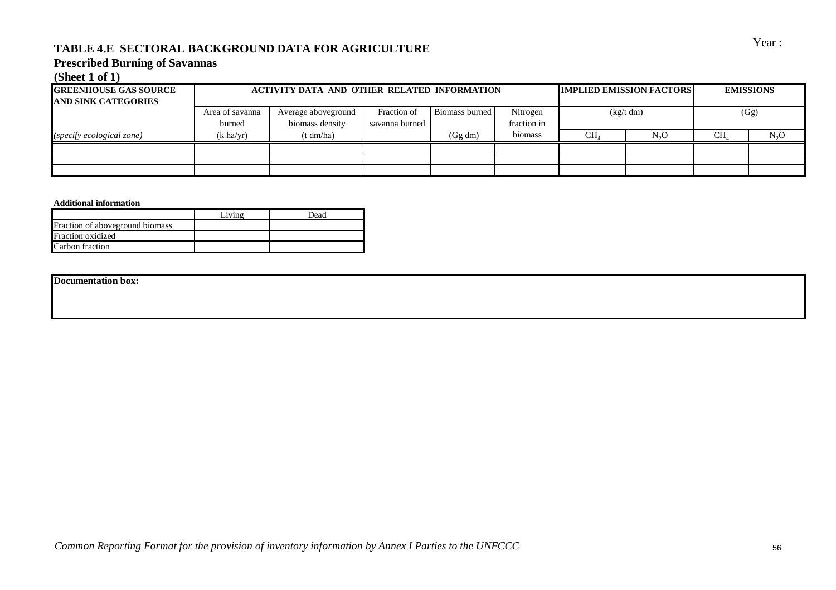# Year : **TABLE 4.E SECTORAL BACKGROUND DATA FOR AGRICULTURE**

#### **Prescribed Burning of Savannas**

#### **(Sheet 1 of 1)**

| <b>GREENHOUSE GAS SOURCE</b><br><b>JAND SINK CATEGORIES</b> |                           | ACTIVITY DATA AND OTHER RELATED INFORMATION |                               |                       |                         | <b>IMPLIED EMISSION FACTORS</b> | <b>EMISSIONS</b> |                 |        |
|-------------------------------------------------------------|---------------------------|---------------------------------------------|-------------------------------|-----------------------|-------------------------|---------------------------------|------------------|-----------------|--------|
|                                                             | Area of savanna<br>burned | Average aboveground<br>biomass density      | Fraction of<br>savanna burned | <b>Biomass burned</b> | Nitrogen<br>fraction in |                                 | (kg/t dm)        |                 | (Gg)   |
| (specify ecological zone)                                   | $(k \text{ ha/yr})$       | (t dm/ha)                                   |                               | (Gg dm)               | biomass                 | $CH_4$                          | N <sub>2</sub> O | CH <sub>4</sub> | $N_2O$ |
|                                                             |                           |                                             |                               |                       |                         |                                 |                  |                 |        |
|                                                             |                           |                                             |                               |                       |                         |                                 |                  |                 |        |
|                                                             |                           |                                             |                               |                       |                         |                                 |                  |                 |        |

#### **Additional information**

|                                 | Living | <b>Jead</b> |
|---------------------------------|--------|-------------|
| Fraction of aboveground biomass |        |             |
| Fraction oxidized               |        |             |
| Carbon fraction                 |        |             |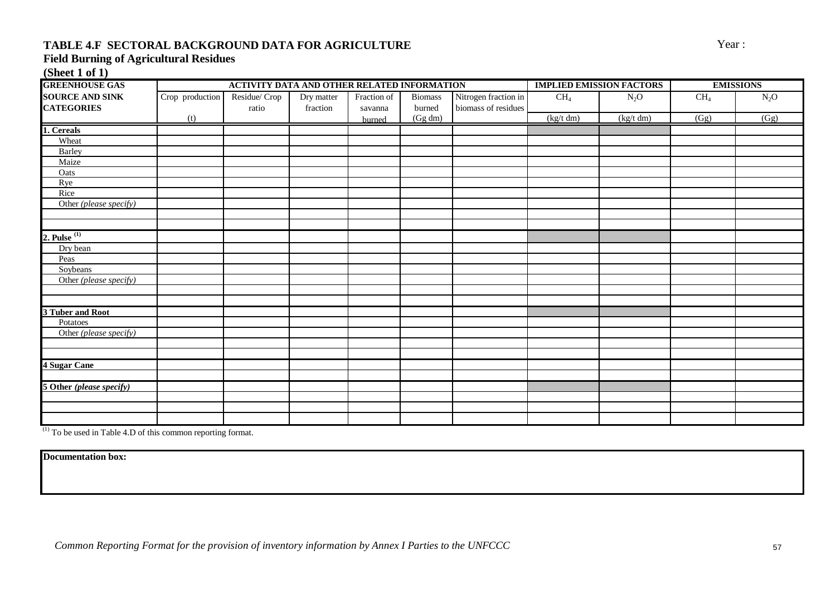## **TABLE 4.F SECTORAL BACKGROUND DATA FOR AGRICULTURE** Year :

## **Field Burning of Agricultural Residues**

**(Sheet 1 of 1)**

| <b>GREENHOUSE GAS</b>              |                 | ACTIVITY DATA AND OTHER RELATED INFORMATION |            |             |                |                      |           | <b>IMPLIED EMISSION FACTORS</b> | <b>EMISSIONS</b> |        |  |
|------------------------------------|-----------------|---------------------------------------------|------------|-------------|----------------|----------------------|-----------|---------------------------------|------------------|--------|--|
| <b>SOURCE AND SINK</b>             | Crop production | Residue/ Crop                               | Dry matter | Fraction of | <b>Biomass</b> | Nitrogen fraction in | $CH_4$    | $N_2O$                          | CH <sub>4</sub>  | $N_2O$ |  |
| <b>CATEGORIES</b>                  |                 | ratio                                       | fraction   | savanna     | burned         | biomass of residues  |           |                                 |                  |        |  |
|                                    | (t)             |                                             |            | burned      | (Gg dm)        |                      | (kg/t dm) | (kg/t dm)                       | (Gg)             | (Gg)   |  |
| 1. Cereals                         |                 |                                             |            |             |                |                      |           |                                 |                  |        |  |
| Wheat                              |                 |                                             |            |             |                |                      |           |                                 |                  |        |  |
| <b>Barley</b>                      |                 |                                             |            |             |                |                      |           |                                 |                  |        |  |
| Maize                              |                 |                                             |            |             |                |                      |           |                                 |                  |        |  |
| Oats                               |                 |                                             |            |             |                |                      |           |                                 |                  |        |  |
| Rye                                |                 |                                             |            |             |                |                      |           |                                 |                  |        |  |
| Rice                               |                 |                                             |            |             |                |                      |           |                                 |                  |        |  |
| Other (please specify)             |                 |                                             |            |             |                |                      |           |                                 |                  |        |  |
|                                    |                 |                                             |            |             |                |                      |           |                                 |                  |        |  |
|                                    |                 |                                             |            |             |                |                      |           |                                 |                  |        |  |
| 2. Pulse $(1)$                     |                 |                                             |            |             |                |                      |           |                                 |                  |        |  |
| Dry bean                           |                 |                                             |            |             |                |                      |           |                                 |                  |        |  |
| Peas                               |                 |                                             |            |             |                |                      |           |                                 |                  |        |  |
| Soybeans                           |                 |                                             |            |             |                |                      |           |                                 |                  |        |  |
| Other (please specify)             |                 |                                             |            |             |                |                      |           |                                 |                  |        |  |
|                                    |                 |                                             |            |             |                |                      |           |                                 |                  |        |  |
|                                    |                 |                                             |            |             |                |                      |           |                                 |                  |        |  |
| 3 Tuber and Root                   |                 |                                             |            |             |                |                      |           |                                 |                  |        |  |
| Potatoes<br>Other (please specify) |                 |                                             |            |             |                |                      |           |                                 |                  |        |  |
|                                    |                 |                                             |            |             |                |                      |           |                                 |                  |        |  |
|                                    |                 |                                             |            |             |                |                      |           |                                 |                  |        |  |
| 4 Sugar Cane                       |                 |                                             |            |             |                |                      |           |                                 |                  |        |  |
|                                    |                 |                                             |            |             |                |                      |           |                                 |                  |        |  |
| 5 Other (please specify)           |                 |                                             |            |             |                |                      |           |                                 |                  |        |  |
|                                    |                 |                                             |            |             |                |                      |           |                                 |                  |        |  |
|                                    |                 |                                             |            |             |                |                      |           |                                 |                  |        |  |
|                                    |                 |                                             |            |             |                |                      |           |                                 |                  |        |  |

(1) To be used in Table 4.D of this common reporting format.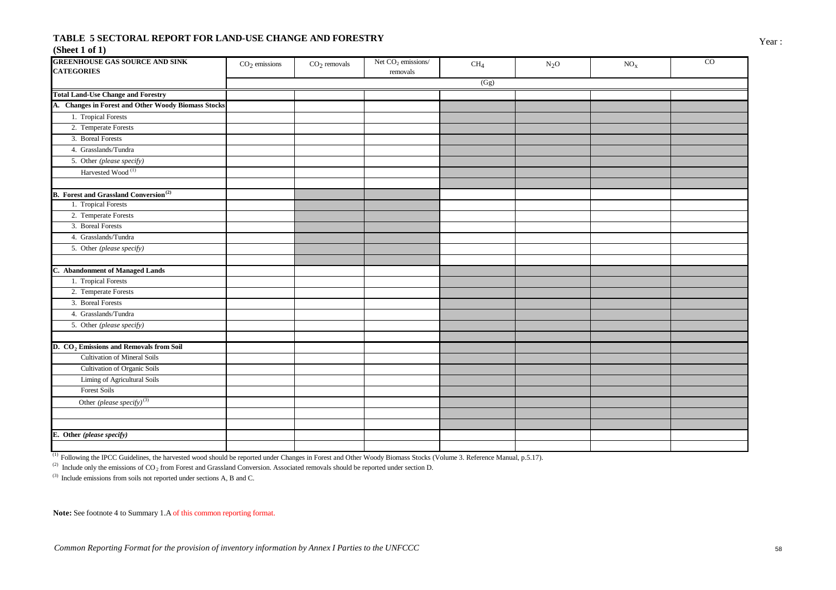#### **TABLE 5 SECTORAL REPORT FOR LAND-USE CHANGE AND FORESTRY** Year: **(Sheet 1 of 1)**

| <b>GREENHOUSE GAS SOURCE AND SINK</b><br><b>CATEGORIES</b> | $CO2$ emissions | $CO2$ removals | Net $CO2$ emissions/<br>removals | CH <sub>4</sub> | $N_2O$ | $\mathrm{NO}_\mathrm{X}$ | $_{\rm CO}$ |
|------------------------------------------------------------|-----------------|----------------|----------------------------------|-----------------|--------|--------------------------|-------------|
|                                                            |                 |                |                                  | (Gg)            |        |                          |             |
| <b>Total Land-Use Change and Forestry</b>                  |                 |                |                                  |                 |        |                          |             |
| A. Changes in Forest and Other Woody Biomass Stocks        |                 |                |                                  |                 |        |                          |             |
| 1. Tropical Forests                                        |                 |                |                                  |                 |        |                          |             |
| 2. Temperate Forests                                       |                 |                |                                  |                 |        |                          |             |
| 3. Boreal Forests                                          |                 |                |                                  |                 |        |                          |             |
| 4. Grasslands/Tundra                                       |                 |                |                                  |                 |        |                          |             |
| 5. Other (please specify)                                  |                 |                |                                  |                 |        |                          |             |
| Harvested Wood <sup>(1)</sup>                              |                 |                |                                  |                 |        |                          |             |
| <b>B.</b> Forest and Grassland Conversion <sup>(2)</sup>   |                 |                |                                  |                 |        |                          |             |
| 1. Tropical Forests                                        |                 |                |                                  |                 |        |                          |             |
| 2. Temperate Forests                                       |                 |                |                                  |                 |        |                          |             |
| 3. Boreal Forests                                          |                 |                |                                  |                 |        |                          |             |
| 4. Grasslands/Tundra                                       |                 |                |                                  |                 |        |                          |             |
| 5. Other (please specify)                                  |                 |                |                                  |                 |        |                          |             |
| C. Abandonment of Managed Lands                            |                 |                |                                  |                 |        |                          |             |
| 1. Tropical Forests                                        |                 |                |                                  |                 |        |                          |             |
| 2. Temperate Forests                                       |                 |                |                                  |                 |        |                          |             |
| 3. Boreal Forests                                          |                 |                |                                  |                 |        |                          |             |
| 4. Grasslands/Tundra                                       |                 |                |                                  |                 |        |                          |             |
| 5. Other (please specify)                                  |                 |                |                                  |                 |        |                          |             |
|                                                            |                 |                |                                  |                 |        |                          |             |
| D. CO <sub>2</sub> Emissions and Removals from Soil        |                 |                |                                  |                 |        |                          |             |
| Cultivation of Mineral Soils                               |                 |                |                                  |                 |        |                          |             |
| <b>Cultivation of Organic Soils</b>                        |                 |                |                                  |                 |        |                          |             |
| Liming of Agricultural Soils                               |                 |                |                                  |                 |        |                          |             |
| <b>Forest Soils</b>                                        |                 |                |                                  |                 |        |                          |             |
| Other (please specify) <sup>(3)</sup>                      |                 |                |                                  |                 |        |                          |             |
|                                                            |                 |                |                                  |                 |        |                          |             |
|                                                            |                 |                |                                  |                 |        |                          |             |
| E. Other (please specify)                                  |                 |                |                                  |                 |        |                          |             |
|                                                            |                 |                |                                  |                 |        |                          |             |

(1) Following the IPCC Guidelines, the harvested wood should be reported under Changes in Forest and Other Woody Biomass Stocks (Volume 3. Reference Manual, p.5.17).

<sup>(2)</sup> Include only the emissions of  $CO_2$  from Forest and Grassland Conversion. Associated removals should be reported under section D.

 $(3)$  Include emissions from soils not reported under sections A, B and C.

**Note:** See footnote 4 to Summary 1.A of this common reporting format.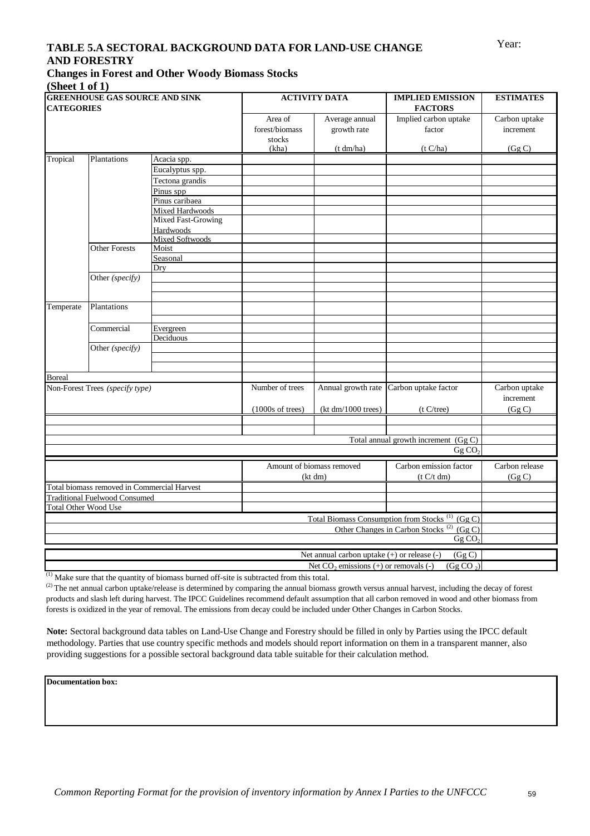## Year: **TABLE 5.A SECTORAL BACKGROUND DATA FOR LAND-USE CHANGE AND FORESTRY**

#### **Changes in Forest and Other Woody Biomass Stocks (Sheet 1 of 1)**

| <b>CATEGORIES</b>           | <b>GREENHOUSE GAS SOURCE AND SINK</b>       |                           |                                              | <b>ACTIVITY DATA</b>                        | <b>IMPLIED EMISSION</b><br><b>FACTORS</b>                   | <b>ESTIMATES</b>                    |  |
|-----------------------------|---------------------------------------------|---------------------------|----------------------------------------------|---------------------------------------------|-------------------------------------------------------------|-------------------------------------|--|
|                             |                                             |                           | Area of<br>forest/biomass<br>stocks<br>(kha) | Average annual<br>growth rate<br>(t dm/ha)  | Implied carbon uptake<br>factor<br>(t C/ha)                 | Carbon uptake<br>increment<br>(GgC) |  |
| Tropical                    | Plantations                                 | Acacia spp.               |                                              |                                             |                                                             |                                     |  |
|                             |                                             | Eucalyptus spp.           |                                              |                                             |                                                             |                                     |  |
|                             |                                             | Tectona grandis           |                                              |                                             |                                                             |                                     |  |
|                             |                                             | Pinus spp                 |                                              |                                             |                                                             |                                     |  |
|                             |                                             | Pinus caribaea            |                                              |                                             |                                                             |                                     |  |
|                             |                                             | <b>Mixed Hardwoods</b>    |                                              |                                             |                                                             |                                     |  |
|                             |                                             | <b>Mixed Fast-Growing</b> |                                              |                                             |                                                             |                                     |  |
|                             |                                             | Hardwoods                 |                                              |                                             |                                                             |                                     |  |
|                             |                                             | Mixed Softwoods           |                                              |                                             |                                                             |                                     |  |
|                             | <b>Other Forests</b>                        | Moist                     |                                              |                                             |                                                             |                                     |  |
|                             |                                             | Seasonal                  |                                              |                                             |                                                             |                                     |  |
|                             |                                             | Dry                       |                                              |                                             |                                                             |                                     |  |
|                             | Other (specify)                             |                           |                                              |                                             |                                                             |                                     |  |
|                             |                                             |                           |                                              |                                             |                                                             |                                     |  |
| Temperate                   |                                             |                           |                                              |                                             |                                                             |                                     |  |
|                             | Plantations                                 |                           |                                              |                                             |                                                             |                                     |  |
|                             |                                             |                           |                                              |                                             |                                                             |                                     |  |
|                             | Commercial                                  | Evergreen<br>Deciduous    |                                              |                                             |                                                             |                                     |  |
|                             | Other (specify)                             |                           |                                              |                                             |                                                             |                                     |  |
|                             |                                             |                           |                                              |                                             |                                                             |                                     |  |
|                             |                                             |                           |                                              |                                             |                                                             |                                     |  |
| <b>Boreal</b>               |                                             |                           |                                              |                                             |                                                             |                                     |  |
|                             | Non-Forest Trees (specify type)             |                           | Number of trees                              |                                             | Annual growth rate Carbon uptake factor                     | Carbon uptake<br>increment          |  |
|                             |                                             |                           | $(1000s$ of trees)                           | (kt dm/1000 trees)                          | (t C/tree)                                                  | (Gg C)                              |  |
|                             |                                             |                           |                                              |                                             |                                                             |                                     |  |
|                             |                                             |                           |                                              |                                             | Total annual growth increment (Gg C)                        |                                     |  |
|                             |                                             |                           |                                              |                                             | GgCO <sub>2</sub>                                           |                                     |  |
|                             |                                             |                           |                                              | Amount of biomass removed                   | Carbon emission factor                                      | Carbon release                      |  |
|                             |                                             |                           |                                              | (kt dm)                                     | (t C/t dm)                                                  | (Gg C)                              |  |
|                             | Total biomass removed in Commercial Harvest |                           |                                              |                                             |                                                             |                                     |  |
|                             | <b>Traditional Fuelwood Consumed</b>        |                           |                                              |                                             |                                                             |                                     |  |
| <b>Total Other Wood Use</b> |                                             |                           |                                              |                                             |                                                             |                                     |  |
|                             |                                             |                           |                                              |                                             | Total Biomass Consumption from Stocks <sup>(1)</sup> (Gg C) |                                     |  |
|                             |                                             |                           |                                              |                                             | Other Changes in Carbon Stocks <sup>(2)</sup> (Gg C)        |                                     |  |
|                             |                                             |                           |                                              |                                             | GgCO <sub>2</sub>                                           |                                     |  |
|                             |                                             |                           |                                              | Net annual carbon uptake (+) or release (-) | (Gg C)                                                      |                                     |  |
|                             |                                             |                           |                                              | Net $CO_2$ emissions (+) or removals (-)    | (Gg CO <sub>2</sub> )                                       |                                     |  |
|                             |                                             |                           |                                              |                                             |                                                             |                                     |  |

(1) Make sure that the quantity of biomass burned off-site is subtracted from this total.

<sup>(2)</sup> The net annual carbon uptake/release is determined by comparing the annual biomass growth versus annual harvest, including the decay of forest products and slash left during harvest. The IPCC Guidelines recommend default assumption that all carbon removed in wood and other biomass from forests is oxidized in the year of removal. The emissions from decay could be included under Other Changes in Carbon Stocks.

**Note:** Sectoral background data tables on Land-Use Change and Forestry should be filled in only by Parties using the IPCC default methodology. Parties that use country specific methods and models should report information on them in a transparent manner, also providing suggestions for a possible sectoral background data table suitable for their calculation method.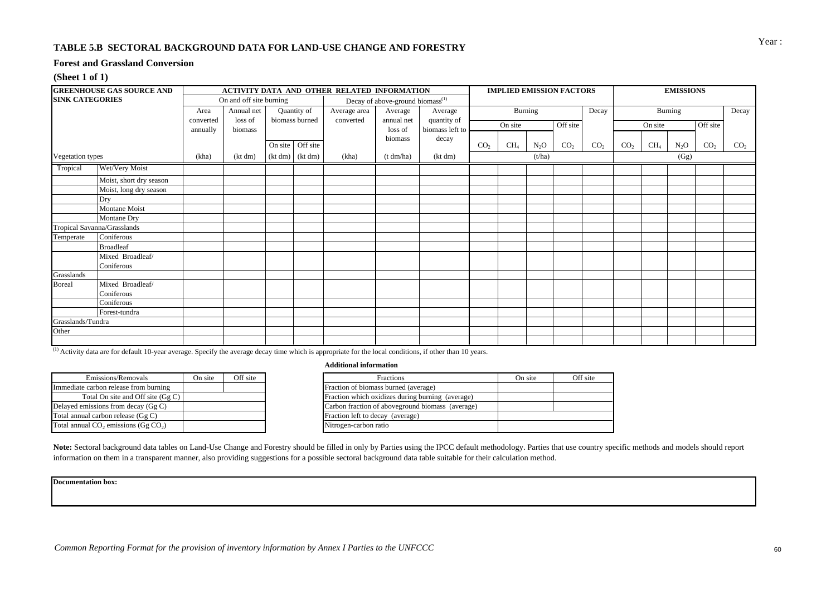#### **TABLE 5.B SECTORAL BACKGROUND DATA FOR LAND-USE CHANGE AND FORESTRY**

#### **Forest and Grassland Conversion**

#### **(Sheet 1 of 1)**

|                        | <b>GREENHOUSE GAS SOURCE AND</b> |           |                         |                     | ACTIVITY DATA AND OTHER RELATED INFORMATION |                                              |                 | <b>IMPLIED EMISSION FACTORS</b> |         |                  | <b>EMISSIONS</b> |                 |                 |         |         |                 |                 |
|------------------------|----------------------------------|-----------|-------------------------|---------------------|---------------------------------------------|----------------------------------------------|-----------------|---------------------------------|---------|------------------|------------------|-----------------|-----------------|---------|---------|-----------------|-----------------|
| <b>SINK CATEGORIES</b> |                                  |           | On and off site burning |                     |                                             | Decay of above-ground biomass <sup>(1)</sup> |                 |                                 |         |                  |                  |                 |                 |         |         |                 |                 |
|                        |                                  | Area      | Annual net              | Quantity of         | Average area                                | Average                                      | Average         |                                 |         | Burning          |                  | Decay           |                 |         | Burning |                 | Decay           |
|                        |                                  | converted | loss of                 | biomass burned      | converted                                   | annual net                                   | quantity of     |                                 | On site |                  | Off site         |                 |                 | On site |         | Off site        |                 |
|                        |                                  | annually  | biomass                 |                     |                                             | loss of                                      | biomass left to |                                 |         |                  |                  |                 |                 |         |         |                 |                 |
|                        |                                  |           |                         | On site Off site    |                                             | biomass                                      | decay           | CO <sub>2</sub>                 | $CH_4$  | N <sub>2</sub> O | CO <sub>2</sub>  | CO <sub>2</sub> | CO <sub>2</sub> | $CH_4$  | $N_2O$  | CO <sub>2</sub> | CO <sub>2</sub> |
| Vegetation types       |                                  | (kha)     | (kt dm)                 | $(kt dm)$ $(kt dm)$ | (kha)                                       | (t dm/ha)                                    | (kt dm)         |                                 |         | (t/ha)           |                  |                 |                 |         | (Gg)    |                 |                 |
| Tropical               | Wet/Very Moist                   |           |                         |                     |                                             |                                              |                 |                                 |         |                  |                  |                 |                 |         |         |                 |                 |
|                        | Moist, short dry season          |           |                         |                     |                                             |                                              |                 |                                 |         |                  |                  |                 |                 |         |         |                 |                 |
|                        | Moist, long dry season           |           |                         |                     |                                             |                                              |                 |                                 |         |                  |                  |                 |                 |         |         |                 |                 |
|                        | Dry                              |           |                         |                     |                                             |                                              |                 |                                 |         |                  |                  |                 |                 |         |         |                 |                 |
|                        | Montane Moist                    |           |                         |                     |                                             |                                              |                 |                                 |         |                  |                  |                 |                 |         |         |                 |                 |
|                        | Montane Dry                      |           |                         |                     |                                             |                                              |                 |                                 |         |                  |                  |                 |                 |         |         |                 |                 |
|                        | Tropical Savanna/Grasslands      |           |                         |                     |                                             |                                              |                 |                                 |         |                  |                  |                 |                 |         |         |                 |                 |
| Temperate              | Coniferous                       |           |                         |                     |                                             |                                              |                 |                                 |         |                  |                  |                 |                 |         |         |                 |                 |
|                        | <b>Broadleaf</b>                 |           |                         |                     |                                             |                                              |                 |                                 |         |                  |                  |                 |                 |         |         |                 |                 |
|                        | Mixed Broadleaf/                 |           |                         |                     |                                             |                                              |                 |                                 |         |                  |                  |                 |                 |         |         |                 |                 |
|                        | Coniferous                       |           |                         |                     |                                             |                                              |                 |                                 |         |                  |                  |                 |                 |         |         |                 |                 |
| Grasslands             |                                  |           |                         |                     |                                             |                                              |                 |                                 |         |                  |                  |                 |                 |         |         |                 |                 |
| <b>Boreal</b>          | Mixed Broadleaf/                 |           |                         |                     |                                             |                                              |                 |                                 |         |                  |                  |                 |                 |         |         |                 |                 |
|                        | Coniferous                       |           |                         |                     |                                             |                                              |                 |                                 |         |                  |                  |                 |                 |         |         |                 |                 |
|                        | Coniferous                       |           |                         |                     |                                             |                                              |                 |                                 |         |                  |                  |                 |                 |         |         |                 |                 |
|                        | Forest-tundra                    |           |                         |                     |                                             |                                              |                 |                                 |         |                  |                  |                 |                 |         |         |                 |                 |
| Grasslands/Tundra      |                                  |           |                         |                     |                                             |                                              |                 |                                 |         |                  |                  |                 |                 |         |         |                 |                 |
| Other                  |                                  |           |                         |                     |                                             |                                              |                 |                                 |         |                  |                  |                 |                 |         |         |                 |                 |
|                        |                                  |           |                         |                     |                                             |                                              |                 |                                 |         |                  |                  |                 |                 |         |         |                 |                 |

<sup>(1)</sup> Activity data are for default 10-year average. Specify the average decay time which is appropriate for the local conditions, if other than 10 years.

| Emissions/Removals                         | On site | Off site |
|--------------------------------------------|---------|----------|
| Immediate carbon release from burning      |         |          |
| Total On site and Off site (Gg C)          |         |          |
| Delayed emissions from decay (Gg C)        |         |          |
| Total annual carbon release (Gg C)         |         |          |
| Total annual $CO_2$ emissions (Gg $CO_2$ ) |         |          |
|                                            |         |          |

#### **Additional information**

| On site | Off site | Fractions                                        | On site | Off site |
|---------|----------|--------------------------------------------------|---------|----------|
|         |          | Fraction of biomass burned (average)             |         |          |
|         |          | Fraction which oxidizes during burning (average) |         |          |
|         |          | Carbon fraction of aboveground biomass (average) |         |          |
|         |          | Fraction left to decay (average)                 |         |          |
|         |          | Nitrogen-carbon ratio                            |         |          |

Note: Sectoral background data tables on Land-Use Change and Forestry should be filled in only by Parties using the IPCC default methodology. Parties that use country specific methods and models should report information on them in a transparent manner, also providing suggestions for a possible sectoral background data table suitable for their calculation method.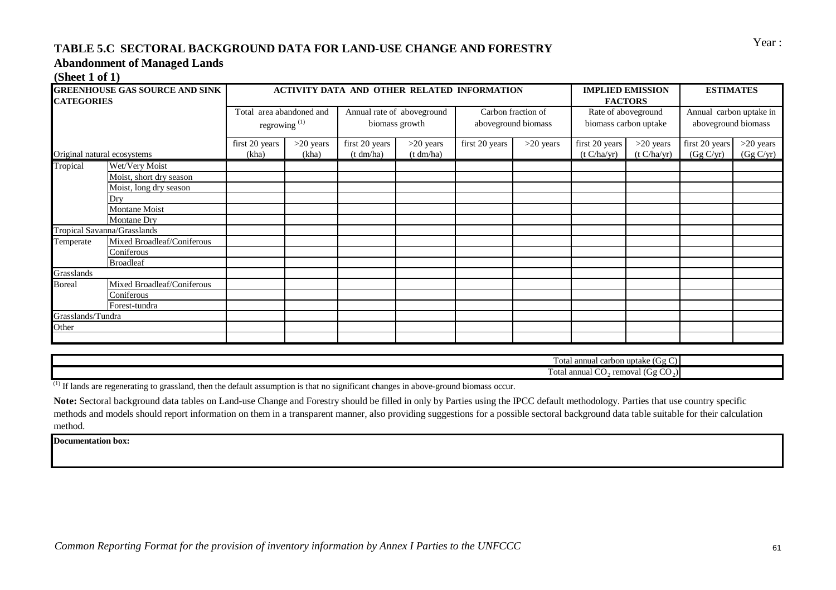# Year : **TABLE 5.C SECTORAL BACKGROUND DATA FOR LAND-USE CHANGE AND FORESTRY**

### **Abandonment of Managed Lands**

#### **(Sheet 1 of 1)**

| <b>CATEGORIES</b>           |                            | Total area abandoned and |             |                            |             |                |                     |                       |                |                         |             |
|-----------------------------|----------------------------|--------------------------|-------------|----------------------------|-------------|----------------|---------------------|-----------------------|----------------|-------------------------|-------------|
|                             |                            |                          |             |                            |             |                |                     |                       | <b>FACTORS</b> |                         |             |
|                             |                            |                          |             | Annual rate of aboveground |             |                | Carbon fraction of  | Rate of aboveground   |                | Annual carbon uptake in |             |
|                             |                            | regrowing <sup>(1)</sup> |             | biomass growth             |             |                | aboveground biomass | biomass carbon uptake |                | aboveground biomass     |             |
|                             |                            | first 20 years           | $>20$ years | first 20 years             | $>20$ years | first 20 years | $>20$ years         | first 20 years        | $>20$ years    | first 20 years          | $>20$ years |
| Original natural ecosystems |                            | (kha)                    | (kha)       | (t dm/ha)                  | (t dm/ha)   |                |                     | (t C/ha/yr)           | (t C/ha/yr)    | (Gg C/yr)               | (Gg C/yr)   |
| Tropical                    | Wet/Very Moist             |                          |             |                            |             |                |                     |                       |                |                         |             |
|                             | Moist, short dry season    |                          |             |                            |             |                |                     |                       |                |                         |             |
|                             | Moist, long dry season     |                          |             |                            |             |                |                     |                       |                |                         |             |
| Dry                         |                            |                          |             |                            |             |                |                     |                       |                |                         |             |
|                             | Montane Moist              |                          |             |                            |             |                |                     |                       |                |                         |             |
|                             | Montane Dry                |                          |             |                            |             |                |                     |                       |                |                         |             |
| Tropical Savanna/Grasslands |                            |                          |             |                            |             |                |                     |                       |                |                         |             |
| Temperate                   | Mixed Broadleaf/Coniferous |                          |             |                            |             |                |                     |                       |                |                         |             |
|                             | Coniferous                 |                          |             |                            |             |                |                     |                       |                |                         |             |
|                             | <b>Broadleaf</b>           |                          |             |                            |             |                |                     |                       |                |                         |             |
| Grasslands                  |                            |                          |             |                            |             |                |                     |                       |                |                         |             |
| <b>Boreal</b>               | Mixed Broadleaf/Coniferous |                          |             |                            |             |                |                     |                       |                |                         |             |
|                             | Coniferous                 |                          |             |                            |             |                |                     |                       |                |                         |             |
|                             | Forest-tundra              |                          |             |                            |             |                |                     |                       |                |                         |             |
| Grasslands/Tundra           |                            |                          |             |                            |             |                |                     |                       |                |                         |             |
| Other                       |                            |                          |             |                            |             |                |                     |                       |                |                         |             |
|                             |                            |                          |             |                            |             |                |                     |                       |                |                         |             |

| $\overline{\phantom{a}}$<br>uptake (Gg<br>annual carbon<br>∩÷∩<br>viai                     |
|--------------------------------------------------------------------------------------------|
| $\sim$<br>--<br>⊇nnuar<br>removal (G.<br>ota.<br>$\mathbf{1}$<br>$\mathcal{L} \mathcal{N}$ |

 $^{(1)}$  If lands are regenerating to grassland, then the default assumption is that no significant changes in above-ground biomass occur.

**Note:** Sectoral background data tables on Land-use Change and Forestry should be filled in only by Parties using the IPCC default methodology. Parties that use country specific methods and models should report information on them in a transparent manner, also providing suggestions for a possible sectoral background data table suitable for their calculation method.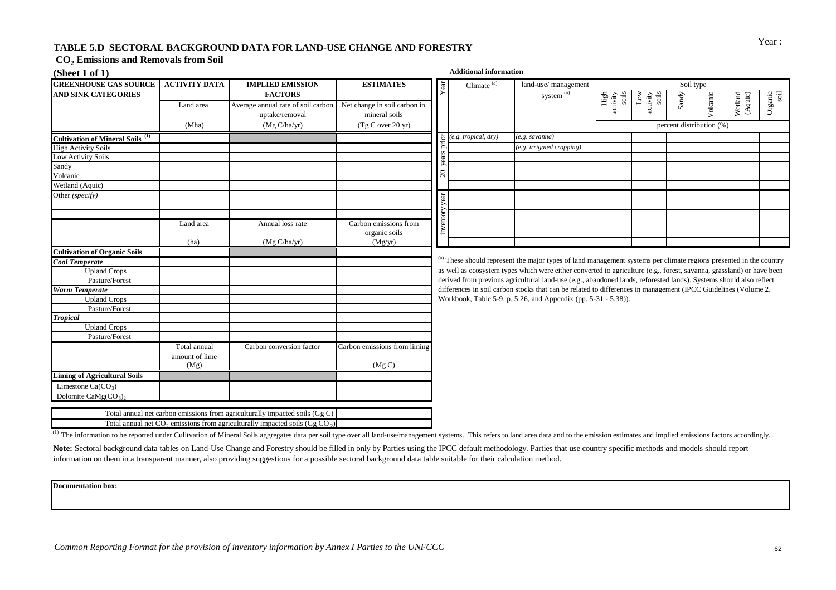# Year : **TABLE 5.D SECTORAL BACKGROUND DATA FOR LAND-USE CHANGE AND FORESTRY**

#### **CO<sup>2</sup> Emissions and Removals from Soil**

| (Sheet $1$ of $1$ )                                |                      |                                                                                            |                              |     | <b>Additional information</b> |                                                                                                                       |                                                                                 |                   |           |                          |                    |                 |
|----------------------------------------------------|----------------------|--------------------------------------------------------------------------------------------|------------------------------|-----|-------------------------------|-----------------------------------------------------------------------------------------------------------------------|---------------------------------------------------------------------------------|-------------------|-----------|--------------------------|--------------------|-----------------|
| <b>GREENHOUSE GAS SOURCE</b>                       | <b>ACTIVITY DATA</b> | <b>IMPLIED EMISSION</b>                                                                    | <b>ESTIMATES</b>             | ēä. | Climate $(a)$                 | land-use/ management                                                                                                  |                                                                                 |                   | Soil type |                          |                    |                 |
| <b>AND SINK CATEGORIES</b>                         |                      | <b>FACTORS</b>                                                                             |                              |     |                               | $\,$ system $\,^{\rm (a)}$                                                                                            |                                                                                 | $_{\rm Low}$      |           |                          |                    |                 |
|                                                    | Land area            | Average annual rate of soil carbon                                                         | Net change in soil carbon in |     |                               |                                                                                                                       | $\begin{array}{c}\n\text{High} \\ \text{activity} \\ \text{soils}\n\end{array}$ | activity<br>soils | Sandy     | Volcanic                 | Wetland<br>(Aquic) | Organic<br>soil |
|                                                    |                      | uptake/removal                                                                             | mineral soils                |     |                               |                                                                                                                       |                                                                                 |                   |           |                          |                    |                 |
|                                                    | (Mha)                | (Mg C/ha/yr)                                                                               | (Tg C over 20 yr)            |     |                               |                                                                                                                       |                                                                                 |                   |           | percent distribution (%) |                    |                 |
| <b>Cultivation of Mineral Soils</b> <sup>(1)</sup> |                      |                                                                                            |                              |     | (e.g. tropical, dry)          | e.g. savanna)                                                                                                         |                                                                                 |                   |           |                          |                    |                 |
| <b>High Activity Soils</b>                         |                      |                                                                                            |                              |     |                               | (e.g. irrigated cropping)                                                                                             |                                                                                 |                   |           |                          |                    |                 |
| Low Activity Soils                                 |                      |                                                                                            |                              |     |                               |                                                                                                                       |                                                                                 |                   |           |                          |                    |                 |
| Sandy                                              |                      |                                                                                            |                              |     |                               |                                                                                                                       |                                                                                 |                   |           |                          |                    |                 |
| Volcanic                                           |                      |                                                                                            |                              |     |                               |                                                                                                                       |                                                                                 |                   |           |                          |                    |                 |
| Wetland (Aquic)                                    |                      |                                                                                            |                              |     |                               |                                                                                                                       |                                                                                 |                   |           |                          |                    |                 |
| Other (specify)                                    |                      |                                                                                            |                              |     |                               |                                                                                                                       |                                                                                 |                   |           |                          |                    |                 |
|                                                    |                      |                                                                                            |                              |     |                               |                                                                                                                       |                                                                                 |                   |           |                          |                    |                 |
|                                                    |                      |                                                                                            |                              |     |                               |                                                                                                                       |                                                                                 |                   |           |                          |                    |                 |
|                                                    | Land area            | Annual loss rate                                                                           | Carbon emissions from        |     |                               |                                                                                                                       |                                                                                 |                   |           |                          |                    |                 |
|                                                    |                      |                                                                                            | organic soils                |     |                               |                                                                                                                       |                                                                                 |                   |           |                          |                    |                 |
|                                                    | (ha)                 | (Mg C/ha/yr)                                                                               | (Mg/yr)                      |     |                               |                                                                                                                       |                                                                                 |                   |           |                          |                    |                 |
| <b>Cultivation of Organic Soils</b>                |                      |                                                                                            |                              |     |                               |                                                                                                                       |                                                                                 |                   |           |                          |                    |                 |
| Cool Temperate                                     |                      |                                                                                            |                              |     |                               | (a) These should represent the major types of land management systems per climate regions presented in the country    |                                                                                 |                   |           |                          |                    |                 |
| <b>Upland Crops</b>                                |                      |                                                                                            |                              |     |                               | as well as ecosystem types which were either converted to agriculture (e.g., forest, savanna, grassland) or have been |                                                                                 |                   |           |                          |                    |                 |
| Pasture/Forest                                     |                      |                                                                                            |                              |     |                               | derived from previous agricultural land-use (e.g., abandoned lands, reforested lands). Systems should also reflect    |                                                                                 |                   |           |                          |                    |                 |
| <b>Warm Temperate</b>                              |                      |                                                                                            |                              |     |                               | differences in soil carbon stocks that can be related to differences in management (IPCC Guidelines (Volume 2.        |                                                                                 |                   |           |                          |                    |                 |
| <b>Upland Crops</b>                                |                      |                                                                                            |                              |     |                               | Workbook, Table 5-9, p. 5.26, and Appendix (pp. 5-31 - 5.38)).                                                        |                                                                                 |                   |           |                          |                    |                 |
| Pasture/Forest                                     |                      |                                                                                            |                              |     |                               |                                                                                                                       |                                                                                 |                   |           |                          |                    |                 |
| <b>Tropical</b>                                    |                      |                                                                                            |                              |     |                               |                                                                                                                       |                                                                                 |                   |           |                          |                    |                 |
| <b>Upland Crops</b>                                |                      |                                                                                            |                              |     |                               |                                                                                                                       |                                                                                 |                   |           |                          |                    |                 |
| Pasture/Forest                                     |                      |                                                                                            |                              |     |                               |                                                                                                                       |                                                                                 |                   |           |                          |                    |                 |
|                                                    | Total annual         | Carbon conversion factor                                                                   | Carbon emissions from liming |     |                               |                                                                                                                       |                                                                                 |                   |           |                          |                    |                 |
|                                                    | amount of lime       |                                                                                            |                              |     |                               |                                                                                                                       |                                                                                 |                   |           |                          |                    |                 |
|                                                    | (Mg)                 |                                                                                            | (Mg C)                       |     |                               |                                                                                                                       |                                                                                 |                   |           |                          |                    |                 |
| <b>Liming of Agricultural Soils</b>                |                      |                                                                                            |                              |     |                               |                                                                                                                       |                                                                                 |                   |           |                          |                    |                 |
| Limestone $Ca(CO3)$                                |                      |                                                                                            |                              |     |                               |                                                                                                                       |                                                                                 |                   |           |                          |                    |                 |
| Dolomite CaMg(CO <sub>3</sub> ),                   |                      |                                                                                            |                              |     |                               |                                                                                                                       |                                                                                 |                   |           |                          |                    |                 |
|                                                    |                      | Total annual net carbon emissions from agriculturally impacted soils $(Gg C)$              |                              |     |                               |                                                                                                                       |                                                                                 |                   |           |                          |                    |                 |
|                                                    |                      | Total annual net $CO_2$ emissions from agriculturally impacted soils (Gg CO <sub>2</sub> ) |                              |     |                               |                                                                                                                       |                                                                                 |                   |           |                          |                    |                 |
|                                                    |                      |                                                                                            |                              |     |                               |                                                                                                                       |                                                                                 |                   |           |                          |                    |                 |

<sup>(1)</sup> The information to be reported under Culitvation of Mineral Soils aggregates data per soil type over all land-use/management systems. This refers to land area data and to the emission estimates and implied emissions

Note: Sectoral background data tables on Land-Use Change and Forestry should be filled in only by Parties using the IPCC default methodology. Parties that use country specific methods and models should report information on them in a transparent manner, also providing suggestions for a possible sectoral background data table suitable for their calculation method.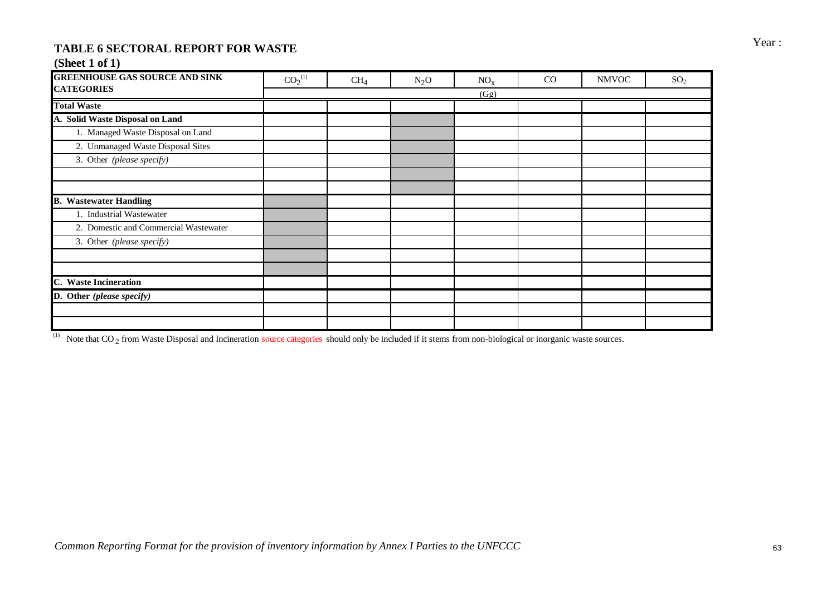# TABLE 6 SECTORAL REPORT FOR WASTE **FOR SECTORAL REPORT FOR WASTE**

## **(Sheet 1 of 1)**

| <b>GREENHOUSE GAS SOURCE AND SINK</b> | CO <sub>2</sub> <sup>(1)</sup> | CH <sub>4</sub> | $N_2O$ | NO <sub>x</sub> | CO | <b>NMVOC</b> | SO <sub>2</sub> |
|---------------------------------------|--------------------------------|-----------------|--------|-----------------|----|--------------|-----------------|
| <b>CATEGORIES</b>                     |                                |                 |        | (Gg)            |    |              |                 |
| <b>Total Waste</b>                    |                                |                 |        |                 |    |              |                 |
| A. Solid Waste Disposal on Land       |                                |                 |        |                 |    |              |                 |
| 1. Managed Waste Disposal on Land     |                                |                 |        |                 |    |              |                 |
| 2. Unmanaged Waste Disposal Sites     |                                |                 |        |                 |    |              |                 |
| 3. Other (please specify)             |                                |                 |        |                 |    |              |                 |
|                                       |                                |                 |        |                 |    |              |                 |
|                                       |                                |                 |        |                 |    |              |                 |
| <b>B.</b> Wastewater Handling         |                                |                 |        |                 |    |              |                 |
| 1. Industrial Wastewater              |                                |                 |        |                 |    |              |                 |
| 2. Domestic and Commercial Wastewater |                                |                 |        |                 |    |              |                 |
| 3. Other (please specify)             |                                |                 |        |                 |    |              |                 |
|                                       |                                |                 |        |                 |    |              |                 |
|                                       |                                |                 |        |                 |    |              |                 |
| C. Waste Incineration                 |                                |                 |        |                 |    |              |                 |
| D. Other (please specify)             |                                |                 |        |                 |    |              |                 |
|                                       |                                |                 |        |                 |    |              |                 |
|                                       |                                |                 |        |                 |    |              |                 |

<sup>(1)</sup> Note that  $CO_2$  from Waste Disposal and Incineration source categories should only be included if it stems from non-biological or inorganic waste sources.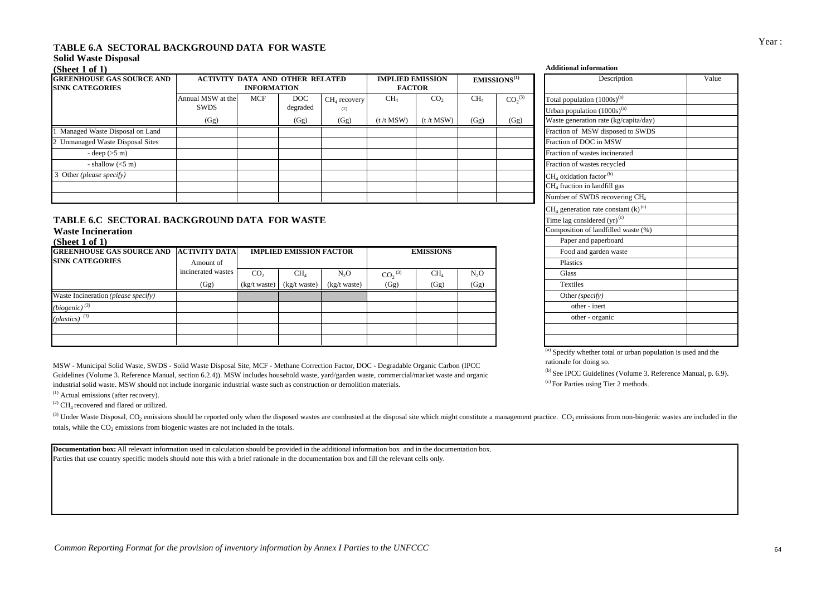## Year : **TABLE 6.A SECTORAL BACKGROUND DATA FOR WASTE**

### **Solid Waste Disposal**

| (Sheet 1 of 1)                                              |                                          |                                          |                         |                               |                                  |                                  |                         |                                        | <b>Additional information</b>                                                                                 |
|-------------------------------------------------------------|------------------------------------------|------------------------------------------|-------------------------|-------------------------------|----------------------------------|----------------------------------|-------------------------|----------------------------------------|---------------------------------------------------------------------------------------------------------------|
| <b>IGREENHOUSE GAS SOURCE AND</b><br><b>SINK CATEGORIES</b> | <b>ACTIVITY DATA AND OTHER RELATED</b>   | <b>IMPLIED EMISSION</b><br><b>FACTOR</b> |                         |                               | EMISSIONS <sup>(1)</sup>         | Description                      |                         |                                        |                                                                                                               |
|                                                             | Annual MSW at the<br><b>SWDS</b><br>(Gg) | MCF                                      | DOC<br>degraded<br>(Gg) | $CH4$ recovery<br>(2)<br>(Gg) | CH <sub>4</sub><br>$(t / t$ MSW) | CO <sub>2</sub><br>$(t / t$ MSW) | CH <sub>4</sub><br>(Gg) | CO <sub>2</sub> <sup>(3)</sup><br>(Gg) | Total population $(1000s)^{(a)}$<br>Urban population $(1000s)^{(a)}$<br>Waste generation rate (kg/capita/day) |
| Managed Waste Disposal on Land                              |                                          |                                          |                         |                               |                                  |                                  |                         |                                        | Fraction of MSW disposed to SWDS                                                                              |
| <b>Unmanaged Waste Disposal Sites</b>                       |                                          |                                          |                         |                               |                                  |                                  |                         |                                        | Fraction of DOC in MSW                                                                                        |
| - deep $(5 \text{ m})$                                      |                                          |                                          |                         |                               |                                  |                                  |                         |                                        | Fraction of wastes incinerated                                                                                |
| - shallow $(<5 m)$                                          |                                          |                                          |                         |                               |                                  |                                  |                         |                                        | Fraction of wastes recycled                                                                                   |
| Other (please specify)                                      |                                          |                                          |                         |                               |                                  |                                  |                         |                                        | $CH4$ oxidation factor <sup>(b)</sup>                                                                         |
|                                                             |                                          |                                          |                         |                               |                                  |                                  |                         |                                        | $CH4$ fraction in landfill gas                                                                                |
|                                                             |                                          |                                          |                         |                               |                                  |                                  |                         |                                        | Number of SWDS recovering CH <sub>4</sub>                                                                     |

## **TABLE 6.C SECTORAL BACKGROUND DATA FOR WASTE**

## **Waste Incineration**<br>(Sheet 1 of 1)

| (Sheet 1 of 1)                      |                      |                 |                                |                 |                                |                  |        | Paper and paperboard  |
|-------------------------------------|----------------------|-----------------|--------------------------------|-----------------|--------------------------------|------------------|--------|-----------------------|
| <b>GREENHOUSE GAS SOURCE AND</b>    | <b>ACTIVITY DATA</b> |                 | <b>IMPLIED EMISSION FACTOR</b> |                 |                                | <b>EMISSIONS</b> |        | Food and garden waste |
| <b>SINK CATEGORIES</b>              | Amount of            |                 |                                |                 |                                |                  |        | Plastics              |
|                                     | incinerated wastes   | CO <sub>2</sub> | CH <sub>4</sub>                | $N_2O$          | CO <sub>2</sub> <sup>(3)</sup> | CH <sub>4</sub>  | $N_2O$ | Glass                 |
|                                     | (Gg)                 | $(kg/t)$ waste) | $(kg/t)$ waste)                | $(kg/t)$ waste) | (Gg)                           | (Gg)             | (Gg)   | <b>Textiles</b>       |
| Waste Incineration (please specify) |                      |                 |                                |                 |                                |                  |        | Other (specify)       |
| $(biogenic)^{(3)}$                  |                      |                 |                                |                 |                                |                  |        | other - inert         |
| (plastics) $(3)$                    |                      |                 |                                |                 |                                |                  |        | other - organic       |
|                                     |                      |                 |                                |                 |                                |                  |        |                       |
|                                     |                      |                 |                                |                 |                                |                  |        |                       |

MSW - Municipal Solid Waste, SWDS - Solid Waste Disposal Site, MCF - Methane Correction Factor, DOC - Degradable Organic Carbon (IPCC Guidelines (Volume 3. Reference Manual, section 6.2.4)). MSW includes household waste, yard/garden waste, commercial/market waste and organic industrial solid waste. MSW should not include inorganic industrial waste such as construction or demolition materials.

 $(1)$  Actual emissions (after recovery).

 $^{(2)}$  CH<sub>4</sub> recovered and flared or utilized.

(3) Under Waste Disposal,  $CO_2$  emissions should be reported only when the disposed wastes are combusted at the disposal site which might constitute a management practice.  $CO_2$  emissions from non-biogenic wastes are incl totals, while the  $CO<sub>2</sub>$  emissions from biogenic wastes are not included in the totals.

**Documentation box:** All relevant information used in calculation should be provided in the additional information box and in the documentation box. Parties that use country specific models should note this with a brief rationale in the documentation box and fill the relevant cells only.

|           | Description                                        | Value |
|-----------|----------------------------------------------------|-------|
| (3)       | Total population (1000s) <sup>(a)</sup>            |       |
|           | Urban population (1000s) <sup>(a)</sup>            |       |
| <u>()</u> | Waste generation rate (kg/capita/day)              |       |
|           | Fraction of MSW disposed to SWDS                   |       |
|           | Fraction of DOC in MSW                             |       |
|           | Fraction of wastes incinerated                     |       |
|           | Fraction of wastes recycled                        |       |
|           | CH <sub>4</sub> oxidation factor <sup>(b)</sup>    |       |
|           | CH <sub>4</sub> fraction in landfill gas           |       |
|           | Number of SWDS recovering CH4                      |       |
|           | $CH_4$ generation rate constant (k) <sup>(c)</sup> |       |
|           | Time lag considered (yr) <sup>(c)</sup>            |       |
|           | Composition of landfilled waste (%)                |       |
|           | Paper and paperboard                               |       |
|           | Food and garden waste                              |       |
|           | <b>Plastics</b>                                    |       |
|           | Glass                                              |       |
|           | <b>Textiles</b>                                    |       |
|           | Other (specify)                                    |       |
|           | other - inert                                      |       |
|           | other - organic                                    |       |
|           |                                                    |       |
|           |                                                    |       |

 $<sup>(a)</sup>$  Specify whether total or urban population is used and the</sup> rationale for doing so.

(b) See IPCC Guidelines (Volume 3. Reference Manual, p. 6.9).

(c) For Parties using Tier 2 methods.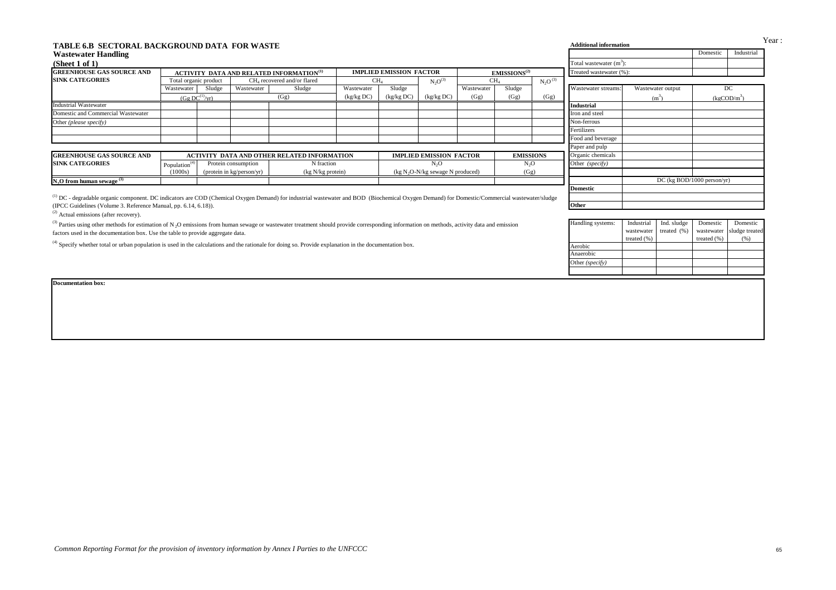| <b>Wastewater Handling</b>                                                                                                                                                                                                                                                                           |                                                                |        |                           |                                                      |                 |                                |                                    |                 |                          |                   |                            |             |                                | Domestic        | Industrial                |  |
|------------------------------------------------------------------------------------------------------------------------------------------------------------------------------------------------------------------------------------------------------------------------------------------------------|----------------------------------------------------------------|--------|---------------------------|------------------------------------------------------|-----------------|--------------------------------|------------------------------------|-----------------|--------------------------|-------------------|----------------------------|-------------|--------------------------------|-----------------|---------------------------|--|
| (Sheet 1 of 1)                                                                                                                                                                                                                                                                                       |                                                                |        |                           |                                                      |                 |                                |                                    |                 |                          |                   | Total wastewater $(m^3)$ : |             |                                |                 |                           |  |
| <b>GREENHOUSE GAS SOURCE AND</b>                                                                                                                                                                                                                                                                     |                                                                |        |                           | ACTIVITY DATA AND RELATED INFORMATION <sup>(1)</sup> |                 | <b>IMPLIED EMISSION FACTOR</b> |                                    |                 | EMISSIONS <sup>(2)</sup> |                   | Treated wastewater (%):    |             |                                |                 |                           |  |
| <b>SINK CATEGORIES</b>                                                                                                                                                                                                                                                                               | Total organic product                                          |        |                           | CH <sub>4</sub> recovered and/or flared              | CH <sub>4</sub> |                                | $N_2O^{(3)}$                       | CH <sub>4</sub> |                          | $N_2O^{(3)}$      |                            |             |                                |                 |                           |  |
|                                                                                                                                                                                                                                                                                                      | Wastewater                                                     | Sludge | Wastewater                | Sludge                                               | Wastewater      | Sludge                         |                                    | Wastewater      | Sludge                   |                   | Wastewater streams         |             | Wastewater output              |                 | DC                        |  |
|                                                                                                                                                                                                                                                                                                      | (Gg)<br>(kg/kg DC)<br>(kg/kg DC)<br>(Gg DC <sup>(1)</sup> /vr) |        |                           |                                                      |                 |                                | (kg/kg DC)                         | (Gg)            | (Gg)                     | (Gg)              |                            |             | $(m^3)$                        |                 | $(kgCD/m^3)$              |  |
| <b>Industrial Wastewater</b>                                                                                                                                                                                                                                                                         |                                                                |        |                           |                                                      |                 |                                |                                    |                 |                          | <b>Industrial</b> |                            |             |                                |                 |                           |  |
| Domestic and Commercial Wastewater                                                                                                                                                                                                                                                                   |                                                                |        |                           |                                                      |                 |                                |                                    |                 |                          |                   | Iron and steel             |             |                                |                 |                           |  |
| Other (please specify)                                                                                                                                                                                                                                                                               |                                                                |        |                           |                                                      |                 |                                |                                    |                 |                          |                   | Non-ferrous                |             |                                |                 |                           |  |
|                                                                                                                                                                                                                                                                                                      |                                                                |        |                           |                                                      |                 |                                |                                    |                 |                          |                   | Fertilizers                |             |                                |                 |                           |  |
|                                                                                                                                                                                                                                                                                                      |                                                                |        |                           |                                                      |                 |                                |                                    |                 |                          |                   | Food and beverage          |             |                                |                 |                           |  |
|                                                                                                                                                                                                                                                                                                      |                                                                |        |                           |                                                      |                 |                                |                                    |                 |                          |                   | Paper and pulp             |             |                                |                 |                           |  |
| <b>GREENHOUSE GAS SOURCE AND</b>                                                                                                                                                                                                                                                                     |                                                                |        |                           | <b>ACTIVITY DATA AND OTHER RELATED INFORMATION</b>   |                 |                                | <b>IMPLIED EMISSION FACTOR</b>     |                 | <b>EMISSIONS</b>         |                   | Organic chemicals          |             |                                |                 |                           |  |
| <b>SINK CATEGORIES</b>                                                                                                                                                                                                                                                                               | Population $(4)$                                               |        | Protein consumption       | N fraction                                           |                 |                                | N <sub>2</sub> O                   |                 | N <sub>2</sub> O         |                   | Other (specify)            |             |                                |                 |                           |  |
|                                                                                                                                                                                                                                                                                                      | (1000s)                                                        |        | (protein in kg/person/yr) | (kg N/kg protein)                                    |                 |                                | ( $kg N2O-N/kg$ sewage N produced) |                 | (Gg)                     |                   |                            |             |                                |                 |                           |  |
| N <sub>2</sub> O from human sewage <sup>(3)</sup>                                                                                                                                                                                                                                                    |                                                                |        |                           |                                                      |                 |                                |                                    |                 |                          |                   |                            |             | $DC$ (kg $BOD/1000$ person/yr) |                 |                           |  |
|                                                                                                                                                                                                                                                                                                      |                                                                |        |                           |                                                      |                 |                                |                                    |                 |                          |                   |                            |             |                                |                 |                           |  |
|                                                                                                                                                                                                                                                                                                      |                                                                |        |                           |                                                      |                 |                                |                                    |                 |                          |                   | <b>Domestic</b>            |             |                                |                 |                           |  |
| <sup>(1)</sup> DC - degradable organic component. DC indicators are COD (Chemical Oxygen Demand) for industrial wastewater and BOD (Biochemical Oxygen Demand) for Domestic/Commercial wastewater/sludge                                                                                             |                                                                |        |                           |                                                      |                 |                                |                                    |                 |                          |                   |                            |             |                                |                 |                           |  |
|                                                                                                                                                                                                                                                                                                      |                                                                |        |                           |                                                      |                 |                                |                                    |                 |                          |                   | Other                      |             |                                |                 |                           |  |
|                                                                                                                                                                                                                                                                                                      |                                                                |        |                           |                                                      |                 |                                |                                    |                 |                          |                   |                            |             |                                |                 |                           |  |
| (IPCC Guidelines (Volume 3. Reference Manual, pp. 6.14, 6.18)).<br><sup>(2)</sup> Actual emissions (after recovery).                                                                                                                                                                                 |                                                                |        |                           |                                                      |                 |                                |                                    |                 |                          |                   | Handling systems:          | Industrial  | Ind. sludge                    | Domestic        | Domestic                  |  |
| <sup>(3)</sup> Parties using other methods for estimation of N <sub>2</sub> O emissions from human sewage or wastewater treatment should provide corresponding information on methods, activity data and emission<br>factors used in the documentation box. Use the table to provide aggregate data. |                                                                |        |                           |                                                      |                 |                                |                                    |                 |                          |                   |                            | wastewater  | treated (%)                    |                 |                           |  |
|                                                                                                                                                                                                                                                                                                      |                                                                |        |                           |                                                      |                 |                                |                                    |                 |                          |                   |                            | treated (%) |                                | treated $(\% )$ | (% )                      |  |
| <sup>(4)</sup> Specify whether total or urban population is used in the calculations and the rationale for doing so. Provide explanation in the documentation box.                                                                                                                                   |                                                                |        |                           |                                                      |                 |                                |                                    |                 |                          |                   | Aerobic                    |             |                                |                 |                           |  |
|                                                                                                                                                                                                                                                                                                      |                                                                |        |                           |                                                      |                 |                                |                                    |                 |                          |                   | Anaerobic                  |             |                                |                 |                           |  |
|                                                                                                                                                                                                                                                                                                      |                                                                |        |                           |                                                      |                 |                                |                                    |                 |                          |                   | Other (specify)            |             |                                |                 | wastewater sludge treated |  |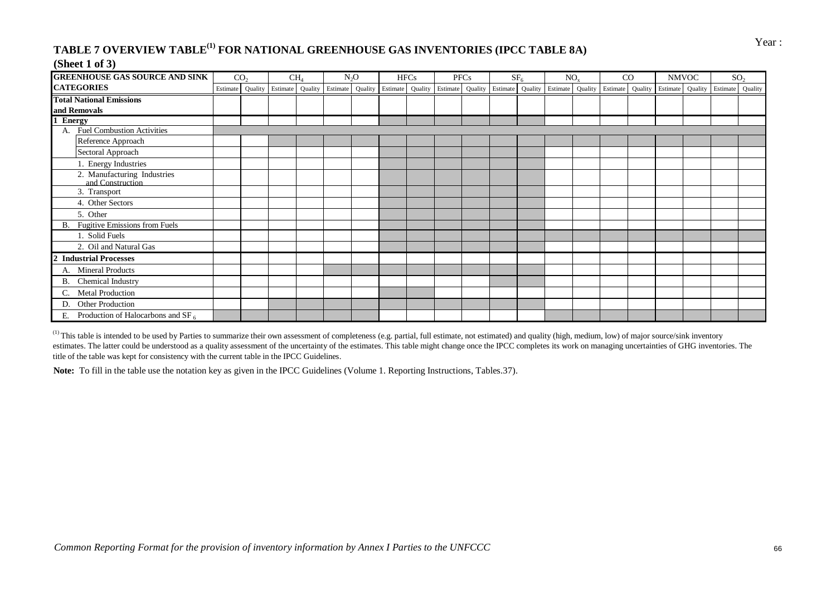# **TABLE 7 OVERVIEW TABLE<sup>(1)</sup> FOR NATIONAL GREENHOUSE GAS INVENTORIES (IPCC TABLE 8A)** Year :

#### **(Sheet 1 of 3)**

| <b>GREENHOUSE GAS SOURCE AND SINK</b>               |          | CO <sub>2</sub> |          | CH <sub>4</sub> |                                           | $N_2O$ | <b>HFCs</b> | <b>PFCs</b> |                                                                     | SF <sub>6</sub> | $NO_{v}$ | CO |  | <b>NMVOC</b> |                                   | SO <sub>2</sub> |
|-----------------------------------------------------|----------|-----------------|----------|-----------------|-------------------------------------------|--------|-------------|-------------|---------------------------------------------------------------------|-----------------|----------|----|--|--------------|-----------------------------------|-----------------|
| <b>CATEGORIES</b>                                   | Estimate | Quality         | Estimate |                 | Quality Estimate Quality Estimate Quality |        |             |             | Estimate Quality Estimate Quality Estimate Quality Estimate Quality |                 |          |    |  |              | Estimate Quality Estimate Quality |                 |
| <b>Total National Emissions</b>                     |          |                 |          |                 |                                           |        |             |             |                                                                     |                 |          |    |  |              |                                   |                 |
| and Removals                                        |          |                 |          |                 |                                           |        |             |             |                                                                     |                 |          |    |  |              |                                   |                 |
| <b>Energy</b>                                       |          |                 |          |                 |                                           |        |             |             |                                                                     |                 |          |    |  |              |                                   |                 |
| <b>Fuel Combustion Activities</b>                   |          |                 |          |                 |                                           |        |             |             |                                                                     |                 |          |    |  |              |                                   |                 |
| Reference Approach                                  |          |                 |          |                 |                                           |        |             |             |                                                                     |                 |          |    |  |              |                                   |                 |
| Sectoral Approach                                   |          |                 |          |                 |                                           |        |             |             |                                                                     |                 |          |    |  |              |                                   |                 |
| 1. Energy Industries                                |          |                 |          |                 |                                           |        |             |             |                                                                     |                 |          |    |  |              |                                   |                 |
| 2. Manufacturing Industries<br>and Construction     |          |                 |          |                 |                                           |        |             |             |                                                                     |                 |          |    |  |              |                                   |                 |
| 3. Transport                                        |          |                 |          |                 |                                           |        |             |             |                                                                     |                 |          |    |  |              |                                   |                 |
| 4. Other Sectors                                    |          |                 |          |                 |                                           |        |             |             |                                                                     |                 |          |    |  |              |                                   |                 |
| 5. Other                                            |          |                 |          |                 |                                           |        |             |             |                                                                     |                 |          |    |  |              |                                   |                 |
| <b>Fugitive Emissions from Fuels</b><br>В.          |          |                 |          |                 |                                           |        |             |             |                                                                     |                 |          |    |  |              |                                   |                 |
| 1. Solid Fuels                                      |          |                 |          |                 |                                           |        |             |             |                                                                     |                 |          |    |  |              |                                   |                 |
| 2. Oil and Natural Gas                              |          |                 |          |                 |                                           |        |             |             |                                                                     |                 |          |    |  |              |                                   |                 |
| <b>Industrial Processes</b>                         |          |                 |          |                 |                                           |        |             |             |                                                                     |                 |          |    |  |              |                                   |                 |
| <b>Mineral Products</b><br>А.                       |          |                 |          |                 |                                           |        |             |             |                                                                     |                 |          |    |  |              |                                   |                 |
| Chemical Industry<br>В.                             |          |                 |          |                 |                                           |        |             |             |                                                                     |                 |          |    |  |              |                                   |                 |
| <b>Metal Production</b>                             |          |                 |          |                 |                                           |        |             |             |                                                                     |                 |          |    |  |              |                                   |                 |
| Other Production<br>D.                              |          |                 |          |                 |                                           |        |             |             |                                                                     |                 |          |    |  |              |                                   |                 |
| Production of Halocarbons and SF <sub>6</sub><br>Ε. |          |                 |          |                 |                                           |        |             |             |                                                                     |                 |          |    |  |              |                                   |                 |

<sup>(1)</sup> This table is intended to be used by Parties to summarize their own assessment of completeness (e.g. partial, full estimate, not estimated) and quality (high, medium, low) of major source/sink inventory estimates. The latter could be understood as a quality assessment of the uncertainty of the estimates. This table might change once the IPCC completes its work on managing uncertainties of GHG inventories. The title of the table was kept for consistency with the current table in the IPCC Guidelines.

**Note:** To fill in the table use the notation key as given in the IPCC Guidelines (Volume 1. Reporting Instructions, Tables.37).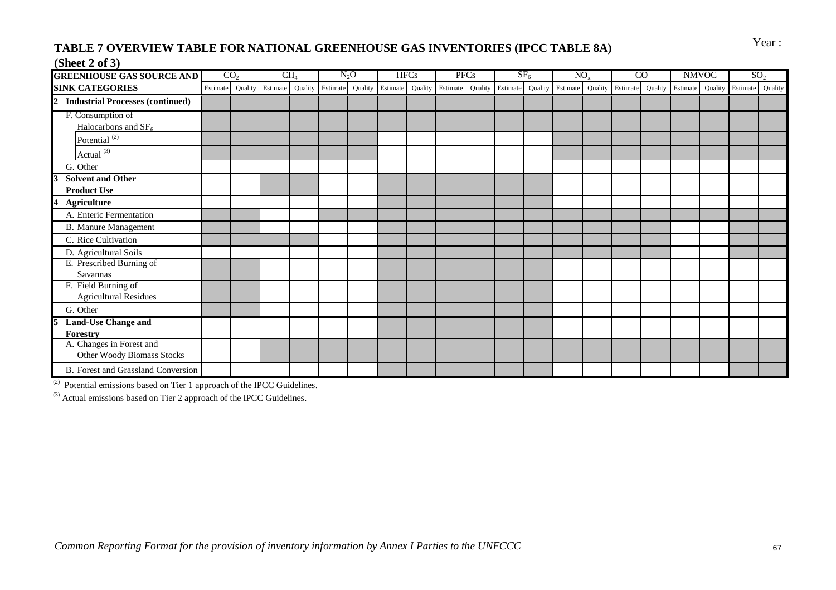# TABLE 7 OVERVIEW TABLE FOR NATIONAL GREENHOUSE GAS INVENTORIES (IPCC TABLE 8A) Year:

#### **(Sheet 2 of 3)**

| <b>GREENHOUSE GAS SOURCE AND</b>                          |          | CO <sub>2</sub> |          | CH <sub>4</sub> |                  | $N_2O$ | <b>HFCs</b> |                                   | <b>PFCs</b> |                                   | SF <sub>6</sub> | NO <sub>x</sub> |                  | $\overline{C}$ |          | <b>NMVOC</b> | SO <sub>2</sub> |         |
|-----------------------------------------------------------|----------|-----------------|----------|-----------------|------------------|--------|-------------|-----------------------------------|-------------|-----------------------------------|-----------------|-----------------|------------------|----------------|----------|--------------|-----------------|---------|
| <b>SINK CATEGORIES</b>                                    | Estimate | Quality         | Estimate |                 | Quality Estimate |        |             | Quality Estimate Quality Estimate |             | Quality Estimate Quality Estimate |                 |                 | Quality Estimate | Quality        | Estimate | Quality      | Estimate        | Quality |
| $\overline{2}$<br><b>Industrial Processes (continued)</b> |          |                 |          |                 |                  |        |             |                                   |             |                                   |                 |                 |                  |                |          |              |                 |         |
| F. Consumption of                                         |          |                 |          |                 |                  |        |             |                                   |             |                                   |                 |                 |                  |                |          |              |                 |         |
| Halocarbons and $SF6$                                     |          |                 |          |                 |                  |        |             |                                   |             |                                   |                 |                 |                  |                |          |              |                 |         |
| Potential <sup>(2)</sup>                                  |          |                 |          |                 |                  |        |             |                                   |             |                                   |                 |                 |                  |                |          |              |                 |         |
| Actual $(3)$                                              |          |                 |          |                 |                  |        |             |                                   |             |                                   |                 |                 |                  |                |          |              |                 |         |
| G. Other                                                  |          |                 |          |                 |                  |        |             |                                   |             |                                   |                 |                 |                  |                |          |              |                 |         |
| <b>Solvent and Other</b>                                  |          |                 |          |                 |                  |        |             |                                   |             |                                   |                 |                 |                  |                |          |              |                 |         |
| <b>Product Use</b>                                        |          |                 |          |                 |                  |        |             |                                   |             |                                   |                 |                 |                  |                |          |              |                 |         |
| 4<br><b>Agriculture</b>                                   |          |                 |          |                 |                  |        |             |                                   |             |                                   |                 |                 |                  |                |          |              |                 |         |
| A. Enteric Fermentation                                   |          |                 |          |                 |                  |        |             |                                   |             |                                   |                 |                 |                  |                |          |              |                 |         |
| <b>B.</b> Manure Management                               |          |                 |          |                 |                  |        |             |                                   |             |                                   |                 |                 |                  |                |          |              |                 |         |
| C. Rice Cultivation                                       |          |                 |          |                 |                  |        |             |                                   |             |                                   |                 |                 |                  |                |          |              |                 |         |
| D. Agricultural Soils                                     |          |                 |          |                 |                  |        |             |                                   |             |                                   |                 |                 |                  |                |          |              |                 |         |
| E. Prescribed Burning of                                  |          |                 |          |                 |                  |        |             |                                   |             |                                   |                 |                 |                  |                |          |              |                 |         |
| Savannas                                                  |          |                 |          |                 |                  |        |             |                                   |             |                                   |                 |                 |                  |                |          |              |                 |         |
| F. Field Burning of                                       |          |                 |          |                 |                  |        |             |                                   |             |                                   |                 |                 |                  |                |          |              |                 |         |
| <b>Agricultural Residues</b>                              |          |                 |          |                 |                  |        |             |                                   |             |                                   |                 |                 |                  |                |          |              |                 |         |
| G. Other                                                  |          |                 |          |                 |                  |        |             |                                   |             |                                   |                 |                 |                  |                |          |              |                 |         |
| <b>Land-Use Change and</b>                                |          |                 |          |                 |                  |        |             |                                   |             |                                   |                 |                 |                  |                |          |              |                 |         |
| Forestry                                                  |          |                 |          |                 |                  |        |             |                                   |             |                                   |                 |                 |                  |                |          |              |                 |         |
| A. Changes in Forest and<br>Other Woody Biomass Stocks    |          |                 |          |                 |                  |        |             |                                   |             |                                   |                 |                 |                  |                |          |              |                 |         |
| B. Forest and Grassland Conversion                        |          |                 |          |                 |                  |        |             |                                   |             |                                   |                 |                 |                  |                |          |              |                 |         |

 $(2)$  Potential emissions based on Tier 1 approach of the IPCC Guidelines.

<sup>(3)</sup> Actual emissions based on Tier 2 approach of the IPCC Guidelines.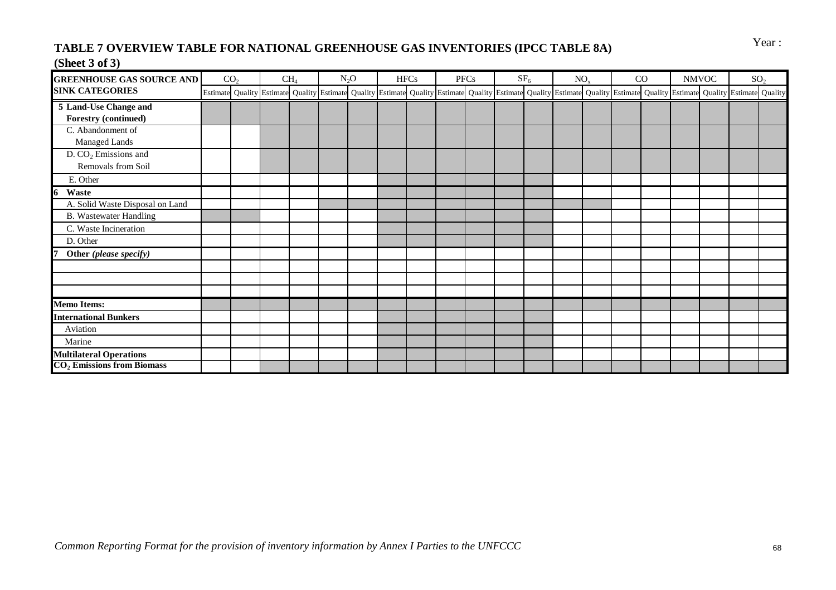# TABLE 7 OVERVIEW TABLE FOR NATIONAL GREENHOUSE GAS INVENTORIES (IPCC TABLE 8A) Year:

## **(Sheet 3 of 3)**

| <b>GREENHOUSE GAS SOURCE AND</b>                                 | CO <sub>2</sub> | CH <sub>4</sub> | $N_2O$ | <b>HFCs</b> | PFCs |                                                                                                                                                                                                                              | SF <sub>6</sub> | NO <sub>x</sub> | CO |  | <b>NMVOC</b> | SO <sub>2</sub> |
|------------------------------------------------------------------|-----------------|-----------------|--------|-------------|------|------------------------------------------------------------------------------------------------------------------------------------------------------------------------------------------------------------------------------|-----------------|-----------------|----|--|--------------|-----------------|
| <b>SINK CATEGORIES</b>                                           |                 |                 |        |             |      | Estimate Quality Estimate Quality Estimate Quality Estimate Quality Estimate Quality Estimate Quality Estimate Quality Estimate Quality Estimate Quality Estimate Quality Estimate Quality Estimate Quality Estimate Quality |                 |                 |    |  |              |                 |
| 5 Land-Use Change and<br><b>Forestry (continued)</b>             |                 |                 |        |             |      |                                                                                                                                                                                                                              |                 |                 |    |  |              |                 |
| C. Abandonment of<br><b>Managed Lands</b>                        |                 |                 |        |             |      |                                                                                                                                                                                                                              |                 |                 |    |  |              |                 |
| $D. CO2$ Emissions and<br>Removals from Soil                     |                 |                 |        |             |      |                                                                                                                                                                                                                              |                 |                 |    |  |              |                 |
| E. Other<br>Waste<br>6                                           |                 |                 |        |             |      |                                                                                                                                                                                                                              |                 |                 |    |  |              |                 |
| A. Solid Waste Disposal on Land<br><b>B.</b> Wastewater Handling |                 |                 |        |             |      |                                                                                                                                                                                                                              |                 |                 |    |  |              |                 |
| C. Waste Incineration<br>D. Other                                |                 |                 |        |             |      |                                                                                                                                                                                                                              |                 |                 |    |  |              |                 |
| Other (please specify)                                           |                 |                 |        |             |      |                                                                                                                                                                                                                              |                 |                 |    |  |              |                 |
|                                                                  |                 |                 |        |             |      |                                                                                                                                                                                                                              |                 |                 |    |  |              |                 |
| <b>Memo Items:</b>                                               |                 |                 |        |             |      |                                                                                                                                                                                                                              |                 |                 |    |  |              |                 |
| <b>International Bunkers</b>                                     |                 |                 |        |             |      |                                                                                                                                                                                                                              |                 |                 |    |  |              |                 |
| Aviation                                                         |                 |                 |        |             |      |                                                                                                                                                                                                                              |                 |                 |    |  |              |                 |
| Marine                                                           |                 |                 |        |             |      |                                                                                                                                                                                                                              |                 |                 |    |  |              |                 |
| <b>Multilateral Operations</b><br>$CO2$ Emissions from Biomass   |                 |                 |        |             |      |                                                                                                                                                                                                                              |                 |                 |    |  |              |                 |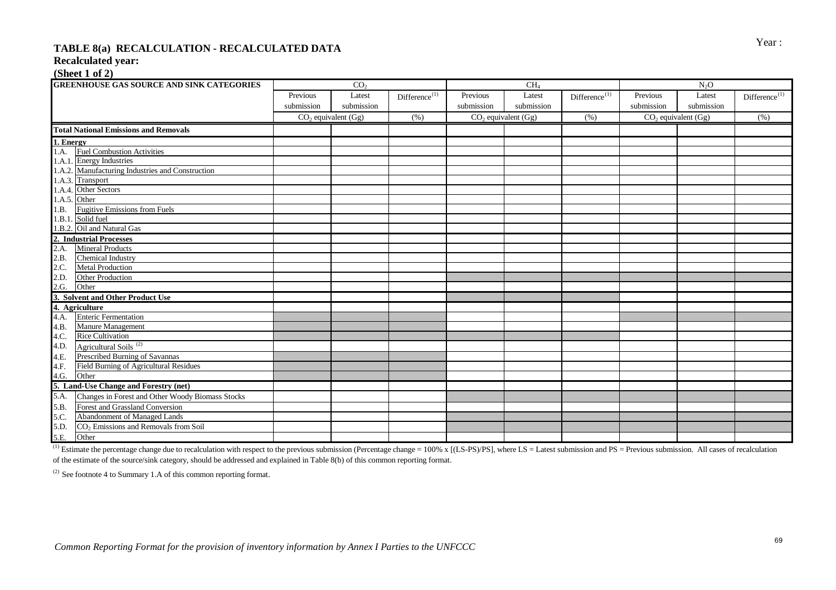# Year : **TABLE 8(a) RECALCULATION - RECALCULATED DATA**

#### **Recalculated year:**

#### **(Sheet 1 of 2)**

|              | <b>GREENHOUSE GAS SOURCE AND SINK CATEGORIES</b>                                                                                                                                                                                                 |                         | CO <sub>2</sub> |                           |                         | CH <sub>4</sub> |                    | $N_2O$                  |            |                                      |  |
|--------------|--------------------------------------------------------------------------------------------------------------------------------------------------------------------------------------------------------------------------------------------------|-------------------------|-----------------|---------------------------|-------------------------|-----------------|--------------------|-------------------------|------------|--------------------------------------|--|
|              |                                                                                                                                                                                                                                                  | Previous                | Latest          | Difference <sup>(1)</sup> | Previous                | Latest          | $Differente^{(1)}$ | Previous                | Latest     | $Differentmathbf{D}$ ifference $(1)$ |  |
|              |                                                                                                                                                                                                                                                  | submission              | submission      |                           | submission              | submission      |                    | submission              | submission |                                      |  |
|              |                                                                                                                                                                                                                                                  | $CO2$ equivalent $(Gg)$ |                 | (% )                      | $CO2$ equivalent $(Gg)$ |                 | (%)                | $CO2$ equivalent $(Gg)$ |            | (% )                                 |  |
|              | <b>Total National Emissions and Removals</b>                                                                                                                                                                                                     |                         |                 |                           |                         |                 |                    |                         |            |                                      |  |
| 1. Energy    |                                                                                                                                                                                                                                                  |                         |                 |                           |                         |                 |                    |                         |            |                                      |  |
| 1.A.         | <b>Fuel Combustion Activities</b>                                                                                                                                                                                                                |                         |                 |                           |                         |                 |                    |                         |            |                                      |  |
|              | 1.A.1. Energy Industries                                                                                                                                                                                                                         |                         |                 |                           |                         |                 |                    |                         |            |                                      |  |
|              | 1.A.2. Manufacturing Industries and Construction                                                                                                                                                                                                 |                         |                 |                           |                         |                 |                    |                         |            |                                      |  |
|              | 1.A.3. Transport                                                                                                                                                                                                                                 |                         |                 |                           |                         |                 |                    |                         |            |                                      |  |
|              | 1.A.4. Other Sectors                                                                                                                                                                                                                             |                         |                 |                           |                         |                 |                    |                         |            |                                      |  |
| 1.A.5. Other |                                                                                                                                                                                                                                                  |                         |                 |                           |                         |                 |                    |                         |            |                                      |  |
| 1.B.         | <b>Fugitive Emissions from Fuels</b>                                                                                                                                                                                                             |                         |                 |                           |                         |                 |                    |                         |            |                                      |  |
|              | 1.B.1. Solid fuel                                                                                                                                                                                                                                |                         |                 |                           |                         |                 |                    |                         |            |                                      |  |
|              |                                                                                                                                                                                                                                                  |                         |                 |                           |                         |                 |                    |                         |            |                                      |  |
|              |                                                                                                                                                                                                                                                  |                         |                 |                           |                         |                 |                    |                         |            |                                      |  |
|              |                                                                                                                                                                                                                                                  |                         |                 |                           |                         |                 |                    |                         |            |                                      |  |
|              |                                                                                                                                                                                                                                                  |                         |                 |                           |                         |                 |                    |                         |            |                                      |  |
|              |                                                                                                                                                                                                                                                  |                         |                 |                           |                         |                 |                    |                         |            |                                      |  |
|              |                                                                                                                                                                                                                                                  |                         |                 |                           |                         |                 |                    |                         |            |                                      |  |
|              |                                                                                                                                                                                                                                                  |                         |                 |                           |                         |                 |                    |                         |            |                                      |  |
|              | 1.B.1. Solid fuel<br>1.B.2. Oil and Natural Gas<br>2. Industrial Processes<br>2.A. Mineral Products<br>2.B. Chemical Industry<br>2.C. Metal Production<br>2.D. Other Production<br>2.G. Other<br>3. Solvent and Other Product Use<br>4. Agricult |                         |                 |                           |                         |                 |                    |                         |            |                                      |  |
|              |                                                                                                                                                                                                                                                  |                         |                 |                           |                         |                 |                    |                         |            |                                      |  |
|              |                                                                                                                                                                                                                                                  |                         |                 |                           |                         |                 |                    |                         |            |                                      |  |
| 4.B.         | Manure Management                                                                                                                                                                                                                                |                         |                 |                           |                         |                 |                    |                         |            |                                      |  |
| 4.C.         | <b>Rice Cultivation</b>                                                                                                                                                                                                                          |                         |                 |                           |                         |                 |                    |                         |            |                                      |  |
| 4.D.         | Agricultural Soils <sup>(2)</sup>                                                                                                                                                                                                                |                         |                 |                           |                         |                 |                    |                         |            |                                      |  |
|              |                                                                                                                                                                                                                                                  |                         |                 |                           |                         |                 |                    |                         |            |                                      |  |
|              | <b>Field Burning of Agricultural Residues</b>                                                                                                                                                                                                    |                         |                 |                           |                         |                 |                    |                         |            |                                      |  |
|              |                                                                                                                                                                                                                                                  |                         |                 |                           |                         |                 |                    |                         |            |                                      |  |
|              |                                                                                                                                                                                                                                                  |                         |                 |                           |                         |                 |                    |                         |            |                                      |  |
|              | 4.D.<br>4.E. Prescribed Burning of Savannas<br>4.F. Field Burning of Agricultural Residu<br>4.G. Other<br>5. Land-Use Change and Forestry (net)<br>5.A. Changes in Forest and Other Woody<br>Changes in Forest and Other Woody Biomass Stocks    |                         |                 |                           |                         |                 |                    |                         |            |                                      |  |
| 5.B.         | Forest and Grassland Conversion                                                                                                                                                                                                                  |                         |                 |                           |                         |                 |                    |                         |            |                                      |  |
| 5.C.         | Abandonment of Managed Lands                                                                                                                                                                                                                     |                         |                 |                           |                         |                 |                    |                         |            |                                      |  |
| 5.D.         | CO <sub>2</sub> Emissions and Removals from Soil                                                                                                                                                                                                 |                         |                 |                           |                         |                 |                    |                         |            |                                      |  |
| 5.E.         | Other                                                                                                                                                                                                                                            |                         |                 |                           |                         |                 |                    |                         |            |                                      |  |

<sup>(1)</sup> Estimate the percentage change due to recalculation with respect to the previous submission (Percentage change = 100% x [(LS-PS)/PS], where LS = Latest submission and PS = Previous submission. All cases of recalcula of the estimate of the source/sink category, should be addressed and explained in Table 8(b) of this common reporting format.

 $(2)$  See footnote 4 to Summary 1.A of this common reporting format.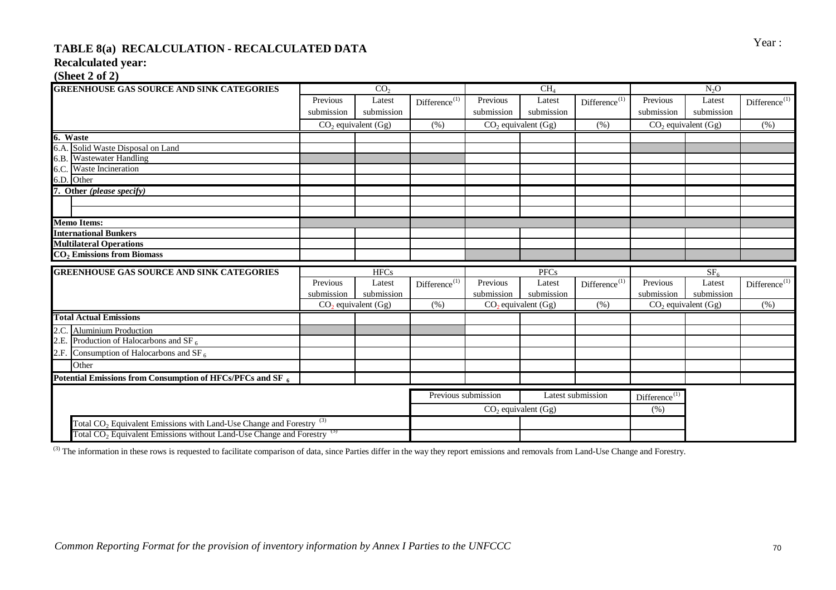## TABLE 8(a) RECALCULATION - RECALCULATED DATA **Figure 3** Year : **Recalculated year:**

#### **(Sheet 2 of 2)**

| <b>GREENHOUSE GAS SOURCE AND SINK CATEGORIES</b>                                                                                                                     |            | CO <sub>2</sub>         |                           |                       | CH <sub>4</sub> |                           | N <sub>2</sub> O          |                 |                              |  |
|----------------------------------------------------------------------------------------------------------------------------------------------------------------------|------------|-------------------------|---------------------------|-----------------------|-----------------|---------------------------|---------------------------|-----------------|------------------------------|--|
|                                                                                                                                                                      | Previous   | Latest                  | Difference <sup>(1)</sup> | Previous              | Latest          | Difference <sup>(1)</sup> | Previous                  | Latest          | Difference <sup>(1)</sup>    |  |
|                                                                                                                                                                      | submission | submission              |                           | submission            | submission      |                           | submission                | submission      |                              |  |
|                                                                                                                                                                      |            | $CO2$ equivalent $(Gg)$ | (% )                      | $CO2$ equivalent (Gg) |                 | (% )                      | $CO2$ equivalent (Gg)     |                 | (% )                         |  |
| 6. Waste                                                                                                                                                             |            |                         |                           |                       |                 |                           |                           |                 |                              |  |
| 6.A. Solid Waste Disposal on Land                                                                                                                                    |            |                         |                           |                       |                 |                           |                           |                 |                              |  |
| 6.B. Wastewater Handling                                                                                                                                             |            |                         |                           |                       |                 |                           |                           |                 |                              |  |
| 6.C. Waste Incineration                                                                                                                                              |            |                         |                           |                       |                 |                           |                           |                 |                              |  |
| 6.D. Other                                                                                                                                                           |            |                         |                           |                       |                 |                           |                           |                 |                              |  |
| 7. Other (please specify)                                                                                                                                            |            |                         |                           |                       |                 |                           |                           |                 |                              |  |
|                                                                                                                                                                      |            |                         |                           |                       |                 |                           |                           |                 |                              |  |
|                                                                                                                                                                      |            |                         |                           |                       |                 |                           |                           |                 |                              |  |
| <b>Memo Items:</b>                                                                                                                                                   |            |                         |                           |                       |                 |                           |                           |                 |                              |  |
| <b>International Bunkers</b>                                                                                                                                         |            |                         |                           |                       |                 |                           |                           |                 |                              |  |
| <b>Multilateral Operations</b>                                                                                                                                       |            |                         |                           |                       |                 |                           |                           |                 |                              |  |
| CO <sub>2</sub> Emissions from Biomass                                                                                                                               |            |                         |                           |                       |                 |                           |                           |                 |                              |  |
|                                                                                                                                                                      |            |                         |                           |                       |                 |                           |                           |                 |                              |  |
| <b>GREENHOUSE GAS SOURCE AND SINK CATEGORIES</b>                                                                                                                     |            | <b>HFCs</b>             |                           |                       | <b>PFCs</b>     |                           |                           | SF <sub>c</sub> |                              |  |
|                                                                                                                                                                      | Previous   | Latest                  |                           | Previous              | Latest          |                           | Previous                  | Latest          |                              |  |
|                                                                                                                                                                      | submission | submission              | $Differente^{(1)}$        | submission            | submission      | $Differente^{(1)}$        | submission                | submission      | $Differentmathcal{D}}^{(1)}$ |  |
|                                                                                                                                                                      |            | $CO2$ equivalent $(Gg)$ | (% )                      | $CO2$ equivalent (Gg) |                 | (% )                      | $CO2$ equivalent $(Gg)$   |                 | (% )                         |  |
| <b>Total Actual Emissions</b>                                                                                                                                        |            |                         |                           |                       |                 |                           |                           |                 |                              |  |
| 2.C. Aluminium Production                                                                                                                                            |            |                         |                           |                       |                 |                           |                           |                 |                              |  |
| 2.E. Production of Halocarbons and SF $_6$                                                                                                                           |            |                         |                           |                       |                 |                           |                           |                 |                              |  |
| 2.F. Consumption of Halocarbons and SF <sub>6</sub>                                                                                                                  |            |                         |                           |                       |                 |                           |                           |                 |                              |  |
| Other                                                                                                                                                                |            |                         |                           |                       |                 |                           |                           |                 |                              |  |
| Potential Emissions from Consumption of HFCs/PFCs and SF <sub>6</sub>                                                                                                |            |                         |                           |                       |                 |                           |                           |                 |                              |  |
|                                                                                                                                                                      |            |                         |                           |                       |                 |                           |                           |                 |                              |  |
|                                                                                                                                                                      |            |                         | Previous submission       |                       |                 | Latest submission         | Difference <sup>(1)</sup> |                 |                              |  |
|                                                                                                                                                                      |            |                         |                           | $CO2$ equivalent (Gg) |                 |                           | (% )                      |                 |                              |  |
| Total CO <sub>2</sub> Equivalent Emissions with Land-Use Change and Forestry <sup>(3)</sup><br>Total $CO2$ Equivalent Emissions without Land-Use Change and Forestry |            |                         |                           |                       |                 |                           |                           |                 |                              |  |

<sup>(3)</sup> The information in these rows is requested to facilitate comparison of data, since Parties differ in the way they report emissions and removals from Land-Use Change and Forestry.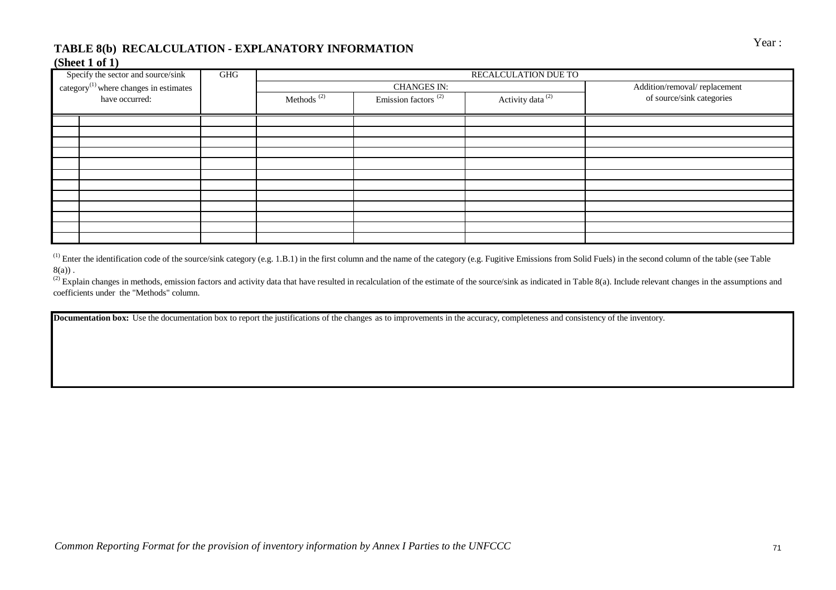# TABLE 8(b) RECALCULATION - EXPLANATORY INFORMATION **FORMATION** Year:

### **(Sheet 1 of 1)**

| Specify the sector and source/sink                 | GHG |                        |                                 | RECALCULATION DUE TO         |                              |
|----------------------------------------------------|-----|------------------------|---------------------------------|------------------------------|------------------------------|
| category <sup>(1)</sup> where changes in estimates |     |                        | <b>CHANGES IN:</b>              |                              | Addition/removal/replacement |
| have occurred:                                     |     | Methods <sup>(2)</sup> | Emission factors <sup>(2)</sup> | Activity data <sup>(2)</sup> | of source/sink categories    |
|                                                    |     |                        |                                 |                              |                              |
|                                                    |     |                        |                                 |                              |                              |
|                                                    |     |                        |                                 |                              |                              |
|                                                    |     |                        |                                 |                              |                              |
|                                                    |     |                        |                                 |                              |                              |
|                                                    |     |                        |                                 |                              |                              |
|                                                    |     |                        |                                 |                              |                              |
|                                                    |     |                        |                                 |                              |                              |
|                                                    |     |                        |                                 |                              |                              |
|                                                    |     |                        |                                 |                              |                              |
|                                                    |     |                        |                                 |                              |                              |
|                                                    |     |                        |                                 |                              |                              |

 $^{(1)}$  Enter the identification code of the source/sink category (e.g. 1.B.1) in the first column and the name of the category (e.g. Fugitive Emissions from Solid Fuels) in the second column of the table (see Table  $8(a)$ ).

(2) Explain changes in methods, emission factors and activity data that have resulted in recalculation of the estimate of the source/sink as indicated in Table 8(a). Include relevant changes in the assumptions and coefficients under the "Methods" column.

**Documentation box:** Use the documentation box to report the justifications of the changes as to improvements in the accuracy, completeness and consistency of the inventory.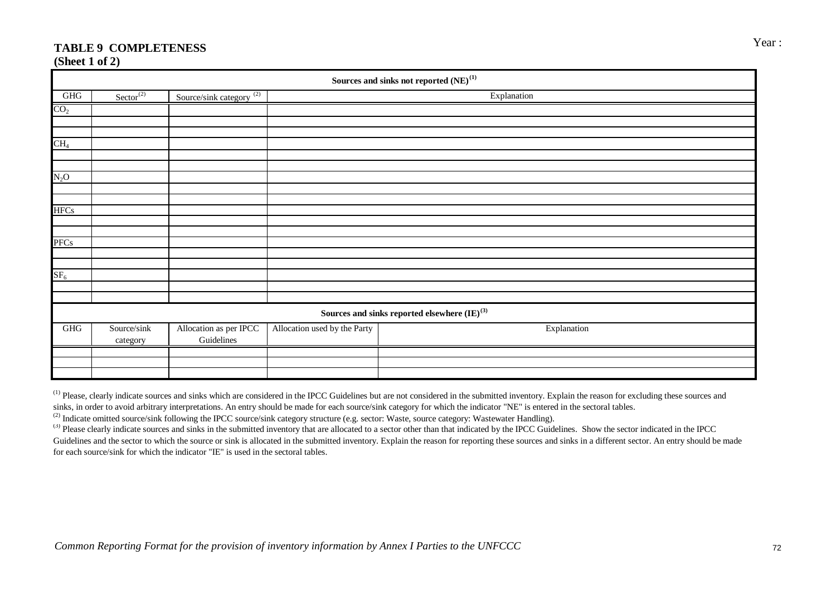# Year : **TABLE 9 COMPLETENESS**

**(Sheet 1 of 2)**

|                 | Sources and sinks not reported ${\rm (NE)}^{(1)}$ |                                                 |                              |                                                         |  |  |  |  |  |  |  |  |  |
|-----------------|---------------------------------------------------|-------------------------------------------------|------------------------------|---------------------------------------------------------|--|--|--|--|--|--|--|--|--|
| $\rm{GHG}$      | $\text{Sector}^{(2)}$                             | Source/sink category $\frac{\overline{(2)}}{2}$ |                              | Explanation                                             |  |  |  |  |  |  |  |  |  |
| CO <sub>2</sub> |                                                   |                                                 |                              |                                                         |  |  |  |  |  |  |  |  |  |
|                 |                                                   |                                                 |                              |                                                         |  |  |  |  |  |  |  |  |  |
|                 |                                                   |                                                 |                              |                                                         |  |  |  |  |  |  |  |  |  |
| CH <sub>4</sub> |                                                   |                                                 |                              |                                                         |  |  |  |  |  |  |  |  |  |
|                 |                                                   |                                                 |                              |                                                         |  |  |  |  |  |  |  |  |  |
|                 |                                                   |                                                 |                              |                                                         |  |  |  |  |  |  |  |  |  |
| $N_2O$          |                                                   |                                                 |                              |                                                         |  |  |  |  |  |  |  |  |  |
|                 |                                                   |                                                 |                              |                                                         |  |  |  |  |  |  |  |  |  |
|                 |                                                   |                                                 |                              |                                                         |  |  |  |  |  |  |  |  |  |
| <b>HFCs</b>     |                                                   |                                                 |                              |                                                         |  |  |  |  |  |  |  |  |  |
|                 |                                                   |                                                 |                              |                                                         |  |  |  |  |  |  |  |  |  |
| <b>PFCs</b>     |                                                   |                                                 |                              |                                                         |  |  |  |  |  |  |  |  |  |
|                 |                                                   |                                                 |                              |                                                         |  |  |  |  |  |  |  |  |  |
|                 |                                                   |                                                 |                              |                                                         |  |  |  |  |  |  |  |  |  |
| SF <sub>6</sub> |                                                   |                                                 |                              |                                                         |  |  |  |  |  |  |  |  |  |
|                 |                                                   |                                                 |                              |                                                         |  |  |  |  |  |  |  |  |  |
|                 |                                                   |                                                 |                              |                                                         |  |  |  |  |  |  |  |  |  |
|                 |                                                   |                                                 |                              | Sources and sinks reported elsewhere ${\rm (IE)}^{(3)}$ |  |  |  |  |  |  |  |  |  |
| GHG             | Source/sink<br>category                           | Allocation as per IPCC<br>Guidelines            | Allocation used by the Party | Explanation                                             |  |  |  |  |  |  |  |  |  |
|                 |                                                   |                                                 |                              |                                                         |  |  |  |  |  |  |  |  |  |
|                 |                                                   |                                                 |                              |                                                         |  |  |  |  |  |  |  |  |  |
|                 |                                                   |                                                 |                              |                                                         |  |  |  |  |  |  |  |  |  |

<sup>(1)</sup> Please, clearly indicate sources and sinks which are considered in the IPCC Guidelines but are not considered in the submitted inventory. Explain the reason for excluding these sources and sinks, in order to avoid arbitrary interpretations. An entry should be made for each source/sink category for which the indicator "NE" is entered in the sectoral tables.

<sup>(2)</sup> Indicate omitted source/sink following the IPCC source/sink category structure (e.g. sector: Waste, source category: Wastewater Handling).

<sup>(3)</sup> Please clearly indicate sources and sinks in the submitted inventory that are allocated to a sector other than that indicated by the IPCC Guidelines. Show the sector indicated in the IPCC Guidelines and the sector to which the source or sink is allocated in the submitted inventory. Explain the reason for reporting these sources and sinks in a different sector. An entry should be made for each source/sink for which the indicator "IE" is used in the sectoral tables.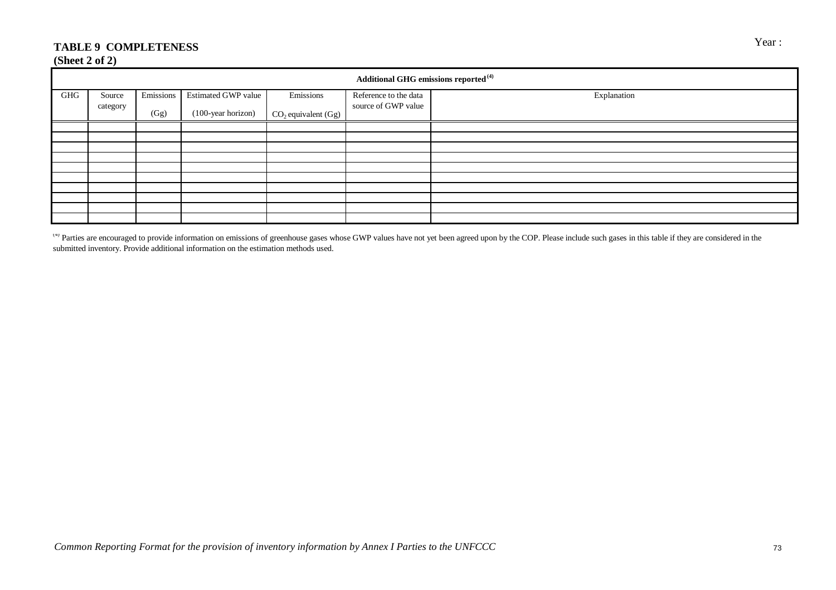# TABLE 9 COMPLETENESS Year :

#### **(Sheet 2 of 2)**

|     | Additional GHG emissions reported <sup>(4)</sup> |           |                     |                       |                       |             |  |  |  |  |  |  |  |
|-----|--------------------------------------------------|-----------|---------------------|-----------------------|-----------------------|-------------|--|--|--|--|--|--|--|
| GHG | Source                                           | Emissions | Estimated GWP value | Emissions             | Reference to the data | Explanation |  |  |  |  |  |  |  |
|     | category                                         | (Gg)      | (100-year horizon)  | $CO2$ equivalent (Gg) | source of GWP value   |             |  |  |  |  |  |  |  |
|     |                                                  |           |                     |                       |                       |             |  |  |  |  |  |  |  |
|     |                                                  |           |                     |                       |                       |             |  |  |  |  |  |  |  |
|     |                                                  |           |                     |                       |                       |             |  |  |  |  |  |  |  |
|     |                                                  |           |                     |                       |                       |             |  |  |  |  |  |  |  |
|     |                                                  |           |                     |                       |                       |             |  |  |  |  |  |  |  |
|     |                                                  |           |                     |                       |                       |             |  |  |  |  |  |  |  |
|     |                                                  |           |                     |                       |                       |             |  |  |  |  |  |  |  |
|     |                                                  |           |                     |                       |                       |             |  |  |  |  |  |  |  |
|     |                                                  |           |                     |                       |                       |             |  |  |  |  |  |  |  |
|     |                                                  |           |                     |                       |                       |             |  |  |  |  |  |  |  |

<sup>(4)</sup> Parties are encouraged to provide information on emissions of greenhouse gases whose GWP values have not yet been agreed upon by the COP. Please include such gases in this table if they are considered in the submitted inventory. Provide additional information on the estimation methods used.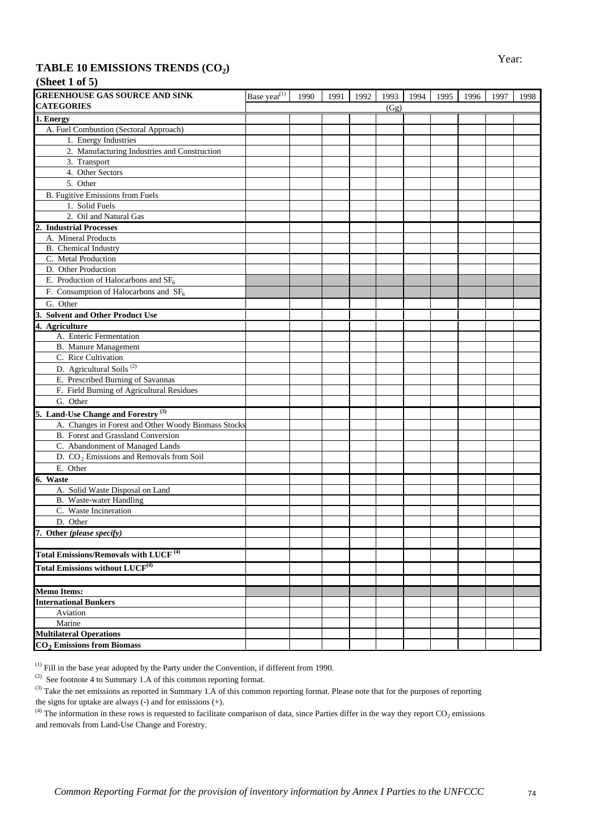# TABLE 10 EMISSIONS TRENDS (CO<sub>2</sub>)

| (Sheet 1 of 5) |  |  |
|----------------|--|--|
|                |  |  |

| <b>GREENHOUSE GAS SOURCE AND SINK</b>               | Base year <sup>(1)</sup> | 1990 | 1991 | 1992 | 1993 | 1994 | 1995 | 1996 | 1997 | 1998 |
|-----------------------------------------------------|--------------------------|------|------|------|------|------|------|------|------|------|
| <b>CATEGORIES</b>                                   |                          |      |      |      | (Gg) |      |      |      |      |      |
| 1. Energy                                           |                          |      |      |      |      |      |      |      |      |      |
| A. Fuel Combustion (Sectoral Approach)              |                          |      |      |      |      |      |      |      |      |      |
| 1. Energy Industries                                |                          |      |      |      |      |      |      |      |      |      |
| 2. Manufacturing Industries and Construction        |                          |      |      |      |      |      |      |      |      |      |
| 3. Transport                                        |                          |      |      |      |      |      |      |      |      |      |
| 4. Other Sectors                                    |                          |      |      |      |      |      |      |      |      |      |
| 5. Other                                            |                          |      |      |      |      |      |      |      |      |      |
| B. Fugitive Emissions from Fuels                    |                          |      |      |      |      |      |      |      |      |      |
| 1. Solid Fuels                                      |                          |      |      |      |      |      |      |      |      |      |
| 2. Oil and Natural Gas                              |                          |      |      |      |      |      |      |      |      |      |
| <b>Industrial Processes</b>                         |                          |      |      |      |      |      |      |      |      |      |
| A. Mineral Products                                 |                          |      |      |      |      |      |      |      |      |      |
| B. Chemical Industry                                |                          |      |      |      |      |      |      |      |      |      |
| C. Metal Production                                 |                          |      |      |      |      |      |      |      |      |      |
| D. Other Production                                 |                          |      |      |      |      |      |      |      |      |      |
| E. Production of Halocarbons and $SF6$              |                          |      |      |      |      |      |      |      |      |      |
| F. Consumption of Halocarbons and $SF6$             |                          |      |      |      |      |      |      |      |      |      |
| G. Other                                            |                          |      |      |      |      |      |      |      |      |      |
| 3. Solvent and Other Product Use                    |                          |      |      |      |      |      |      |      |      |      |
| 4. Agriculture                                      |                          |      |      |      |      |      |      |      |      |      |
| A. Enteric Fermentation                             |                          |      |      |      |      |      |      |      |      |      |
| <b>B.</b> Manure Management                         |                          |      |      |      |      |      |      |      |      |      |
| C. Rice Cultivation                                 |                          |      |      |      |      |      |      |      |      |      |
| D. Agricultural Soils <sup>(2)</sup>                |                          |      |      |      |      |      |      |      |      |      |
| E. Prescribed Burning of Savannas                   |                          |      |      |      |      |      |      |      |      |      |
| F. Field Burning of Agricultural Residues           |                          |      |      |      |      |      |      |      |      |      |
| G. Other                                            |                          |      |      |      |      |      |      |      |      |      |
| 5. Land-Use Change and Forestry <sup>(3)</sup>      |                          |      |      |      |      |      |      |      |      |      |
| A. Changes in Forest and Other Woody Biomass Stocks |                          |      |      |      |      |      |      |      |      |      |
| B. Forest and Grassland Conversion                  |                          |      |      |      |      |      |      |      |      |      |
| C. Abandonment of Managed Lands                     |                          |      |      |      |      |      |      |      |      |      |
| D. CO <sub>2</sub> Emissions and Removals from Soil |                          |      |      |      |      |      |      |      |      |      |
| E. Other                                            |                          |      |      |      |      |      |      |      |      |      |
| 6. Waste                                            |                          |      |      |      |      |      |      |      |      |      |
| A. Solid Waste Disposal on Land                     |                          |      |      |      |      |      |      |      |      |      |
| B. Waste-water Handling                             |                          |      |      |      |      |      |      |      |      |      |
| C. Waste Incineration                               |                          |      |      |      |      |      |      |      |      |      |
| D. Other                                            |                          |      |      |      |      |      |      |      |      |      |
| 7. Other (please specify)                           |                          |      |      |      |      |      |      |      |      |      |
|                                                     |                          |      |      |      |      |      |      |      |      |      |
| Total Emissions/Removals with LUCF <sup>(4)</sup>   |                          |      |      |      |      |      |      |      |      |      |
| <b>Total Emissions without LUCF</b> <sup>(4)</sup>  |                          |      |      |      |      |      |      |      |      |      |
|                                                     |                          |      |      |      |      |      |      |      |      |      |
| <b>Memo Items:</b>                                  |                          |      |      |      |      |      |      |      |      |      |
| <b>International Bunkers</b>                        |                          |      |      |      |      |      |      |      |      |      |
| Aviation                                            |                          |      |      |      |      |      |      |      |      |      |
| Marine                                              |                          |      |      |      |      |      |      |      |      |      |
| <b>Multilateral Operations</b>                      |                          |      |      |      |      |      |      |      |      |      |
| $CO2$ Emissions from Biomass                        |                          |      |      |      |      |      |      |      |      |      |

 $<sup>(1)</sup>$  Fill in the base year adopted by the Party under the Convention, if different from 1990.</sup>

(2) See footnote 4 to Summary 1.A of this common reporting format.

<sup>(4)</sup> The information in these rows is requested to facilitate comparison of data, since Parties differ in the way they report  $CO<sub>2</sub>$  emissions and removals from Land-Use Change and Forestry.

<sup>&</sup>lt;sup>(3)</sup> Take the net emissions as reported in Summary 1.A of this common reporting format. Please note that for the purposes of reporting the signs for uptake are always  $(-)$  and for emissions  $(+)$ .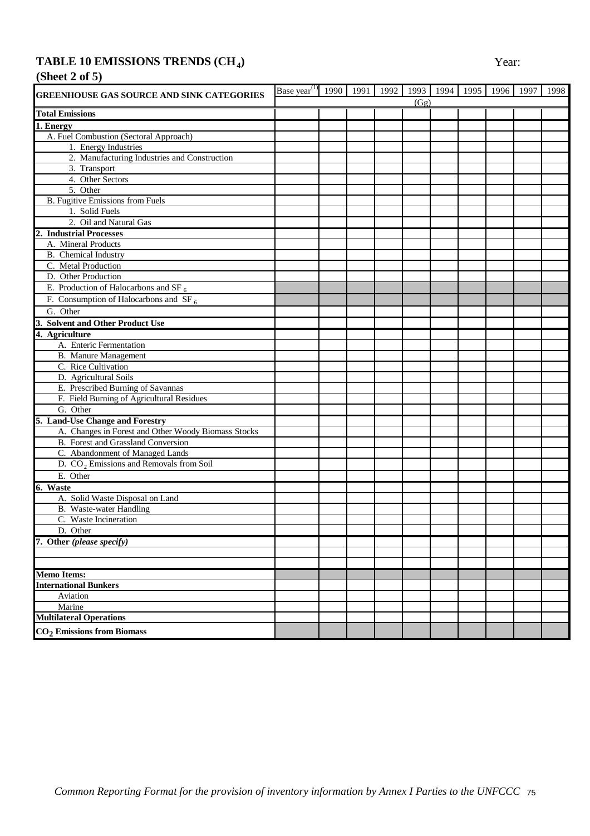### **TABLE 10 EMISSIONS TRENDS**  $(CH<sub>4</sub>)$  Year:

# **(Sheet 2 of 5)**

| (Gg)<br><b>Total Emissions</b><br>1. Energy<br>A. Fuel Combustion (Sectoral Approach)<br>1. Energy Industries<br>2. Manufacturing Industries and Construction<br>3. Transport<br>4. Other Sectors<br>5. Other<br>B. Fugitive Emissions from Fuels<br>1. Solid Fuels<br>2. Oil and Natural Gas<br><b>Industrial Processes</b><br>A. Mineral Products<br>B. Chemical Industry<br>C. Metal Production<br>D. Other Production<br>E. Production of Halocarbons and SF $_6$<br>F. Consumption of Halocarbons and SF <sub>6</sub><br>G. Other<br><b>Solvent and Other Product Use</b><br>3.<br>4. Agriculture<br>A. Enteric Fermentation<br><b>B.</b> Manure Management<br>C. Rice Cultivation<br>D. Agricultural Soils<br>E. Prescribed Burning of Savannas<br>F. Field Burning of Agricultural Residues<br>G. Other<br>5. Land-Use Change and Forestry<br>A. Changes in Forest and Other Woody Biomass Stocks<br>B. Forest and Grassland Conversion<br>C. Abandonment of Managed Lands<br>D. CO <sub>2</sub> Emissions and Removals from Soil<br>E. Other<br>6. Waste<br>A. Solid Waste Disposal on Land<br>B. Waste-water Handling<br>C. Waste Incineration<br>D. Other<br>7. Other (please specify)<br><b>Memo Items:</b><br><b>International Bunkers</b><br>Aviation<br>Marine<br><b>Multilateral Operations</b><br>CO <sub>2</sub> Emissions from Biomass | <b>GREENHOUSE GAS SOURCE AND SINK CATEGORIES</b> | Base year <sup><math>(1)</math></sup> | 1990 1991 | 1992 | 1993 1994 1995 | 1996 | 1997 | 1998 |
|----------------------------------------------------------------------------------------------------------------------------------------------------------------------------------------------------------------------------------------------------------------------------------------------------------------------------------------------------------------------------------------------------------------------------------------------------------------------------------------------------------------------------------------------------------------------------------------------------------------------------------------------------------------------------------------------------------------------------------------------------------------------------------------------------------------------------------------------------------------------------------------------------------------------------------------------------------------------------------------------------------------------------------------------------------------------------------------------------------------------------------------------------------------------------------------------------------------------------------------------------------------------------------------------------------------------------------------------------------|--------------------------------------------------|---------------------------------------|-----------|------|----------------|------|------|------|
|                                                                                                                                                                                                                                                                                                                                                                                                                                                                                                                                                                                                                                                                                                                                                                                                                                                                                                                                                                                                                                                                                                                                                                                                                                                                                                                                                          |                                                  |                                       |           |      |                |      |      |      |
|                                                                                                                                                                                                                                                                                                                                                                                                                                                                                                                                                                                                                                                                                                                                                                                                                                                                                                                                                                                                                                                                                                                                                                                                                                                                                                                                                          |                                                  |                                       |           |      |                |      |      |      |
|                                                                                                                                                                                                                                                                                                                                                                                                                                                                                                                                                                                                                                                                                                                                                                                                                                                                                                                                                                                                                                                                                                                                                                                                                                                                                                                                                          |                                                  |                                       |           |      |                |      |      |      |
|                                                                                                                                                                                                                                                                                                                                                                                                                                                                                                                                                                                                                                                                                                                                                                                                                                                                                                                                                                                                                                                                                                                                                                                                                                                                                                                                                          |                                                  |                                       |           |      |                |      |      |      |
|                                                                                                                                                                                                                                                                                                                                                                                                                                                                                                                                                                                                                                                                                                                                                                                                                                                                                                                                                                                                                                                                                                                                                                                                                                                                                                                                                          |                                                  |                                       |           |      |                |      |      |      |
|                                                                                                                                                                                                                                                                                                                                                                                                                                                                                                                                                                                                                                                                                                                                                                                                                                                                                                                                                                                                                                                                                                                                                                                                                                                                                                                                                          |                                                  |                                       |           |      |                |      |      |      |
|                                                                                                                                                                                                                                                                                                                                                                                                                                                                                                                                                                                                                                                                                                                                                                                                                                                                                                                                                                                                                                                                                                                                                                                                                                                                                                                                                          |                                                  |                                       |           |      |                |      |      |      |
|                                                                                                                                                                                                                                                                                                                                                                                                                                                                                                                                                                                                                                                                                                                                                                                                                                                                                                                                                                                                                                                                                                                                                                                                                                                                                                                                                          |                                                  |                                       |           |      |                |      |      |      |
|                                                                                                                                                                                                                                                                                                                                                                                                                                                                                                                                                                                                                                                                                                                                                                                                                                                                                                                                                                                                                                                                                                                                                                                                                                                                                                                                                          |                                                  |                                       |           |      |                |      |      |      |
|                                                                                                                                                                                                                                                                                                                                                                                                                                                                                                                                                                                                                                                                                                                                                                                                                                                                                                                                                                                                                                                                                                                                                                                                                                                                                                                                                          |                                                  |                                       |           |      |                |      |      |      |
|                                                                                                                                                                                                                                                                                                                                                                                                                                                                                                                                                                                                                                                                                                                                                                                                                                                                                                                                                                                                                                                                                                                                                                                                                                                                                                                                                          |                                                  |                                       |           |      |                |      |      |      |
|                                                                                                                                                                                                                                                                                                                                                                                                                                                                                                                                                                                                                                                                                                                                                                                                                                                                                                                                                                                                                                                                                                                                                                                                                                                                                                                                                          |                                                  |                                       |           |      |                |      |      |      |
|                                                                                                                                                                                                                                                                                                                                                                                                                                                                                                                                                                                                                                                                                                                                                                                                                                                                                                                                                                                                                                                                                                                                                                                                                                                                                                                                                          |                                                  |                                       |           |      |                |      |      |      |
|                                                                                                                                                                                                                                                                                                                                                                                                                                                                                                                                                                                                                                                                                                                                                                                                                                                                                                                                                                                                                                                                                                                                                                                                                                                                                                                                                          |                                                  |                                       |           |      |                |      |      |      |
|                                                                                                                                                                                                                                                                                                                                                                                                                                                                                                                                                                                                                                                                                                                                                                                                                                                                                                                                                                                                                                                                                                                                                                                                                                                                                                                                                          |                                                  |                                       |           |      |                |      |      |      |
|                                                                                                                                                                                                                                                                                                                                                                                                                                                                                                                                                                                                                                                                                                                                                                                                                                                                                                                                                                                                                                                                                                                                                                                                                                                                                                                                                          |                                                  |                                       |           |      |                |      |      |      |
|                                                                                                                                                                                                                                                                                                                                                                                                                                                                                                                                                                                                                                                                                                                                                                                                                                                                                                                                                                                                                                                                                                                                                                                                                                                                                                                                                          |                                                  |                                       |           |      |                |      |      |      |
|                                                                                                                                                                                                                                                                                                                                                                                                                                                                                                                                                                                                                                                                                                                                                                                                                                                                                                                                                                                                                                                                                                                                                                                                                                                                                                                                                          |                                                  |                                       |           |      |                |      |      |      |
|                                                                                                                                                                                                                                                                                                                                                                                                                                                                                                                                                                                                                                                                                                                                                                                                                                                                                                                                                                                                                                                                                                                                                                                                                                                                                                                                                          |                                                  |                                       |           |      |                |      |      |      |
|                                                                                                                                                                                                                                                                                                                                                                                                                                                                                                                                                                                                                                                                                                                                                                                                                                                                                                                                                                                                                                                                                                                                                                                                                                                                                                                                                          |                                                  |                                       |           |      |                |      |      |      |
|                                                                                                                                                                                                                                                                                                                                                                                                                                                                                                                                                                                                                                                                                                                                                                                                                                                                                                                                                                                                                                                                                                                                                                                                                                                                                                                                                          |                                                  |                                       |           |      |                |      |      |      |
|                                                                                                                                                                                                                                                                                                                                                                                                                                                                                                                                                                                                                                                                                                                                                                                                                                                                                                                                                                                                                                                                                                                                                                                                                                                                                                                                                          |                                                  |                                       |           |      |                |      |      |      |
|                                                                                                                                                                                                                                                                                                                                                                                                                                                                                                                                                                                                                                                                                                                                                                                                                                                                                                                                                                                                                                                                                                                                                                                                                                                                                                                                                          |                                                  |                                       |           |      |                |      |      |      |
|                                                                                                                                                                                                                                                                                                                                                                                                                                                                                                                                                                                                                                                                                                                                                                                                                                                                                                                                                                                                                                                                                                                                                                                                                                                                                                                                                          |                                                  |                                       |           |      |                |      |      |      |
|                                                                                                                                                                                                                                                                                                                                                                                                                                                                                                                                                                                                                                                                                                                                                                                                                                                                                                                                                                                                                                                                                                                                                                                                                                                                                                                                                          |                                                  |                                       |           |      |                |      |      |      |
|                                                                                                                                                                                                                                                                                                                                                                                                                                                                                                                                                                                                                                                                                                                                                                                                                                                                                                                                                                                                                                                                                                                                                                                                                                                                                                                                                          |                                                  |                                       |           |      |                |      |      |      |
|                                                                                                                                                                                                                                                                                                                                                                                                                                                                                                                                                                                                                                                                                                                                                                                                                                                                                                                                                                                                                                                                                                                                                                                                                                                                                                                                                          |                                                  |                                       |           |      |                |      |      |      |
|                                                                                                                                                                                                                                                                                                                                                                                                                                                                                                                                                                                                                                                                                                                                                                                                                                                                                                                                                                                                                                                                                                                                                                                                                                                                                                                                                          |                                                  |                                       |           |      |                |      |      |      |
|                                                                                                                                                                                                                                                                                                                                                                                                                                                                                                                                                                                                                                                                                                                                                                                                                                                                                                                                                                                                                                                                                                                                                                                                                                                                                                                                                          |                                                  |                                       |           |      |                |      |      |      |
|                                                                                                                                                                                                                                                                                                                                                                                                                                                                                                                                                                                                                                                                                                                                                                                                                                                                                                                                                                                                                                                                                                                                                                                                                                                                                                                                                          |                                                  |                                       |           |      |                |      |      |      |
|                                                                                                                                                                                                                                                                                                                                                                                                                                                                                                                                                                                                                                                                                                                                                                                                                                                                                                                                                                                                                                                                                                                                                                                                                                                                                                                                                          |                                                  |                                       |           |      |                |      |      |      |
|                                                                                                                                                                                                                                                                                                                                                                                                                                                                                                                                                                                                                                                                                                                                                                                                                                                                                                                                                                                                                                                                                                                                                                                                                                                                                                                                                          |                                                  |                                       |           |      |                |      |      |      |
|                                                                                                                                                                                                                                                                                                                                                                                                                                                                                                                                                                                                                                                                                                                                                                                                                                                                                                                                                                                                                                                                                                                                                                                                                                                                                                                                                          |                                                  |                                       |           |      |                |      |      |      |
|                                                                                                                                                                                                                                                                                                                                                                                                                                                                                                                                                                                                                                                                                                                                                                                                                                                                                                                                                                                                                                                                                                                                                                                                                                                                                                                                                          |                                                  |                                       |           |      |                |      |      |      |
|                                                                                                                                                                                                                                                                                                                                                                                                                                                                                                                                                                                                                                                                                                                                                                                                                                                                                                                                                                                                                                                                                                                                                                                                                                                                                                                                                          |                                                  |                                       |           |      |                |      |      |      |
|                                                                                                                                                                                                                                                                                                                                                                                                                                                                                                                                                                                                                                                                                                                                                                                                                                                                                                                                                                                                                                                                                                                                                                                                                                                                                                                                                          |                                                  |                                       |           |      |                |      |      |      |
|                                                                                                                                                                                                                                                                                                                                                                                                                                                                                                                                                                                                                                                                                                                                                                                                                                                                                                                                                                                                                                                                                                                                                                                                                                                                                                                                                          |                                                  |                                       |           |      |                |      |      |      |
|                                                                                                                                                                                                                                                                                                                                                                                                                                                                                                                                                                                                                                                                                                                                                                                                                                                                                                                                                                                                                                                                                                                                                                                                                                                                                                                                                          |                                                  |                                       |           |      |                |      |      |      |
|                                                                                                                                                                                                                                                                                                                                                                                                                                                                                                                                                                                                                                                                                                                                                                                                                                                                                                                                                                                                                                                                                                                                                                                                                                                                                                                                                          |                                                  |                                       |           |      |                |      |      |      |
|                                                                                                                                                                                                                                                                                                                                                                                                                                                                                                                                                                                                                                                                                                                                                                                                                                                                                                                                                                                                                                                                                                                                                                                                                                                                                                                                                          |                                                  |                                       |           |      |                |      |      |      |
|                                                                                                                                                                                                                                                                                                                                                                                                                                                                                                                                                                                                                                                                                                                                                                                                                                                                                                                                                                                                                                                                                                                                                                                                                                                                                                                                                          |                                                  |                                       |           |      |                |      |      |      |
|                                                                                                                                                                                                                                                                                                                                                                                                                                                                                                                                                                                                                                                                                                                                                                                                                                                                                                                                                                                                                                                                                                                                                                                                                                                                                                                                                          |                                                  |                                       |           |      |                |      |      |      |
|                                                                                                                                                                                                                                                                                                                                                                                                                                                                                                                                                                                                                                                                                                                                                                                                                                                                                                                                                                                                                                                                                                                                                                                                                                                                                                                                                          |                                                  |                                       |           |      |                |      |      |      |
|                                                                                                                                                                                                                                                                                                                                                                                                                                                                                                                                                                                                                                                                                                                                                                                                                                                                                                                                                                                                                                                                                                                                                                                                                                                                                                                                                          |                                                  |                                       |           |      |                |      |      |      |
|                                                                                                                                                                                                                                                                                                                                                                                                                                                                                                                                                                                                                                                                                                                                                                                                                                                                                                                                                                                                                                                                                                                                                                                                                                                                                                                                                          |                                                  |                                       |           |      |                |      |      |      |
|                                                                                                                                                                                                                                                                                                                                                                                                                                                                                                                                                                                                                                                                                                                                                                                                                                                                                                                                                                                                                                                                                                                                                                                                                                                                                                                                                          |                                                  |                                       |           |      |                |      |      |      |
|                                                                                                                                                                                                                                                                                                                                                                                                                                                                                                                                                                                                                                                                                                                                                                                                                                                                                                                                                                                                                                                                                                                                                                                                                                                                                                                                                          |                                                  |                                       |           |      |                |      |      |      |
|                                                                                                                                                                                                                                                                                                                                                                                                                                                                                                                                                                                                                                                                                                                                                                                                                                                                                                                                                                                                                                                                                                                                                                                                                                                                                                                                                          |                                                  |                                       |           |      |                |      |      |      |
|                                                                                                                                                                                                                                                                                                                                                                                                                                                                                                                                                                                                                                                                                                                                                                                                                                                                                                                                                                                                                                                                                                                                                                                                                                                                                                                                                          |                                                  |                                       |           |      |                |      |      |      |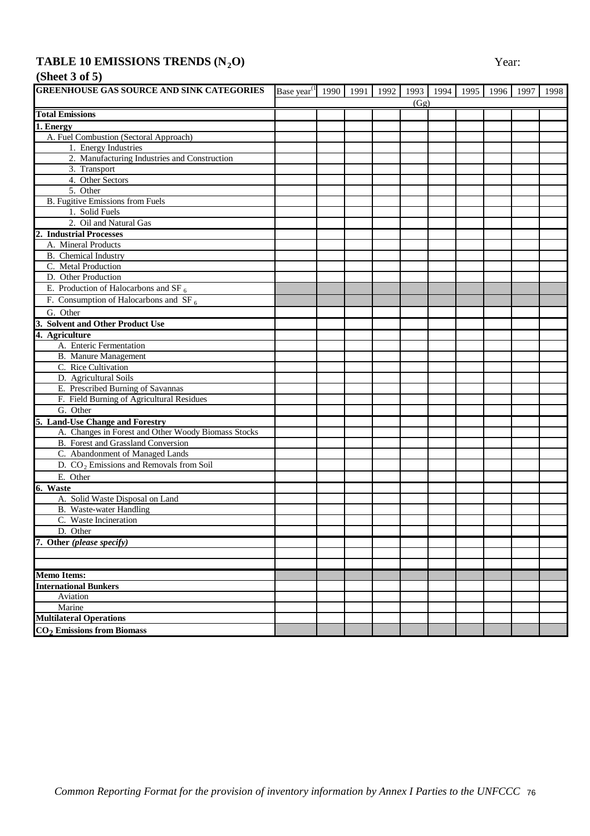## **TABLE 10 EMISSIONS TRENDS (N<sub>2</sub>O) Year:**

# **(Sheet 3 of 5)**

| <b>GREENHOUSE GAS SOURCE AND SINK CATEGORIES</b>    | Base year <sup>(1</sup> 1990   1991   1992   1993   1994   1995   1996   1997 |  |      |  |  | 1998 |
|-----------------------------------------------------|-------------------------------------------------------------------------------|--|------|--|--|------|
|                                                     |                                                                               |  | (Gg) |  |  |      |
| <b>Total Emissions</b>                              |                                                                               |  |      |  |  |      |
| 1. Energy                                           |                                                                               |  |      |  |  |      |
| A. Fuel Combustion (Sectoral Approach)              |                                                                               |  |      |  |  |      |
| 1. Energy Industries                                |                                                                               |  |      |  |  |      |
| 2. Manufacturing Industries and Construction        |                                                                               |  |      |  |  |      |
| 3. Transport                                        |                                                                               |  |      |  |  |      |
| 4. Other Sectors                                    |                                                                               |  |      |  |  |      |
| 5. Other                                            |                                                                               |  |      |  |  |      |
| B. Fugitive Emissions from Fuels                    |                                                                               |  |      |  |  |      |
| 1. Solid Fuels                                      |                                                                               |  |      |  |  |      |
| 2. Oil and Natural Gas                              |                                                                               |  |      |  |  |      |
| 2. Industrial Processes                             |                                                                               |  |      |  |  |      |
| A. Mineral Products                                 |                                                                               |  |      |  |  |      |
| B. Chemical Industry                                |                                                                               |  |      |  |  |      |
| C. Metal Production                                 |                                                                               |  |      |  |  |      |
| D. Other Production                                 |                                                                               |  |      |  |  |      |
| E. Production of Halocarbons and SF $_6$            |                                                                               |  |      |  |  |      |
| F. Consumption of Halocarbons and $SF_6$            |                                                                               |  |      |  |  |      |
| G. Other                                            |                                                                               |  |      |  |  |      |
| 3. Solvent and Other Product Use                    |                                                                               |  |      |  |  |      |
| 4. Agriculture                                      |                                                                               |  |      |  |  |      |
| A. Enteric Fermentation                             |                                                                               |  |      |  |  |      |
| <b>B.</b> Manure Management                         |                                                                               |  |      |  |  |      |
| C. Rice Cultivation                                 |                                                                               |  |      |  |  |      |
| D. Agricultural Soils                               |                                                                               |  |      |  |  |      |
| E. Prescribed Burning of Savannas                   |                                                                               |  |      |  |  |      |
| F. Field Burning of Agricultural Residues           |                                                                               |  |      |  |  |      |
| G. Other                                            |                                                                               |  |      |  |  |      |
| 5. Land-Use Change and Forestry                     |                                                                               |  |      |  |  |      |
| A. Changes in Forest and Other Woody Biomass Stocks |                                                                               |  |      |  |  |      |
| B. Forest and Grassland Conversion                  |                                                                               |  |      |  |  |      |
| C. Abandonment of Managed Lands                     |                                                                               |  |      |  |  |      |
| D. $CO2$ Emissions and Removals from Soil           |                                                                               |  |      |  |  |      |
| E. Other                                            |                                                                               |  |      |  |  |      |
| $6.$ Waste                                          |                                                                               |  |      |  |  |      |
| A. Solid Waste Disposal on Land                     |                                                                               |  |      |  |  |      |
| B. Waste-water Handling                             |                                                                               |  |      |  |  |      |
| C. Waste Incineration                               |                                                                               |  |      |  |  |      |
| D. Other                                            |                                                                               |  |      |  |  |      |
| 7. Other (please specify)                           |                                                                               |  |      |  |  |      |
|                                                     |                                                                               |  |      |  |  |      |
|                                                     |                                                                               |  |      |  |  |      |
| <b>Memo Items:</b>                                  |                                                                               |  |      |  |  |      |
| <b>International Bunkers</b>                        |                                                                               |  |      |  |  |      |
| Aviation                                            |                                                                               |  |      |  |  |      |
| Marine                                              |                                                                               |  |      |  |  |      |
| <b>Multilateral Operations</b>                      |                                                                               |  |      |  |  |      |
| $CO2$ Emissions from Biomass                        |                                                                               |  |      |  |  |      |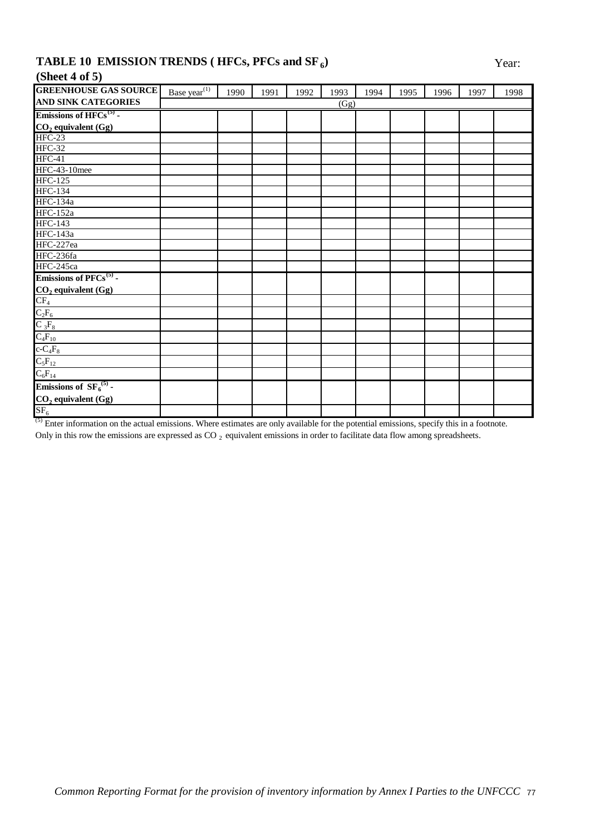## **TABLE 10 EMISSION TRENDS (HFCs, PFCs and SF<sub>6</sub>) Year:**

## **(Sheet 4 of 5)**

| <b>GREENHOUSE GAS SOURCE</b>                                                                         | Base year <sup><math>(1)</math></sup> | 1990 | 1991 | 1992 | 1993 | 1994 | 1995 | 1996 | 1997 | 1998 |
|------------------------------------------------------------------------------------------------------|---------------------------------------|------|------|------|------|------|------|------|------|------|
| <b>AND SINK CATEGORIES</b>                                                                           |                                       |      |      |      | (Gg) |      |      |      |      |      |
| Emissions of $HFCs^{(5)}$ -                                                                          |                                       |      |      |      |      |      |      |      |      |      |
| $CO2$ equivalent (Gg)                                                                                |                                       |      |      |      |      |      |      |      |      |      |
| <b>HFC-23</b>                                                                                        |                                       |      |      |      |      |      |      |      |      |      |
| <b>HFC-32</b>                                                                                        |                                       |      |      |      |      |      |      |      |      |      |
| $HFC-41$                                                                                             |                                       |      |      |      |      |      |      |      |      |      |
| <b>HFC-43-10mee</b>                                                                                  |                                       |      |      |      |      |      |      |      |      |      |
| <b>HFC-125</b>                                                                                       |                                       |      |      |      |      |      |      |      |      |      |
| <b>HFC-134</b>                                                                                       |                                       |      |      |      |      |      |      |      |      |      |
| <b>HFC-134a</b>                                                                                      |                                       |      |      |      |      |      |      |      |      |      |
| <b>HFC-152a</b>                                                                                      |                                       |      |      |      |      |      |      |      |      |      |
| <b>HFC-143</b>                                                                                       |                                       |      |      |      |      |      |      |      |      |      |
| <b>HFC-143a</b>                                                                                      |                                       |      |      |      |      |      |      |      |      |      |
| HFC-227ea                                                                                            |                                       |      |      |      |      |      |      |      |      |      |
| HFC-236fa                                                                                            |                                       |      |      |      |      |      |      |      |      |      |
| HFC-245ca                                                                                            |                                       |      |      |      |      |      |      |      |      |      |
| Emissions of PFCs <sup>(5)</sup> -                                                                   |                                       |      |      |      |      |      |      |      |      |      |
|                                                                                                      |                                       |      |      |      |      |      |      |      |      |      |
|                                                                                                      |                                       |      |      |      |      |      |      |      |      |      |
|                                                                                                      |                                       |      |      |      |      |      |      |      |      |      |
|                                                                                                      |                                       |      |      |      |      |      |      |      |      |      |
| $\frac{CO_2 \text{ equivalent (Gg)}}{CP_4}$<br>$\frac{C_2F_6}{C_3F_8}$<br>$\frac{C_4F_{10}}{C_4F_8}$ |                                       |      |      |      |      |      |      |      |      |      |
|                                                                                                      |                                       |      |      |      |      |      |      |      |      |      |
|                                                                                                      |                                       |      |      |      |      |      |      |      |      |      |
|                                                                                                      |                                       |      |      |      |      |      |      |      |      |      |
| $\frac{C_5F_{12}}{C_6F_{14}}$<br>Emissions of SF <sub>6</sub> <sup>(5)</sup> -                       |                                       |      |      |      |      |      |      |      |      |      |
|                                                                                                      |                                       |      |      |      |      |      |      |      |      |      |
| $\underline{\text{CO}_2}$ equivalent (Gg)<br>SF <sub>6</sub>                                         |                                       |      |      |      |      |      |      |      |      |      |

<sup>(5)</sup> Enter information on the actual emissions. Where estimates are only available for the potential emissions, specify this in a footnote.

Only in this row the emissions are expressed as CO<sub>2</sub> equivalent emissions in order to facilitate data flow among spreadsheets.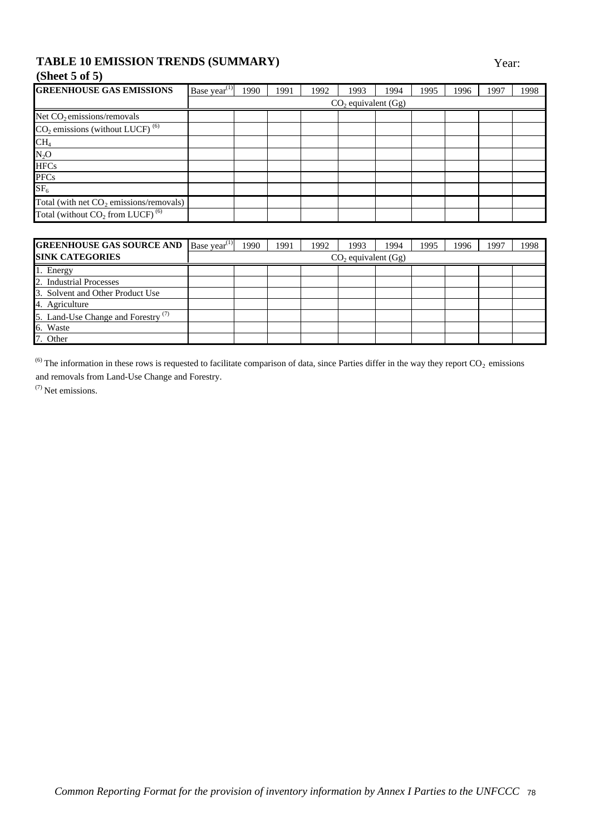### **TABLE 10 EMISSION TRENDS (SUMMARY)** Year:

## **(Sheet 5 of 5)**

| <b>GREENHOUSE GAS EMISSIONS</b>                 | Base year <sup><math>(1)</math></sup> | 1990 | 1991 | 1992 | 1993                    | 1994 | 1995 | 1996 | 1997 | 1998 |
|-------------------------------------------------|---------------------------------------|------|------|------|-------------------------|------|------|------|------|------|
|                                                 |                                       |      |      |      | $CO2$ equivalent $(Gg)$ |      |      |      |      |      |
| Net $CO2$ emissions/removals                    |                                       |      |      |      |                         |      |      |      |      |      |
| $CO2$ emissions (without LUCF) <sup>(6)</sup>   |                                       |      |      |      |                         |      |      |      |      |      |
| CH <sub>4</sub>                                 |                                       |      |      |      |                         |      |      |      |      |      |
| $N_2O$                                          |                                       |      |      |      |                         |      |      |      |      |      |
| <b>HFCs</b>                                     |                                       |      |      |      |                         |      |      |      |      |      |
| <b>PFCs</b>                                     |                                       |      |      |      |                         |      |      |      |      |      |
| SF <sub>6</sub>                                 |                                       |      |      |      |                         |      |      |      |      |      |
| Total (with net $CO2$ emissions/removals)       |                                       |      |      |      |                         |      |      |      |      |      |
| Total (without $CO_2$ from LUCF) <sup>(6)</sup> |                                       |      |      |      |                         |      |      |      |      |      |

| <b>GREENHOUSE GAS SOURCE AND</b>               | Base year <sup><math>(1)</math></sup> | 1990 | 1991 | 1992 | 1993 | 1994 | 1995 | 1996 | 1997 | 1998 |
|------------------------------------------------|---------------------------------------|------|------|------|------|------|------|------|------|------|
| <b>SINK CATEGORIES</b>                         | $CO2$ equivalent (Gg)                 |      |      |      |      |      |      |      |      |      |
| 1. Energy                                      |                                       |      |      |      |      |      |      |      |      |      |
| 2. Industrial Processes                        |                                       |      |      |      |      |      |      |      |      |      |
| 3. Solvent and Other Product Use               |                                       |      |      |      |      |      |      |      |      |      |
| 4. Agriculture                                 |                                       |      |      |      |      |      |      |      |      |      |
| 5. Land-Use Change and Forestry <sup>(7)</sup> |                                       |      |      |      |      |      |      |      |      |      |
| 6. Waste                                       |                                       |      |      |      |      |      |      |      |      |      |
| 7. Other                                       |                                       |      |      |      |      |      |      |      |      |      |

and removals from Land-Use Change and Forestry. <sup>(6)</sup> The information in these rows is requested to facilitate comparison of data, since Parties differ in the way they report  $CO_2$  emissions

(7) Net emissions.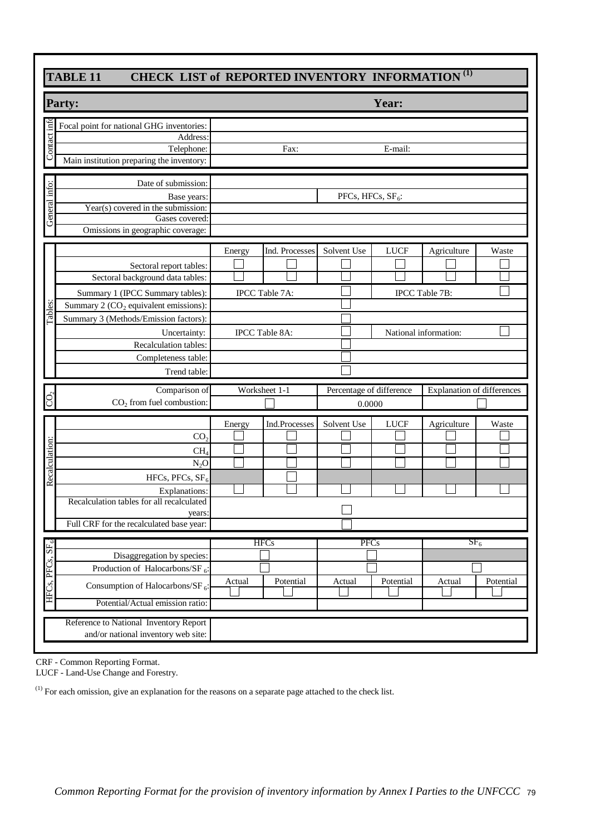| <b>Party:</b>                                                                                                                                                                                                                                       |                                                              | Year:                              |                                                                 |
|-----------------------------------------------------------------------------------------------------------------------------------------------------------------------------------------------------------------------------------------------------|--------------------------------------------------------------|------------------------------------|-----------------------------------------------------------------|
| Focal point for national GHG inventories:<br>Address:<br>Telephone:<br>Main institution preparing the inventory:                                                                                                                                    | Fax:                                                         | E-mail:                            |                                                                 |
| Date of submission:<br>Base years:<br>Year( $\overline{s}$ ) covered in the submission:<br>Gases covered:<br>Omissions in geographic coverage:                                                                                                      |                                                              | PFCs, HFCs, $SF6$ :                |                                                                 |
| Sectoral report tables:<br>Sectoral background data tables:<br>Summary 1 (IPCC Summary tables):<br>Summary 2 $(CO2$ equivalent emissions):<br>Summary 3 (Methods/Emission factors):<br>Uncertainty:<br>Recalculation tables:<br>Completeness table: | Ind. Processes<br>Energy<br>IPCC Table 7A:<br>IPCC Table 8A: | Solvent Use<br><b>LUCF</b>         | Agriculture<br>Waste<br>IPCC Table 7B:<br>National information: |
| Trend table:<br>Comparison of<br>$CO2$ from fuel combustion:                                                                                                                                                                                        | Worksheet 1-1                                                | Percentage of difference<br>0.0000 | <b>Explanation of differences</b>                               |
| CO <sub>2</sub><br>CH <sub>4</sub><br>$N_2O$<br>HFCs, PFCs, $SF6$<br>Explanations:<br>Recalculation tables for all recalculated                                                                                                                     | Ind.Processes<br>Energy                                      | Solvent Use<br><b>LUCF</b>         | Agriculture<br>Waste                                            |
| years:                                                                                                                                                                                                                                              |                                                              | <b>PFCs</b>                        | SF <sub>6</sub>                                                 |
| Full CRF for the recalculated base year:<br>Disaggregation by species:<br>Production of Halocarbons/SF $_6$ :<br>Consumption of Halocarbons/SF <sub>6</sub> :<br>Potential/Actual emission ratio:                                                   | <b>HFCs</b><br>Potential<br>Actual                           | Potential<br>Actual                | Potential<br>Actual                                             |

| $\overline{\text{C}}$ | $CO2$ from fuel combustion:                  |        |               | 0.0000      |             |                 |           |
|-----------------------|----------------------------------------------|--------|---------------|-------------|-------------|-----------------|-----------|
|                       |                                              | Energy | Ind.Processes | Solvent Use | <b>LUCF</b> | Agriculture     | Waste     |
|                       | CO <sub>2</sub>                              |        |               |             |             |                 |           |
|                       | CH <sub>4</sub>                              |        |               |             |             |                 |           |
|                       | $N_2O$                                       |        |               |             |             |                 |           |
| Recalculation:        | HFCs, PFCs, $SF6$                            |        |               |             |             |                 |           |
|                       | Explanations:                                |        |               |             |             |                 |           |
|                       | Recalculation tables for all recalculated    |        |               |             |             |                 |           |
|                       | years:                                       |        |               |             |             |                 |           |
|                       | Full CRF for the recalculated base year:     |        |               |             |             |                 |           |
|                       |                                              |        | <b>HFCs</b>   | <b>PFCs</b> |             | SF <sub>6</sub> |           |
| ${\rm SF}_6$          | Disaggregation by species:                   |        |               |             |             |                 |           |
| HFCs, PFCs,           | Production of Halocarbons/SF $_6$ :          |        |               |             |             |                 |           |
|                       | Consumption of Halocarbons/SF <sub>6</sub> : | Actual | Potential     | Actual      | Potential   | Actual          | Potential |
|                       |                                              |        |               |             |             |                 |           |
|                       | Potential/Actual emission ratio:             |        |               |             |             |                 |           |
|                       | Reference to National Inventory Report       |        |               |             |             |                 |           |
|                       | and/or national inventory web site:          |        |               |             |             |                 |           |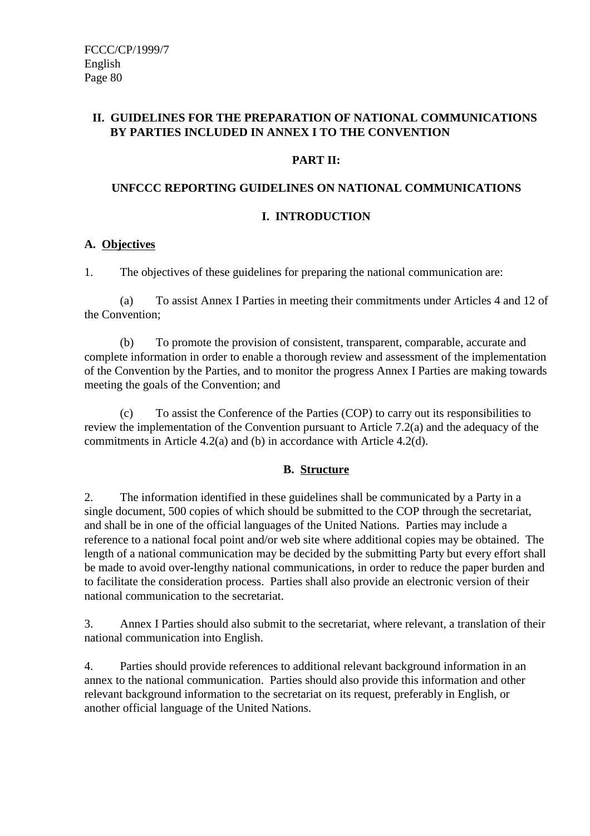### **II. GUIDELINES FOR THE PREPARATION OF NATIONAL COMMUNICATIONS BY PARTIES INCLUDED IN ANNEX I TO THE CONVENTION**

### **PART II:**

### **UNFCCC REPORTING GUIDELINES ON NATIONAL COMMUNICATIONS**

### **I. INTRODUCTION**

### **A. Objectives**

1. The objectives of these guidelines for preparing the national communication are:

(a) To assist Annex I Parties in meeting their commitments under Articles 4 and 12 of the Convention;

(b) To promote the provision of consistent, transparent, comparable, accurate and complete information in order to enable a thorough review and assessment of the implementation of the Convention by the Parties, and to monitor the progress Annex I Parties are making towards meeting the goals of the Convention; and

(c) To assist the Conference of the Parties (COP) to carry out its responsibilities to review the implementation of the Convention pursuant to Article 7.2(a) and the adequacy of the commitments in Article 4.2(a) and (b) in accordance with Article 4.2(d).

### **B. Structure**

2. The information identified in these guidelines shall be communicated by a Party in a single document, 500 copies of which should be submitted to the COP through the secretariat, and shall be in one of the official languages of the United Nations. Parties may include a reference to a national focal point and/or web site where additional copies may be obtained. The length of a national communication may be decided by the submitting Party but every effort shall be made to avoid over-lengthy national communications, in order to reduce the paper burden and to facilitate the consideration process. Parties shall also provide an electronic version of their national communication to the secretariat.

3. Annex I Parties should also submit to the secretariat, where relevant, a translation of their national communication into English.

4. Parties should provide references to additional relevant background information in an annex to the national communication. Parties should also provide this information and other relevant background information to the secretariat on its request, preferably in English, or another official language of the United Nations.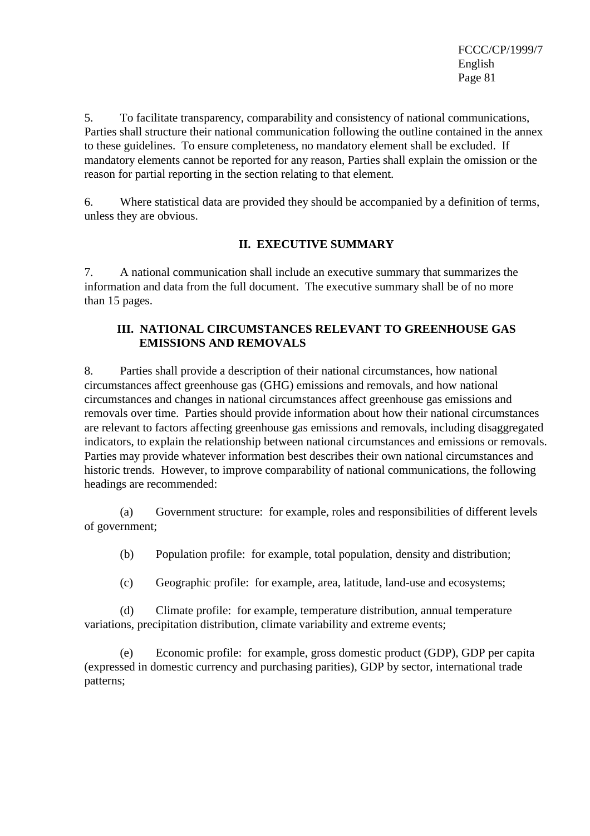5. To facilitate transparency, comparability and consistency of national communications, Parties shall structure their national communication following the outline contained in the annex to these guidelines. To ensure completeness, no mandatory element shall be excluded. If mandatory elements cannot be reported for any reason, Parties shall explain the omission or the reason for partial reporting in the section relating to that element.

6. Where statistical data are provided they should be accompanied by a definition of terms, unless they are obvious.

### **II. EXECUTIVE SUMMARY**

7. A national communication shall include an executive summary that summarizes the information and data from the full document. The executive summary shall be of no more than 15 pages.

### **III. NATIONAL CIRCUMSTANCES RELEVANT TO GREENHOUSE GAS EMISSIONS AND REMOVALS**

8. Parties shall provide a description of their national circumstances, how national circumstances affect greenhouse gas (GHG) emissions and removals, and how national circumstances and changes in national circumstances affect greenhouse gas emissions and removals over time. Parties should provide information about how their national circumstances are relevant to factors affecting greenhouse gas emissions and removals, including disaggregated indicators, to explain the relationship between national circumstances and emissions or removals. Parties may provide whatever information best describes their own national circumstances and historic trends. However, to improve comparability of national communications, the following headings are recommended:

(a) Government structure: for example, roles and responsibilities of different levels of government;

(b) Population profile: for example, total population, density and distribution;

(c) Geographic profile: for example, area, latitude, land-use and ecosystems;

(d) Climate profile: for example, temperature distribution, annual temperature variations, precipitation distribution, climate variability and extreme events;

(e) Economic profile: for example, gross domestic product (GDP), GDP per capita (expressed in domestic currency and purchasing parities), GDP by sector, international trade patterns;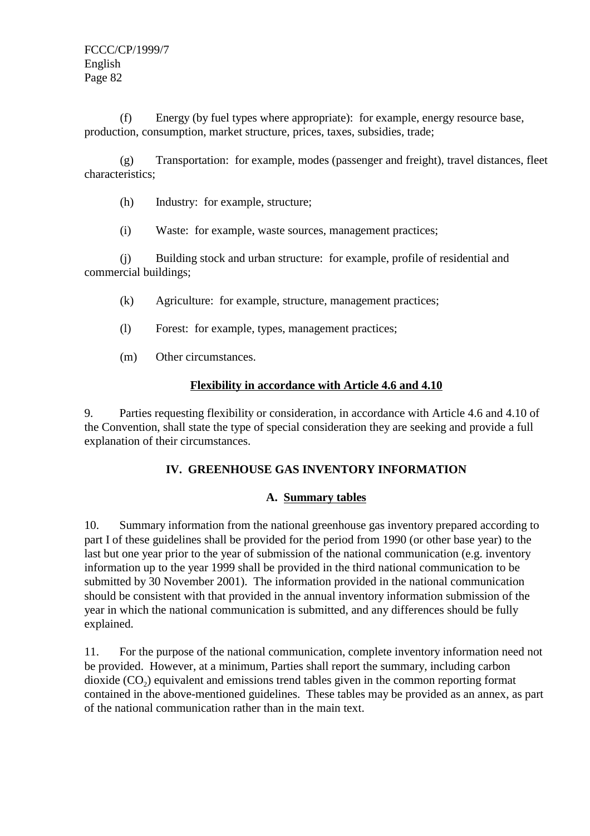(f) Energy (by fuel types where appropriate): for example, energy resource base, production, consumption, market structure, prices, taxes, subsidies, trade;

(g) Transportation: for example, modes (passenger and freight), travel distances, fleet characteristics;

- (h) Industry: for example, structure;
- (i) Waste: for example, waste sources, management practices;

(j) Building stock and urban structure: for example, profile of residential and commercial buildings;

- (k) Agriculture: for example, structure, management practices;
- (l) Forest: for example, types, management practices;
- (m) Other circumstances.

### **Flexibility in accordance with Article 4.6 and 4.10**

9. Parties requesting flexibility or consideration, in accordance with Article 4.6 and 4.10 of the Convention, shall state the type of special consideration they are seeking and provide a full explanation of their circumstances.

### **IV. GREENHOUSE GAS INVENTORY INFORMATION**

### **A. Summary tables**

10. Summary information from the national greenhouse gas inventory prepared according to part I of these guidelines shall be provided for the period from 1990 (or other base year) to the last but one year prior to the year of submission of the national communication (e.g. inventory information up to the year 1999 shall be provided in the third national communication to be submitted by 30 November 2001). The information provided in the national communication should be consistent with that provided in the annual inventory information submission of the year in which the national communication is submitted, and any differences should be fully explained.

11. For the purpose of the national communication, complete inventory information need not be provided. However, at a minimum, Parties shall report the summary, including carbon dioxide  $(CO<sub>2</sub>)$  equivalent and emissions trend tables given in the common reporting format contained in the above-mentioned guidelines. These tables may be provided as an annex, as part of the national communication rather than in the main text.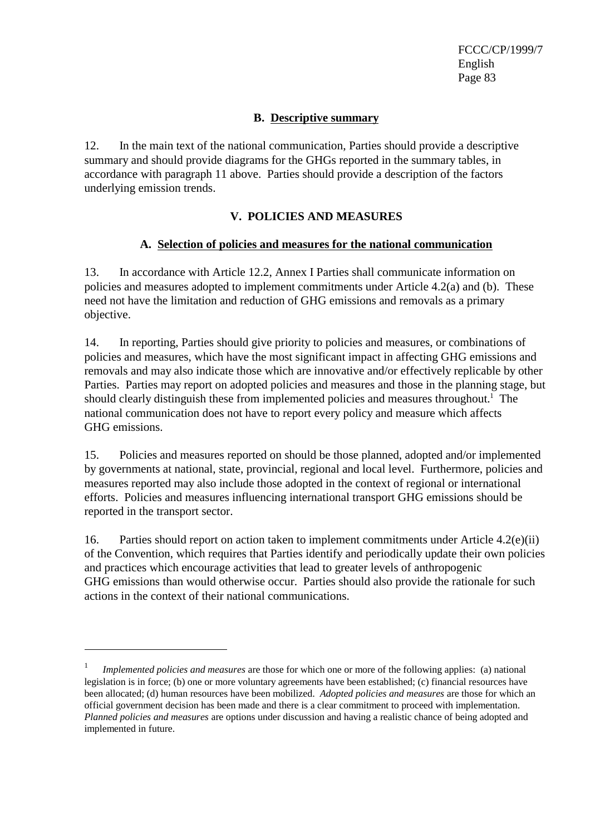### **B. Descriptive summary**

12. In the main text of the national communication, Parties should provide a descriptive summary and should provide diagrams for the GHGs reported in the summary tables, in accordance with paragraph 11 above. Parties should provide a description of the factors underlying emission trends.

### **V. POLICIES AND MEASURES**

### **A. Selection of policies and measures for the national communication**

13. In accordance with Article 12.2, Annex I Parties shall communicate information on policies and measures adopted to implement commitments under Article 4.2(a) and (b). These need not have the limitation and reduction of GHG emissions and removals as a primary objective.

14. In reporting, Parties should give priority to policies and measures, or combinations of policies and measures, which have the most significant impact in affecting GHG emissions and removals and may also indicate those which are innovative and/or effectively replicable by other Parties. Parties may report on adopted policies and measures and those in the planning stage, but should clearly distinguish these from implemented policies and measures throughout.<sup>1</sup> The national communication does not have to report every policy and measure which affects GHG emissions.

15. Policies and measures reported on should be those planned, adopted and/or implemented by governments at national, state, provincial, regional and local level. Furthermore, policies and measures reported may also include those adopted in the context of regional or international efforts. Policies and measures influencing international transport GHG emissions should be reported in the transport sector.

16. Parties should report on action taken to implement commitments under Article 4.2(e)(ii) of the Convention, which requires that Parties identify and periodically update their own policies and practices which encourage activities that lead to greater levels of anthropogenic GHG emissions than would otherwise occur. Parties should also provide the rationale for such actions in the context of their national communications.

<sup>1</sup> *Implemented policies and measures* are those for which one or more of the following applies: (a) national legislation is in force; (b) one or more voluntary agreements have been established; (c) financial resources have been allocated; (d) human resources have been mobilized. *Adopted policies and measures* are those for which an official government decision has been made and there is a clear commitment to proceed with implementation. *Planned policies and measures* are options under discussion and having a realistic chance of being adopted and implemented in future.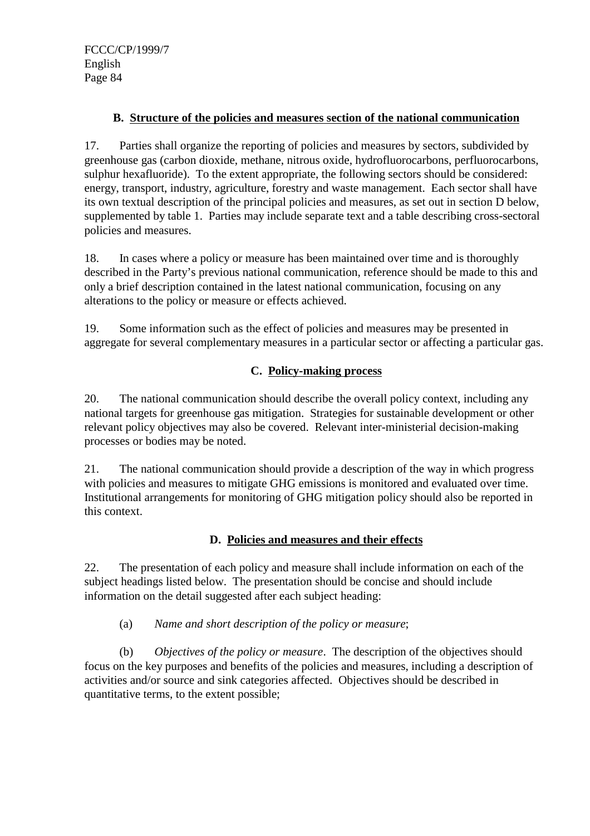### **B. Structure of the policies and measures section of the national communication**

17. Parties shall organize the reporting of policies and measures by sectors, subdivided by greenhouse gas (carbon dioxide, methane, nitrous oxide, hydrofluorocarbons, perfluorocarbons, sulphur hexafluoride). To the extent appropriate, the following sectors should be considered: energy, transport, industry, agriculture, forestry and waste management. Each sector shall have its own textual description of the principal policies and measures, as set out in section D below, supplemented by table 1. Parties may include separate text and a table describing cross-sectoral policies and measures.

18. In cases where a policy or measure has been maintained over time and is thoroughly described in the Party's previous national communication, reference should be made to this and only a brief description contained in the latest national communication, focusing on any alterations to the policy or measure or effects achieved.

19. Some information such as the effect of policies and measures may be presented in aggregate for several complementary measures in a particular sector or affecting a particular gas.

### **C. Policy-making process**

20. The national communication should describe the overall policy context, including any national targets for greenhouse gas mitigation. Strategies for sustainable development or other relevant policy objectives may also be covered. Relevant inter-ministerial decision-making processes or bodies may be noted.

21. The national communication should provide a description of the way in which progress with policies and measures to mitigate GHG emissions is monitored and evaluated over time. Institutional arrangements for monitoring of GHG mitigation policy should also be reported in this context.

### **D. Policies and measures and their effects**

22. The presentation of each policy and measure shall include information on each of the subject headings listed below. The presentation should be concise and should include information on the detail suggested after each subject heading:

### (a) *Name and short description of the policy or measure*;

(b) *Objectives of the policy or measure*. The description of the objectives should focus on the key purposes and benefits of the policies and measures, including a description of activities and/or source and sink categories affected. Objectives should be described in quantitative terms, to the extent possible;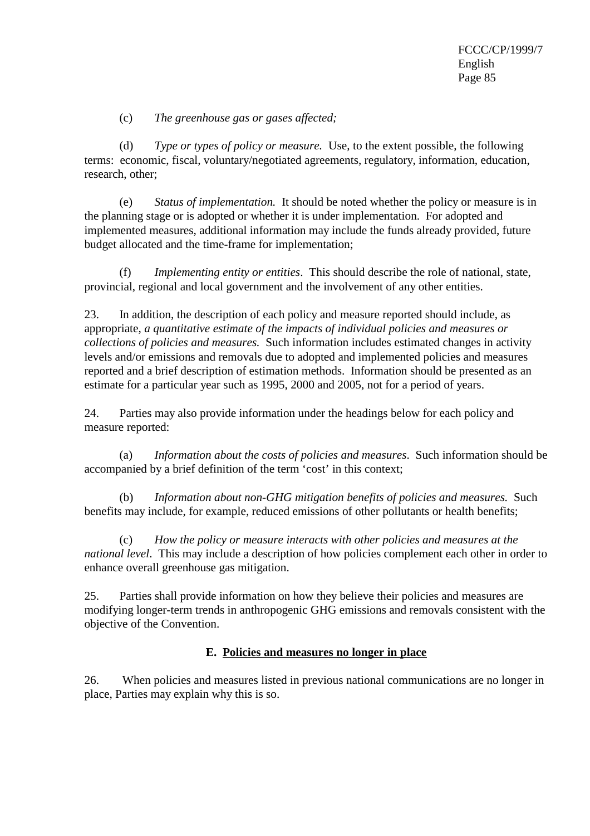(c) *The greenhouse gas or gases affected;*

(d) *Type or types of policy or measure.* Use, to the extent possible, the following terms: economic, fiscal, voluntary/negotiated agreements, regulatory, information, education, research, other;

(e) *Status of implementation.* It should be noted whether the policy or measure is in the planning stage or is adopted or whether it is under implementation. For adopted and implemented measures, additional information may include the funds already provided, future budget allocated and the time-frame for implementation;

(f) *Implementing entity or entities*. This should describe the role of national, state, provincial, regional and local government and the involvement of any other entities.

23. In addition, the description of each policy and measure reported should include, as appropriate, *a quantitative estimate of the impacts of individual policies and measures or collections of policies and measures.* Such information includes estimated changes in activity levels and/or emissions and removals due to adopted and implemented policies and measures reported and a brief description of estimation methods. Information should be presented as an estimate for a particular year such as 1995, 2000 and 2005, not for a period of years.

24. Parties may also provide information under the headings below for each policy and measure reported:

(a) *Information about the costs of policies and measures*. Such information should be accompanied by a brief definition of the term 'cost' in this context;

(b) *Information about non-GHG mitigation benefits of policies and measures.* Such benefits may include, for example, reduced emissions of other pollutants or health benefits;

(c) *How the policy or measure interacts with other policies and measures at the national level*. This may include a description of how policies complement each other in order to enhance overall greenhouse gas mitigation.

25. Parties shall provide information on how they believe their policies and measures are modifying longer-term trends in anthropogenic GHG emissions and removals consistent with the objective of the Convention.

### **E. Policies and measures no longer in place**

26. When policies and measures listed in previous national communications are no longer in place, Parties may explain why this is so.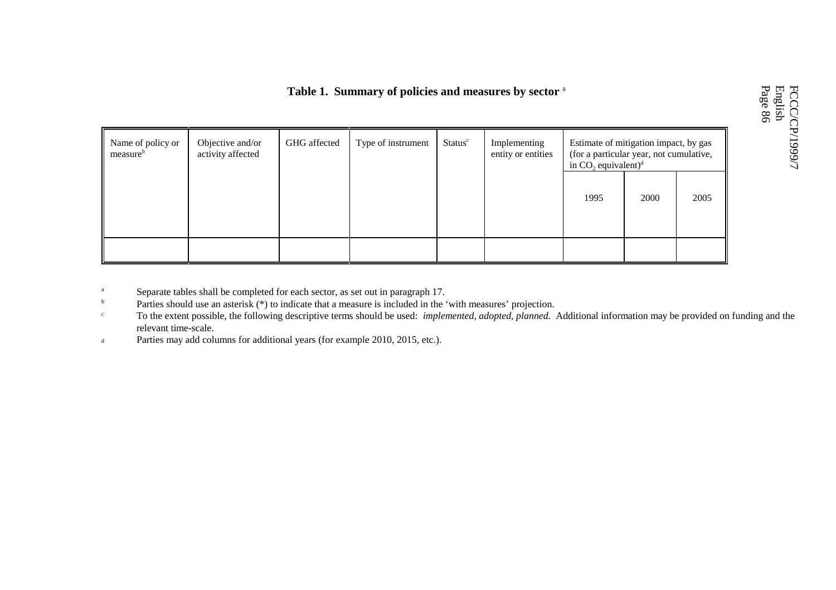### **Table 1. Summary of policies and measures by sector** <sup>a</sup>

| Name of policy or<br>measure <sup>b</sup> | Objective and/or<br>activity affected | GHG affected | Type of instrument | Status <sup>c</sup> | Implementing<br>entity or entities | Estimate of mitigation impact, by gas<br>(for a particular year, not cumulative,<br>in $CO$ , equivalent) <sup>d</sup> |      |      |  |  |
|-------------------------------------------|---------------------------------------|--------------|--------------------|---------------------|------------------------------------|------------------------------------------------------------------------------------------------------------------------|------|------|--|--|
|                                           |                                       |              |                    |                     |                                    | 1995                                                                                                                   | 2000 | 2005 |  |  |
|                                           |                                       |              |                    |                     |                                    |                                                                                                                        |      |      |  |  |

- aSeparate tables shall be completed for each sector, as set out in paragraph 17.
- bParties should use an asterisk (\*) to indicate that a measure is included in the 'with measures' projection.
- $\rm{c}$  To the extent possible, the following descriptive terms should be used: *implemented, adopted, planned.* Additional information may be provided on funding and the relevant time-scale.
- dParties may add columns for additional years (for example 2010, 2015, etc.).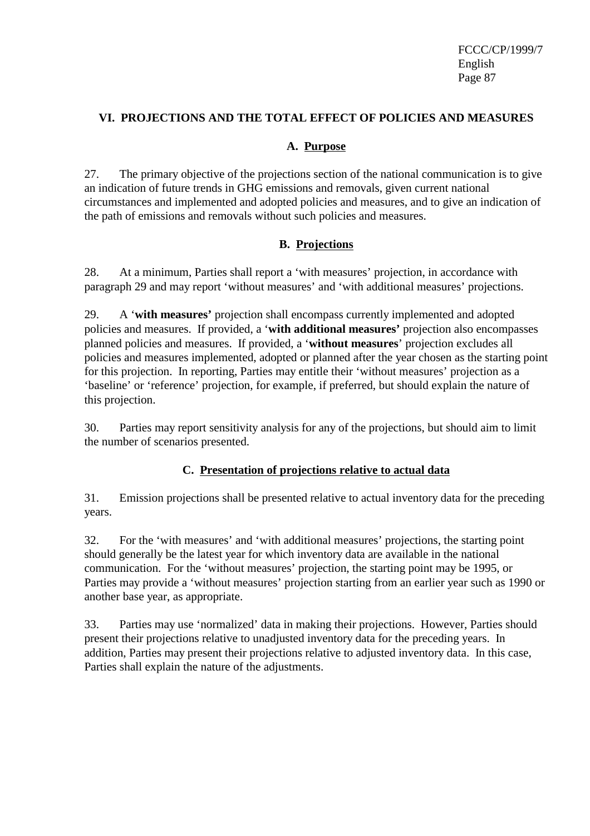### **VI. PROJECTIONS AND THE TOTAL EFFECT OF POLICIES AND MEASURES**

### **A. Purpose**

27. The primary objective of the projections section of the national communication is to give an indication of future trends in GHG emissions and removals, given current national circumstances and implemented and adopted policies and measures, and to give an indication of the path of emissions and removals without such policies and measures.

### **B. Projections**

28. At a minimum, Parties shall report a 'with measures' projection, in accordance with paragraph 29 and may report 'without measures' and 'with additional measures' projections.

29. A '**with measures'** projection shall encompass currently implemented and adopted policies and measures. If provided, a '**with additional measures'** projection also encompasses planned policies and measures. If provided, a '**without measures**' projection excludes all policies and measures implemented, adopted or planned after the year chosen as the starting point for this projection. In reporting, Parties may entitle their 'without measures' projection as a 'baseline' or 'reference' projection, for example, if preferred, but should explain the nature of this projection.

30. Parties may report sensitivity analysis for any of the projections, but should aim to limit the number of scenarios presented.

### **C. Presentation of projections relative to actual data**

31. Emission projections shall be presented relative to actual inventory data for the preceding years.

32. For the 'with measures' and 'with additional measures' projections, the starting point should generally be the latest year for which inventory data are available in the national communication. For the 'without measures' projection, the starting point may be 1995, or Parties may provide a 'without measures' projection starting from an earlier year such as 1990 or another base year, as appropriate.

33. Parties may use 'normalized' data in making their projections. However, Parties should present their projections relative to unadjusted inventory data for the preceding years. In addition, Parties may present their projections relative to adjusted inventory data. In this case, Parties shall explain the nature of the adjustments.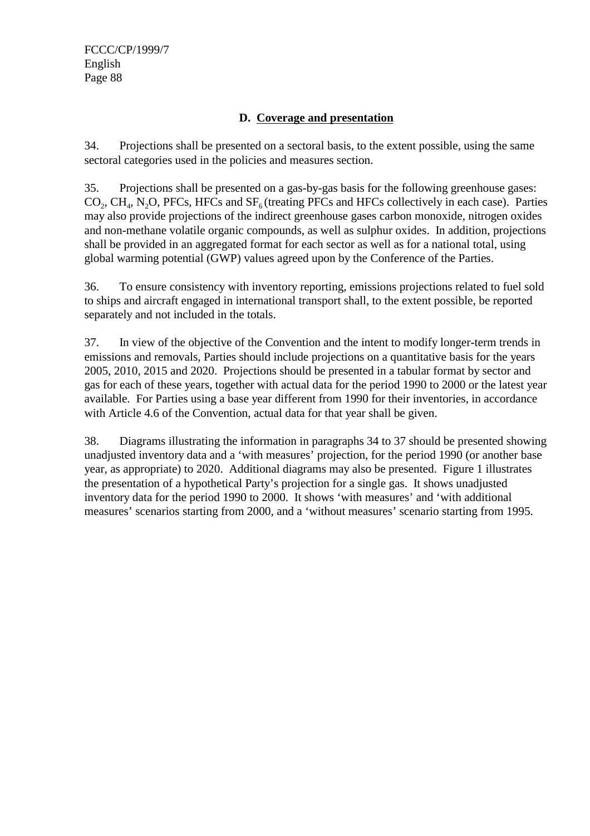### **D. Coverage and presentation**

34. Projections shall be presented on a sectoral basis, to the extent possible, using the same sectoral categories used in the policies and measures section.

35. Projections shall be presented on a gas-by-gas basis for the following greenhouse gases:  $CO<sub>2</sub>$ , CH<sub>4</sub>, N<sub>2</sub>O, PFCs, HFCs and SF<sub>6</sub> (treating PFCs and HFCs collectively in each case). Parties may also provide projections of the indirect greenhouse gases carbon monoxide, nitrogen oxides and non-methane volatile organic compounds, as well as sulphur oxides. In addition, projections shall be provided in an aggregated format for each sector as well as for a national total, using global warming potential (GWP) values agreed upon by the Conference of the Parties.

36. To ensure consistency with inventory reporting, emissions projections related to fuel sold to ships and aircraft engaged in international transport shall, to the extent possible, be reported separately and not included in the totals.

37. In view of the objective of the Convention and the intent to modify longer-term trends in emissions and removals, Parties should include projections on a quantitative basis for the years 2005, 2010, 2015 and 2020. Projections should be presented in a tabular format by sector and gas for each of these years, together with actual data for the period 1990 to 2000 or the latest year available. For Parties using a base year different from 1990 for their inventories, in accordance with Article 4.6 of the Convention, actual data for that year shall be given.

38. Diagrams illustrating the information in paragraphs 34 to 37 should be presented showing unadjusted inventory data and a 'with measures' projection, for the period 1990 (or another base year, as appropriate) to 2020. Additional diagrams may also be presented. Figure 1 illustrates the presentation of a hypothetical Party's projection for a single gas. It shows unadjusted inventory data for the period 1990 to 2000. It shows 'with measures' and 'with additional measures' scenarios starting from 2000, and a 'without measures' scenario starting from 1995.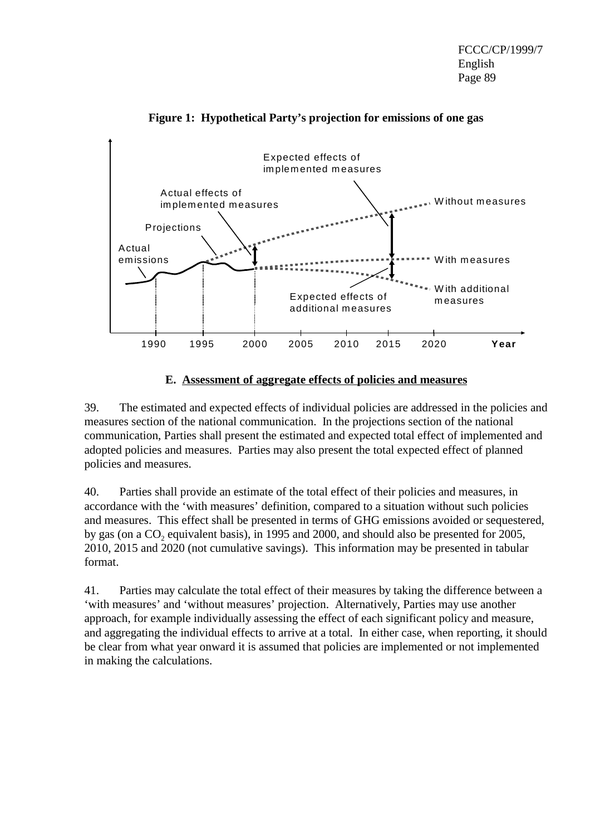



### **E. Assessment of aggregate effects of policies and measures**

39. The estimated and expected effects of individual policies are addressed in the policies and measures section of the national communication. In the projections section of the national communication, Parties shall present the estimated and expected total effect of implemented and adopted policies and measures. Parties may also present the total expected effect of planned policies and measures.

40. Parties shall provide an estimate of the total effect of their policies and measures, in accordance with the 'with measures' definition, compared to a situation without such policies and measures. This effect shall be presented in terms of GHG emissions avoided or sequestered, by gas (on a  $CO<sub>2</sub>$  equivalent basis), in 1995 and 2000, and should also be presented for 2005, 2010, 2015 and 2020 (not cumulative savings). This information may be presented in tabular format.

41. Parties may calculate the total effect of their measures by taking the difference between a 'with measures' and 'without measures' projection. Alternatively, Parties may use another approach, for example individually assessing the effect of each significant policy and measure, and aggregating the individual effects to arrive at a total. In either case, when reporting, it should be clear from what year onward it is assumed that policies are implemented or not implemented in making the calculations.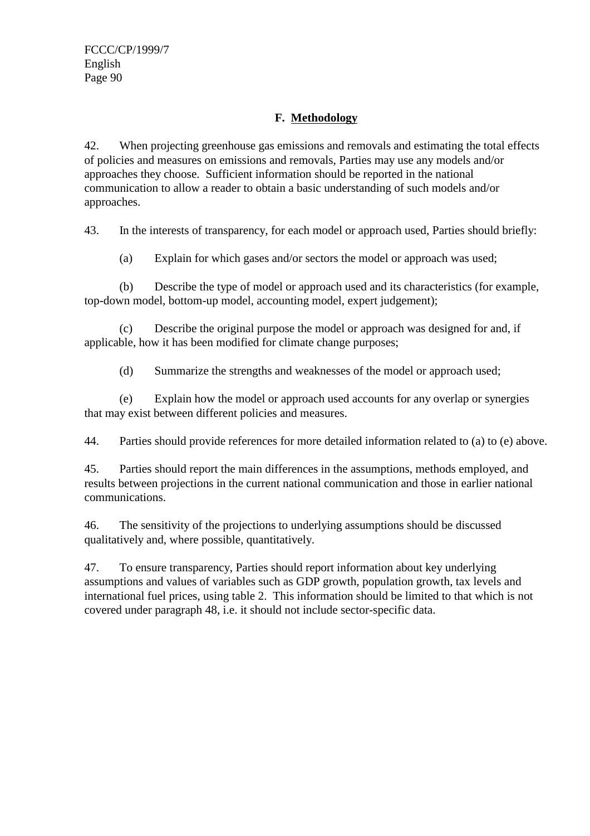### **F. Methodology**

42. When projecting greenhouse gas emissions and removals and estimating the total effects of policies and measures on emissions and removals, Parties may use any models and/or approaches they choose. Sufficient information should be reported in the national communication to allow a reader to obtain a basic understanding of such models and/or approaches.

43. In the interests of transparency, for each model or approach used, Parties should briefly:

(a) Explain for which gases and/or sectors the model or approach was used;

(b) Describe the type of model or approach used and its characteristics (for example, top-down model, bottom-up model, accounting model, expert judgement);

(c) Describe the original purpose the model or approach was designed for and, if applicable, how it has been modified for climate change purposes;

(d) Summarize the strengths and weaknesses of the model or approach used;

(e) Explain how the model or approach used accounts for any overlap or synergies that may exist between different policies and measures.

44. Parties should provide references for more detailed information related to (a) to (e) above.

45. Parties should report the main differences in the assumptions, methods employed, and results between projections in the current national communication and those in earlier national communications.

46. The sensitivity of the projections to underlying assumptions should be discussed qualitatively and, where possible, quantitatively.

47. To ensure transparency, Parties should report information about key underlying assumptions and values of variables such as GDP growth, population growth, tax levels and international fuel prices, using table 2. This information should be limited to that which is not covered under paragraph 48, i.e. it should not include sector-specific data.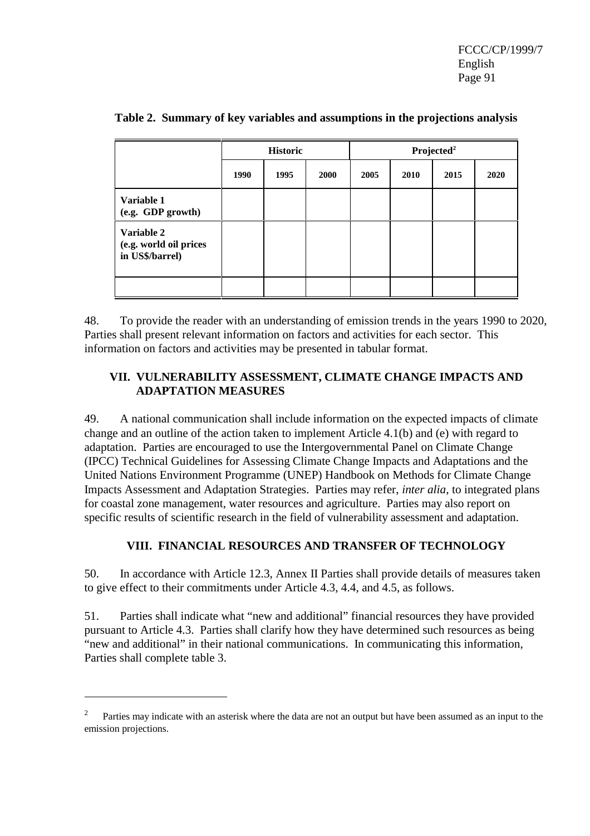|                                                         |      | <b>Historic</b> |      |      |      |      |      |
|---------------------------------------------------------|------|-----------------|------|------|------|------|------|
|                                                         | 1990 | 1995            | 2000 | 2005 | 2010 | 2015 | 2020 |
| Variable 1<br>(e.g. GDP growth)                         |      |                 |      |      |      |      |      |
| Variable 2<br>(e.g. world oil prices<br>in US\$/barrel) |      |                 |      |      |      |      |      |
|                                                         |      |                 |      |      |      |      |      |

**Table 2. Summary of key variables and assumptions in the projections analysis**

48. To provide the reader with an understanding of emission trends in the years 1990 to 2020, Parties shall present relevant information on factors and activities for each sector. This information on factors and activities may be presented in tabular format.

### **VII. VULNERABILITY ASSESSMENT, CLIMATE CHANGE IMPACTS AND ADAPTATION MEASURES**

49. A national communication shall include information on the expected impacts of climate change and an outline of the action taken to implement Article 4.1(b) and (e) with regard to adaptation. Parties are encouraged to use the Intergovernmental Panel on Climate Change (IPCC) Technical Guidelines for Assessing Climate Change Impacts and Adaptations and the United Nations Environment Programme (UNEP) Handbook on Methods for Climate Change Impacts Assessment and Adaptation Strategies. Parties may refer, *inter alia*, to integrated plans for coastal zone management, water resources and agriculture. Parties may also report on specific results of scientific research in the field of vulnerability assessment and adaptation.

### **VIII. FINANCIAL RESOURCES AND TRANSFER OF TECHNOLOGY**

50. In accordance with Article 12.3, Annex II Parties shall provide details of measures taken to give effect to their commitments under Article 4.3, 4.4, and 4.5, as follows.

51. Parties shall indicate what "new and additional" financial resources they have provided pursuant to Article 4.3. Parties shall clarify how they have determined such resources as being "new and additional" in their national communications. In communicating this information, Parties shall complete table 3.

<sup>2</sup> Parties may indicate with an asterisk where the data are not an output but have been assumed as an input to the emission projections.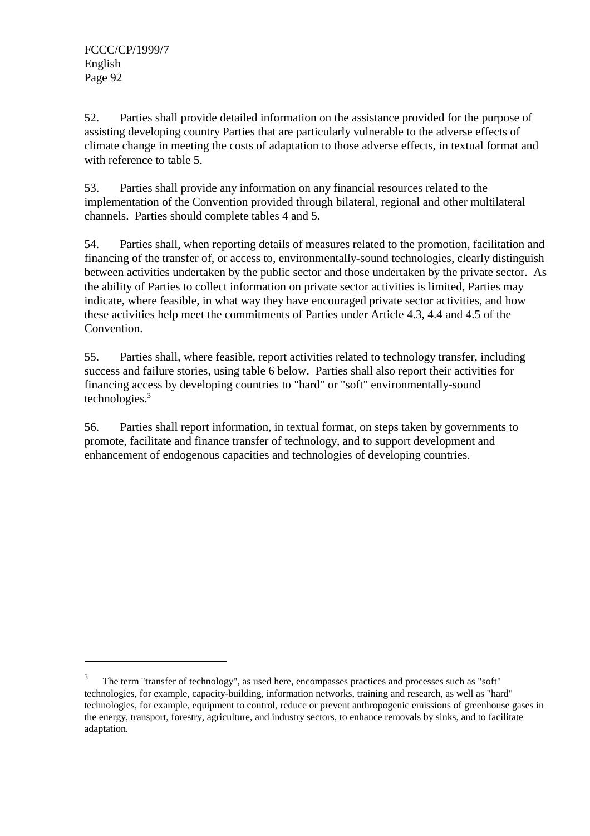52. Parties shall provide detailed information on the assistance provided for the purpose of assisting developing country Parties that are particularly vulnerable to the adverse effects of climate change in meeting the costs of adaptation to those adverse effects, in textual format and with reference to table 5.

53. Parties shall provide any information on any financial resources related to the implementation of the Convention provided through bilateral, regional and other multilateral channels. Parties should complete tables 4 and 5.

54. Parties shall, when reporting details of measures related to the promotion, facilitation and financing of the transfer of, or access to, environmentally-sound technologies, clearly distinguish between activities undertaken by the public sector and those undertaken by the private sector. As the ability of Parties to collect information on private sector activities is limited, Parties may indicate, where feasible, in what way they have encouraged private sector activities, and how these activities help meet the commitments of Parties under Article 4.3, 4.4 and 4.5 of the Convention.

55. Parties shall, where feasible, report activities related to technology transfer, including success and failure stories, using table 6 below. Parties shall also report their activities for financing access by developing countries to "hard" or "soft" environmentally-sound technologies.<sup>3</sup>

56. Parties shall report information, in textual format, on steps taken by governments to promote, facilitate and finance transfer of technology, and to support development and enhancement of endogenous capacities and technologies of developing countries.

<sup>3</sup> The term "transfer of technology", as used here, encompasses practices and processes such as "soft" technologies, for example, capacity-building, information networks, training and research, as well as "hard" technologies, for example, equipment to control, reduce or prevent anthropogenic emissions of greenhouse gases in the energy, transport, forestry, agriculture, and industry sectors, to enhance removals by sinks, and to facilitate adaptation.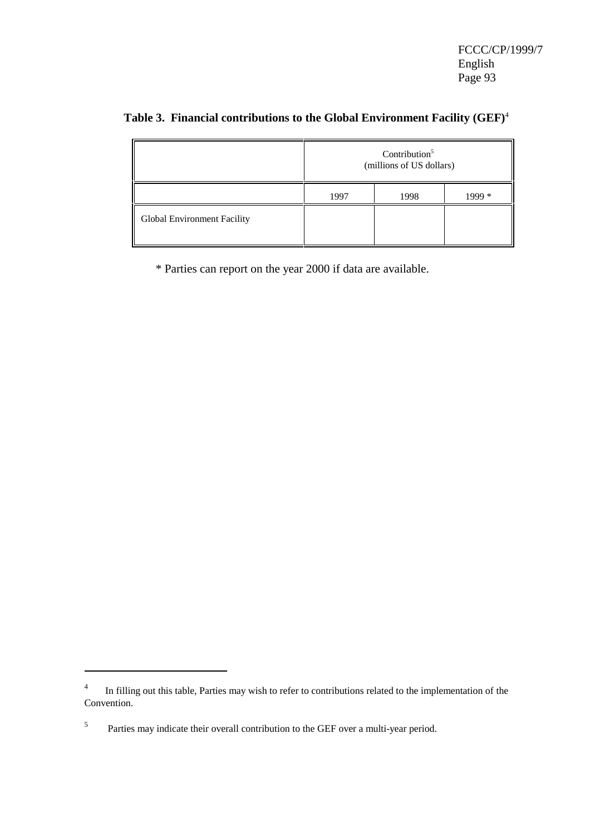|                             | Contribution $5$<br>(millions of US dollars) |      |       |  |
|-----------------------------|----------------------------------------------|------|-------|--|
|                             | 1997                                         | 1998 | + 999 |  |
| Global Environment Facility |                                              |      |       |  |

## **Table 3. Financial contributions to the Global Environment Facility (GEF)**<sup>4</sup>

\* Parties can report on the year 2000 if data are available.

<sup>4</sup> In filling out this table, Parties may wish to refer to contributions related to the implementation of the Convention.

<sup>5</sup> Parties may indicate their overall contribution to the GEF over a multi-year period.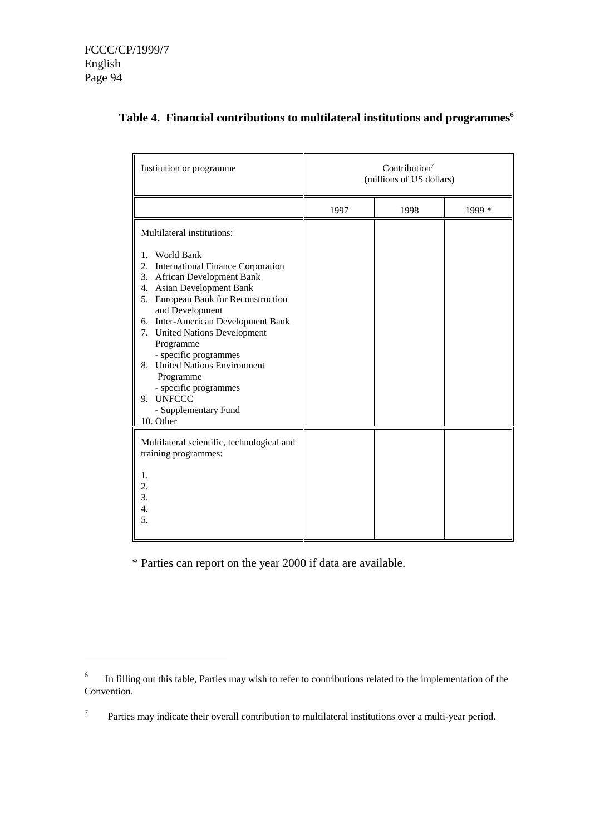| Institution or programme                                                                                                                                                                                                                                                                                                                                                                                                                                                                                         | Contribution <sup>7</sup><br>(millions of US dollars) |      |        |  |
|------------------------------------------------------------------------------------------------------------------------------------------------------------------------------------------------------------------------------------------------------------------------------------------------------------------------------------------------------------------------------------------------------------------------------------------------------------------------------------------------------------------|-------------------------------------------------------|------|--------|--|
|                                                                                                                                                                                                                                                                                                                                                                                                                                                                                                                  | 1997                                                  | 1998 | 1999 * |  |
| Multilateral institutions:<br>World Bank<br>1.<br><b>International Finance Corporation</b><br>2.<br><b>African Development Bank</b><br>3.<br><b>Asian Development Bank</b><br>$\mathbf{4}$ .<br>5. European Bank for Reconstruction<br>and Development<br><b>Inter-American Development Bank</b><br>6.<br>7. United Nations Development<br>Programme<br>- specific programmes<br><b>United Nations Environment</b><br>8.<br>Programme<br>- specific programmes<br>9. UNFCCC<br>- Supplementary Fund<br>10. Other |                                                       |      |        |  |
| Multilateral scientific, technological and<br>training programmes:<br>1.<br>2.<br>3.<br>4.<br>5.                                                                                                                                                                                                                                                                                                                                                                                                                 |                                                       |      |        |  |

### **Table 4. Financial contributions to multilateral institutions and programmes**<sup>6</sup>

\* Parties can report on the year 2000 if data are available.

<sup>6</sup> In filling out this table, Parties may wish to refer to contributions related to the implementation of the Convention.

<sup>7</sup> Parties may indicate their overall contribution to multilateral institutions over a multi-year period.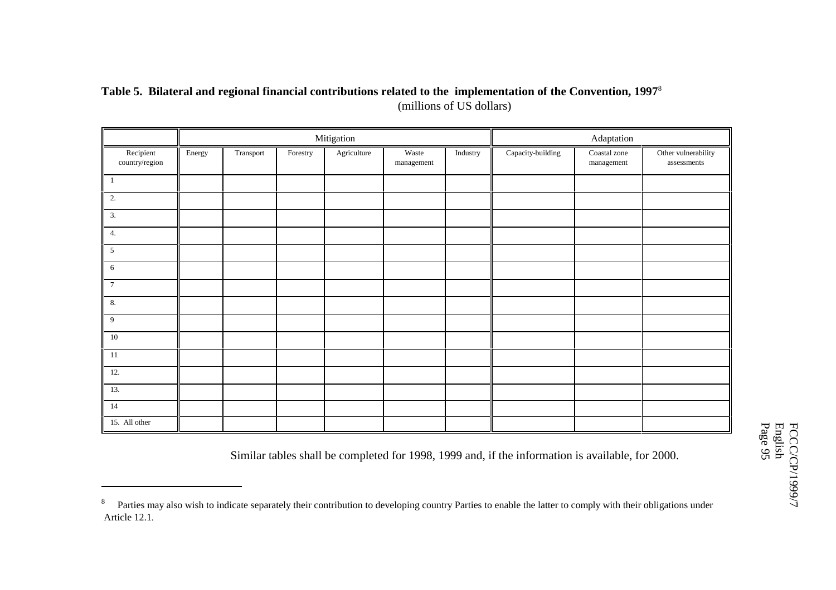### **Table 5. Bilateral and regional financial contributions related to the implementation of the Convention, 1997**<sup>8</sup> (millions of US dollars)

|                                      |        |           |          | Mitigation  |                          |          |                   | Adaptation                      |                                    |
|--------------------------------------|--------|-----------|----------|-------------|--------------------------|----------|-------------------|---------------------------------|------------------------------------|
| Recipient<br>$\mbox{country/region}$ | Energy | Transport | Forestry | Agriculture | Waste<br>$\,$ management | Industry | Capacity-building | Coastal zone<br>$\,$ management | Other vulnerability<br>assessments |
| $\mathbf{1}$                         |        |           |          |             |                          |          |                   |                                 |                                    |
| 2.                                   |        |           |          |             |                          |          |                   |                                 |                                    |
| $\overline{3}$ .                     |        |           |          |             |                          |          |                   |                                 |                                    |
| 4.                                   |        |           |          |             |                          |          |                   |                                 |                                    |
| $\mathfrak{S}$                       |        |           |          |             |                          |          |                   |                                 |                                    |
| 6                                    |        |           |          |             |                          |          |                   |                                 |                                    |
| $7\phantom{.0}$                      |        |           |          |             |                          |          |                   |                                 |                                    |
| 8.                                   |        |           |          |             |                          |          |                   |                                 |                                    |
| 9                                    |        |           |          |             |                          |          |                   |                                 |                                    |
| 10                                   |        |           |          |             |                          |          |                   |                                 |                                    |
| 11                                   |        |           |          |             |                          |          |                   |                                 |                                    |
| 12.                                  |        |           |          |             |                          |          |                   |                                 |                                    |
| 13.                                  |        |           |          |             |                          |          |                   |                                 |                                    |
| 14                                   |        |           |          |             |                          |          |                   |                                 |                                    |
| 15. All other                        |        |           |          |             |                          |          |                   |                                 |                                    |

Similar tables shall be completed for 1998, 1999 and, if the information is available, for 2000.

<sup>&</sup>lt;sup>8</sup> Parties may also wish to indicate separately their contribution to developing country Parties to enable the latter to comply with their obligations under Article 12.1.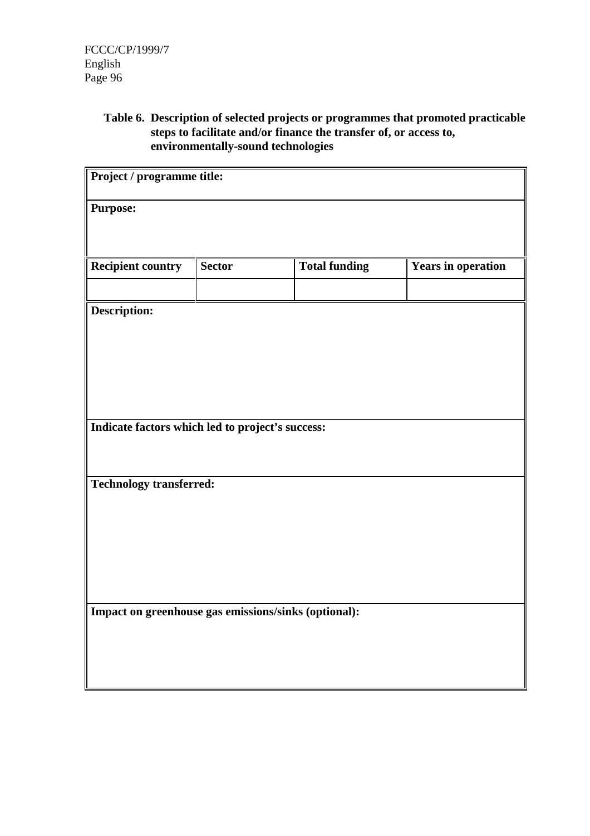**Table 6. Description of selected projects or programmes that promoted practicable steps to facilitate and/or finance the transfer of, or access to, environmentally-sound technologies**

| Project / programme title:                           |               |                      |                           |
|------------------------------------------------------|---------------|----------------------|---------------------------|
| <b>Purpose:</b>                                      |               |                      |                           |
|                                                      |               |                      |                           |
| <b>Recipient country</b>                             | <b>Sector</b> | <b>Total funding</b> | <b>Years in operation</b> |
|                                                      |               |                      |                           |
| Description:                                         |               |                      |                           |
|                                                      |               |                      |                           |
|                                                      |               |                      |                           |
|                                                      |               |                      |                           |
|                                                      |               |                      |                           |
| Indicate factors which led to project's success:     |               |                      |                           |
|                                                      |               |                      |                           |
|                                                      |               |                      |                           |
| <b>Technology transferred:</b>                       |               |                      |                           |
|                                                      |               |                      |                           |
|                                                      |               |                      |                           |
|                                                      |               |                      |                           |
|                                                      |               |                      |                           |
|                                                      |               |                      |                           |
| Impact on greenhouse gas emissions/sinks (optional): |               |                      |                           |
|                                                      |               |                      |                           |
|                                                      |               |                      |                           |
|                                                      |               |                      |                           |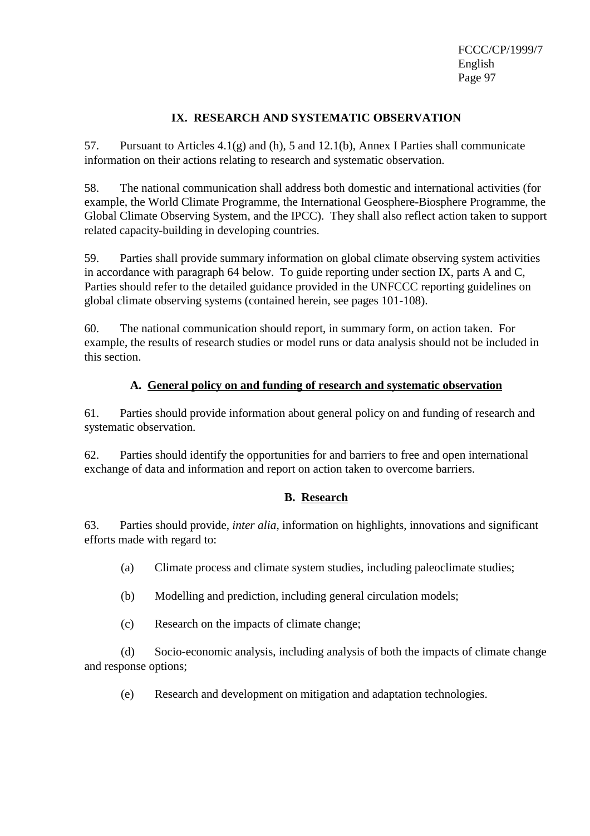### **IX. RESEARCH AND SYSTEMATIC OBSERVATION**

57. Pursuant to Articles 4.1(g) and (h), 5 and 12.1(b), Annex I Parties shall communicate information on their actions relating to research and systematic observation.

58. The national communication shall address both domestic and international activities (for example, the World Climate Programme, the International Geosphere-Biosphere Programme, the Global Climate Observing System, and the IPCC). They shall also reflect action taken to support related capacity-building in developing countries.

59. Parties shall provide summary information on global climate observing system activities in accordance with paragraph 64 below. To guide reporting under section IX, parts A and C, Parties should refer to the detailed guidance provided in the UNFCCC reporting guidelines on global climate observing systems (contained herein, see pages 101-108).

60. The national communication should report, in summary form, on action taken. For example, the results of research studies or model runs or data analysis should not be included in this section.

### **A. General policy on and funding of research and systematic observation**

61. Parties should provide information about general policy on and funding of research and systematic observation.

62. Parties should identify the opportunities for and barriers to free and open international exchange of data and information and report on action taken to overcome barriers.

### **B. Research**

63. Parties should provide, *inter alia*, information on highlights, innovations and significant efforts made with regard to:

(a) Climate process and climate system studies, including paleoclimate studies;

- (b) Modelling and prediction, including general circulation models;
- (c) Research on the impacts of climate change;

(d) Socio-economic analysis, including analysis of both the impacts of climate change and response options;

(e) Research and development on mitigation and adaptation technologies.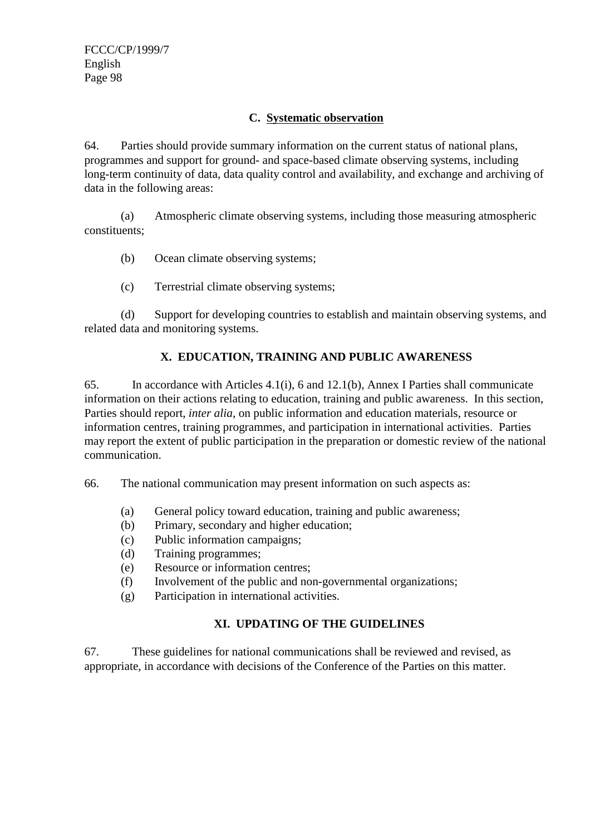### **C. Systematic observation**

64. Parties should provide summary information on the current status of national plans, programmes and support for ground- and space-based climate observing systems, including long-term continuity of data, data quality control and availability, and exchange and archiving of data in the following areas:

(a) Atmospheric climate observing systems, including those measuring atmospheric constituents;

(b) Ocean climate observing systems;

(c) Terrestrial climate observing systems;

(d) Support for developing countries to establish and maintain observing systems, and related data and monitoring systems.

### **X. EDUCATION, TRAINING AND PUBLIC AWARENESS**

65. In accordance with Articles 4.1(i), 6 and 12.1(b), Annex I Parties shall communicate information on their actions relating to education, training and public awareness. In this section, Parties should report, *inter alia*, on public information and education materials, resource or information centres, training programmes, and participation in international activities. Parties may report the extent of public participation in the preparation or domestic review of the national communication.

66. The national communication may present information on such aspects as:

- (a) General policy toward education, training and public awareness;
- (b) Primary, secondary and higher education;
- (c) Public information campaigns;
- (d) Training programmes;
- (e) Resource or information centres;
- (f) Involvement of the public and non-governmental organizations;
- (g) Participation in international activities.

### **XI. UPDATING OF THE GUIDELINES**

67. These guidelines for national communications shall be reviewed and revised, as appropriate, in accordance with decisions of the Conference of the Parties on this matter.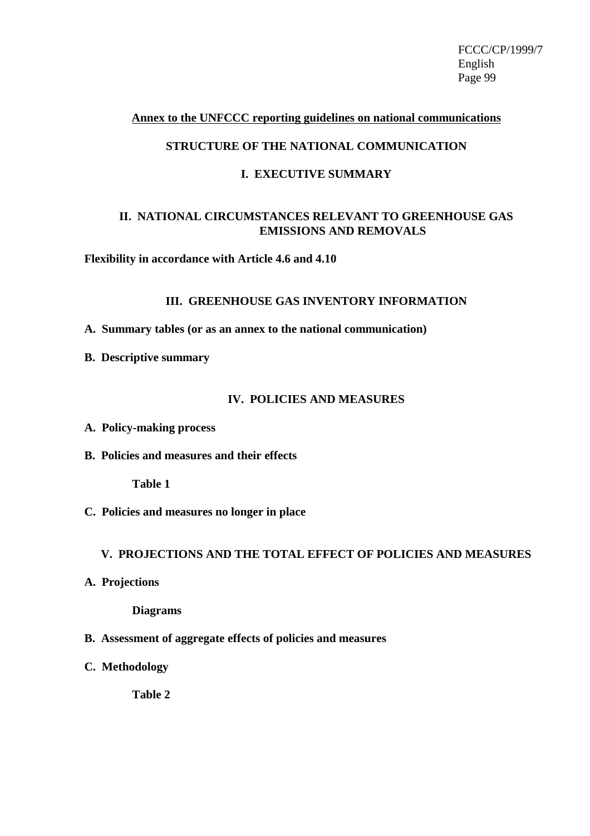#### **Annex to the UNFCCC reporting guidelines on national communications**

### **STRUCTURE OF THE NATIONAL COMMUNICATION**

### **I. EXECUTIVE SUMMARY**

### **II. NATIONAL CIRCUMSTANCES RELEVANT TO GREENHOUSE GAS EMISSIONS AND REMOVALS**

**Flexibility in accordance with Article 4.6 and 4.10**

#### **III. GREENHOUSE GAS INVENTORY INFORMATION**

**A. Summary tables (or as an annex to the national communication)**

**B. Descriptive summary**

#### **IV. POLICIES AND MEASURES**

- **A. Policy-making process**
- **B. Policies and measures and their effects**

**Table 1**

**C. Policies and measures no longer in place**

#### **V. PROJECTIONS AND THE TOTAL EFFECT OF POLICIES AND MEASURES**

**A. Projections**

**Diagrams**

- **B. Assessment of aggregate effects of policies and measures**
- **C. Methodology**

**Table 2**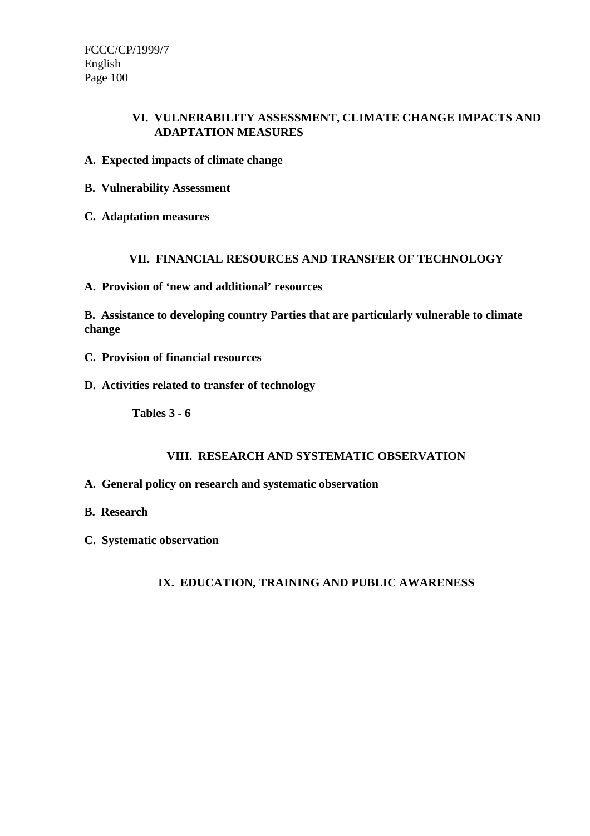### **VI. VULNERABILITY ASSESSMENT, CLIMATE CHANGE IMPACTS AND ADAPTATION MEASURES**

- **A. Expected impacts of climate change**
- **B. Vulnerability Assessment**
- **C. Adaptation measures**

### **VII. FINANCIAL RESOURCES AND TRANSFER OF TECHNOLOGY**

**A. Provision of 'new and additional' resources**

**B. Assistance to developing country Parties that are particularly vulnerable to climate change**

- **C. Provision of financial resources**
- **D. Activities related to transfer of technology**

**Tables 3 - 6**

### **VIII. RESEARCH AND SYSTEMATIC OBSERVATION**

- **A. General policy on research and systematic observation**
- **B. Research**
- **C. Systematic observation**

**IX. EDUCATION, TRAINING AND PUBLIC AWARENESS**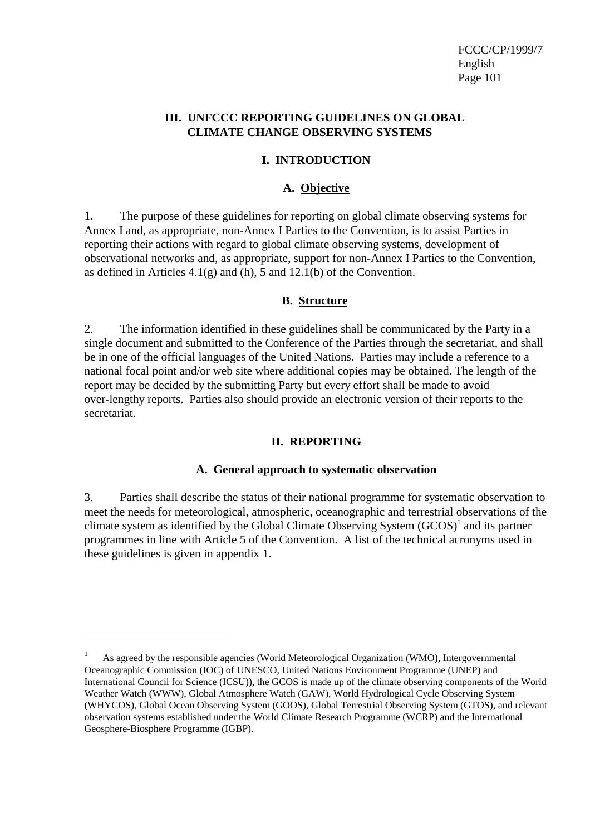### **III. UNFCCC REPORTING GUIDELINES ON GLOBAL CLIMATE CHANGE OBSERVING SYSTEMS**

### **I. INTRODUCTION**

### **A. Objective**

1. The purpose of these guidelines for reporting on global climate observing systems for Annex I and, as appropriate, non-Annex I Parties to the Convention, is to assist Parties in reporting their actions with regard to global climate observing systems, development of observational networks and, as appropriate, support for non-Annex I Parties to the Convention, as defined in Articles  $4.1(g)$  and  $(h)$ , 5 and  $12.1(b)$  of the Convention.

### **B. Structure**

2. The information identified in these guidelines shall be communicated by the Party in a single document and submitted to the Conference of the Parties through the secretariat, and shall be in one of the official languages of the United Nations. Parties may include a reference to a national focal point and/or web site where additional copies may be obtained. The length of the report may be decided by the submitting Party but every effort shall be made to avoid over-lengthy reports. Parties also should provide an electronic version of their reports to the secretariat.

### **II. REPORTING**

### **A. General approach to systematic observation**

3. Parties shall describe the status of their national programme for systematic observation to meet the needs for meteorological, atmospheric, oceanographic and terrestrial observations of the climate system as identified by the Global Climate Observing System (GCOS)<sup>1</sup> and its partner programmes in line with Article 5 of the Convention. A list of the technical acronyms used in these guidelines is given in appendix 1.

<sup>1</sup> As agreed by the responsible agencies (World Meteorological Organization (WMO), Intergovernmental Oceanographic Commission (IOC) of UNESCO, United Nations Environment Programme (UNEP) and International Council for Science (ICSU)), the GCOS is made up of the climate observing components of the World Weather Watch (WWW), Global Atmosphere Watch (GAW), World Hydrological Cycle Observing System (WHYCOS), Global Ocean Observing System (GOOS), Global Terrestrial Observing System (GTOS), and relevant observation systems established under the World Climate Research Programme (WCRP) and the International Geosphere-Biosphere Programme (IGBP).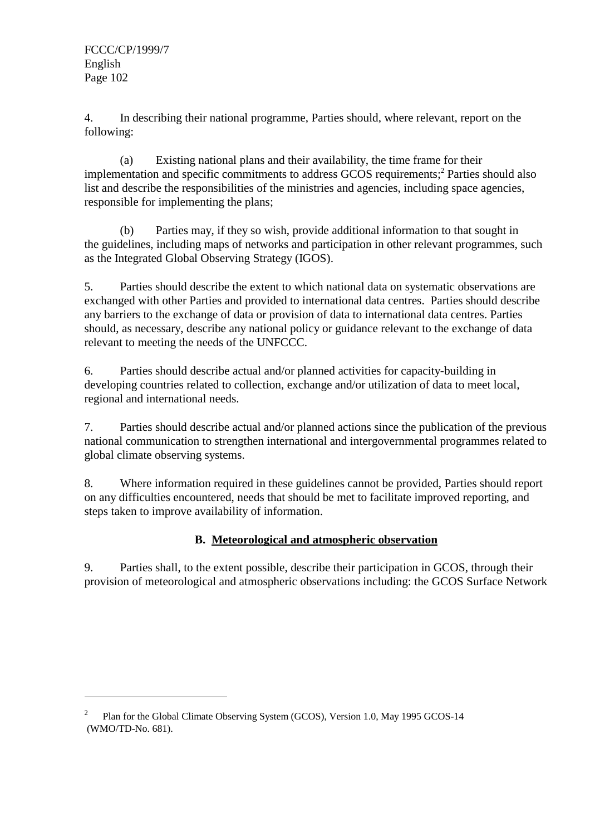4. In describing their national programme, Parties should, where relevant, report on the following:

(a) Existing national plans and their availability, the time frame for their implementation and specific commitments to address GCOS requirements;<sup>2</sup> Parties should also list and describe the responsibilities of the ministries and agencies, including space agencies, responsible for implementing the plans;

(b) Parties may, if they so wish, provide additional information to that sought in the guidelines, including maps of networks and participation in other relevant programmes, such as the Integrated Global Observing Strategy (IGOS).

5. Parties should describe the extent to which national data on systematic observations are exchanged with other Parties and provided to international data centres. Parties should describe any barriers to the exchange of data or provision of data to international data centres. Parties should, as necessary, describe any national policy or guidance relevant to the exchange of data relevant to meeting the needs of the UNFCCC.

6. Parties should describe actual and/or planned activities for capacity-building in developing countries related to collection, exchange and/or utilization of data to meet local, regional and international needs.

7. Parties should describe actual and/or planned actions since the publication of the previous national communication to strengthen international and intergovernmental programmes related to global climate observing systems.

8. Where information required in these guidelines cannot be provided, Parties should report on any difficulties encountered, needs that should be met to facilitate improved reporting, and steps taken to improve availability of information.

### **B. Meteorological and atmospheric observation**

9. Parties shall, to the extent possible, describe their participation in GCOS, through their provision of meteorological and atmospheric observations including: the GCOS Surface Network

<sup>2</sup> Plan for the Global Climate Observing System (GCOS), Version 1.0, May 1995 GCOS-14 (WMO/TD-No. 681).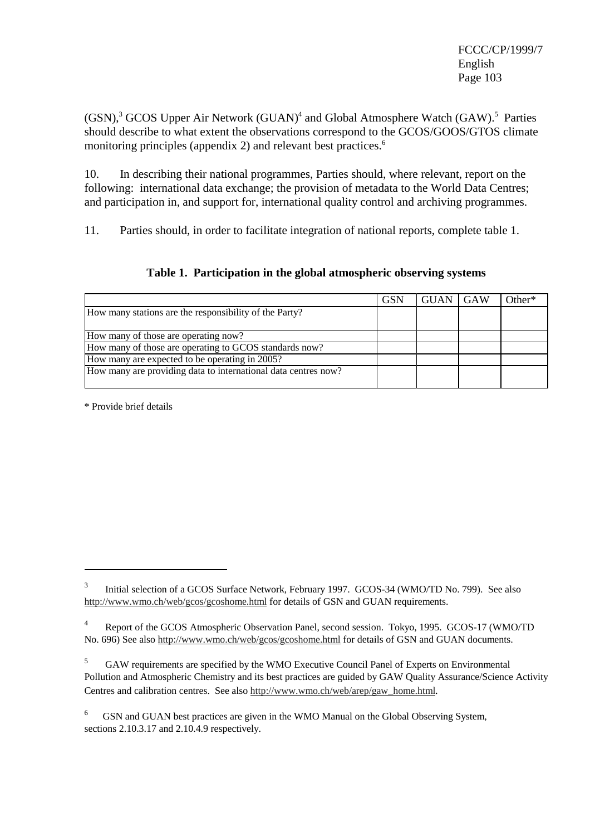(GSN),<sup>3</sup> GCOS Upper Air Network (GUAN)<sup>4</sup> and Global Atmosphere Watch (GAW).<sup>5</sup> Parties should describe to what extent the observations correspond to the GCOS/GOOS/GTOS climate monitoring principles (appendix 2) and relevant best practices.<sup>6</sup>

10. In describing their national programmes, Parties should, where relevant, report on the following: international data exchange; the provision of metadata to the World Data Centres; and participation in, and support for, international quality control and archiving programmes.

11. Parties should, in order to facilitate integration of national reports, complete table 1.

**Table 1. Participation in the global atmospheric observing systems**

|                                                                | <b>GSN</b> | <b>GUAN</b> | GAW | Other* |
|----------------------------------------------------------------|------------|-------------|-----|--------|
| How many stations are the responsibility of the Party?         |            |             |     |        |
|                                                                |            |             |     |        |
| How many of those are operating now?                           |            |             |     |        |
| How many of those are operating to GCOS standards now?         |            |             |     |        |
| How many are expected to be operating in 2005?                 |            |             |     |        |
| How many are providing data to international data centres now? |            |             |     |        |
|                                                                |            |             |     |        |

\* Provide brief details

<sup>3</sup> Initial selection of a GCOS Surface Network, February 1997. GCOS-34 (WMO/TD No. 799).See also http://www.wmo.ch/web/gcos/gcoshome.html for details of GSN and GUAN requirements.

<sup>4</sup> Report of the GCOS Atmospheric Observation Panel, second session. Tokyo, 1995. GCOS-17 (WMO/TD No. 696) See also http://www.wmo.ch/web/gcos/gcoshome.html for details of GSN and GUAN documents.

<sup>5</sup> GAW requirements are specified by the WMO Executive Council Panel of Experts on Environmental Pollution and Atmospheric Chemistry and its best practices are guided by GAW Quality Assurance/Science Activity Centres and calibration centres. See also http://www.wmo.ch/web/arep/gaw\_home.html.

<sup>6</sup> GSN and GUAN best practices are given in the WMO Manual on the Global Observing System, sections 2.10.3.17 and 2.10.4.9 respectively.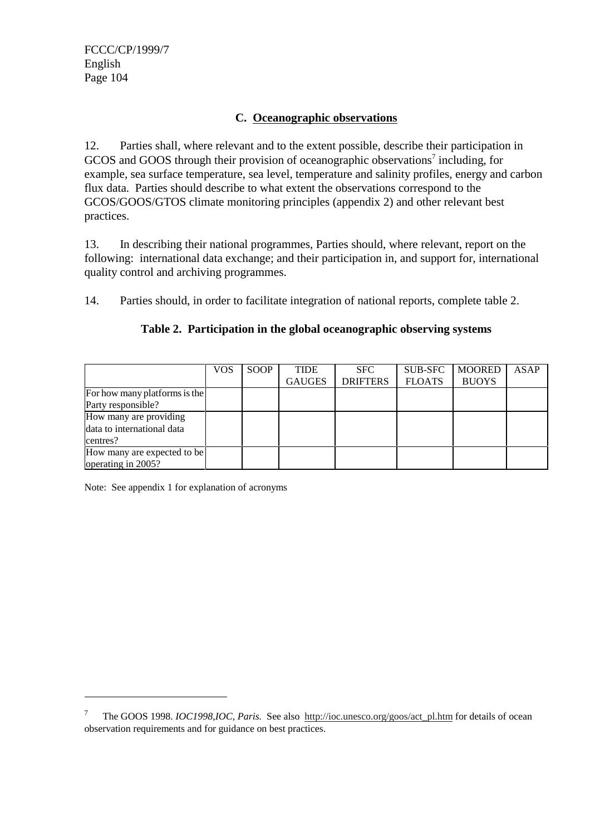### **C. Oceanographic observations**

12. Parties shall, where relevant and to the extent possible, describe their participation in GCOS and GOOS through their provision of oceanographic observations<sup>7</sup> including, for example, sea surface temperature, sea level, temperature and salinity profiles, energy and carbon flux data. Parties should describe to what extent the observations correspond to the GCOS/GOOS/GTOS climate monitoring principles (appendix 2) and other relevant best practices.

13. In describing their national programmes, Parties should, where relevant, report on the following: international data exchange; and their participation in, and support for, international quality control and archiving programmes.

14. Parties should, in order to facilitate integration of national reports, complete table 2.

|                               | VOS | SOOP | <b>TIDE</b>   | <b>SFC</b>      | <b>SUB-SFC</b> | <b>MOORED</b> | ASAP |
|-------------------------------|-----|------|---------------|-----------------|----------------|---------------|------|
|                               |     |      | <b>GAUGES</b> | <b>DRIFTERS</b> | <b>FLOATS</b>  | <b>BUOYS</b>  |      |
| For how many platforms is the |     |      |               |                 |                |               |      |
| Party responsible?            |     |      |               |                 |                |               |      |
| How many are providing        |     |      |               |                 |                |               |      |
| data to international data    |     |      |               |                 |                |               |      |
| centres?                      |     |      |               |                 |                |               |      |
| How many are expected to be   |     |      |               |                 |                |               |      |
| operating in 2005?            |     |      |               |                 |                |               |      |

### **Table 2. Participation in the global oceanographic observing systems**

Note: See appendix 1 for explanation of acronyms

<sup>7</sup> The GOOS 1998. *IOC1998,IOC, Paris.* See also http://ioc.unesco.org/goos/act\_pl.htm for details of ocean observation requirements and for guidance on best practices.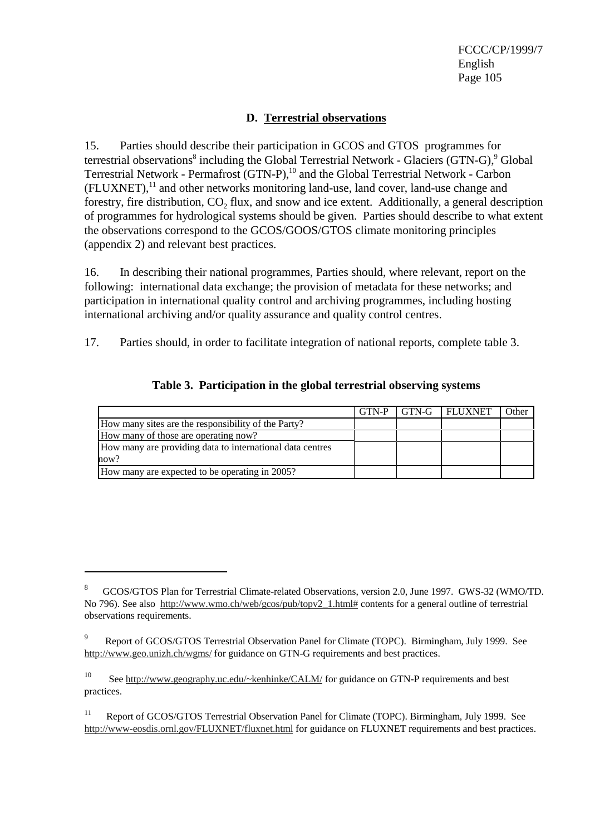### **D. Terrestrial observations**

15. Parties should describe their participation in GCOS and GTOS programmes for terrestrial observations<sup>8</sup> including the Global Terrestrial Network - Glaciers (GTN-G),<sup>9</sup> Global Terrestrial Network - Permafrost (GTN-P),<sup>10</sup> and the Global Terrestrial Network - Carbon  $(FLUXNET)$ ,<sup>11</sup> and other networks monitoring land-use, land cover, land-use change and forestry, fire distribution,  $CO<sub>2</sub>$  flux, and snow and ice extent. Additionally, a general description of programmes for hydrological systems should be given. Parties should describe to what extent the observations correspond to the GCOS/GOOS/GTOS climate monitoring principles (appendix 2) and relevant best practices.

16. In describing their national programmes, Parties should, where relevant, report on the following: international data exchange; the provision of metadata for these networks; and participation in international quality control and archiving programmes, including hosting international archiving and/or quality assurance and quality control centres.

17. Parties should, in order to facilitate integration of national reports, complete table 3.

|                                                           | GTN-P | GTN-G FLUXNET | Other |
|-----------------------------------------------------------|-------|---------------|-------|
| How many sites are the responsibility of the Party?       |       |               |       |
| How many of those are operating now?                      |       |               |       |
| How many are providing data to international data centres |       |               |       |
| how?                                                      |       |               |       |
| How many are expected to be operating in 2005?            |       |               |       |

### **Table 3. Participation in the global terrestrial observing systems**

<sup>8</sup> GCOS/GTOS Plan for Terrestrial Climate-related Observations, version 2.0, June 1997. GWS-32 (WMO/TD. No 796). See also http://www.wmo.ch/web/gcos/pub/topv2\_1.html# contents for a general outline of terrestrial observations requirements.

<sup>9</sup> Report of GCOS/GTOS Terrestrial Observation Panel for Climate (TOPC). Birmingham, July 1999. See http://www.geo.unizh.ch/wgms/ for guidance on GTN-G requirements and best practices.

<sup>&</sup>lt;sup>10</sup> See http://www.geography.uc.edu/~kenhinke/CALM/ for guidance on GTN-P requirements and best practices.

<sup>&</sup>lt;sup>11</sup> Report of GCOS/GTOS Terrestrial Observation Panel for Climate (TOPC). Birmingham, July 1999. See http://www-eosdis.ornl.gov/FLUXNET/fluxnet.html for guidance on FLUXNET requirements and best practices.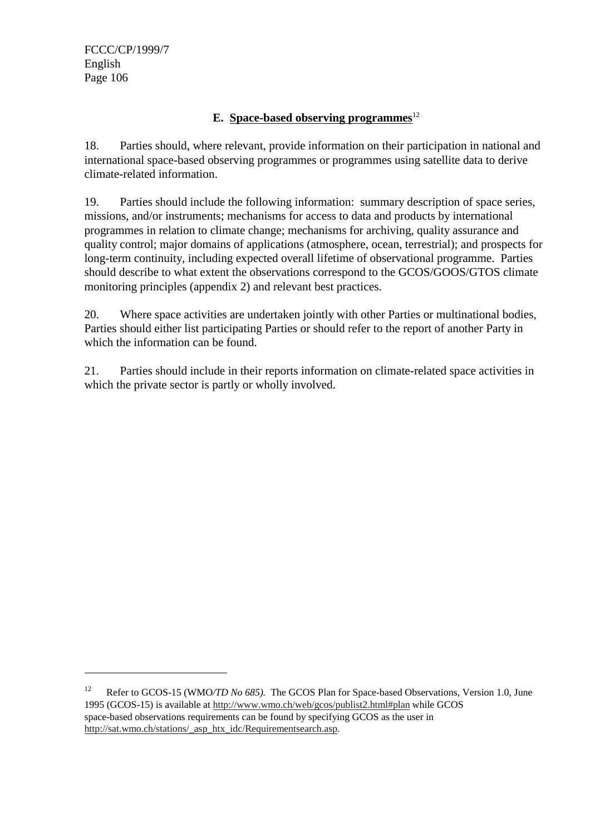### **E.** Space-based observing programmes<sup>12</sup>

18. Parties should, where relevant, provide information on their participation in national and international space-based observing programmes or programmes using satellite data to derive climate-related information.

19. Parties should include the following information: summary description of space series, missions, and/or instruments; mechanisms for access to data and products by international programmes in relation to climate change; mechanisms for archiving, quality assurance and quality control; major domains of applications (atmosphere, ocean, terrestrial); and prospects for long-term continuity, including expected overall lifetime of observational programme. Parties should describe to what extent the observations correspond to the GCOS/GOOS/GTOS climate monitoring principles (appendix 2) and relevant best practices.

20. Where space activities are undertaken jointly with other Parties or multinational bodies, Parties should either list participating Parties or should refer to the report of another Party in which the information can be found.

21. Parties should include in their reports information on climate-related space activities in which the private sector is partly or wholly involved.

<sup>12</sup> Refer to GCOS-15 (WMO*/TD No 685).* The GCOS Plan for Space-based Observations, Version 1.0, June 1995 (GCOS-15) is available at http://www.wmo.ch/web/gcos/publist2.html#plan while GCOS space-based observations requirements can be found by specifying GCOS as the user in http://sat.wmo.ch/stations/\_asp\_htx\_idc/Requirementsearch.asp.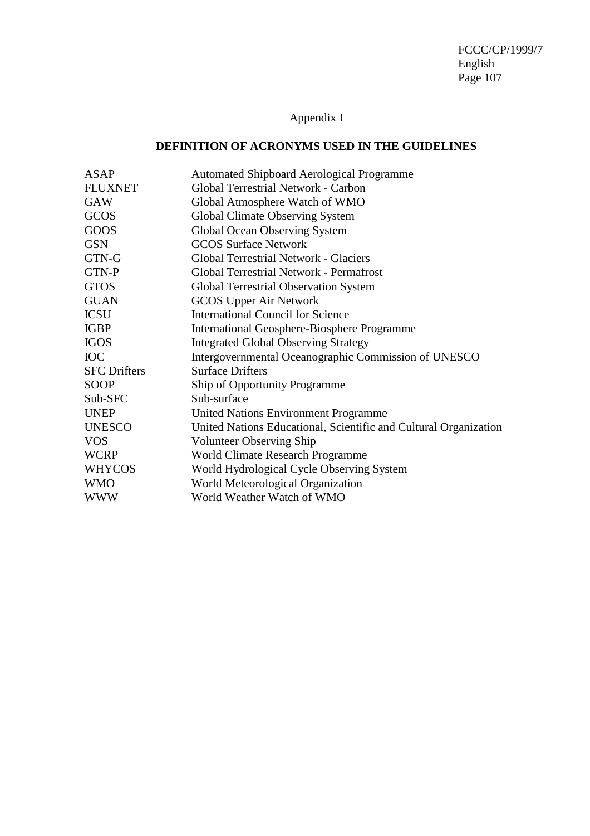## Appendix I

### **DEFINITION OF ACRONYMS USED IN THE GUIDELINES**

| ASAP                | <b>Automated Shipboard Aerological Programme</b>                 |
|---------------------|------------------------------------------------------------------|
| <b>FLUXNET</b>      | Global Terrestrial Network - Carbon                              |
| <b>GAW</b>          | Global Atmosphere Watch of WMO                                   |
| GCOS                | Global Climate Observing System                                  |
| GOOS                | Global Ocean Observing System                                    |
| <b>GSN</b>          | <b>GCOS Surface Network</b>                                      |
| GTN-G               | <b>Global Terrestrial Network - Glaciers</b>                     |
| GTN-P               | Global Terrestrial Network - Permafrost                          |
| <b>GTOS</b>         | <b>Global Terrestrial Observation System</b>                     |
| <b>GUAN</b>         | <b>GCOS Upper Air Network</b>                                    |
| <b>ICSU</b>         | <b>International Council for Science</b>                         |
| <b>IGBP</b>         | International Geosphere-Biosphere Programme                      |
| <b>IGOS</b>         | <b>Integrated Global Observing Strategy</b>                      |
| <b>IOC</b>          | Intergovernmental Oceanographic Commission of UNESCO             |
| <b>SFC Drifters</b> | <b>Surface Drifters</b>                                          |
| <b>SOOP</b>         | Ship of Opportunity Programme                                    |
| Sub-SFC             | Sub-surface                                                      |
| <b>UNEP</b>         | <b>United Nations Environment Programme</b>                      |
| <b>UNESCO</b>       | United Nations Educational, Scientific and Cultural Organization |
| <b>VOS</b>          | <b>Volunteer Observing Ship</b>                                  |
| <b>WCRP</b>         | World Climate Research Programme                                 |
| <b>WHYCOS</b>       | World Hydrological Cycle Observing System                        |
| <b>WMO</b>          | World Meteorological Organization                                |
| <b>WWW</b>          | World Weather Watch of WMO                                       |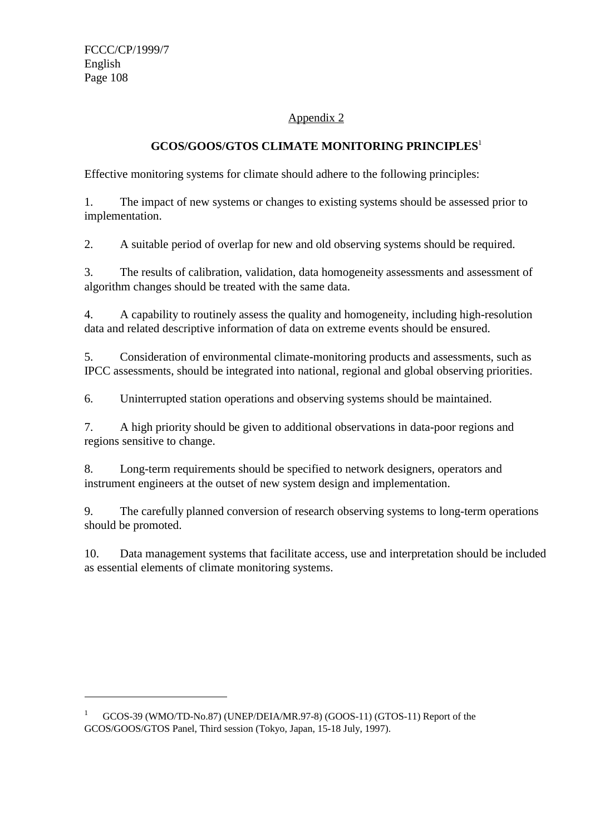### Appendix 2

### **GCOS/GOOS/GTOS CLIMATE MONITORING PRINCIPLES**<sup>1</sup>

Effective monitoring systems for climate should adhere to the following principles:

1. The impact of new systems or changes to existing systems should be assessed prior to implementation.

2. A suitable period of overlap for new and old observing systems should be required.

3. The results of calibration, validation, data homogeneity assessments and assessment of algorithm changes should be treated with the same data.

4. A capability to routinely assess the quality and homogeneity, including high-resolution data and related descriptive information of data on extreme events should be ensured.

5. Consideration of environmental climate-monitoring products and assessments, such as IPCC assessments, should be integrated into national, regional and global observing priorities.

6. Uninterrupted station operations and observing systems should be maintained.

7. A high priority should be given to additional observations in data-poor regions and regions sensitive to change.

8. Long-term requirements should be specified to network designers, operators and instrument engineers at the outset of new system design and implementation.

9. The carefully planned conversion of research observing systems to long-term operations should be promoted.

10. Data management systems that facilitate access, use and interpretation should be included as essential elements of climate monitoring systems.

<sup>1</sup> GCOS-39 (WMO/TD-No.87) (UNEP/DEIA/MR.97-8) (GOOS-11) (GTOS-11) Report of the GCOS/GOOS/GTOS Panel, Third session (Tokyo, Japan, 15-18 July, 1997).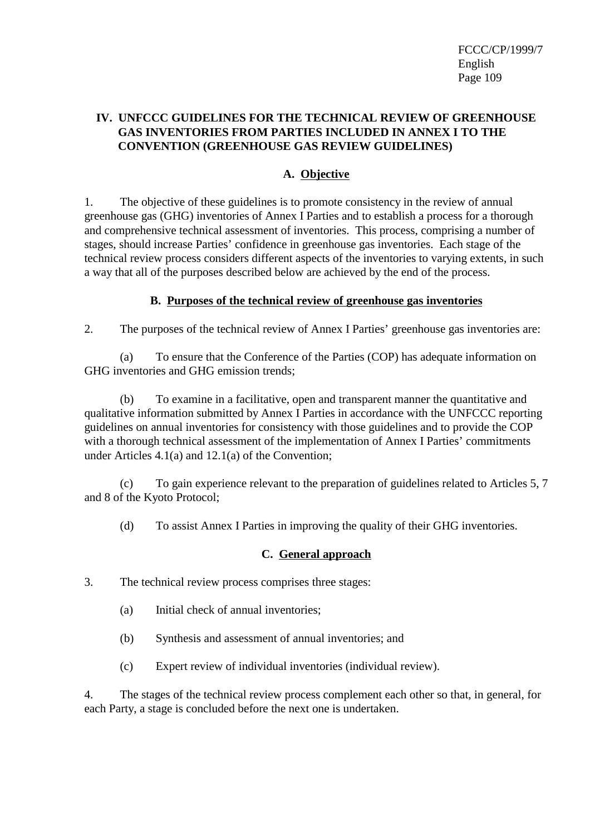# **IV. UNFCCC GUIDELINES FOR THE TECHNICAL REVIEW OF GREENHOUSE GAS INVENTORIES FROM PARTIES INCLUDED IN ANNEX I TO THE CONVENTION (GREENHOUSE GAS REVIEW GUIDELINES)**

# **A. Objective**

1. The objective of these guidelines is to promote consistency in the review of annual greenhouse gas (GHG) inventories of Annex I Parties and to establish a process for a thorough and comprehensive technical assessment of inventories. This process, comprising a number of stages, should increase Parties' confidence in greenhouse gas inventories. Each stage of the technical review process considers different aspects of the inventories to varying extents, in such a way that all of the purposes described below are achieved by the end of the process.

# **B. Purposes of the technical review of greenhouse gas inventories**

2. The purposes of the technical review of Annex I Parties' greenhouse gas inventories are:

(a) To ensure that the Conference of the Parties (COP) has adequate information on GHG inventories and GHG emission trends;

(b) To examine in a facilitative, open and transparent manner the quantitative and qualitative information submitted by Annex I Parties in accordance with the UNFCCC reporting guidelines on annual inventories for consistency with those guidelines and to provide the COP with a thorough technical assessment of the implementation of Annex I Parties' commitments under Articles 4.1(a) and 12.1(a) of the Convention;

(c) To gain experience relevant to the preparation of guidelines related to Articles 5, 7 and 8 of the Kyoto Protocol;

(d) To assist Annex I Parties in improving the quality of their GHG inventories.

# **C. General approach**

3. The technical review process comprises three stages:

- (a) Initial check of annual inventories;
- (b) Synthesis and assessment of annual inventories; and
- (c) Expert review of individual inventories (individual review).

4. The stages of the technical review process complement each other so that, in general, for each Party, a stage is concluded before the next one is undertaken.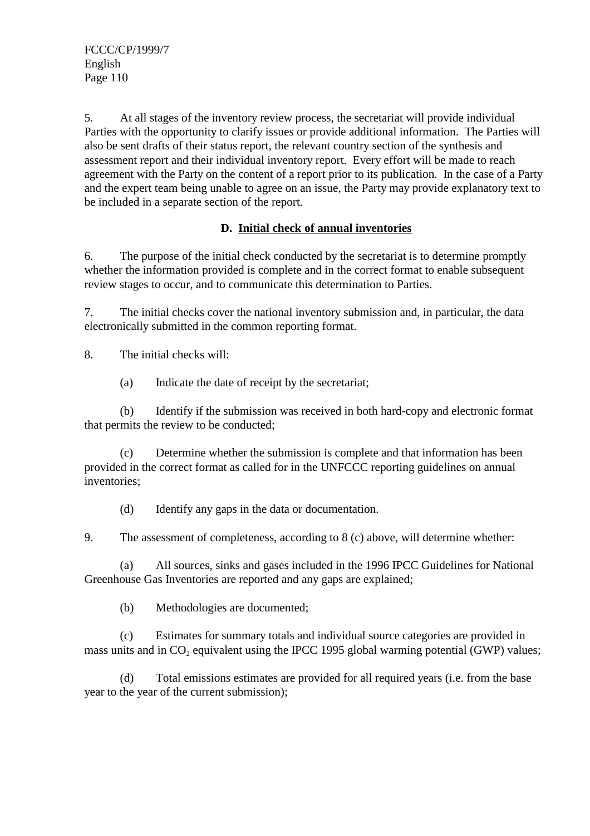5. At all stages of the inventory review process, the secretariat will provide individual Parties with the opportunity to clarify issues or provide additional information. The Parties will also be sent drafts of their status report, the relevant country section of the synthesis and assessment report and their individual inventory report. Every effort will be made to reach agreement with the Party on the content of a report prior to its publication. In the case of a Party and the expert team being unable to agree on an issue, the Party may provide explanatory text to be included in a separate section of the report.

# **D. Initial check of annual inventories**

6. The purpose of the initial check conducted by the secretariat is to determine promptly whether the information provided is complete and in the correct format to enable subsequent review stages to occur, and to communicate this determination to Parties.

7. The initial checks cover the national inventory submission and, in particular, the data electronically submitted in the common reporting format.

8. The initial checks will:

(a) Indicate the date of receipt by the secretariat;

(b) Identify if the submission was received in both hard-copy and electronic format that permits the review to be conducted;

(c) Determine whether the submission is complete and that information has been provided in the correct format as called for in the UNFCCC reporting guidelines on annual inventories;

(d) Identify any gaps in the data or documentation.

9. The assessment of completeness, according to 8 (c) above, will determine whether:

(a) All sources, sinks and gases included in the 1996 IPCC Guidelines for National Greenhouse Gas Inventories are reported and any gaps are explained;

(b) Methodologies are documented;

(c) Estimates for summary totals and individual source categories are provided in mass units and in  $CO<sub>2</sub>$  equivalent using the IPCC 1995 global warming potential (GWP) values;

(d) Total emissions estimates are provided for all required years (i.e. from the base year to the year of the current submission);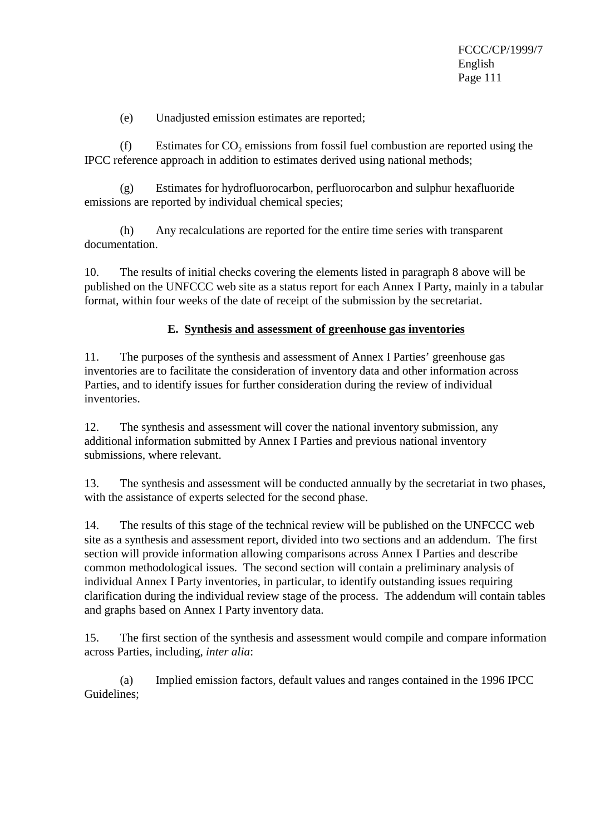(e) Unadjusted emission estimates are reported;

 $(f)$  Estimates for  $CO<sub>2</sub>$  emissions from fossil fuel combustion are reported using the IPCC reference approach in addition to estimates derived using national methods;

(g) Estimates for hydrofluorocarbon, perfluorocarbon and sulphur hexafluoride emissions are reported by individual chemical species;

(h) Any recalculations are reported for the entire time series with transparent documentation.

10. The results of initial checks covering the elements listed in paragraph 8 above will be published on the UNFCCC web site as a status report for each Annex I Party, mainly in a tabular format, within four weeks of the date of receipt of the submission by the secretariat.

# **E. Synthesis and assessment of greenhouse gas inventories**

11. The purposes of the synthesis and assessment of Annex I Parties' greenhouse gas inventories are to facilitate the consideration of inventory data and other information across Parties, and to identify issues for further consideration during the review of individual inventories.

12. The synthesis and assessment will cover the national inventory submission, any additional information submitted by Annex I Parties and previous national inventory submissions, where relevant.

13. The synthesis and assessment will be conducted annually by the secretariat in two phases, with the assistance of experts selected for the second phase.

14. The results of this stage of the technical review will be published on the UNFCCC web site as a synthesis and assessment report, divided into two sections and an addendum. The first section will provide information allowing comparisons across Annex I Parties and describe common methodological issues. The second section will contain a preliminary analysis of individual Annex I Party inventories, in particular, to identify outstanding issues requiring clarification during the individual review stage of the process. The addendum will contain tables and graphs based on Annex I Party inventory data.

15. The first section of the synthesis and assessment would compile and compare information across Parties, including, *inter alia*:

(a) Implied emission factors, default values and ranges contained in the 1996 IPCC Guidelines;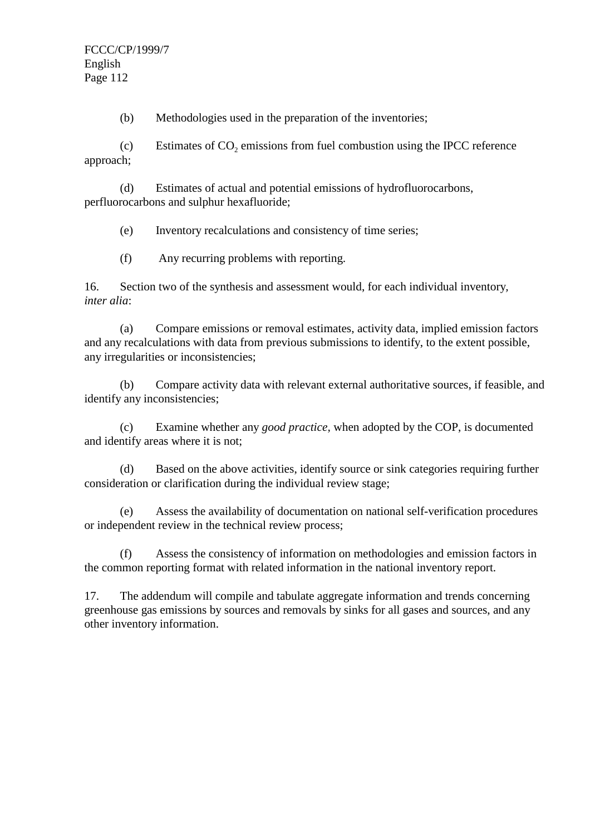(b) Methodologies used in the preparation of the inventories;

(c) Estimates of  $CO<sub>2</sub>$  emissions from fuel combustion using the IPCC reference approach;

(d) Estimates of actual and potential emissions of hydrofluorocarbons, perfluorocarbons and sulphur hexafluoride;

(e) Inventory recalculations and consistency of time series;

(f) Any recurring problems with reporting.

16. Section two of the synthesis and assessment would, for each individual inventory*, inter alia*:

(a) Compare emissions or removal estimates, activity data, implied emission factors and any recalculations with data from previous submissions to identify, to the extent possible, any irregularities or inconsistencies;

(b) Compare activity data with relevant external authoritative sources, if feasible, and identify any inconsistencies;

(c) Examine whether any *good practice,* when adopted by the COP, is documented and identify areas where it is not;

(d) Based on the above activities, identify source or sink categories requiring further consideration or clarification during the individual review stage;

(e) Assess the availability of documentation on national self-verification procedures or independent review in the technical review process;

(f) Assess the consistency of information on methodologies and emission factors in the common reporting format with related information in the national inventory report.

17. The addendum will compile and tabulate aggregate information and trends concerning greenhouse gas emissions by sources and removals by sinks for all gases and sources, and any other inventory information.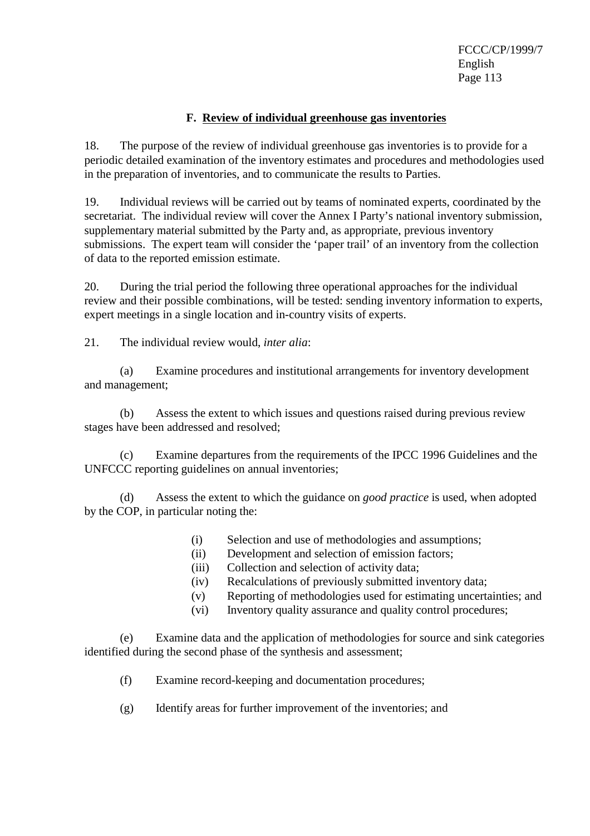### **F. Review of individual greenhouse gas inventories**

18. The purpose of the review of individual greenhouse gas inventories is to provide for a periodic detailed examination of the inventory estimates and procedures and methodologies used in the preparation of inventories, and to communicate the results to Parties.

19. Individual reviews will be carried out by teams of nominated experts, coordinated by the secretariat. The individual review will cover the Annex I Party's national inventory submission, supplementary material submitted by the Party and, as appropriate, previous inventory submissions. The expert team will consider the 'paper trail' of an inventory from the collection of data to the reported emission estimate.

20. During the trial period the following three operational approaches for the individual review and their possible combinations, will be tested: sending inventory information to experts, expert meetings in a single location and in-country visits of experts.

21. The individual review would, *inter alia*:

(a) Examine procedures and institutional arrangements for inventory development and management;

(b) Assess the extent to which issues and questions raised during previous review stages have been addressed and resolved;

(c) Examine departures from the requirements of the IPCC 1996 Guidelines and the UNFCCC reporting guidelines on annual inventories;

(d) Assess the extent to which the guidance on *good practice* is used, when adopted by the COP, in particular noting the:

- (i) Selection and use of methodologies and assumptions;
- (ii) Development and selection of emission factors;
- (iii) Collection and selection of activity data;
- (iv) Recalculations of previously submitted inventory data;
- (v) Reporting of methodologies used for estimating uncertainties; and
- (vi) Inventory quality assurance and quality control procedures;

(e) Examine data and the application of methodologies for source and sink categories identified during the second phase of the synthesis and assessment;

- (f) Examine record-keeping and documentation procedures;
- (g) Identify areas for further improvement of the inventories; and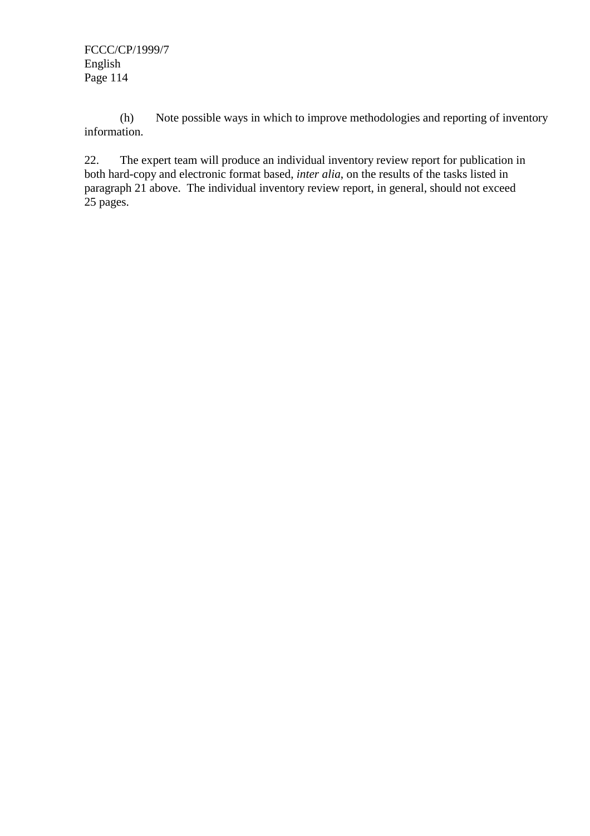(h) Note possible ways in which to improve methodologies and reporting of inventory information.

22. The expert team will produce an individual inventory review report for publication in both hard-copy and electronic format based, *inter alia*, on the results of the tasks listed in paragraph 21 above. The individual inventory review report, in general, should not exceed 25 pages.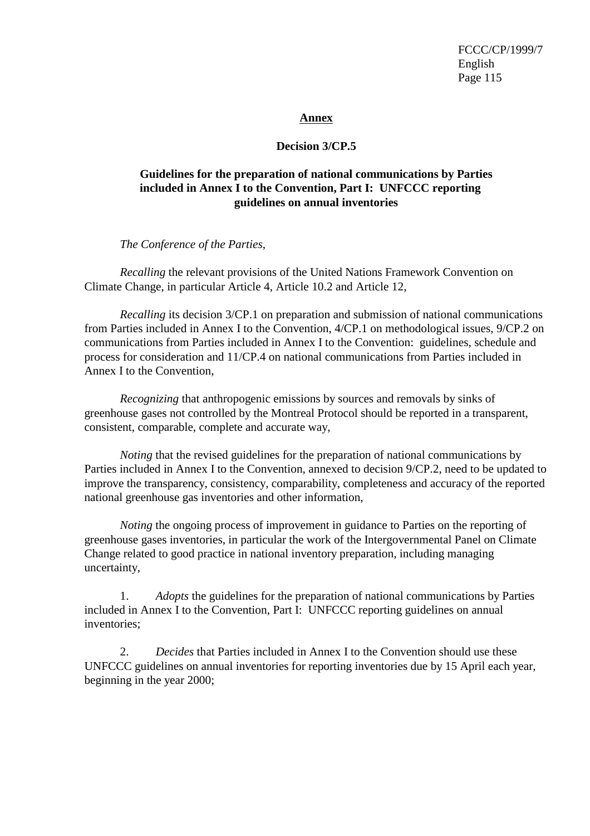#### **Annex**

### **Decision 3/CP.5**

# **Guidelines for the preparation of national communications by Parties included in Annex I to the Convention, Part I: UNFCCC reporting guidelines on annual inventories**

*The Conference of the Parties*,

*Recalling* the relevant provisions of the United Nations Framework Convention on Climate Change, in particular Article 4, Article 10.2 and Article 12,

*Recalling* its decision 3/CP.1 on preparation and submission of national communications from Parties included in Annex I to the Convention, 4/CP.1 on methodological issues, 9/CP.2 on communications from Parties included in Annex I to the Convention: guidelines, schedule and process for consideration and 11/CP.4 on national communications from Parties included in Annex I to the Convention,

*Recognizing* that anthropogenic emissions by sources and removals by sinks of greenhouse gases not controlled by the Montreal Protocol should be reported in a transparent, consistent, comparable, complete and accurate way,

*Noting* that the revised guidelines for the preparation of national communications by Parties included in Annex I to the Convention, annexed to decision 9/CP.2, need to be updated to improve the transparency, consistency, comparability, completeness and accuracy of the reported national greenhouse gas inventories and other information,

*Noting* the ongoing process of improvement in guidance to Parties on the reporting of greenhouse gases inventories, in particular the work of the Intergovernmental Panel on Climate Change related to good practice in national inventory preparation, including managing uncertainty,

1. *Adopts* the guidelines for the preparation of national communications by Parties included in Annex I to the Convention, Part I: UNFCCC reporting guidelines on annual inventories;

2. *Decides* that Parties included in Annex I to the Convention should use these UNFCCC guidelines on annual inventories for reporting inventories due by 15 April each year, beginning in the year 2000;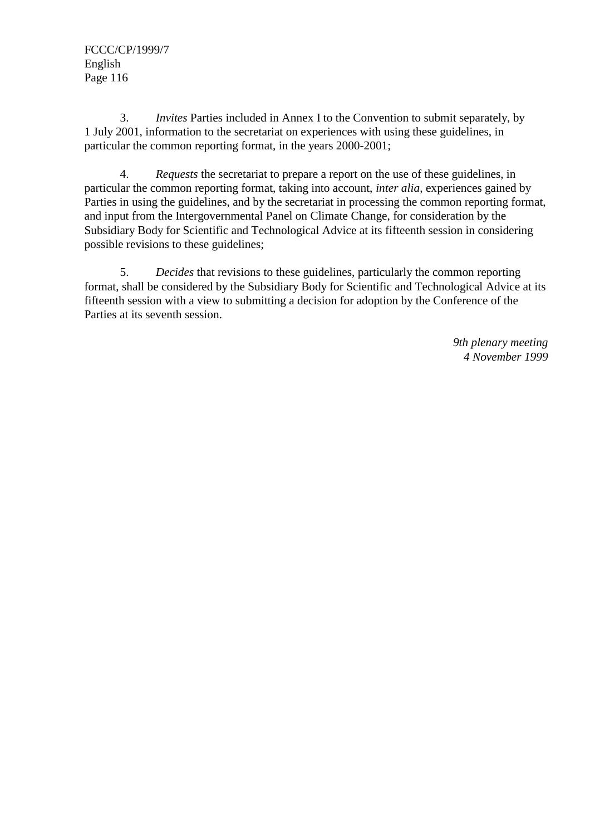3. *Invites* Parties included in Annex I to the Convention to submit separately, by 1 July 2001, information to the secretariat on experiences with using these guidelines, in particular the common reporting format, in the years 2000-2001;

4. *Requests* the secretariat to prepare a report on the use of these guidelines, in particular the common reporting format, taking into account, *inter alia*, experiences gained by Parties in using the guidelines, and by the secretariat in processing the common reporting format, and input from the Intergovernmental Panel on Climate Change, for consideration by the Subsidiary Body for Scientific and Technological Advice at its fifteenth session in considering possible revisions to these guidelines;

5. *Decides* that revisions to these guidelines, particularly the common reporting format, shall be considered by the Subsidiary Body for Scientific and Technological Advice at its fifteenth session with a view to submitting a decision for adoption by the Conference of the Parties at its seventh session.

> *9th plenary meeting 4 November 1999*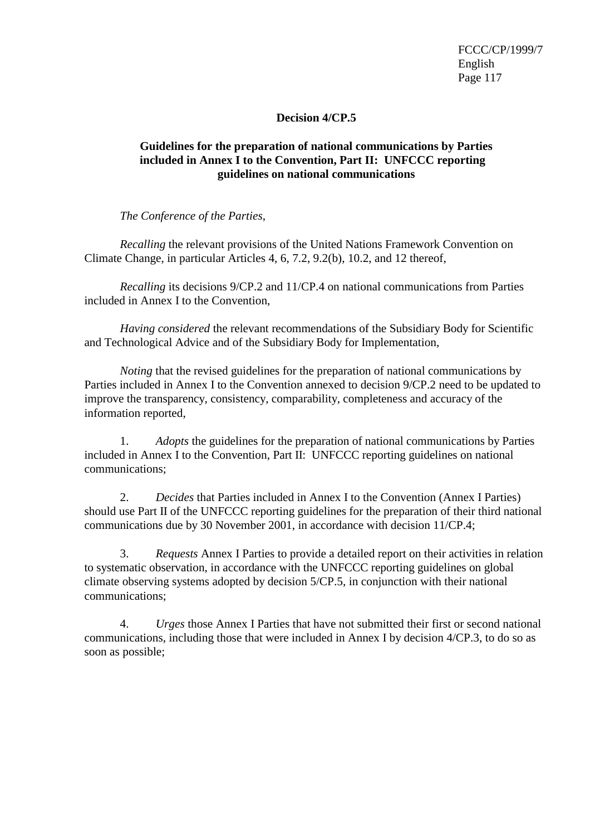### **Decision 4/CP.5**

### **Guidelines for the preparation of national communications by Parties included in Annex I to the Convention, Part II: UNFCCC reporting guidelines on national communications**

*The Conference of the Parties*,

*Recalling* the relevant provisions of the United Nations Framework Convention on Climate Change, in particular Articles 4, 6, 7.2, 9.2(b), 10.2, and 12 thereof,

*Recalling* its decisions 9/CP.2 and 11/CP.4 on national communications from Parties included in Annex I to the Convention,

*Having considered* the relevant recommendations of the Subsidiary Body for Scientific and Technological Advice and of the Subsidiary Body for Implementation,

*Noting* that the revised guidelines for the preparation of national communications by Parties included in Annex I to the Convention annexed to decision 9/CP.2 need to be updated to improve the transparency, consistency, comparability, completeness and accuracy of the information reported,

1. *Adopts* the guidelines for the preparation of national communications by Parties included in Annex I to the Convention, Part II: UNFCCC reporting guidelines on national communications;

2. *Decides* that Parties included in Annex I to the Convention (Annex I Parties) should use Part II of the UNFCCC reporting guidelines for the preparation of their third national communications due by 30 November 2001, in accordance with decision 11/CP.4;

3. *Requests* Annex I Parties to provide a detailed report on their activities in relation to systematic observation, in accordance with the UNFCCC reporting guidelines on global climate observing systems adopted by decision 5/CP.5, in conjunction with their national communications;

4. *Urges* those Annex I Parties that have not submitted their first or second national communications, including those that were included in Annex I by decision 4/CP.3, to do so as soon as possible;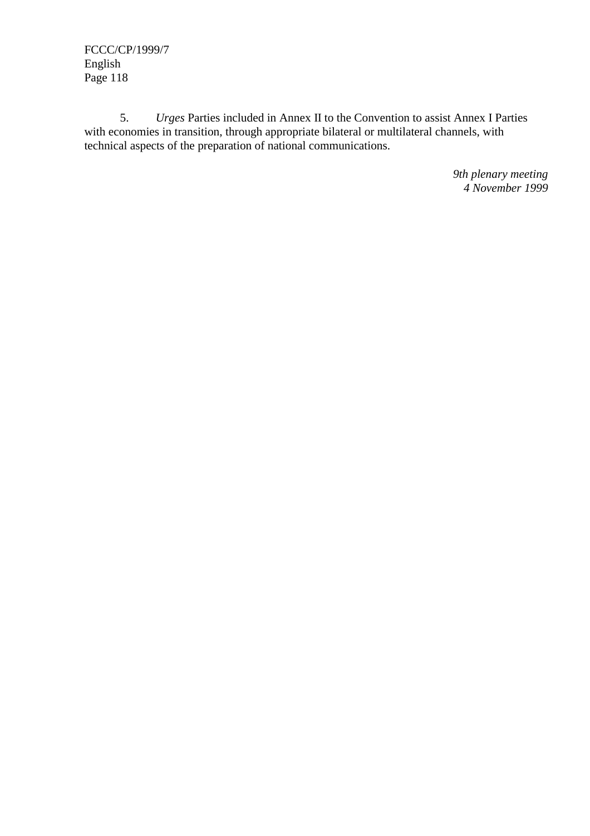5. *Urges* Parties included in Annex II to the Convention to assist Annex I Parties with economies in transition, through appropriate bilateral or multilateral channels, with technical aspects of the preparation of national communications.

> *9th plenary meeting 4 November 1999*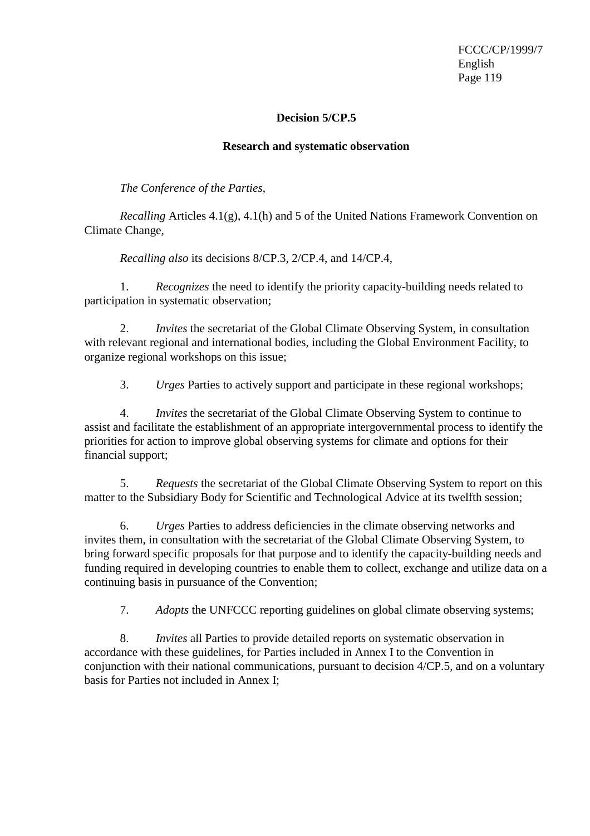### **Decision 5/CP.5**

#### **Research and systematic observation**

*The Conference of the Parties*,

*Recalling* Articles 4.1(g), 4.1(h) and 5 of the United Nations Framework Convention on Climate Change,

*Recalling also* its decisions 8/CP.3, 2/CP.4, and 14/CP.4,

1. *Recognizes* the need to identify the priority capacity-building needs related to participation in systematic observation;

2. *Invites* the secretariat of the Global Climate Observing System, in consultation with relevant regional and international bodies, including the Global Environment Facility, to organize regional workshops on this issue;

3. *Urges* Parties to actively support and participate in these regional workshops;

4. *Invites* the secretariat of the Global Climate Observing System to continue to assist and facilitate the establishment of an appropriate intergovernmental process to identify the priorities for action to improve global observing systems for climate and options for their financial support;

5. *Requests* the secretariat of the Global Climate Observing System to report on this matter to the Subsidiary Body for Scientific and Technological Advice at its twelfth session;

6. *Urges* Parties to address deficiencies in the climate observing networks and invites them, in consultation with the secretariat of the Global Climate Observing System, to bring forward specific proposals for that purpose and to identify the capacity-building needs and funding required in developing countries to enable them to collect, exchange and utilize data on a continuing basis in pursuance of the Convention;

7. *Adopts* the UNFCCC reporting guidelines on global climate observing systems;

8. *Invites* all Parties to provide detailed reports on systematic observation in accordance with these guidelines, for Parties included in Annex I to the Convention in conjunction with their national communications, pursuant to decision 4/CP.5, and on a voluntary basis for Parties not included in Annex I;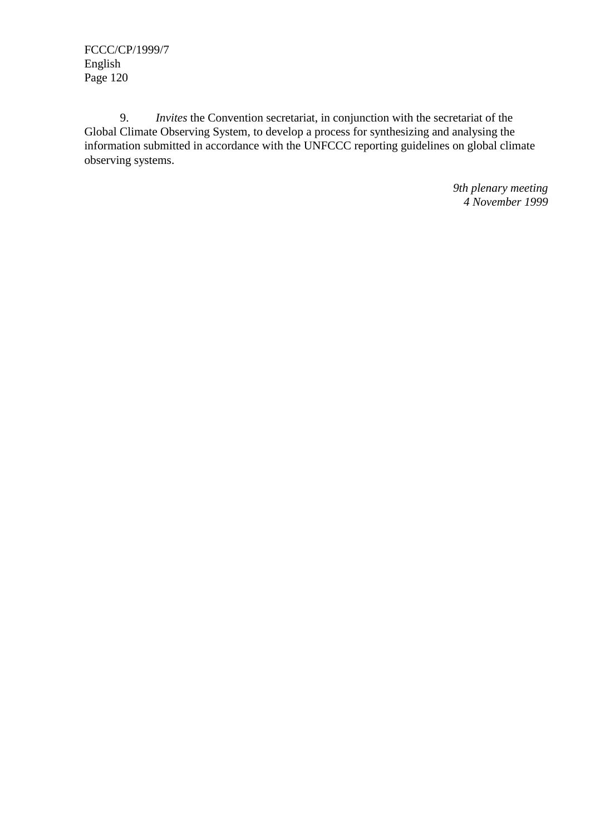9. *Invites* the Convention secretariat, in conjunction with the secretariat of the Global Climate Observing System, to develop a process for synthesizing and analysing the information submitted in accordance with the UNFCCC reporting guidelines on global climate observing systems.

> *9th plenary meeting 4 November 1999*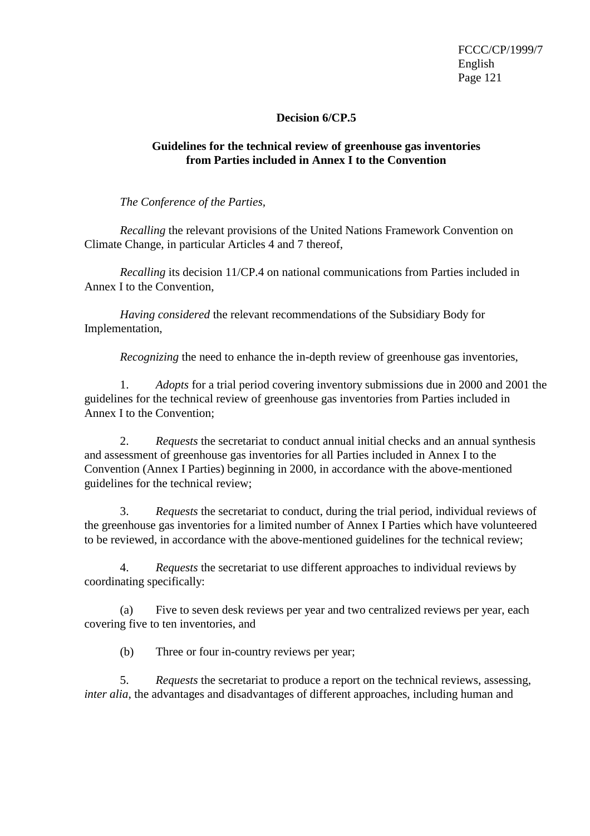### **Decision 6/CP.5**

### **Guidelines for the technical review of greenhouse gas inventories from Parties included in Annex I to the Convention**

*The Conference of the Parties,*

*Recalling* the relevant provisions of the United Nations Framework Convention on Climate Change, in particular Articles 4 and 7 thereof,

*Recalling* its decision 11/CP.4 on national communications from Parties included in Annex I to the Convention,

*Having considered* the relevant recommendations of the Subsidiary Body for Implementation,

*Recognizing* the need to enhance the in-depth review of greenhouse gas inventories,

1. *Adopts* for a trial period covering inventory submissions due in 2000 and 2001 the guidelines for the technical review of greenhouse gas inventories from Parties included in Annex I to the Convention;

2. *Requests* the secretariat to conduct annual initial checks and an annual synthesis and assessment of greenhouse gas inventories for all Parties included in Annex I to the Convention (Annex I Parties) beginning in 2000, in accordance with the above-mentioned guidelines for the technical review;

3. *Requests* the secretariat to conduct, during the trial period, individual reviews of the greenhouse gas inventories for a limited number of Annex I Parties which have volunteered to be reviewed, in accordance with the above-mentioned guidelines for the technical review;

4. *Requests* the secretariat to use different approaches to individual reviews by coordinating specifically:

(a) Five to seven desk reviews per year and two centralized reviews per year, each covering five to ten inventories, and

(b) Three or four in-country reviews per year;

5. *Requests* the secretariat to produce a report on the technical reviews, assessing, *inter alia*, the advantages and disadvantages of different approaches, including human and